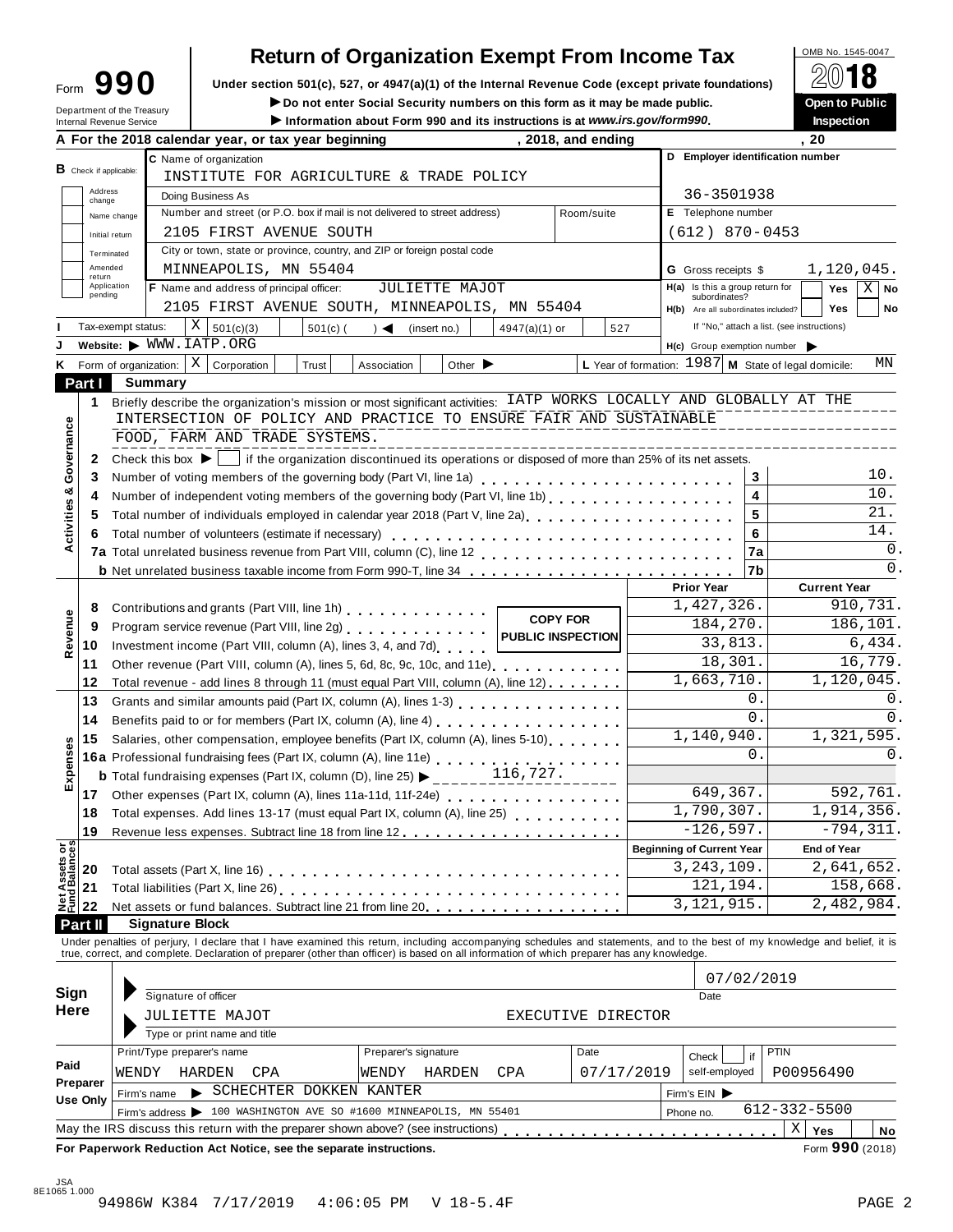| Form                       |  | 990 |
|----------------------------|--|-----|
| Department of the Treasury |  |     |

# **Return of Organization Exempt From Income Tax**

**Example 1990** Under section 501(c), 527, or 4947(a)(1) of the Internal Revenue Code (except private foundations) <u>A</u><sup>∪</sup> IO<br> **Example 1990** Do not enter Social Security numbers on this form as it may be made public. Open

 $\blacktriangleright$  Do not enter Social Security numbers on this form as it may be made public.

Information about Form 990 and its instructions is at www.irs.gov/form990.

|                                        |                          |                                                                                                                                                                                                                                 |                             |   | A For the 2018 calendar year, or tax year beginning |  |            | $\sim$ mormanon about I only 990 and its mstructions is at www.irs.gov/forms90.                                                                |                             |                   |                 | , 2018, and ending |                                                      |           | <br>. 20                                                                                                                                                                   |  |
|----------------------------------------|--------------------------|---------------------------------------------------------------------------------------------------------------------------------------------------------------------------------------------------------------------------------|-----------------------------|---|-----------------------------------------------------|--|------------|------------------------------------------------------------------------------------------------------------------------------------------------|-----------------------------|-------------------|-----------------|--------------------|------------------------------------------------------|-----------|----------------------------------------------------------------------------------------------------------------------------------------------------------------------------|--|
|                                        |                          |                                                                                                                                                                                                                                 |                             |   | C Name of organization                              |  |            |                                                                                                                                                |                             |                   |                 |                    |                                                      |           | D Employer identification number                                                                                                                                           |  |
|                                        | $B$ Check if applicable: |                                                                                                                                                                                                                                 |                             |   |                                                     |  |            | INSTITUTE FOR AGRICULTURE & TRADE POLICY                                                                                                       |                             |                   |                 |                    |                                                      |           |                                                                                                                                                                            |  |
|                                        | Address                  |                                                                                                                                                                                                                                 |                             |   | Doing Business As                                   |  |            |                                                                                                                                                |                             |                   |                 |                    | 36-3501938                                           |           |                                                                                                                                                                            |  |
|                                        | change                   | Name change                                                                                                                                                                                                                     |                             |   |                                                     |  |            | Number and street (or P.O. box if mail is not delivered to street address)                                                                     |                             |                   | Room/suite      |                    | E Telephone number                                   |           |                                                                                                                                                                            |  |
|                                        |                          | Initial return                                                                                                                                                                                                                  |                             |   | 2105 FIRST AVENUE SOUTH                             |  |            |                                                                                                                                                |                             |                   |                 |                    | $(612)$ 870-0453                                     |           |                                                                                                                                                                            |  |
|                                        |                          | Terminated                                                                                                                                                                                                                      |                             |   |                                                     |  |            | City or town, state or province, country, and ZIP or foreign postal code                                                                       |                             |                   |                 |                    |                                                      |           |                                                                                                                                                                            |  |
|                                        | Amended                  |                                                                                                                                                                                                                                 |                             |   | MINNEAPOLIS, MN 55404                               |  |            |                                                                                                                                                |                             |                   |                 |                    | <b>G</b> Gross receipts \$                           |           | 1,120,045.                                                                                                                                                                 |  |
|                                        | return                   | Application                                                                                                                                                                                                                     |                             |   | F Name and address of principal officer:            |  |            |                                                                                                                                                | JULIETTE MAJOT              |                   |                 |                    | H(a) Is this a group return for                      |           | $X \mid$ No<br>Yes                                                                                                                                                         |  |
|                                        | pending                  |                                                                                                                                                                                                                                 |                             |   |                                                     |  |            | 2105 FIRST AVENUE SOUTH, MINNEAPOLIS, MN 55404                                                                                                 |                             |                   |                 |                    | subordinates?<br>H(b) Are all subordinates included? |           | No<br><b>Yes</b>                                                                                                                                                           |  |
|                                        |                          | Tax-exempt status:                                                                                                                                                                                                              |                             | X | 501(c)(3)                                           |  | $501(c)$ ( | $) \triangleleft$ (insert no.)                                                                                                                 |                             | $4947(a)(1)$ or   |                 | 527                |                                                      |           | If "No," attach a list. (see instructions)                                                                                                                                 |  |
|                                        |                          |                                                                                                                                                                                                                                 |                             |   | Website: WWW.IATP.ORG                               |  |            |                                                                                                                                                |                             |                   |                 |                    | $H(c)$ Group exemption number                        |           |                                                                                                                                                                            |  |
| ĸ                                      |                          |                                                                                                                                                                                                                                 | Form of organization: $ X $ |   | Corporation                                         |  | Trust      | Association                                                                                                                                    | Other $\blacktriangleright$ |                   |                 |                    |                                                      |           | L Year of formation: $1987$ M State of legal domicile:<br>ΜN                                                                                                               |  |
|                                        | Part I                   |                                                                                                                                                                                                                                 | <b>Summary</b>              |   |                                                     |  |            |                                                                                                                                                |                             |                   |                 |                    |                                                      |           |                                                                                                                                                                            |  |
|                                        |                          |                                                                                                                                                                                                                                 |                             |   |                                                     |  |            |                                                                                                                                                |                             |                   |                 |                    |                                                      |           | Briefly describe the organization's mission or most significant activities: IATP WORKS LOCALLY AND GLOBALLY AT THE                                                         |  |
|                                        | 1.                       |                                                                                                                                                                                                                                 |                             |   |                                                     |  |            | INTERSECTION OF POLICY AND PRACTICE TO ENSURE FAIR AND SUSTAINABLE                                                                             |                             |                   |                 |                    |                                                      |           |                                                                                                                                                                            |  |
|                                        |                          |                                                                                                                                                                                                                                 |                             |   | FOOD, FARM AND TRADE SYSTEMS.                       |  |            |                                                                                                                                                |                             |                   |                 |                    |                                                      |           |                                                                                                                                                                            |  |
|                                        |                          |                                                                                                                                                                                                                                 |                             |   |                                                     |  |            |                                                                                                                                                |                             |                   |                 |                    |                                                      |           |                                                                                                                                                                            |  |
| Governance                             | $\mathbf{2}$             |                                                                                                                                                                                                                                 |                             |   |                                                     |  |            | Check this box $\blacktriangleright \bigsqcup$ if the organization discontinued its operations or disposed of more than 25% of its net assets. |                             |                   |                 |                    |                                                      |           | 10.                                                                                                                                                                        |  |
|                                        | 3                        |                                                                                                                                                                                                                                 |                             |   |                                                     |  |            | Number of voting members of the governing body (Part VI, line 1a)                                                                              |                             |                   |                 |                    |                                                      | 3         | 10.                                                                                                                                                                        |  |
| Activities &                           | 4                        |                                                                                                                                                                                                                                 |                             |   |                                                     |  |            |                                                                                                                                                |                             |                   |                 |                    |                                                      | 4         | 21.                                                                                                                                                                        |  |
|                                        | 5                        |                                                                                                                                                                                                                                 |                             |   |                                                     |  |            | Total number of individuals employed in calendar year 2018 (Part V, line 2a)<br>The 2a)                                                        |                             |                   |                 |                    |                                                      | 5         | 14.                                                                                                                                                                        |  |
|                                        | 6                        |                                                                                                                                                                                                                                 |                             |   | Total number of volunteers (estimate if necessary)  |  |            |                                                                                                                                                |                             |                   |                 |                    |                                                      | 6         | 0.                                                                                                                                                                         |  |
|                                        |                          |                                                                                                                                                                                                                                 |                             |   |                                                     |  |            |                                                                                                                                                |                             |                   |                 |                    |                                                      | 7a        | $0$ .                                                                                                                                                                      |  |
|                                        |                          |                                                                                                                                                                                                                                 |                             |   |                                                     |  |            | <b>b</b> Net unrelated business taxable income from Form 990-T, line 34 <b>containage and interest and interest in the set of Net</b>          |                             |                   |                 |                    |                                                      | l7b       |                                                                                                                                                                            |  |
|                                        |                          |                                                                                                                                                                                                                                 |                             |   |                                                     |  |            |                                                                                                                                                |                             |                   |                 |                    | <b>Prior Year</b><br>1,427,326.                      |           | <b>Current Year</b><br>910,731.                                                                                                                                            |  |
|                                        | 8                        |                                                                                                                                                                                                                                 |                             |   |                                                     |  |            | Contributions and grants (Part VIII, line 1h)<br>1998 - Paris Line 1, 2008                                                                     |                             |                   | <b>COPY FOR</b> |                    |                                                      |           |                                                                                                                                                                            |  |
| Revenue                                | 9                        |                                                                                                                                                                                                                                 |                             |   |                                                     |  |            | Program service revenue (Part VIII, line 2g)                                                                                                   |                             | PUBLIC INSPECTION |                 |                    | 184,270.                                             |           | 186,101.                                                                                                                                                                   |  |
|                                        | 10                       | Investment income (Part VIII, column (A), lines 3, 4, and 7d)<br>Other revenue (Part VIII, column (A), lines 5, 6d, 8c, 9c, 10c, and 11e)                                                                                       |                             |   |                                                     |  |            |                                                                                                                                                |                             |                   | 33,813.         |                    | 6,434.                                               |           |                                                                                                                                                                            |  |
|                                        | 11                       |                                                                                                                                                                                                                                 |                             |   |                                                     |  |            |                                                                                                                                                |                             |                   |                 |                    | 18,301.                                              |           | 16,779.                                                                                                                                                                    |  |
|                                        | 12                       |                                                                                                                                                                                                                                 |                             |   |                                                     |  |            | Total revenue - add lines 8 through 11 (must equal Part VIII, column (A), line 12)                                                             |                             |                   |                 |                    | 1,663,710.                                           |           | 1,120,045.                                                                                                                                                                 |  |
|                                        | 13                       |                                                                                                                                                                                                                                 |                             |   |                                                     |  |            | Grants and similar amounts paid (Part IX, column (A), lines 1-3)                                                                               |                             |                   |                 |                    |                                                      | 0.        | 0.                                                                                                                                                                         |  |
|                                        | 14                       |                                                                                                                                                                                                                                 |                             |   |                                                     |  |            |                                                                                                                                                |                             |                   |                 |                    |                                                      | 0.        | 0.                                                                                                                                                                         |  |
|                                        | 15                       | Salaries, other compensation, employee benefits (Part IX, column (A), lines 5-10)<br>16a Professional fundraising fees (Part IX, column (A), line 11e)<br>The Contract of the concept of the Children (D), line 25)<br>116,727. |                             |   |                                                     |  |            |                                                                                                                                                |                             |                   | 1,140,940.      |                    | 1,321,595.                                           |           |                                                                                                                                                                            |  |
| Expenses                               |                          |                                                                                                                                                                                                                                 |                             |   |                                                     |  |            |                                                                                                                                                |                             |                   |                 |                    |                                                      | 0.        | 0.                                                                                                                                                                         |  |
|                                        |                          |                                                                                                                                                                                                                                 |                             |   |                                                     |  |            |                                                                                                                                                |                             |                   |                 |                    |                                                      |           |                                                                                                                                                                            |  |
|                                        | 17                       |                                                                                                                                                                                                                                 |                             |   |                                                     |  |            |                                                                                                                                                |                             |                   |                 |                    | 649, 367.                                            |           | 592,761.                                                                                                                                                                   |  |
|                                        | 18                       |                                                                                                                                                                                                                                 |                             |   |                                                     |  |            | Total expenses. Add lines 13-17 (must equal Part IX, column (A), line 25)                                                                      |                             |                   |                 |                    | 1,790,307.                                           |           | 1,914,356.                                                                                                                                                                 |  |
|                                        | 19                       |                                                                                                                                                                                                                                 |                             |   |                                                     |  |            |                                                                                                                                                |                             |                   |                 |                    | $-126,597.$                                          |           | $-794, 311.$                                                                                                                                                               |  |
| <b>Net Assets or<br/>Fund Balances</b> |                          |                                                                                                                                                                                                                                 |                             |   |                                                     |  |            |                                                                                                                                                |                             |                   |                 |                    | <b>Beginning of Current Year</b>                     |           | <b>End of Year</b>                                                                                                                                                         |  |
|                                        | 20                       |                                                                                                                                                                                                                                 |                             |   |                                                     |  |            |                                                                                                                                                |                             |                   |                 |                    | 3, 243, 109.                                         |           | 2,641,652.                                                                                                                                                                 |  |
|                                        | 21                       |                                                                                                                                                                                                                                 |                             |   |                                                     |  |            | Total liabilities (Part X, line 26)                                                                                                            |                             |                   |                 |                    | 121,194.                                             |           | 158,668.                                                                                                                                                                   |  |
|                                        | 22                       |                                                                                                                                                                                                                                 |                             |   |                                                     |  |            | Net assets or fund balances. Subtract line 21 from line 20.                                                                                    |                             |                   |                 |                    | 3, 121, 915.                                         |           | 2,482,984.                                                                                                                                                                 |  |
|                                        | Part II                  |                                                                                                                                                                                                                                 | <b>Signature Block</b>      |   |                                                     |  |            |                                                                                                                                                |                             |                   |                 |                    |                                                      |           |                                                                                                                                                                            |  |
|                                        |                          |                                                                                                                                                                                                                                 |                             |   |                                                     |  |            | true, correct, and complete. Declaration of preparer (other than officer) is based on all information of which preparer has any knowledge.     |                             |                   |                 |                    |                                                      |           | Under penalties of perjury, I declare that I have examined this return, including accompanying schedules and statements, and to the best of my knowledge and belief, it is |  |
|                                        |                          |                                                                                                                                                                                                                                 |                             |   |                                                     |  |            |                                                                                                                                                |                             |                   |                 |                    |                                                      |           |                                                                                                                                                                            |  |
| Sign                                   |                          |                                                                                                                                                                                                                                 |                             |   |                                                     |  |            |                                                                                                                                                |                             |                   |                 |                    | 07/02/2019                                           |           |                                                                                                                                                                            |  |
| Here                                   |                          |                                                                                                                                                                                                                                 | Signature of officer        |   |                                                     |  |            |                                                                                                                                                |                             |                   |                 |                    | Date                                                 |           |                                                                                                                                                                            |  |
|                                        |                          |                                                                                                                                                                                                                                 |                             |   | JULIETTE MAJOT                                      |  |            |                                                                                                                                                |                             |                   |                 | EXECUTIVE DIRECTOR |                                                      |           |                                                                                                                                                                            |  |
|                                        |                          |                                                                                                                                                                                                                                 |                             |   | Type or print name and title                        |  |            |                                                                                                                                                |                             |                   |                 |                    |                                                      |           |                                                                                                                                                                            |  |
| Paid                                   |                          |                                                                                                                                                                                                                                 |                             |   | Print/Type preparer's name                          |  |            | Preparer's signature                                                                                                                           |                             |                   | Date            |                    | Check                                                | if        | PTIN                                                                                                                                                                       |  |
|                                        | Preparer                 | WENDY                                                                                                                                                                                                                           |                             |   | HARDEN<br>CPA                                       |  |            | WENDY                                                                                                                                          | HARDEN                      | CPA               |                 | 07/17/2019         | self-employed                                        | P00956490 |                                                                                                                                                                            |  |
|                                        | <b>Use Only</b>          |                                                                                                                                                                                                                                 | Firm's name                 | ▶ |                                                     |  |            | SCHECHTER DOKKEN KANTER                                                                                                                        |                             |                   |                 |                    | Firm's EIN                                           |           |                                                                                                                                                                            |  |
|                                        |                          |                                                                                                                                                                                                                                 |                             |   |                                                     |  |            | Firm's address > 100 WASHINGTON AVE SO #1600 MINNEAPOLIS, MN 55401                                                                             |                             |                   |                 |                    | Phone no.                                            |           | 612-332-5500                                                                                                                                                               |  |
|                                        |                          |                                                                                                                                                                                                                                 |                             |   |                                                     |  |            | May the IRS discuss this return with the preparer shown above? (see instructions)                                                              |                             |                   |                 |                    |                                                      |           | $\mathbf X$<br>Yes<br>No                                                                                                                                                   |  |

**For Paperwork Reduction Act Notice, see the separate instructions.** Form  $\frac{990}{2018}$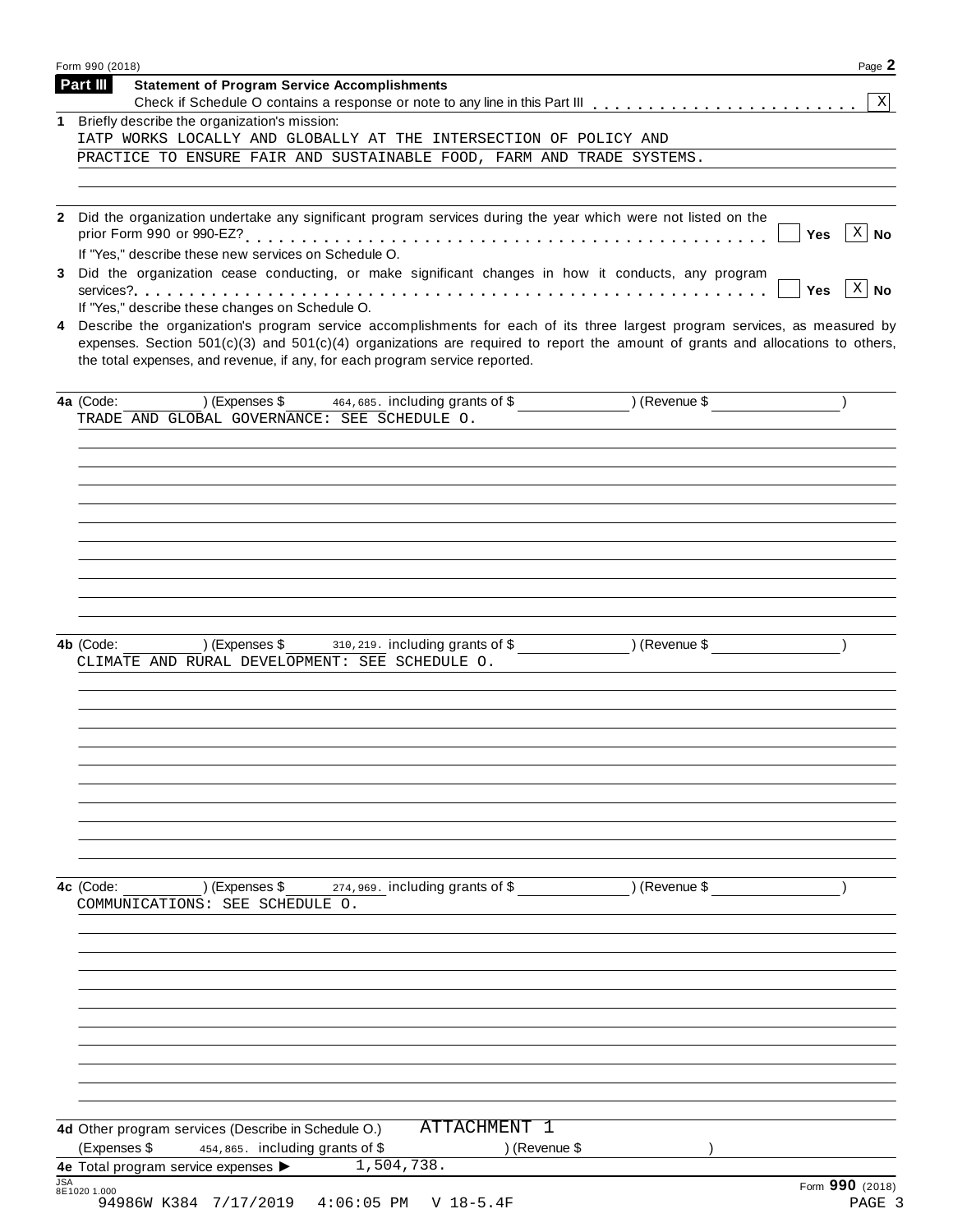|            | Page 2<br>Form 990 (2018)                                                                                                                                                                                                                                                                                                                   |  |
|------------|---------------------------------------------------------------------------------------------------------------------------------------------------------------------------------------------------------------------------------------------------------------------------------------------------------------------------------------------|--|
|            | Part III<br><b>Statement of Program Service Accomplishments</b>                                                                                                                                                                                                                                                                             |  |
|            | 1 Briefly describe the organization's mission:                                                                                                                                                                                                                                                                                              |  |
|            | IATP WORKS LOCALLY AND GLOBALLY AT THE INTERSECTION OF POLICY AND                                                                                                                                                                                                                                                                           |  |
|            | PRACTICE TO ENSURE FAIR AND SUSTAINABLE FOOD, FARM AND TRADE SYSTEMS.                                                                                                                                                                                                                                                                       |  |
|            |                                                                                                                                                                                                                                                                                                                                             |  |
|            | 2 Did the organization undertake any significant program services during the year which were not listed on the                                                                                                                                                                                                                              |  |
|            | $\lceil x \rceil$ No<br>Yes<br>If "Yes," describe these new services on Schedule O.                                                                                                                                                                                                                                                         |  |
| 3          | Did the organization cease conducting, or make significant changes in how it conducts, any program                                                                                                                                                                                                                                          |  |
|            | $\vert$ X $\vert$ No<br>Yes<br>If "Yes," describe these changes on Schedule O.                                                                                                                                                                                                                                                              |  |
| 4          | Describe the organization's program service accomplishments for each of its three largest program services, as measured by<br>expenses. Section 501(c)(3) and 501(c)(4) organizations are required to report the amount of grants and allocations to others,<br>the total expenses, and revenue, if any, for each program service reported. |  |
|            |                                                                                                                                                                                                                                                                                                                                             |  |
|            | TRADE AND GLOBAL GOVERNANCE: SEE SCHEDULE O.                                                                                                                                                                                                                                                                                                |  |
|            |                                                                                                                                                                                                                                                                                                                                             |  |
|            |                                                                                                                                                                                                                                                                                                                                             |  |
|            |                                                                                                                                                                                                                                                                                                                                             |  |
|            |                                                                                                                                                                                                                                                                                                                                             |  |
|            |                                                                                                                                                                                                                                                                                                                                             |  |
|            |                                                                                                                                                                                                                                                                                                                                             |  |
|            |                                                                                                                                                                                                                                                                                                                                             |  |
|            |                                                                                                                                                                                                                                                                                                                                             |  |
|            |                                                                                                                                                                                                                                                                                                                                             |  |
|            | CLIMATE AND RURAL DEVELOPMENT: SEE SCHEDULE O.                                                                                                                                                                                                                                                                                              |  |
|            |                                                                                                                                                                                                                                                                                                                                             |  |
|            |                                                                                                                                                                                                                                                                                                                                             |  |
|            |                                                                                                                                                                                                                                                                                                                                             |  |
|            |                                                                                                                                                                                                                                                                                                                                             |  |
|            |                                                                                                                                                                                                                                                                                                                                             |  |
|            |                                                                                                                                                                                                                                                                                                                                             |  |
|            |                                                                                                                                                                                                                                                                                                                                             |  |
|            |                                                                                                                                                                                                                                                                                                                                             |  |
|            | 4c (Code:<br>) (Expenses \$<br>274,969. including grants of \$<br>) (Revenue \$                                                                                                                                                                                                                                                             |  |
|            | COMMUNICATIONS: SEE SCHEDULE O.                                                                                                                                                                                                                                                                                                             |  |
|            |                                                                                                                                                                                                                                                                                                                                             |  |
|            |                                                                                                                                                                                                                                                                                                                                             |  |
|            |                                                                                                                                                                                                                                                                                                                                             |  |
|            |                                                                                                                                                                                                                                                                                                                                             |  |
|            |                                                                                                                                                                                                                                                                                                                                             |  |
|            |                                                                                                                                                                                                                                                                                                                                             |  |
|            |                                                                                                                                                                                                                                                                                                                                             |  |
|            |                                                                                                                                                                                                                                                                                                                                             |  |
|            |                                                                                                                                                                                                                                                                                                                                             |  |
|            | ATTACHMENT 1<br>4d Other program services (Describe in Schedule O.)<br>(Expenses \$<br>) (Revenue \$<br>454,865. including grants of \$                                                                                                                                                                                                     |  |
|            | 1,504,738.<br>4e Total program service expenses >                                                                                                                                                                                                                                                                                           |  |
| <b>JSA</b> | Form 990 (2018)<br>8E1020 1.000                                                                                                                                                                                                                                                                                                             |  |
|            | 94986W K384 7/17/2019<br>$4:06:05$ PM<br>$V$ 18-5.4F<br>PAGE 3                                                                                                                                                                                                                                                                              |  |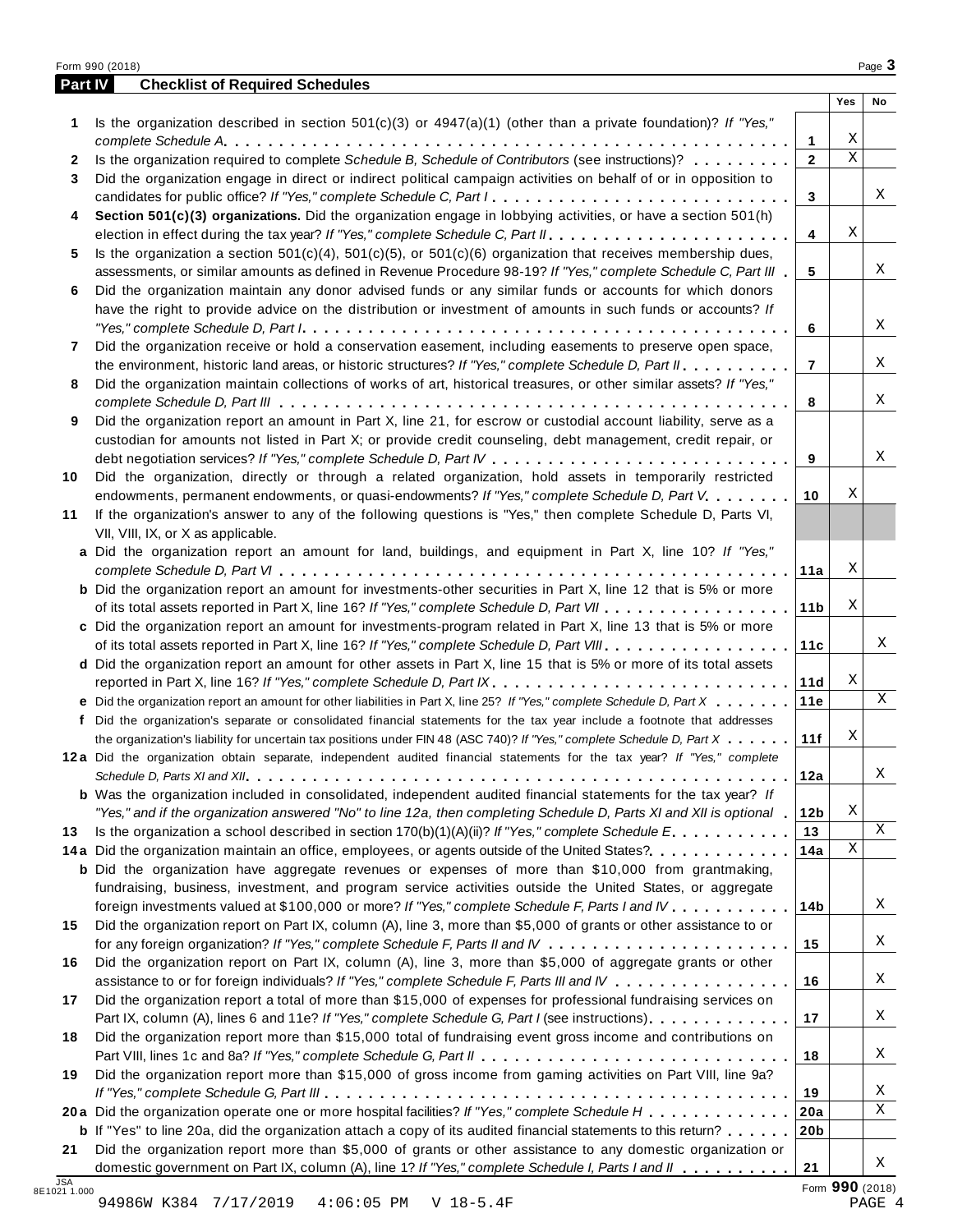| <b>Part IV</b> | <b>Checklist of Required Schedules</b>                                                                                                                                                                                       |                 |             |    |
|----------------|------------------------------------------------------------------------------------------------------------------------------------------------------------------------------------------------------------------------------|-----------------|-------------|----|
|                |                                                                                                                                                                                                                              |                 | Yes         | No |
| 1              | Is the organization described in section $501(c)(3)$ or $4947(a)(1)$ (other than a private foundation)? If "Yes,"                                                                                                            |                 |             |    |
|                |                                                                                                                                                                                                                              | 1               | Χ           |    |
| $\mathbf{2}$   | Is the organization required to complete Schedule B, Schedule of Contributors (see instructions)?                                                                                                                            | $\mathbf{2}$    | $\mathbf X$ |    |
| 3              | Did the organization engage in direct or indirect political campaign activities on behalf of or in opposition to                                                                                                             |                 |             |    |
|                | candidates for public office? If "Yes," complete Schedule C, Part I.                                                                                                                                                         | 3               |             | Χ  |
| 4              | Section 501(c)(3) organizations. Did the organization engage in lobbying activities, or have a section 501(h)                                                                                                                |                 |             |    |
|                |                                                                                                                                                                                                                              | 4               | Χ           |    |
| 5              | Is the organization a section $501(c)(4)$ , $501(c)(5)$ , or $501(c)(6)$ organization that receives membership dues,                                                                                                         |                 |             |    |
|                | assessments, or similar amounts as defined in Revenue Procedure 98-19? If "Yes," complete Schedule C, Part III                                                                                                               | 5               |             | Χ  |
| 6              | Did the organization maintain any donor advised funds or any similar funds or accounts for which donors                                                                                                                      |                 |             |    |
|                | have the right to provide advice on the distribution or investment of amounts in such funds or accounts? If                                                                                                                  |                 |             | X  |
|                |                                                                                                                                                                                                                              | 6               |             |    |
| 7              | Did the organization receive or hold a conservation easement, including easements to preserve open space,                                                                                                                    | $\overline{7}$  |             | Χ  |
|                | the environment, historic land areas, or historic structures? If "Yes," complete Schedule D, Part II.<br>Did the organization maintain collections of works of art, historical treasures, or other similar assets? If "Yes," |                 |             |    |
| 8              |                                                                                                                                                                                                                              | 8               |             | Χ  |
| 9              | Did the organization report an amount in Part X, line 21, for escrow or custodial account liability, serve as a                                                                                                              |                 |             |    |
|                | custodian for amounts not listed in Part X; or provide credit counseling, debt management, credit repair, or                                                                                                                 |                 |             |    |
|                |                                                                                                                                                                                                                              | 9               |             | X  |
| 10             | Did the organization, directly or through a related organization, hold assets in temporarily restricted                                                                                                                      |                 |             |    |
|                | endowments, permanent endowments, or quasi-endowments? If "Yes," complete Schedule D, Part V.                                                                                                                                | 10              | Χ           |    |
| 11             | If the organization's answer to any of the following questions is "Yes," then complete Schedule D, Parts VI,                                                                                                                 |                 |             |    |
|                | VII, VIII, IX, or X as applicable.                                                                                                                                                                                           |                 |             |    |
|                | a Did the organization report an amount for land, buildings, and equipment in Part X, line 10? If "Yes,"                                                                                                                     |                 |             |    |
|                |                                                                                                                                                                                                                              | 11a             | Χ           |    |
|                | <b>b</b> Did the organization report an amount for investments-other securities in Part X, line 12 that is 5% or more                                                                                                        |                 |             |    |
|                |                                                                                                                                                                                                                              | 11 <sub>b</sub> | Χ           |    |
|                | c Did the organization report an amount for investments-program related in Part X, line 13 that is 5% or more                                                                                                                |                 |             |    |
|                |                                                                                                                                                                                                                              | 11c             |             | Χ  |
|                | d Did the organization report an amount for other assets in Part X, line 15 that is 5% or more of its total assets                                                                                                           |                 |             |    |
|                | reported in Part X, line 16? If "Yes," complete Schedule D, Part IX.                                                                                                                                                         | 11d             | Χ           |    |
|                | e Did the organization report an amount for other liabilities in Part X, line 25? If "Yes," complete Schedule D, Part X                                                                                                      | 11e             |             | Χ  |
| f              | Did the organization's separate or consolidated financial statements for the tax year include a footnote that addresses                                                                                                      |                 |             |    |
|                | the organization's liability for uncertain tax positions under FIN 48 (ASC 740)? If "Yes," complete Schedule D, Part X                                                                                                       | 11f             | Χ           |    |
|                | 12a Did the organization obtain separate, independent audited financial statements for the tax year? If "Yes," complete                                                                                                      |                 |             |    |
|                |                                                                                                                                                                                                                              | 12a             |             | Χ  |
|                | <b>b</b> Was the organization included in consolidated, independent audited financial statements for the tax year? If                                                                                                        |                 |             |    |
|                | "Yes," and if the organization answered "No" to line 12a, then completing Schedule D, Parts XI and XII is optional                                                                                                           | 12 <sub>b</sub> | Χ           |    |
| 13             | Is the organization a school described in section $170(b)(1)(A)(ii)?$ If "Yes," complete Schedule E.                                                                                                                         | 13              |             | X  |
|                | 14a Did the organization maintain an office, employees, or agents outside of the United States?                                                                                                                              | 14a             | Χ           |    |
|                | <b>b</b> Did the organization have aggregate revenues or expenses of more than \$10,000 from grantmaking,                                                                                                                    |                 |             |    |
|                | fundraising, business, investment, and program service activities outside the United States, or aggregate                                                                                                                    |                 |             |    |
|                | foreign investments valued at \$100,000 or more? If "Yes," complete Schedule F, Parts I and IV                                                                                                                               | 14b             |             | Χ  |
| 15             | Did the organization report on Part IX, column (A), line 3, more than \$5,000 of grants or other assistance to or                                                                                                            |                 |             |    |
|                |                                                                                                                                                                                                                              | 15              |             | Χ  |
| 16             | Did the organization report on Part IX, column (A), line 3, more than \$5,000 of aggregate grants or other                                                                                                                   |                 |             |    |
|                | assistance to or for foreign individuals? If "Yes," complete Schedule F, Parts III and IV                                                                                                                                    | 16              |             | Χ  |
| 17             | Did the organization report a total of more than \$15,000 of expenses for professional fundraising services on                                                                                                               |                 |             |    |
|                | Part IX, column (A), lines 6 and 11e? If "Yes," complete Schedule G, Part I (see instructions)                                                                                                                               | 17              |             | Χ  |
| 18             | Did the organization report more than \$15,000 total of fundraising event gross income and contributions on                                                                                                                  |                 |             |    |
|                |                                                                                                                                                                                                                              | 18              |             | Χ  |
| 19             | Did the organization report more than \$15,000 of gross income from gaming activities on Part VIII, line 9a?                                                                                                                 |                 |             |    |
|                |                                                                                                                                                                                                                              | 19              |             | Χ  |
|                | 20a Did the organization operate one or more hospital facilities? If "Yes," complete Schedule H                                                                                                                              | 20a             |             | X  |
|                | <b>b</b> If "Yes" to line 20a, did the organization attach a copy of its audited financial statements to this return?                                                                                                        | 20 <sub>b</sub> |             |    |
| 21             | Did the organization report more than \$5,000 of grants or other assistance to any domestic organization or                                                                                                                  |                 |             | X  |
|                | domestic government on Part IX, column (A), line 1? If "Yes," complete Schedule I, Parts I and II                                                                                                                            | 21              |             |    |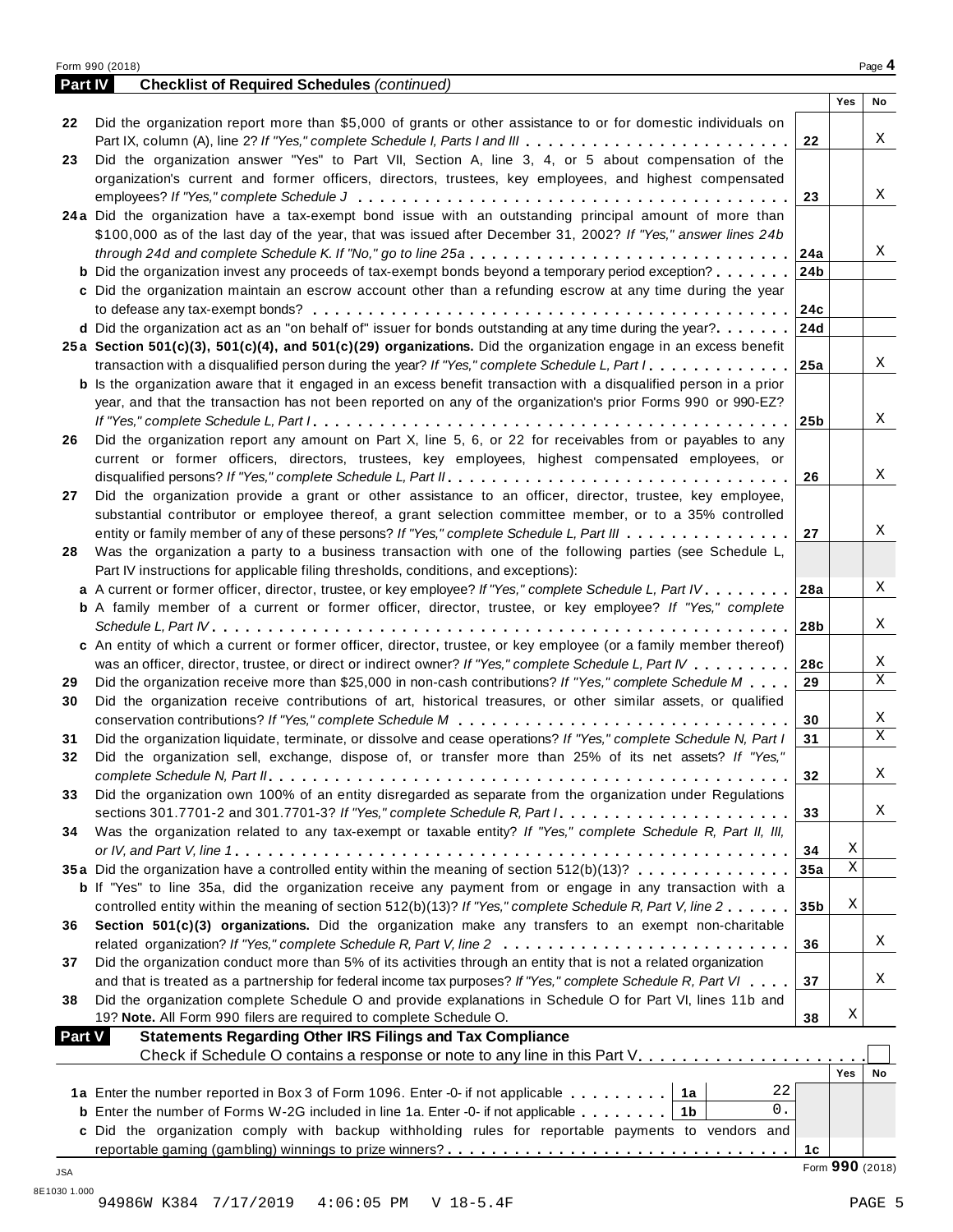| Part IV       | <b>Checklist of Required Schedules (continued)</b>                                                                        |                 |                 |    |
|---------------|---------------------------------------------------------------------------------------------------------------------------|-----------------|-----------------|----|
|               |                                                                                                                           |                 | Yes             | No |
| 22            | Did the organization report more than \$5,000 of grants or other assistance to or for domestic individuals on             |                 |                 |    |
|               |                                                                                                                           | 22              |                 | X  |
| 23            | Did the organization answer "Yes" to Part VII, Section A, line 3, 4, or 5 about compensation of the                       |                 |                 |    |
|               | organization's current and former officers, directors, trustees, key employees, and highest compensated                   |                 |                 |    |
|               |                                                                                                                           | 23              |                 | X  |
|               | 24a Did the organization have a tax-exempt bond issue with an outstanding principal amount of more than                   |                 |                 |    |
|               | \$100,000 as of the last day of the year, that was issued after December 31, 2002? If "Yes," answer lines 24b             |                 |                 |    |
|               |                                                                                                                           |                 |                 | Χ  |
|               | <b>b</b> Did the organization invest any proceeds of tax-exempt bonds beyond a temporary period exception?                | 24b             |                 |    |
|               |                                                                                                                           |                 |                 |    |
|               | c Did the organization maintain an escrow account other than a refunding escrow at any time during the year               |                 |                 |    |
|               |                                                                                                                           | 24c             |                 |    |
|               | <b>d</b> Did the organization act as an "on behalf of" issuer for bonds outstanding at any time during the year?          | 24d             |                 |    |
|               | 25a Section 501(c)(3), 501(c)(4), and 501(c)(29) organizations. Did the organization engage in an excess benefit          |                 |                 |    |
|               |                                                                                                                           |                 |                 | X  |
|               | <b>b</b> Is the organization aware that it engaged in an excess benefit transaction with a disqualified person in a prior |                 |                 |    |
|               | year, and that the transaction has not been reported on any of the organization's prior Forms 990 or 990-EZ?              |                 |                 |    |
|               |                                                                                                                           | 25 <sub>b</sub> |                 | X  |
| 26            | Did the organization report any amount on Part X, line 5, 6, or 22 for receivables from or payables to any                |                 |                 |    |
|               | current or former officers, directors, trustees, key employees, highest compensated employees, or                         |                 |                 |    |
|               |                                                                                                                           | 26              |                 | Χ  |
| 27            | Did the organization provide a grant or other assistance to an officer, director, trustee, key employee,                  |                 |                 |    |
|               | substantial contributor or employee thereof, a grant selection committee member, or to a 35% controlled                   |                 |                 |    |
|               | entity or family member of any of these persons? If "Yes," complete Schedule L, Part III                                  | 27              |                 | Χ  |
| 28            | Was the organization a party to a business transaction with one of the following parties (see Schedule L,                 |                 |                 |    |
|               | Part IV instructions for applicable filing thresholds, conditions, and exceptions):                                       |                 |                 |    |
|               | a A current or former officer, director, trustee, or key employee? If "Yes," complete Schedule L, Part IV                 | 28a             |                 | X  |
|               | <b>b</b> A family member of a current or former officer, director, trustee, or key employee? If "Yes," complete           |                 |                 |    |
|               |                                                                                                                           | 28b             |                 | X  |
|               | c An entity of which a current or former officer, director, trustee, or key employee (or a family member thereof)         |                 |                 |    |
|               |                                                                                                                           |                 |                 | X  |
|               | was an officer, director, trustee, or direct or indirect owner? If "Yes," complete Schedule L, Part IV                    | 28c             |                 | X  |
| 29            | Did the organization receive more than \$25,000 in non-cash contributions? If "Yes," complete Schedule M                  | 29              |                 |    |
| 30            | Did the organization receive contributions of art, historical treasures, or other similar assets, or qualified            |                 |                 |    |
|               |                                                                                                                           | 30              |                 | Χ  |
| 31            | Did the organization liquidate, terminate, or dissolve and cease operations? If "Yes," complete Schedule N, Part I        | 31              |                 | X  |
| 32            | Did the organization sell, exchange, dispose of, or transfer more than 25% of its net assets? If "Yes,"                   |                 |                 |    |
|               |                                                                                                                           | 32              |                 | Χ  |
| 33            | Did the organization own 100% of an entity disregarded as separate from the organization under Regulations                |                 |                 |    |
|               | sections 301.7701-2 and 301.7701-3? If "Yes," complete Schedule R, Part /                                                 | 33              |                 | Χ  |
| 34            | Was the organization related to any tax-exempt or taxable entity? If "Yes," complete Schedule R, Part II, III,            |                 |                 |    |
|               |                                                                                                                           | 34              | Χ               |    |
|               | 35a Did the organization have a controlled entity within the meaning of section 512(b)(13)?                               | 35a             | Χ               |    |
|               | <b>b</b> If "Yes" to line 35a, did the organization receive any payment from or engage in any transaction with a          |                 |                 |    |
|               | controlled entity within the meaning of section 512(b)(13)? If "Yes," complete Schedule R, Part V, line 2                 | 35 <sub>b</sub> | Χ               |    |
| 36            | Section 501(c)(3) organizations. Did the organization make any transfers to an exempt non-charitable                      |                 |                 |    |
|               | related organization? If "Yes," complete Schedule R, Part V, line 2                                                       | 36              |                 | Χ  |
| 37            | Did the organization conduct more than 5% of its activities through an entity that is not a related organization          |                 |                 |    |
|               | and that is treated as a partnership for federal income tax purposes? If "Yes," complete Schedule R, Part VI              | 37              |                 | Χ  |
| 38            | Did the organization complete Schedule O and provide explanations in Schedule O for Part VI, lines 11b and                |                 |                 |    |
|               |                                                                                                                           |                 | Χ               |    |
|               | 19? Note. All Form 990 filers are required to complete Schedule O.                                                        | 38              |                 |    |
| <b>Part V</b> | <b>Statements Regarding Other IRS Filings and Tax Compliance</b>                                                          |                 |                 |    |
|               |                                                                                                                           |                 |                 |    |
|               |                                                                                                                           |                 | Yes             | No |
|               | 22<br>1a Enter the number reported in Box 3 of Form 1096. Enter -0- if not applicable 1a                                  |                 |                 |    |
|               | 0.<br><b>b</b> Enter the number of Forms W-2G included in line 1a. Enter -0- if not applicable $\ldots \ldots$   1b       |                 |                 |    |
|               | c Did the organization comply with backup withholding rules for reportable payments to vendors and                        |                 |                 |    |
|               |                                                                                                                           | 1 <sub>c</sub>  |                 |    |
| JSA           |                                                                                                                           |                 | Form 990 (2018) |    |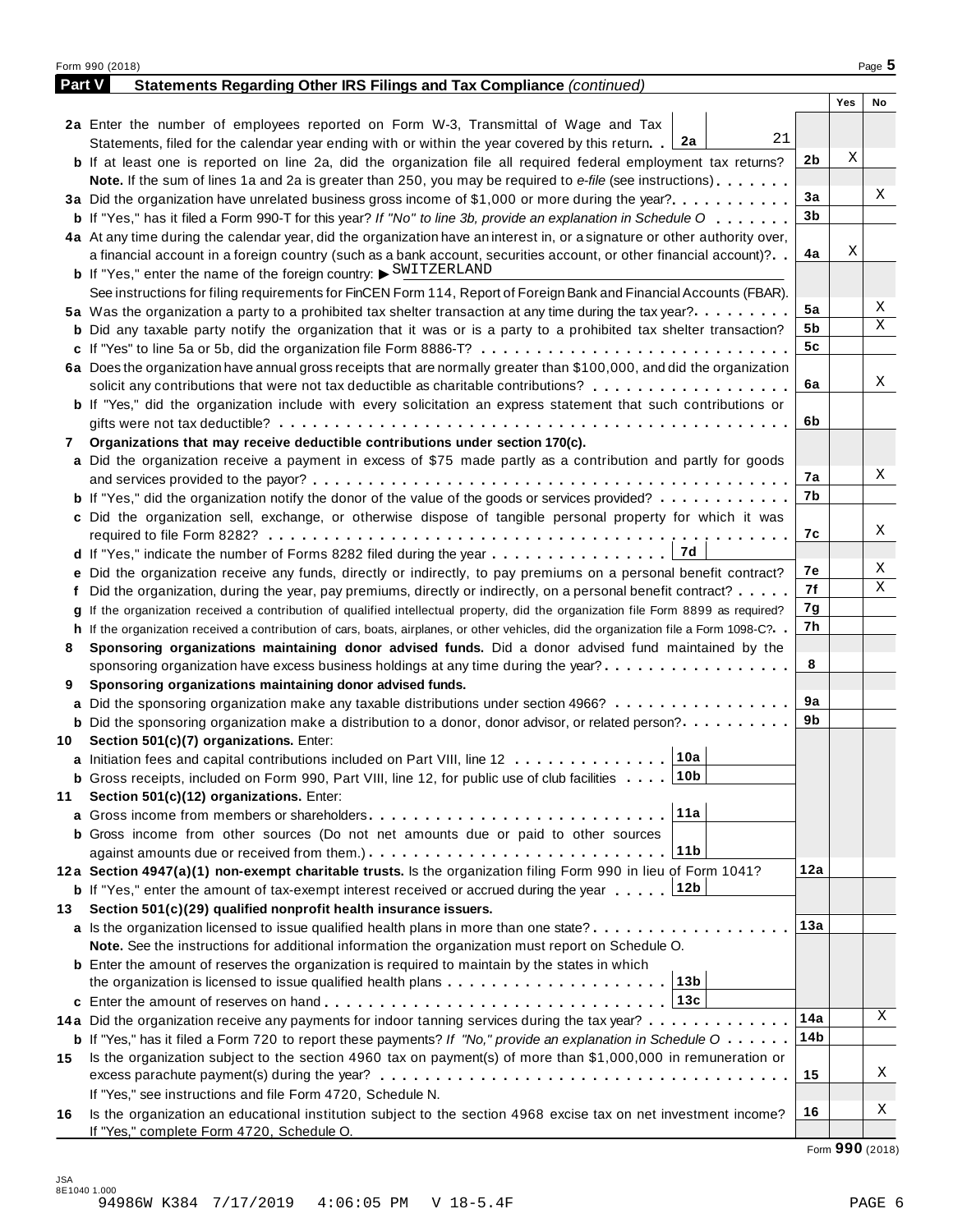|               | Form 990 (2018)                                                                                                                              |     |     | Page 5 |
|---------------|----------------------------------------------------------------------------------------------------------------------------------------------|-----|-----|--------|
| <b>Part V</b> | Statements Regarding Other IRS Filings and Tax Compliance (continued)                                                                        |     |     |        |
|               |                                                                                                                                              |     | Yes | No     |
|               | 2a Enter the number of employees reported on Form W-3, Transmittal of Wage and Tax                                                           |     |     |        |
|               | 21<br>Statements, filed for the calendar year ending with or within the year covered by this return. [2a                                     |     |     |        |
|               | <b>b</b> If at least one is reported on line 2a, did the organization file all required federal employment tax returns?                      | 2b  | Χ   |        |
|               | <b>Note.</b> If the sum of lines 1a and 2a is greater than 250, you may be required to e-file (see instructions).                            |     |     |        |
|               | 3a Did the organization have unrelated business gross income of \$1,000 or more during the year?                                             | 3a  |     | Χ      |
|               | <b>b</b> If "Yes," has it filed a Form 990-T for this year? If "No" to line 3b, provide an explanation in Schedule O                         | 3b  |     |        |
|               | 4a At any time during the calendar year, did the organization have an interest in, or a signature or other authority over,                   |     |     |        |
|               | a financial account in a foreign country (such as a bank account, securities account, or other financial account)?                           | 4a  | Χ   |        |
|               | <b>b</b> If "Yes," enter the name of the foreign country: $\triangleright$ SWITZERLAND                                                       |     |     |        |
|               | See instructions for filing requirements for FinCEN Form 114, Report of Foreign Bank and Financial Accounts (FBAR).                          |     |     |        |
|               | 5a Was the organization a party to a prohibited tax shelter transaction at any time during the tax year?                                     | 5a  |     | Χ      |
|               | <b>b</b> Did any taxable party notify the organization that it was or is a party to a prohibited tax shelter transaction?                    | 5b  |     | Χ      |
|               | c If "Yes" to line 5a or 5b, did the organization file Form 8886-T?                                                                          | 5c  |     |        |
|               | 6a Does the organization have annual gross receipts that are normally greater than \$100,000, and did the organization                       |     |     |        |
|               | solicit any contributions that were not tax deductible as charitable contributions?                                                          | 6a  |     | Χ      |
|               | <b>b</b> If "Yes," did the organization include with every solicitation an express statement that such contributions or                      |     |     |        |
|               |                                                                                                                                              | 6b  |     |        |
| 7             | Organizations that may receive deductible contributions under section 170(c).                                                                |     |     |        |
|               | a Did the organization receive a payment in excess of \$75 made partly as a contribution and partly for goods                                |     |     |        |
|               |                                                                                                                                              | 7а  |     | Χ      |
|               | <b>b</b> If "Yes," did the organization notify the donor of the value of the goods or services provided?                                     | 7b  |     |        |
|               | c Did the organization sell, exchange, or otherwise dispose of tangible personal property for which it was                                   |     |     |        |
|               |                                                                                                                                              | 7с  |     | Χ      |
|               | 7d                                                                                                                                           |     |     |        |
|               | e Did the organization receive any funds, directly or indirectly, to pay premiums on a personal benefit contract?                            | 7е  |     | Χ      |
|               | f Did the organization, during the year, pay premiums, directly or indirectly, on a personal benefit contract?                               | 7f  |     | X      |
|               | If the organization received a contribution of qualified intellectual property, did the organization file Form 8899 as required?             | 7g  |     |        |
|               | h If the organization received a contribution of cars, boats, airplanes, or other vehicles, did the organization file a Form 1098-C?         | 7h  |     |        |
| 8             | Sponsoring organizations maintaining donor advised funds. Did a donor advised fund maintained by the                                         |     |     |        |
|               | sponsoring organization have excess business holdings at any time during the year?                                                           | 8   |     |        |
| 9             | Sponsoring organizations maintaining donor advised funds.                                                                                    |     |     |        |
|               | a Did the sponsoring organization make any taxable distributions under section 4966?                                                         | 9а  |     |        |
|               | <b>b</b> Did the sponsoring organization make a distribution to a donor, donor advisor, or related person?                                   | 9b  |     |        |
|               | 10 Section 501(c)(7) organizations. Enter:                                                                                                   |     |     |        |
|               | 10a <br>a Initiation fees and capital contributions included on Part VIII, line 12                                                           |     |     |        |
|               | 10b<br><b>b</b> Gross receipts, included on Form 990, Part VIII, line 12, for public use of club facilities                                  |     |     |        |
| 11            | Section 501(c)(12) organizations. Enter:                                                                                                     |     |     |        |
|               | 11a<br><b>a</b> Gross income from members or shareholders                                                                                    |     |     |        |
|               | b Gross income from other sources (Do not net amounts due or paid to other sources                                                           |     |     |        |
|               | 11b                                                                                                                                          |     |     |        |
|               | 12a Section 4947(a)(1) non-exempt charitable trusts. Is the organization filing Form 990 in lieu of Form 1041?                               | 12a |     |        |
|               | 12b<br><b>b</b> If "Yes," enter the amount of tax-exempt interest received or accrued during the year                                        |     |     |        |
| 13.           | Section 501(c)(29) qualified nonprofit health insurance issuers.                                                                             |     |     |        |
|               | <b>a</b> Is the organization licensed to issue qualified health plans in more than one state?                                                | 13а |     |        |
|               | Note. See the instructions for additional information the organization must report on Schedule O.                                            |     |     |        |
|               | <b>b</b> Enter the amount of reserves the organization is required to maintain by the states in which                                        |     |     |        |
|               | 13b<br>the organization is licensed to issue qualified health plans                                                                          |     |     |        |
|               | 13c                                                                                                                                          |     |     |        |
|               | 14a Did the organization receive any payments for indoor tanning services during the tax year?                                               | 14a |     | Χ      |
|               | <b>b</b> If "Yes," has it filed a Form 720 to report these payments? If "No," provide an explanation in Schedule $0 \cdot \cdot \cdot \cdot$ | 14b |     |        |
| 15            | Is the organization subject to the section 4960 tax on payment(s) of more than \$1,000,000 in remuneration or                                |     |     |        |
|               |                                                                                                                                              | 15  |     | Χ      |
|               | If "Yes," see instructions and file Form 4720, Schedule N.                                                                                   |     |     |        |
| 16            | Is the organization an educational institution subject to the section 4968 excise tax on net investment income?                              | 16  |     | Χ      |
|               | If "Yes," complete Form 4720, Schedule O.                                                                                                    |     |     |        |

Form **990** (2018)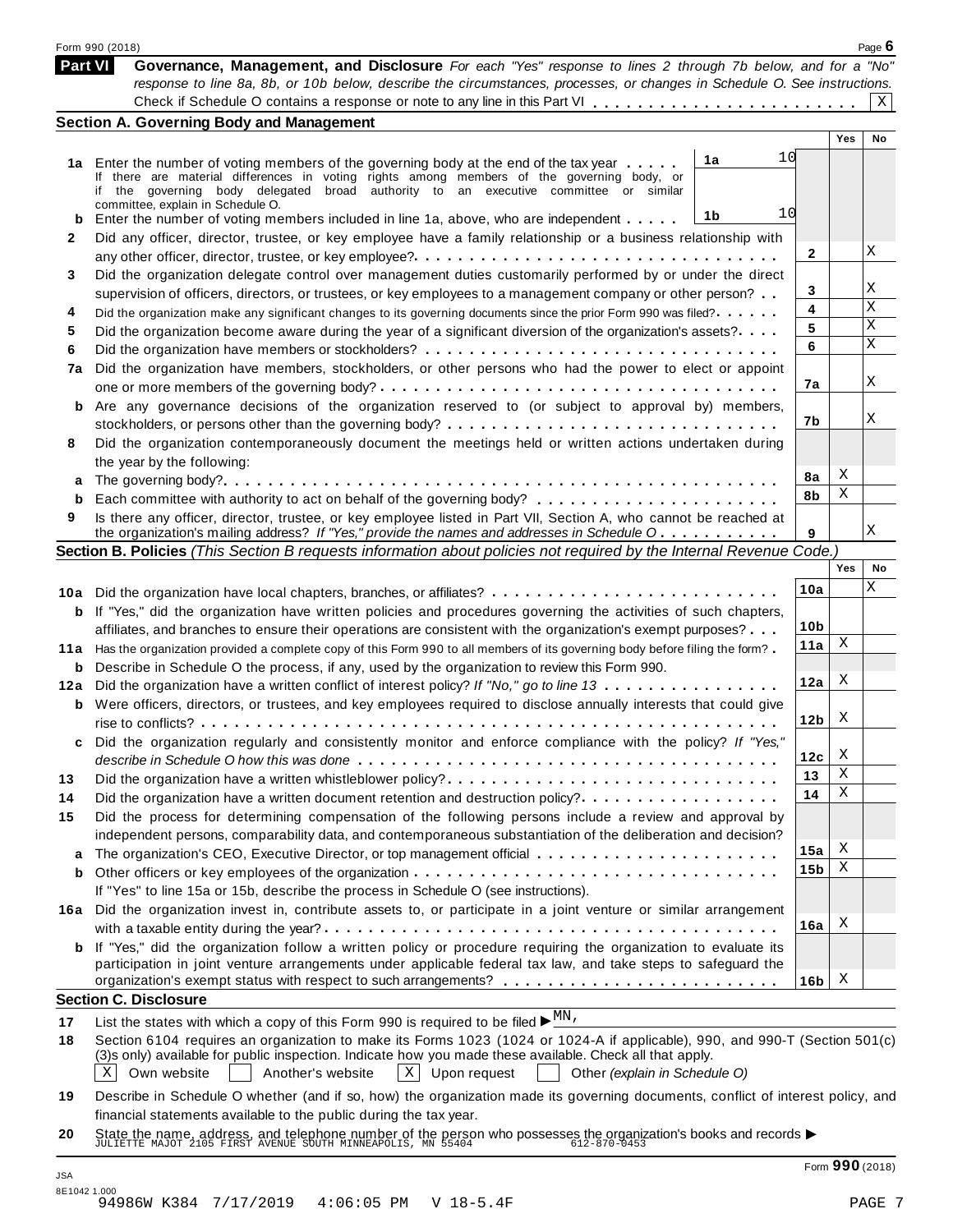|         | Form 990 (2018)                                                                                                                                                                                                                         |                 |     | Page $6$ |
|---------|-----------------------------------------------------------------------------------------------------------------------------------------------------------------------------------------------------------------------------------------|-----------------|-----|----------|
|         | Part VI<br>Governance, Management, and Disclosure For each "Yes" response to lines 2 through 7b below, and for a "No"                                                                                                                   |                 |     |          |
|         | response to line 8a, 8b, or 10b below, describe the circumstances, processes, or changes in Schedule O. See instructions.                                                                                                               |                 |     | Χ        |
|         |                                                                                                                                                                                                                                         |                 |     |          |
|         | <b>Section A. Governing Body and Management</b>                                                                                                                                                                                         |                 | Yes | No       |
|         | 1a                                                                                                                                                                                                                                      | 10              |     |          |
|         | 1a Enter the number of voting members of the governing body at the end of the tax year<br>If there are material differences in voting rights among members of the governing body, or                                                    |                 |     |          |
|         | if the governing body delegated broad authority to an executive committee or similar                                                                                                                                                    |                 |     |          |
|         | committee, explain in Schedule O.<br>1b                                                                                                                                                                                                 | 10              |     |          |
| b<br>2  | Enter the number of voting members included in line 1a, above, who are independent                                                                                                                                                      |                 |     |          |
|         | Did any officer, director, trustee, or key employee have a family relationship or a business relationship with                                                                                                                          | 2               |     | Χ        |
|         | Did the organization delegate control over management duties customarily performed by or under the direct                                                                                                                               |                 |     |          |
| 3       |                                                                                                                                                                                                                                         | 3               |     | Χ        |
| 4       | supervision of officers, directors, or trustees, or key employees to a management company or other person?<br>Did the organization make any significant changes to its governing documents since the prior Form 990 was filed?          | 4               |     | X        |
| 5       | Did the organization become aware during the year of a significant diversion of the organization's assets?                                                                                                                              | 5               |     | X        |
|         |                                                                                                                                                                                                                                         | 6               |     | X        |
| 6<br>7a | Did the organization have members, stockholders, or other persons who had the power to elect or appoint                                                                                                                                 |                 |     |          |
|         |                                                                                                                                                                                                                                         | 7a              |     | Χ        |
|         | <b>b</b> Are any governance decisions of the organization reserved to (or subject to approval by) members,                                                                                                                              |                 |     |          |
|         |                                                                                                                                                                                                                                         | 7b              |     | Χ        |
| 8       | Did the organization contemporaneously document the meetings held or written actions undertaken during                                                                                                                                  |                 |     |          |
|         | the year by the following:                                                                                                                                                                                                              |                 |     |          |
| а       |                                                                                                                                                                                                                                         | 8а              | Χ   |          |
|         |                                                                                                                                                                                                                                         | 8b              | Χ   |          |
| 9       | Is there any officer, director, trustee, or key employee listed in Part VII, Section A, who cannot be reached at                                                                                                                        |                 |     |          |
|         | the organization's mailing address? If "Yes," provide the names and addresses in Schedule O                                                                                                                                             | 9               |     | Χ        |
|         | Section B. Policies (This Section B requests information about policies not required by the Internal Revenue Code.)                                                                                                                     |                 |     |          |
|         |                                                                                                                                                                                                                                         |                 | Yes | No       |
|         | 10a Did the organization have local chapters, branches, or affiliates?                                                                                                                                                                  | 10a             |     | Χ        |
| b       | If "Yes," did the organization have written policies and procedures governing the activities of such chapters,                                                                                                                          |                 |     |          |
|         | affiliates, and branches to ensure their operations are consistent with the organization's exempt purposes?                                                                                                                             | 10 <sub>b</sub> |     |          |
| 11a     | Has the organization provided a complete copy of this Form 990 to all members of its governing body before filing the form?                                                                                                             | 11a             | Χ   |          |
| b       | Describe in Schedule O the process, if any, used by the organization to review this Form 990.                                                                                                                                           |                 |     |          |
| 12a     | Did the organization have a written conflict of interest policy? If "No," go to line 13                                                                                                                                                 | 12a             | X   |          |
|         | <b>b</b> Were officers, directors, or trustees, and key employees required to disclose annually interests that could give                                                                                                               |                 |     |          |
|         |                                                                                                                                                                                                                                         | 12 <sub>b</sub> | X   |          |
|         | Did the organization regularly and consistently monitor and enforce compliance with the policy? If "Yes,                                                                                                                                |                 |     |          |
|         |                                                                                                                                                                                                                                         | 12c             | X   |          |
| 13      | Did the organization have a written whistleblower policy?                                                                                                                                                                               | 13              | Χ   |          |
|         | Did the organization have a written document retention and destruction policy?                                                                                                                                                          | 14              | Χ   |          |
| 15      | Did the process for determining compensation of the following persons include a review and approval by                                                                                                                                  |                 |     |          |
|         | independent persons, comparability data, and contemporaneous substantiation of the deliberation and decision?                                                                                                                           |                 |     |          |
| а       |                                                                                                                                                                                                                                         | 15a             | Χ   |          |
| b       |                                                                                                                                                                                                                                         | 15b             | Χ   |          |
|         | If "Yes" to line 15a or 15b, describe the process in Schedule O (see instructions).                                                                                                                                                     |                 |     |          |
|         | 16a Did the organization invest in, contribute assets to, or participate in a joint venture or similar arrangement                                                                                                                      |                 |     |          |
|         |                                                                                                                                                                                                                                         | 16a             | X   |          |
|         | <b>b</b> If "Yes," did the organization follow a written policy or procedure requiring the organization to evaluate its                                                                                                                 |                 |     |          |
|         | participation in joint venture arrangements under applicable federal tax law, and take steps to safeguard the                                                                                                                           |                 |     |          |
|         | <b>Section C. Disclosure</b>                                                                                                                                                                                                            | 16 <sub>b</sub> | X   |          |
|         |                                                                                                                                                                                                                                         |                 |     |          |
| 17      | List the states with which a copy of this Form 990 is required to be filed $\blacktriangleright \frac{MN}{N}$ .                                                                                                                         |                 |     |          |
| 18      | Section 6104 requires an organization to make its Forms 1023 (1024 or 1024-A if applicable), 990, and 990-T (Section 501(c)<br>(3)s only) available for public inspection. Indicate how you made these available. Check all that apply. |                 |     |          |
|         | $X \mid$<br>Own website<br>$X$ Upon request<br>Other (explain in Schedule O)<br>Another's website                                                                                                                                       |                 |     |          |
|         |                                                                                                                                                                                                                                         |                 |     |          |
|         |                                                                                                                                                                                                                                         |                 |     |          |
| 19      | Describe in Schedule O whether (and if so, how) the organization made its governing documents, conflict of interest policy, and<br>financial statements available to the public during the tax year.                                    |                 |     |          |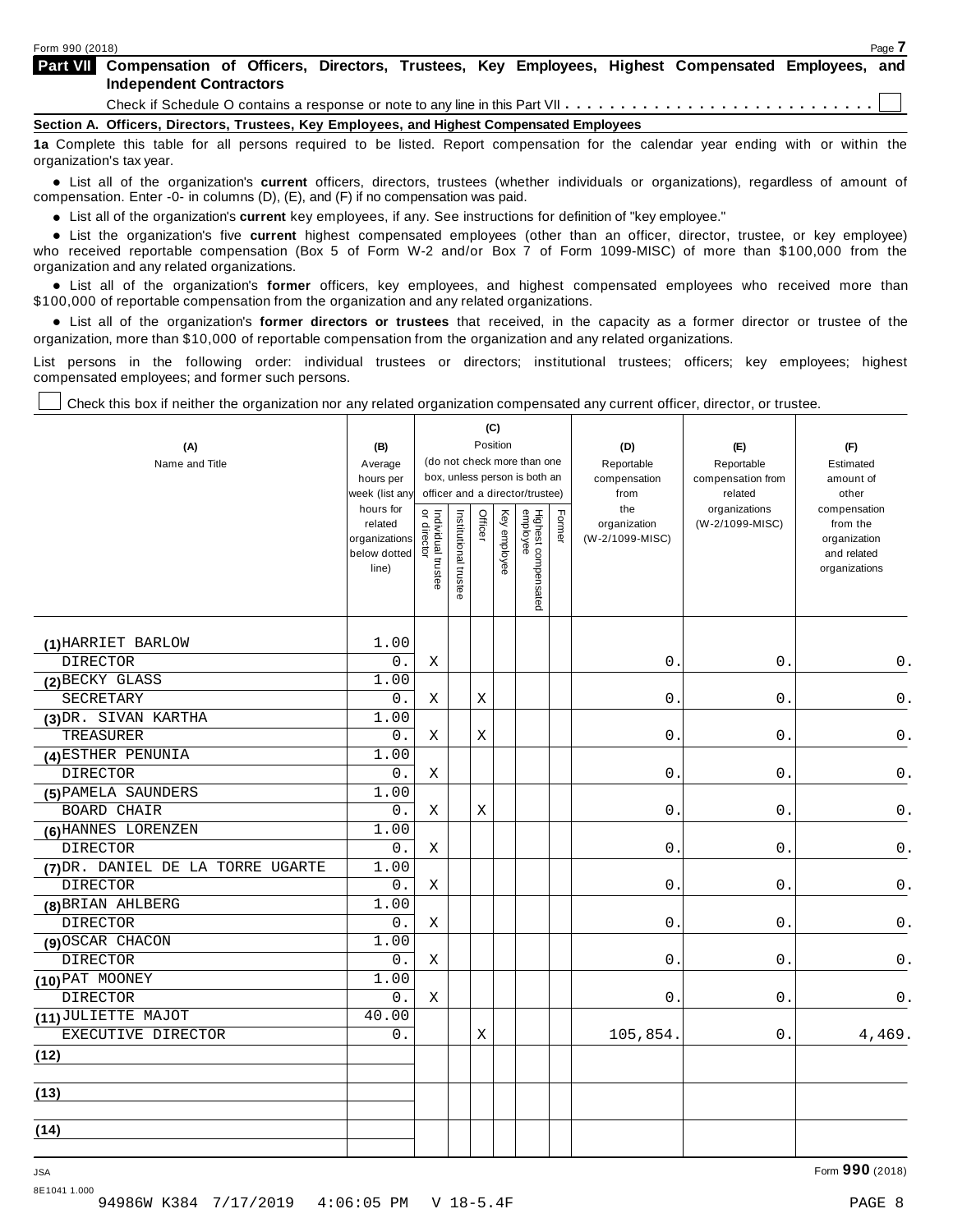| <b>Part VII</b> Compensation of Officers, Directors, Trustees, Key Employees, Highest Compensated Employees, and<br><b>Independent Contractors</b> |  |  |  |  |  |  |  |  |  |
|----------------------------------------------------------------------------------------------------------------------------------------------------|--|--|--|--|--|--|--|--|--|
|                                                                                                                                                    |  |  |  |  |  |  |  |  |  |
| Section A. Officers, Directors, Trustees, Key Employees, and Highest Compensated Employees                                                         |  |  |  |  |  |  |  |  |  |
| 1a Complete this table for all persons required to be listed. Report compensation for the calendar year ending with or within the                  |  |  |  |  |  |  |  |  |  |

organization's tax year.

anization's lax year.<br>● List all of the organization's **current** officers, directors, trustees (whether individuals or organizations), regardless of amount of<br>nnensation Enter -0- in columns (D) (E) and (E) if no compensa compensation. Enter -0- in columns (D), (E), and (F) if no compensation was paid.

• List all of the organization's **current** key employees, if any. See instructions for definition of "key employee."<br>● List the experientials five expect highest expressed explores (other than an efficer director of

**Example in the organization's current** key employees, if any. See instructions for definition of key employee.<br>• List the organization's five **current** highest compensated employees (other than an officer, director, trust who received reportable compensation (Box 5 of Form W-2 and/or Box 7 of Form 1099-MISC) of more than \$100,000 from the

organization and any related organizations.<br>• List all of the organization's **former** officers, key employees, and highest compensated employees who received more than<br>\$1.00.000 of reportable componention from the erganiza \$100,000 of reportable compensation from the organization and any related organizations.

% List all of the organization's **former directors or trustees** that received, in the capacity as a former director or trustee of the organization, more than \$10,000 of reportable compensation from the organization and any related organizations.

List persons in the following order: individual trustees or directors; institutional trustees; officers; key employees; highest compensated employees; and former such persons.

Check this box if neither the organization nor any related organization compensated any current officer, director, or trustee.

|                                   |                             |                                   |                       |         | (C)          |                                                                  |        |                                 |                              |                              |
|-----------------------------------|-----------------------------|-----------------------------------|-----------------------|---------|--------------|------------------------------------------------------------------|--------|---------------------------------|------------------------------|------------------------------|
| (A)                               | (B)                         |                                   |                       |         | Position     |                                                                  |        | (D)                             | (E)                          | (F)                          |
| Name and Title                    | Average                     |                                   |                       |         |              | (do not check more than one                                      |        | Reportable                      | Reportable                   | Estimated                    |
|                                   | hours per<br>week (list any |                                   |                       |         |              | box, unless person is both an<br>officer and a director/trustee) |        | compensation<br>from            | compensation from<br>related | amount of<br>other           |
|                                   | hours for                   |                                   |                       |         |              |                                                                  |        | the                             | organizations                | compensation                 |
|                                   | related<br>organizations    |                                   |                       | Officer | Key employee |                                                                  | Former | organization<br>(W-2/1099-MISC) | (W-2/1099-MISC)              | from the<br>organization     |
|                                   | below dotted<br>line)       | Individual trustee<br>or director | Institutional trustee |         |              | Highest compensated<br>employee                                  |        |                                 |                              | and related<br>organizations |
| (1) HARRIET BARLOW                | 1.00                        |                                   |                       |         |              |                                                                  |        |                                 |                              |                              |
| <b>DIRECTOR</b>                   | 0.                          | Χ                                 |                       |         |              |                                                                  |        | $0$ .                           | 0.                           | 0.                           |
| (2) BECKY GLASS                   | 1.00                        |                                   |                       |         |              |                                                                  |        |                                 |                              |                              |
| SECRETARY                         | 0.                          | Χ                                 |                       | X       |              |                                                                  |        | $\mathbf 0$ .                   | $0$ .                        | 0.                           |
| (3) DR. SIVAN KARTHA              | 1.00                        |                                   |                       |         |              |                                                                  |        |                                 |                              |                              |
| TREASURER                         | $0$ .                       | Χ                                 |                       | Χ       |              |                                                                  |        | $\mathsf{O}$ .                  | 0.                           | $\mathsf 0$ .                |
| (4) ESTHER PENUNIA                | 1.00                        |                                   |                       |         |              |                                                                  |        |                                 |                              |                              |
| <b>DIRECTOR</b>                   | 0.                          | Χ                                 |                       |         |              |                                                                  |        | $\mathbf 0$ .                   | 0.                           | $0$ .                        |
| (5) PAMELA SAUNDERS               | 1.00                        |                                   |                       |         |              |                                                                  |        |                                 |                              |                              |
| <b>BOARD CHAIR</b>                | 0.                          | X                                 |                       | Χ       |              |                                                                  |        | 0.                              | 0.                           | $\mathsf 0$ .                |
| (6) HANNES LORENZEN               | $1.\overline{00}$           |                                   |                       |         |              |                                                                  |        |                                 |                              |                              |
| <b>DIRECTOR</b>                   | 0.                          | Χ                                 |                       |         |              |                                                                  |        | 0.                              | $0$ .                        | $\mathsf 0$ .                |
| (7) DR. DANIEL DE LA TORRE UGARTE | 1.00                        |                                   |                       |         |              |                                                                  |        |                                 |                              |                              |
| <b>DIRECTOR</b>                   | 0.                          | Χ                                 |                       |         |              |                                                                  |        | 0.                              | 0.                           | 0.                           |
| (8) BRIAN AHLBERG                 | 1.00                        |                                   |                       |         |              |                                                                  |        |                                 |                              |                              |
| <b>DIRECTOR</b>                   | 0.                          | X                                 |                       |         |              |                                                                  |        | 0.                              | 0.                           | $0$ .                        |
| (9) OSCAR CHACON                  | 1.00                        |                                   |                       |         |              |                                                                  |        |                                 |                              |                              |
| <b>DIRECTOR</b>                   | $0$ .                       | Χ                                 |                       |         |              |                                                                  |        | 0.                              | 0.                           | 0.                           |
| (10) PAT MOONEY                   | 1.00                        |                                   |                       |         |              |                                                                  |        |                                 |                              |                              |
| <b>DIRECTOR</b>                   | $0$ .                       | Χ                                 |                       |         |              |                                                                  |        | $\mathsf{O}$ .                  | $0$ .                        | 0.                           |
| (11) JULIETTE MAJOT               | 40.00                       |                                   |                       |         |              |                                                                  |        |                                 |                              |                              |
| EXECUTIVE DIRECTOR                | 0.                          |                                   |                       | Χ       |              |                                                                  |        | 105,854.                        | 0.                           | 4,469.                       |
| (12)                              |                             |                                   |                       |         |              |                                                                  |        |                                 |                              |                              |
| (13)                              |                             |                                   |                       |         |              |                                                                  |        |                                 |                              |                              |
| (14)                              |                             |                                   |                       |         |              |                                                                  |        |                                 |                              |                              |
|                                   |                             |                                   |                       |         |              |                                                                  |        |                                 |                              |                              |

8E1041 1.000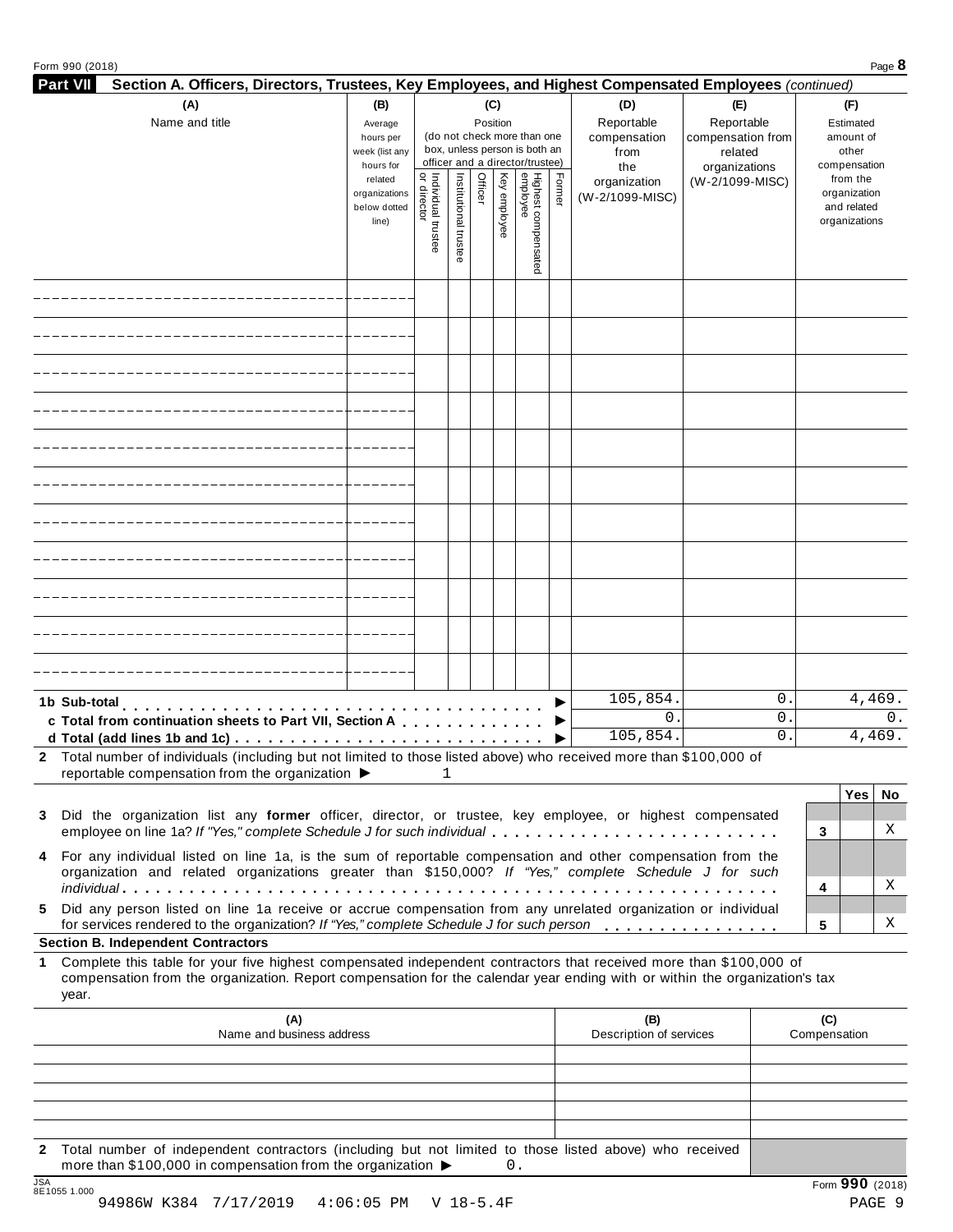|  |  | Form 990 (2018) |
|--|--|-----------------|
|--|--|-----------------|

| Form 990 (2018)                                                                                                                                                                                                                                                 |                               |                                          |                       |          |              |                                 |                      |                                |                 |                              |                     |                             | Page 8 |
|-----------------------------------------------------------------------------------------------------------------------------------------------------------------------------------------------------------------------------------------------------------------|-------------------------------|------------------------------------------|-----------------------|----------|--------------|---------------------------------|----------------------|--------------------------------|-----------------|------------------------------|---------------------|-----------------------------|--------|
| <b>Part VII</b><br>Section A. Officers, Directors, Trustees, Key Employees, and Highest Compensated Employees (continued)                                                                                                                                       |                               |                                          |                       |          |              |                                 |                      |                                |                 |                              |                     |                             |        |
| (A)                                                                                                                                                                                                                                                             | (B)                           |                                          |                       |          | (C)          |                                 |                      | (D)                            | (E)             |                              |                     | (F)                         |        |
| Name and title                                                                                                                                                                                                                                                  | Average<br>hours per          |                                          |                       | Position |              | (do not check more than one     |                      | Reportable<br>compensation     | Reportable      |                              |                     | Estimated<br>amount of      |        |
|                                                                                                                                                                                                                                                                 | week (list any                |                                          |                       |          |              | box, unless person is both an   |                      | from                           |                 | compensation from<br>related |                     | other                       |        |
|                                                                                                                                                                                                                                                                 | hours for                     |                                          |                       |          |              | officer and a director/trustee) | the<br>organizations |                                |                 |                              | compensation        |                             |        |
|                                                                                                                                                                                                                                                                 | related                       | Individual trustee<br> <br>  or director | Institutional trustee | Officer  | Key employee | Highest compensated<br>employee | Former               | organization                   | (W-2/1099-MISC) |                              |                     | from the                    |        |
|                                                                                                                                                                                                                                                                 | organizations<br>below dotted |                                          |                       |          |              |                                 |                      | (W-2/1099-MISC)                |                 |                              |                     | organization<br>and related |        |
|                                                                                                                                                                                                                                                                 | line)                         |                                          |                       |          |              |                                 |                      |                                |                 |                              |                     | organizations               |        |
|                                                                                                                                                                                                                                                                 |                               |                                          |                       |          |              |                                 |                      |                                |                 |                              |                     |                             |        |
|                                                                                                                                                                                                                                                                 |                               |                                          |                       |          |              |                                 |                      |                                |                 |                              |                     |                             |        |
|                                                                                                                                                                                                                                                                 |                               |                                          |                       |          |              |                                 |                      |                                |                 |                              |                     |                             |        |
|                                                                                                                                                                                                                                                                 |                               |                                          |                       |          |              |                                 |                      |                                |                 |                              |                     |                             |        |
|                                                                                                                                                                                                                                                                 |                               |                                          |                       |          |              |                                 |                      |                                |                 |                              |                     |                             |        |
|                                                                                                                                                                                                                                                                 |                               |                                          |                       |          |              |                                 |                      |                                |                 |                              |                     |                             |        |
|                                                                                                                                                                                                                                                                 |                               |                                          |                       |          |              |                                 |                      |                                |                 |                              |                     |                             |        |
|                                                                                                                                                                                                                                                                 |                               |                                          |                       |          |              |                                 |                      |                                |                 |                              |                     |                             |        |
|                                                                                                                                                                                                                                                                 |                               |                                          |                       |          |              |                                 |                      |                                |                 |                              |                     |                             |        |
|                                                                                                                                                                                                                                                                 |                               |                                          |                       |          |              |                                 |                      |                                |                 |                              |                     |                             |        |
|                                                                                                                                                                                                                                                                 |                               |                                          |                       |          |              |                                 |                      |                                |                 |                              |                     |                             |        |
|                                                                                                                                                                                                                                                                 |                               |                                          |                       |          |              |                                 |                      |                                |                 |                              |                     |                             |        |
|                                                                                                                                                                                                                                                                 |                               |                                          |                       |          |              |                                 |                      |                                |                 |                              |                     |                             |        |
|                                                                                                                                                                                                                                                                 |                               |                                          |                       |          |              |                                 |                      |                                |                 |                              |                     |                             |        |
|                                                                                                                                                                                                                                                                 |                               |                                          |                       |          |              |                                 |                      |                                |                 |                              |                     |                             |        |
|                                                                                                                                                                                                                                                                 |                               |                                          |                       |          |              |                                 |                      |                                |                 |                              |                     |                             |        |
|                                                                                                                                                                                                                                                                 |                               |                                          |                       |          |              |                                 |                      |                                |                 |                              |                     |                             |        |
|                                                                                                                                                                                                                                                                 |                               |                                          |                       |          |              |                                 |                      |                                |                 |                              |                     |                             |        |
|                                                                                                                                                                                                                                                                 |                               |                                          |                       |          |              |                                 |                      |                                |                 |                              |                     |                             |        |
| 1b Sub-total                                                                                                                                                                                                                                                    |                               |                                          |                       |          |              |                                 |                      | 105,854.                       |                 | $\mathsf{O}$ .               |                     |                             | 4,469. |
| c Total from continuation sheets to Part VII, Section A                                                                                                                                                                                                         |                               |                                          |                       |          |              |                                 |                      | 0.                             |                 | $\mathsf{O}$ .               |                     |                             | 0.     |
| d Total (add lines 1b and 1c) $\cdots \cdots \cdots \cdots \cdots \cdots \cdots \cdots \cdots \cdots \cdots$                                                                                                                                                    |                               |                                          |                       |          |              |                                 |                      | 105,854.                       |                 | 0.                           |                     |                             | 4,469. |
| 2 Total number of individuals (including but not limited to those listed above) who received more than \$100,000 of                                                                                                                                             |                               |                                          |                       |          |              |                                 |                      |                                |                 |                              |                     |                             |        |
| reportable compensation from the organization $\blacktriangleright$                                                                                                                                                                                             |                               |                                          | 1                     |          |              |                                 |                      |                                |                 |                              |                     |                             |        |
|                                                                                                                                                                                                                                                                 |                               |                                          |                       |          |              |                                 |                      |                                |                 |                              |                     | Yes                         | No     |
| Did the organization list any former officer, director, or trustee, key employee, or highest compensated<br>3                                                                                                                                                   |                               |                                          |                       |          |              |                                 |                      |                                |                 |                              |                     |                             | Χ      |
| employee on line 1a? If "Yes," complete Schedule J for such individual                                                                                                                                                                                          |                               |                                          |                       |          |              |                                 |                      |                                |                 |                              | 3                   |                             |        |
| For any individual listed on line 1a, is the sum of reportable compensation and other compensation from the<br>4<br>organization and related organizations greater than \$150,000? If "Yes," complete Schedule J for such                                       |                               |                                          |                       |          |              |                                 |                      |                                |                 |                              |                     |                             |        |
|                                                                                                                                                                                                                                                                 |                               |                                          |                       |          |              |                                 |                      |                                |                 |                              | 4                   |                             | Χ      |
| Did any person listed on line 1a receive or accrue compensation from any unrelated organization or individual<br>5.<br>for services rendered to the organization? If "Yes," complete Schedule J for such person                                                 |                               |                                          |                       |          |              |                                 |                      |                                |                 |                              | 5                   |                             | Χ      |
| <b>Section B. Independent Contractors</b>                                                                                                                                                                                                                       |                               |                                          |                       |          |              |                                 |                      |                                |                 |                              |                     |                             |        |
| Complete this table for your five highest compensated independent contractors that received more than \$100,000 of<br>1.<br>compensation from the organization. Report compensation for the calendar year ending with or within the organization's tax<br>year. |                               |                                          |                       |          |              |                                 |                      |                                |                 |                              |                     |                             |        |
|                                                                                                                                                                                                                                                                 |                               |                                          |                       |          |              |                                 |                      |                                |                 |                              |                     |                             |        |
| (A)<br>Name and business address                                                                                                                                                                                                                                |                               |                                          |                       |          |              |                                 |                      | (B)<br>Description of services |                 |                              | (C)<br>Compensation |                             |        |
|                                                                                                                                                                                                                                                                 |                               |                                          |                       |          |              |                                 |                      |                                |                 |                              |                     |                             |        |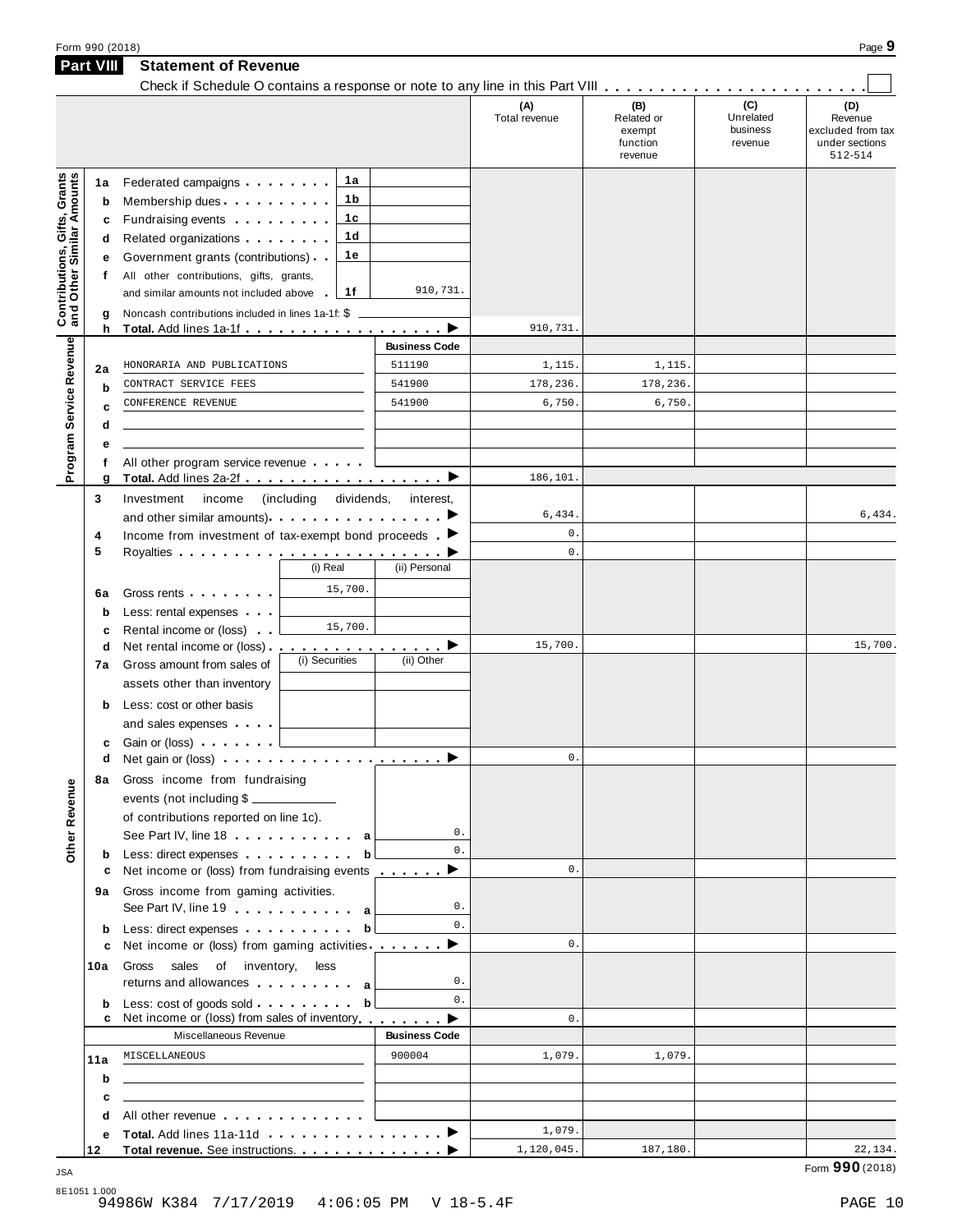|                                                           | Form 990 (2018)  |                                                                                                                                                                                                                                     |                                |                      |                                                    |                                         | Page 9                                                           |
|-----------------------------------------------------------|------------------|-------------------------------------------------------------------------------------------------------------------------------------------------------------------------------------------------------------------------------------|--------------------------------|----------------------|----------------------------------------------------|-----------------------------------------|------------------------------------------------------------------|
|                                                           | <b>Part VIII</b> | <b>Statement of Revenue</b>                                                                                                                                                                                                         |                                |                      |                                                    |                                         |                                                                  |
|                                                           |                  | Check if Schedule O contains a response or note to any line in this Part VIII                                                                                                                                                       |                                |                      |                                                    |                                         |                                                                  |
|                                                           |                  |                                                                                                                                                                                                                                     |                                | (A)<br>Total revenue | (B)<br>Related or<br>exempt<br>function<br>revenue | (C)<br>Unrelated<br>business<br>revenue | (D)<br>Revenue<br>excluded from tax<br>under sections<br>512-514 |
|                                                           | 1а               | Federated campaigns                                                                                                                                                                                                                 | 1а                             |                      |                                                    |                                         |                                                                  |
|                                                           | b                | Membership dues <b>All Accords</b> Membership dues                                                                                                                                                                                  | 1b                             |                      |                                                    |                                         |                                                                  |
|                                                           | c                | Fundraising events <b>Exercises</b>                                                                                                                                                                                                 | 1с                             |                      |                                                    |                                         |                                                                  |
|                                                           | d                | Related organizations <b>contains</b> and the Related organizations and all the Relations of the Relations of the Relations of the Relations of the Relations of the Relations of the Relations of the Relations of the Relations o | 1d                             |                      |                                                    |                                         |                                                                  |
|                                                           | е                | Government grants (contributions)                                                                                                                                                                                                   | 1е                             |                      |                                                    |                                         |                                                                  |
|                                                           | f                | All other contributions, gifts, grants,                                                                                                                                                                                             |                                |                      |                                                    |                                         |                                                                  |
| Contributions, Gifts, Grants<br>and Other Similar Amounts |                  | and similar amounts not included above                                                                                                                                                                                              | 910,731.<br>1f                 |                      |                                                    |                                         |                                                                  |
|                                                           | g                | Noncash contributions included in lines 1a-1f: \$                                                                                                                                                                                   |                                |                      |                                                    |                                         |                                                                  |
|                                                           | h                |                                                                                                                                                                                                                                     |                                | 910,731              |                                                    |                                         |                                                                  |
|                                                           |                  |                                                                                                                                                                                                                                     | <b>Business Code</b><br>511190 | 1,115.               |                                                    |                                         |                                                                  |
|                                                           | 2a               | HONORARIA AND PUBLICATIONS<br>CONTRACT SERVICE FEES                                                                                                                                                                                 | 541900                         | 178,236.             | 1,115.<br>178,236.                                 |                                         |                                                                  |
| Program Service Revenue                                   | b                | CONFERENCE REVENUE                                                                                                                                                                                                                  | 541900                         | 6,750.               | 6,750.                                             |                                         |                                                                  |
|                                                           | C                |                                                                                                                                                                                                                                     |                                |                      |                                                    |                                         |                                                                  |
|                                                           | d<br>е           |                                                                                                                                                                                                                                     |                                |                      |                                                    |                                         |                                                                  |
|                                                           | f                | All other program service revenue                                                                                                                                                                                                   |                                |                      |                                                    |                                         |                                                                  |
|                                                           | g                |                                                                                                                                                                                                                                     |                                | 186,101.             |                                                    |                                         |                                                                  |
|                                                           | 3                | (including<br>Investment<br>income                                                                                                                                                                                                  | dividends,<br>interest,        |                      |                                                    |                                         |                                                                  |
|                                                           |                  | and other similar amounts).                                                                                                                                                                                                         |                                | 6,434.               |                                                    |                                         | 6,434.                                                           |
|                                                           | 4                | Income from investment of tax-exempt bond proceeds $\blacktriangleright$                                                                                                                                                            |                                | $0$ .                |                                                    |                                         |                                                                  |
|                                                           | 5                |                                                                                                                                                                                                                                     |                                | $0$ .                |                                                    |                                         |                                                                  |
|                                                           |                  | (i) Real                                                                                                                                                                                                                            | (ii) Personal                  |                      |                                                    |                                         |                                                                  |
|                                                           | 6a               | 15,700.<br>Gross rents <b>Contains and Street Street Street Street</b>                                                                                                                                                              |                                |                      |                                                    |                                         |                                                                  |
|                                                           | $\mathbf b$      | Less: rental expenses<br>15,700.                                                                                                                                                                                                    |                                |                      |                                                    |                                         |                                                                  |
|                                                           | c                | Rental income or (loss)<br>Net rental income or (loss)                                                                                                                                                                              |                                | 15,700.              |                                                    |                                         | 15,700.                                                          |
|                                                           | d<br>7a          | (i) Securities<br>Gross amount from sales of                                                                                                                                                                                        | <u>.</u> D<br>(ii) Other       |                      |                                                    |                                         |                                                                  |
|                                                           |                  | assets other than inventory                                                                                                                                                                                                         |                                |                      |                                                    |                                         |                                                                  |
|                                                           | b                | Less: cost or other basis                                                                                                                                                                                                           |                                |                      |                                                    |                                         |                                                                  |
|                                                           |                  | and sales expenses                                                                                                                                                                                                                  |                                |                      |                                                    |                                         |                                                                  |
|                                                           | c                | Gain or (loss) <u>  _ _ _ _ _ _ _ _</u>                                                                                                                                                                                             |                                |                      |                                                    |                                         |                                                                  |
|                                                           | d                | Net gain or (loss) $\cdots$ $\cdots$ $\cdots$ $\cdots$ $\cdots$ $\cdots$                                                                                                                                                            |                                | $\mathbf{0}$ .       |                                                    |                                         |                                                                  |
|                                                           | 8а               | Gross income from fundraising                                                                                                                                                                                                       |                                |                      |                                                    |                                         |                                                                  |
| Revenue                                                   |                  | events (not including \$                                                                                                                                                                                                            |                                |                      |                                                    |                                         |                                                                  |
|                                                           |                  | of contributions reported on line 1c).                                                                                                                                                                                              |                                |                      |                                                    |                                         |                                                                  |
| Other                                                     |                  | See Part IV, line 18 $\ldots$ $\ldots$ $\ldots$ a                                                                                                                                                                                   | 0.<br>0.                       |                      |                                                    |                                         |                                                                  |
|                                                           | b                | Less: direct expenses b<br>Net income or (loss) from fundraising events $\ldots$ .                                                                                                                                                  |                                | $\mathbf{0}$ .       |                                                    |                                         |                                                                  |
|                                                           | c                | Gross income from gaming activities.                                                                                                                                                                                                |                                |                      |                                                    |                                         |                                                                  |
|                                                           | 9а               | See Part IV, line 19                                                                                                                                                                                                                | 0.                             |                      |                                                    |                                         |                                                                  |
|                                                           | b                | Less: direct expenses by the state of the basic direct expenses                                                                                                                                                                     | $0$ .                          |                      |                                                    |                                         |                                                                  |
|                                                           | c                | Net income or (loss) from gaming activities ________ ▶                                                                                                                                                                              |                                | $\mathbf{0}$ .       |                                                    |                                         |                                                                  |
|                                                           | 10a              | sales of inventory,<br>Gross<br>less                                                                                                                                                                                                |                                |                      |                                                    |                                         |                                                                  |
|                                                           |                  | returns and allowances and allowances                                                                                                                                                                                               | 0.                             |                      |                                                    |                                         |                                                                  |
|                                                           | b                | Less: cost of goods sold b                                                                                                                                                                                                          | $0$ .                          |                      |                                                    |                                         |                                                                  |
|                                                           | c                | Net income or (loss) from sales of inventory                                                                                                                                                                                        | ▶                              | $\mathbf{0}$ .       |                                                    |                                         |                                                                  |
|                                                           |                  | Miscellaneous Revenue                                                                                                                                                                                                               | <b>Business Code</b>           |                      |                                                    |                                         |                                                                  |
|                                                           | 11a              | MISCELLANEOUS                                                                                                                                                                                                                       | 900004                         | 1,079.               | 1,079.                                             |                                         |                                                                  |
|                                                           | b                |                                                                                                                                                                                                                                     |                                |                      |                                                    |                                         |                                                                  |
|                                                           | c<br>d           | All other revenue entitled and a series of the series of the series of the series of the series of the series                                                                                                                       |                                |                      |                                                    |                                         |                                                                  |
|                                                           | е                | Total. Add lines 11a-11d ▶                                                                                                                                                                                                          |                                | 1,079.               |                                                    |                                         |                                                                  |
|                                                           | 12               |                                                                                                                                                                                                                                     |                                | 1,120,045.           | 187,180.                                           |                                         | 22,134.                                                          |

Form **990** (2018) JSA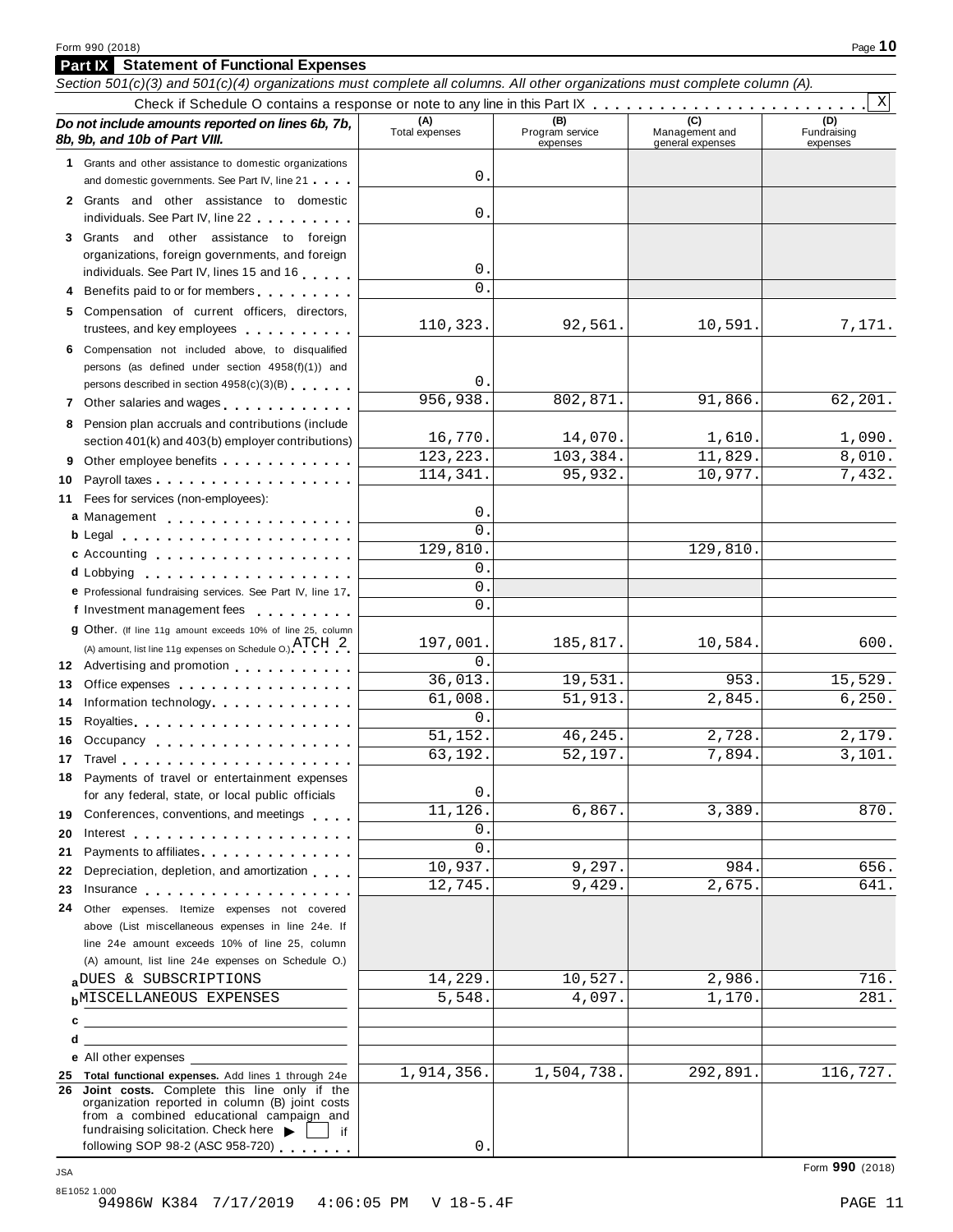**Part IX Statement of Functional Expenses**

|    | Section 501(c)(3) and 501(c)(4) organizations must complete all columns. All other organizations must complete column (A).                                                                                                                                                                                                                                                                                                                                       |                       |                                    |                                    |                                |
|----|------------------------------------------------------------------------------------------------------------------------------------------------------------------------------------------------------------------------------------------------------------------------------------------------------------------------------------------------------------------------------------------------------------------------------------------------------------------|-----------------------|------------------------------------|------------------------------------|--------------------------------|
|    |                                                                                                                                                                                                                                                                                                                                                                                                                                                                  |                       |                                    |                                    | $\mathbf{x}$                   |
|    | Do not include amounts reported on lines 6b, 7b,<br>8b, 9b, and 10b of Part VIII.                                                                                                                                                                                                                                                                                                                                                                                | (A)<br>Total expenses | (B)<br>Program service<br>expenses | Management and<br>general expenses | (D)<br>Fundraising<br>expenses |
|    | 1 Grants and other assistance to domestic organizations                                                                                                                                                                                                                                                                                                                                                                                                          |                       |                                    |                                    |                                |
|    | and domestic governments. See Part IV, line 21                                                                                                                                                                                                                                                                                                                                                                                                                   | 0                     |                                    |                                    |                                |
|    | 2 Grants and other assistance to domestic<br>individuals. See Part IV, line 22                                                                                                                                                                                                                                                                                                                                                                                   | 0                     |                                    |                                    |                                |
|    | 3 Grants and other assistance to foreign                                                                                                                                                                                                                                                                                                                                                                                                                         |                       |                                    |                                    |                                |
|    | organizations, foreign governments, and foreign                                                                                                                                                                                                                                                                                                                                                                                                                  |                       |                                    |                                    |                                |
|    | individuals. See Part IV, lines 15 and 16                                                                                                                                                                                                                                                                                                                                                                                                                        | 0                     |                                    |                                    |                                |
|    | Benefits paid to or for members                                                                                                                                                                                                                                                                                                                                                                                                                                  | 0                     |                                    |                                    |                                |
|    | 5 Compensation of current officers, directors,<br>trustees, and key employees                                                                                                                                                                                                                                                                                                                                                                                    | 110,323.              | 92,561.                            | 10,591.                            | 7,171.                         |
|    | 6 Compensation not included above, to disqualified                                                                                                                                                                                                                                                                                                                                                                                                               |                       |                                    |                                    |                                |
|    | persons (as defined under section 4958(f)(1)) and                                                                                                                                                                                                                                                                                                                                                                                                                |                       |                                    |                                    |                                |
|    | persons described in section 4958(c)(3)(B)                                                                                                                                                                                                                                                                                                                                                                                                                       | 0                     |                                    |                                    |                                |
|    | 7 Other salaries and wages <b>container and all the salaries</b>                                                                                                                                                                                                                                                                                                                                                                                                 | 956,938.              | 802,871.                           | 91,866.                            | 62,201.                        |
|    | 8 Pension plan accruals and contributions (include                                                                                                                                                                                                                                                                                                                                                                                                               |                       |                                    |                                    |                                |
|    | section 401(k) and 403(b) employer contributions)                                                                                                                                                                                                                                                                                                                                                                                                                | 16,770.               | 14,070.                            | 1,610.                             | 1,090.                         |
| 9  | Other employee benefits experience of the state of the state of the state of the state of the state of the state of the state of the state of the state of the state of the state of the state of the state of the state of th                                                                                                                                                                                                                                   | 123, 223.             | 103,384.                           | 11,829.                            | 8,010.                         |
| 10 |                                                                                                                                                                                                                                                                                                                                                                                                                                                                  | 114,341.              | 95,932.                            | 10,977.                            | 7,432.                         |
|    | 11 Fees for services (non-employees):                                                                                                                                                                                                                                                                                                                                                                                                                            |                       |                                    |                                    |                                |
|    | a Management                                                                                                                                                                                                                                                                                                                                                                                                                                                     | 0                     |                                    |                                    |                                |
|    |                                                                                                                                                                                                                                                                                                                                                                                                                                                                  | 0<br>129,810.         |                                    | 129,810.                           |                                |
|    | c Accounting entries and the control of the control of the control of the control of the control of the control of the control of the control of the control of the control of the control of the control of the control of th                                                                                                                                                                                                                                   | 0                     |                                    |                                    |                                |
|    |                                                                                                                                                                                                                                                                                                                                                                                                                                                                  | 0                     |                                    |                                    |                                |
|    | e Professional fundraising services. See Part IV, line 17                                                                                                                                                                                                                                                                                                                                                                                                        | 0                     |                                    |                                    |                                |
|    | f Investment management fees                                                                                                                                                                                                                                                                                                                                                                                                                                     |                       |                                    |                                    |                                |
|    | 9 Other. (If line 11g amount exceeds 10% of line 25, column                                                                                                                                                                                                                                                                                                                                                                                                      | 197,001.              | 185,817.                           | 10,584.                            | 600.                           |
|    | (A) amount, list line 11g expenses on Schedule O.) $\text{ATCH}$ 2                                                                                                                                                                                                                                                                                                                                                                                               | 0                     |                                    |                                    |                                |
| 13 | 12 Advertising and promotion                                                                                                                                                                                                                                                                                                                                                                                                                                     | 36,013.               | 19,531.                            | 953.                               | 15,529.                        |
| 14 | Office expenses example and the set of the set of the set of the set of the set of the set of the set of the set of the set of the set of the set of the set of the set of the set of the set of the set of the set of the set<br>Information technology experience in the set of the set of the set of the set of the set of the set of the set of the set of the set of the set of the set of the set of the set of the set of the set of the set of the set o | 61,008.               | 51,913.                            | 2,845.                             | 6, 250.                        |
| 15 | Royalties experiences and a series are a series and a series are a series and a series are a series and a series and                                                                                                                                                                                                                                                                                                                                             | 0                     |                                    |                                    |                                |
|    | 16 Occupancy                                                                                                                                                                                                                                                                                                                                                                                                                                                     | 51,152.               | 46,245.                            | 2,728.                             | 2,179.                         |
|    | 17 Travel                                                                                                                                                                                                                                                                                                                                                                                                                                                        | 63,192.               | 52,197.                            | 7,894.                             | 3,101.                         |
|    | 18 Payments of travel or entertainment expenses                                                                                                                                                                                                                                                                                                                                                                                                                  |                       |                                    |                                    |                                |
|    | for any federal, state, or local public officials                                                                                                                                                                                                                                                                                                                                                                                                                | 0                     |                                    |                                    |                                |
|    | 19 Conferences, conventions, and meetings                                                                                                                                                                                                                                                                                                                                                                                                                        | 11,126                | 6,867.                             | 3,389.                             | 870.                           |
|    |                                                                                                                                                                                                                                                                                                                                                                                                                                                                  | 0                     |                                    |                                    |                                |
| 21 | Payments to affiliates <b>Exercise Services</b>                                                                                                                                                                                                                                                                                                                                                                                                                  | 0                     |                                    |                                    |                                |
| 22 | Depreciation, depletion, and amortization                                                                                                                                                                                                                                                                                                                                                                                                                        | 10,937.               | 9,297.                             | 984.                               | 656.                           |
|    |                                                                                                                                                                                                                                                                                                                                                                                                                                                                  | 12,745.               | 9,429.                             | 2,675.                             | 641.                           |
|    | 24 Other expenses. Itemize expenses not covered                                                                                                                                                                                                                                                                                                                                                                                                                  |                       |                                    |                                    |                                |
|    | above (List miscellaneous expenses in line 24e. If                                                                                                                                                                                                                                                                                                                                                                                                               |                       |                                    |                                    |                                |
|    | line 24e amount exceeds 10% of line 25, column                                                                                                                                                                                                                                                                                                                                                                                                                   |                       |                                    |                                    |                                |
|    | (A) amount, list line 24e expenses on Schedule O.)                                                                                                                                                                                                                                                                                                                                                                                                               |                       |                                    |                                    |                                |
|    | aDUES & SUBSCRIPTIONS                                                                                                                                                                                                                                                                                                                                                                                                                                            | 14,229.               | 10,527.                            | 2,986.                             | 716.                           |
|    | <b>b</b> MISCELLANEOUS EXPENSES                                                                                                                                                                                                                                                                                                                                                                                                                                  | 5,548.                | 4,097.                             | 1,170.                             | 281.                           |
| c  |                                                                                                                                                                                                                                                                                                                                                                                                                                                                  |                       |                                    |                                    |                                |
| d  |                                                                                                                                                                                                                                                                                                                                                                                                                                                                  |                       |                                    |                                    |                                |
|    | e All other expenses                                                                                                                                                                                                                                                                                                                                                                                                                                             | 1,914,356.            | 1,504,738.                         | 292,891.                           | 116,727.                       |
|    | 25 Total functional expenses. Add lines 1 through 24e<br>26 Joint costs. Complete this line only if the                                                                                                                                                                                                                                                                                                                                                          |                       |                                    |                                    |                                |
|    | organization reported in column (B) joint costs<br>from a combined educational campaign and<br>fundraising solicitation. Check here<br>if                                                                                                                                                                                                                                                                                                                        |                       |                                    |                                    |                                |
|    | following SOP 98-2 (ASC 958-720)                                                                                                                                                                                                                                                                                                                                                                                                                                 | 0                     |                                    |                                    |                                |
|    |                                                                                                                                                                                                                                                                                                                                                                                                                                                                  |                       |                                    |                                    |                                |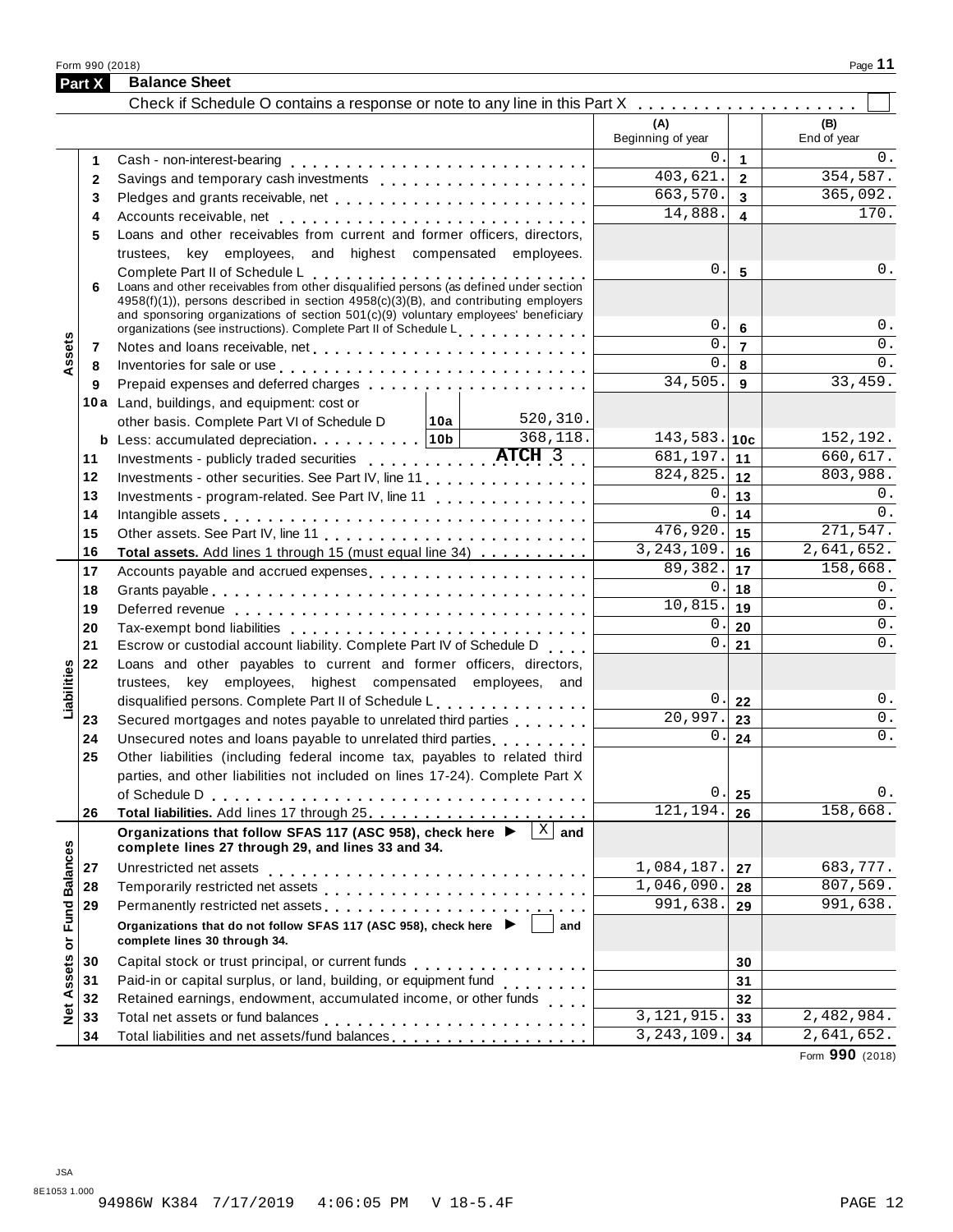Form <sup>990</sup> (2018) Page **11 Part X Balance Sheet**

| Check if Schedule O contains a response or note to any line in this Part X<br>(A)<br>(B)<br>Beginning of year<br>End of year<br>0.<br>$\mathbf{1}$<br>1<br>403,621.<br>354,587.<br>$2^{\circ}$<br>Savings and temporary cash investments<br>$\mathbf{2}$<br>663,570.<br>365,092.<br>$\mathbf{3}$<br>3<br>$\overline{170}$ .<br>14,888.<br>4<br>4<br>Loans and other receivables from current and former officers, directors,<br>5<br>trustees, key employees, and highest compensated employees.<br>0.<br>0.<br>5<br>Complete Part II of Schedule L<br>Loans and other receivables from other disqualified persons (as defined under section<br>6<br>4958(f)(1)), persons described in section 4958(c)(3)(B), and contributing employers<br>and sponsoring organizations of section 501(c)(9) voluntary employees' beneficiary<br>0.<br>6<br>organizations (see instructions). Complete Part II of Schedule Letter and Letter Letter Letter<br>Assets<br>$\overline{0}$ .<br>0.<br>$\overline{7}$<br>7<br>$0$ .<br>0.<br>Inventories for sale or use enterpreteration of the contract of the contract of the contract of the contract of<br>8<br>8<br>34,505.<br>33,459.<br>$9^{\circ}$<br>9<br>10a Land, buildings, and equipment: cost or<br>520,310.<br>other basis. Complete Part VI of Schedule D   10a  <br>368,118.<br>$143,583.$ 10c<br>b Less: accumulated depreciation 10b<br>Investments - publicly traded securities ATCH 3<br>$\overline{681}$ , 197. 11<br>660,617.<br>11<br>$824, 825.$ 12<br>803,988.<br>Investments - other securities. See Part IV, line 11<br>12<br>0.<br>Investments - program-related. See Part IV, line 11<br>13<br>13<br>0.<br>0.<br>14<br>14<br>$\overline{476,920}$ .<br>271,547.<br>15<br>15<br>$\overline{3,243,109}$ .<br>2,641,652.<br>16<br>16<br>Total assets. Add lines 1 through 15 (must equal line 34)<br>89,382.<br>158,668.<br>17<br>17<br>Accounts payable and accrued expenses<br>0.<br>0.<br>18<br>18<br>10,815.<br>$\overline{0}$ .<br>19<br>19<br>$\overline{0}$ .<br>0.<br>20<br>20<br>$0$ .<br>0.<br>Escrow or custodial account liability. Complete Part IV of Schedule D<br>21<br>21<br>Loans and other payables to current and former officers, directors,<br>22<br>Liabilities<br>trustees, key employees, highest compensated employees, and<br>$0$ .<br>0.<br>disqualified persons. Complete Part II of Schedule L.<br>22<br>20,997.<br>$\overline{0}$ .<br>Secured mortgages and notes payable to unrelated third parties<br>23<br>23<br>$\overline{0}$ .<br>0.<br>Unsecured notes and loans payable to unrelated third parties <b>contained</b><br>24<br>24<br>Other liabilities (including federal income tax, payables to related third<br>25<br>parties, and other liabilities not included on lines 17-24). Complete Part X<br>0<br>0.<br>25<br>158,668.<br>121,194.<br>26<br>26<br>Organizations that follow SFAS 117 (ASC 958), check here ▶<br>$ X $ and<br><b>Fund Balances</b><br>complete lines 27 through 29, and lines 33 and 34.<br>1,084,187.<br>Unrestricted net assets<br>27<br>27<br>1,046,090.<br>807,569.<br>28<br>28<br>991,638.<br>991,638.<br>29<br>29<br>Organizations that do not follow SFAS 117 (ASC 958), check here ▶ │<br>and<br>ŏ<br>complete lines 30 through 34.<br><b>Net Assets</b><br>30<br>30<br>Paid-in or capital surplus, or land, building, or equipment fund<br><br>31<br>31<br>Retained earnings, endowment, accumulated income, or other funds<br>32<br>32<br>$\overline{3,121,915}$ .<br>33<br>33<br>3, 243, 109.<br>Total liabilities and net assets/fund balances<br>34<br>34 | <b>Part X</b> | <b>Balance Sheet</b> |  |            |
|-------------------------------------------------------------------------------------------------------------------------------------------------------------------------------------------------------------------------------------------------------------------------------------------------------------------------------------------------------------------------------------------------------------------------------------------------------------------------------------------------------------------------------------------------------------------------------------------------------------------------------------------------------------------------------------------------------------------------------------------------------------------------------------------------------------------------------------------------------------------------------------------------------------------------------------------------------------------------------------------------------------------------------------------------------------------------------------------------------------------------------------------------------------------------------------------------------------------------------------------------------------------------------------------------------------------------------------------------------------------------------------------------------------------------------------------------------------------------------------------------------------------------------------------------------------------------------------------------------------------------------------------------------------------------------------------------------------------------------------------------------------------------------------------------------------------------------------------------------------------------------------------------------------------------------------------------------------------------------------------------------------------------------------------------------------------------------------------------------------------------------------------------------------------------------------------------------------------------------------------------------------------------------------------------------------------------------------------------------------------------------------------------------------------------------------------------------------------------------------------------------------------------------------------------------------------------------------------------------------------------------------------------------------------------------------------------------------------------------------------------------------------------------------------------------------------------------------------------------------------------------------------------------------------------------------------------------------------------------------------------------------------------------------------------------------------------------------------------------------------------------------------------------------------------------------------------------------------------------------------------------------------------------------------------------------------------------------------------------------------------------------------------------------------------------------------------------------------------------------------------------------------------------------------------------------------------------------------------|---------------|----------------------|--|------------|
|                                                                                                                                                                                                                                                                                                                                                                                                                                                                                                                                                                                                                                                                                                                                                                                                                                                                                                                                                                                                                                                                                                                                                                                                                                                                                                                                                                                                                                                                                                                                                                                                                                                                                                                                                                                                                                                                                                                                                                                                                                                                                                                                                                                                                                                                                                                                                                                                                                                                                                                                                                                                                                                                                                                                                                                                                                                                                                                                                                                                                                                                                                                                                                                                                                                                                                                                                                                                                                                                                                                                                                                                 |               |                      |  |            |
|                                                                                                                                                                                                                                                                                                                                                                                                                                                                                                                                                                                                                                                                                                                                                                                                                                                                                                                                                                                                                                                                                                                                                                                                                                                                                                                                                                                                                                                                                                                                                                                                                                                                                                                                                                                                                                                                                                                                                                                                                                                                                                                                                                                                                                                                                                                                                                                                                                                                                                                                                                                                                                                                                                                                                                                                                                                                                                                                                                                                                                                                                                                                                                                                                                                                                                                                                                                                                                                                                                                                                                                                 |               |                      |  |            |
|                                                                                                                                                                                                                                                                                                                                                                                                                                                                                                                                                                                                                                                                                                                                                                                                                                                                                                                                                                                                                                                                                                                                                                                                                                                                                                                                                                                                                                                                                                                                                                                                                                                                                                                                                                                                                                                                                                                                                                                                                                                                                                                                                                                                                                                                                                                                                                                                                                                                                                                                                                                                                                                                                                                                                                                                                                                                                                                                                                                                                                                                                                                                                                                                                                                                                                                                                                                                                                                                                                                                                                                                 |               |                      |  | $0$ .      |
|                                                                                                                                                                                                                                                                                                                                                                                                                                                                                                                                                                                                                                                                                                                                                                                                                                                                                                                                                                                                                                                                                                                                                                                                                                                                                                                                                                                                                                                                                                                                                                                                                                                                                                                                                                                                                                                                                                                                                                                                                                                                                                                                                                                                                                                                                                                                                                                                                                                                                                                                                                                                                                                                                                                                                                                                                                                                                                                                                                                                                                                                                                                                                                                                                                                                                                                                                                                                                                                                                                                                                                                                 |               |                      |  |            |
|                                                                                                                                                                                                                                                                                                                                                                                                                                                                                                                                                                                                                                                                                                                                                                                                                                                                                                                                                                                                                                                                                                                                                                                                                                                                                                                                                                                                                                                                                                                                                                                                                                                                                                                                                                                                                                                                                                                                                                                                                                                                                                                                                                                                                                                                                                                                                                                                                                                                                                                                                                                                                                                                                                                                                                                                                                                                                                                                                                                                                                                                                                                                                                                                                                                                                                                                                                                                                                                                                                                                                                                                 |               |                      |  |            |
|                                                                                                                                                                                                                                                                                                                                                                                                                                                                                                                                                                                                                                                                                                                                                                                                                                                                                                                                                                                                                                                                                                                                                                                                                                                                                                                                                                                                                                                                                                                                                                                                                                                                                                                                                                                                                                                                                                                                                                                                                                                                                                                                                                                                                                                                                                                                                                                                                                                                                                                                                                                                                                                                                                                                                                                                                                                                                                                                                                                                                                                                                                                                                                                                                                                                                                                                                                                                                                                                                                                                                                                                 |               |                      |  |            |
|                                                                                                                                                                                                                                                                                                                                                                                                                                                                                                                                                                                                                                                                                                                                                                                                                                                                                                                                                                                                                                                                                                                                                                                                                                                                                                                                                                                                                                                                                                                                                                                                                                                                                                                                                                                                                                                                                                                                                                                                                                                                                                                                                                                                                                                                                                                                                                                                                                                                                                                                                                                                                                                                                                                                                                                                                                                                                                                                                                                                                                                                                                                                                                                                                                                                                                                                                                                                                                                                                                                                                                                                 |               |                      |  |            |
|                                                                                                                                                                                                                                                                                                                                                                                                                                                                                                                                                                                                                                                                                                                                                                                                                                                                                                                                                                                                                                                                                                                                                                                                                                                                                                                                                                                                                                                                                                                                                                                                                                                                                                                                                                                                                                                                                                                                                                                                                                                                                                                                                                                                                                                                                                                                                                                                                                                                                                                                                                                                                                                                                                                                                                                                                                                                                                                                                                                                                                                                                                                                                                                                                                                                                                                                                                                                                                                                                                                                                                                                 |               |                      |  |            |
|                                                                                                                                                                                                                                                                                                                                                                                                                                                                                                                                                                                                                                                                                                                                                                                                                                                                                                                                                                                                                                                                                                                                                                                                                                                                                                                                                                                                                                                                                                                                                                                                                                                                                                                                                                                                                                                                                                                                                                                                                                                                                                                                                                                                                                                                                                                                                                                                                                                                                                                                                                                                                                                                                                                                                                                                                                                                                                                                                                                                                                                                                                                                                                                                                                                                                                                                                                                                                                                                                                                                                                                                 |               |                      |  |            |
|                                                                                                                                                                                                                                                                                                                                                                                                                                                                                                                                                                                                                                                                                                                                                                                                                                                                                                                                                                                                                                                                                                                                                                                                                                                                                                                                                                                                                                                                                                                                                                                                                                                                                                                                                                                                                                                                                                                                                                                                                                                                                                                                                                                                                                                                                                                                                                                                                                                                                                                                                                                                                                                                                                                                                                                                                                                                                                                                                                                                                                                                                                                                                                                                                                                                                                                                                                                                                                                                                                                                                                                                 |               |                      |  |            |
|                                                                                                                                                                                                                                                                                                                                                                                                                                                                                                                                                                                                                                                                                                                                                                                                                                                                                                                                                                                                                                                                                                                                                                                                                                                                                                                                                                                                                                                                                                                                                                                                                                                                                                                                                                                                                                                                                                                                                                                                                                                                                                                                                                                                                                                                                                                                                                                                                                                                                                                                                                                                                                                                                                                                                                                                                                                                                                                                                                                                                                                                                                                                                                                                                                                                                                                                                                                                                                                                                                                                                                                                 |               |                      |  | 0.         |
|                                                                                                                                                                                                                                                                                                                                                                                                                                                                                                                                                                                                                                                                                                                                                                                                                                                                                                                                                                                                                                                                                                                                                                                                                                                                                                                                                                                                                                                                                                                                                                                                                                                                                                                                                                                                                                                                                                                                                                                                                                                                                                                                                                                                                                                                                                                                                                                                                                                                                                                                                                                                                                                                                                                                                                                                                                                                                                                                                                                                                                                                                                                                                                                                                                                                                                                                                                                                                                                                                                                                                                                                 |               |                      |  |            |
|                                                                                                                                                                                                                                                                                                                                                                                                                                                                                                                                                                                                                                                                                                                                                                                                                                                                                                                                                                                                                                                                                                                                                                                                                                                                                                                                                                                                                                                                                                                                                                                                                                                                                                                                                                                                                                                                                                                                                                                                                                                                                                                                                                                                                                                                                                                                                                                                                                                                                                                                                                                                                                                                                                                                                                                                                                                                                                                                                                                                                                                                                                                                                                                                                                                                                                                                                                                                                                                                                                                                                                                                 |               |                      |  |            |
|                                                                                                                                                                                                                                                                                                                                                                                                                                                                                                                                                                                                                                                                                                                                                                                                                                                                                                                                                                                                                                                                                                                                                                                                                                                                                                                                                                                                                                                                                                                                                                                                                                                                                                                                                                                                                                                                                                                                                                                                                                                                                                                                                                                                                                                                                                                                                                                                                                                                                                                                                                                                                                                                                                                                                                                                                                                                                                                                                                                                                                                                                                                                                                                                                                                                                                                                                                                                                                                                                                                                                                                                 |               |                      |  |            |
|                                                                                                                                                                                                                                                                                                                                                                                                                                                                                                                                                                                                                                                                                                                                                                                                                                                                                                                                                                                                                                                                                                                                                                                                                                                                                                                                                                                                                                                                                                                                                                                                                                                                                                                                                                                                                                                                                                                                                                                                                                                                                                                                                                                                                                                                                                                                                                                                                                                                                                                                                                                                                                                                                                                                                                                                                                                                                                                                                                                                                                                                                                                                                                                                                                                                                                                                                                                                                                                                                                                                                                                                 |               |                      |  |            |
|                                                                                                                                                                                                                                                                                                                                                                                                                                                                                                                                                                                                                                                                                                                                                                                                                                                                                                                                                                                                                                                                                                                                                                                                                                                                                                                                                                                                                                                                                                                                                                                                                                                                                                                                                                                                                                                                                                                                                                                                                                                                                                                                                                                                                                                                                                                                                                                                                                                                                                                                                                                                                                                                                                                                                                                                                                                                                                                                                                                                                                                                                                                                                                                                                                                                                                                                                                                                                                                                                                                                                                                                 |               |                      |  |            |
|                                                                                                                                                                                                                                                                                                                                                                                                                                                                                                                                                                                                                                                                                                                                                                                                                                                                                                                                                                                                                                                                                                                                                                                                                                                                                                                                                                                                                                                                                                                                                                                                                                                                                                                                                                                                                                                                                                                                                                                                                                                                                                                                                                                                                                                                                                                                                                                                                                                                                                                                                                                                                                                                                                                                                                                                                                                                                                                                                                                                                                                                                                                                                                                                                                                                                                                                                                                                                                                                                                                                                                                                 |               |                      |  | 152,192.   |
|                                                                                                                                                                                                                                                                                                                                                                                                                                                                                                                                                                                                                                                                                                                                                                                                                                                                                                                                                                                                                                                                                                                                                                                                                                                                                                                                                                                                                                                                                                                                                                                                                                                                                                                                                                                                                                                                                                                                                                                                                                                                                                                                                                                                                                                                                                                                                                                                                                                                                                                                                                                                                                                                                                                                                                                                                                                                                                                                                                                                                                                                                                                                                                                                                                                                                                                                                                                                                                                                                                                                                                                                 |               |                      |  |            |
|                                                                                                                                                                                                                                                                                                                                                                                                                                                                                                                                                                                                                                                                                                                                                                                                                                                                                                                                                                                                                                                                                                                                                                                                                                                                                                                                                                                                                                                                                                                                                                                                                                                                                                                                                                                                                                                                                                                                                                                                                                                                                                                                                                                                                                                                                                                                                                                                                                                                                                                                                                                                                                                                                                                                                                                                                                                                                                                                                                                                                                                                                                                                                                                                                                                                                                                                                                                                                                                                                                                                                                                                 |               |                      |  |            |
|                                                                                                                                                                                                                                                                                                                                                                                                                                                                                                                                                                                                                                                                                                                                                                                                                                                                                                                                                                                                                                                                                                                                                                                                                                                                                                                                                                                                                                                                                                                                                                                                                                                                                                                                                                                                                                                                                                                                                                                                                                                                                                                                                                                                                                                                                                                                                                                                                                                                                                                                                                                                                                                                                                                                                                                                                                                                                                                                                                                                                                                                                                                                                                                                                                                                                                                                                                                                                                                                                                                                                                                                 |               |                      |  | 0.         |
|                                                                                                                                                                                                                                                                                                                                                                                                                                                                                                                                                                                                                                                                                                                                                                                                                                                                                                                                                                                                                                                                                                                                                                                                                                                                                                                                                                                                                                                                                                                                                                                                                                                                                                                                                                                                                                                                                                                                                                                                                                                                                                                                                                                                                                                                                                                                                                                                                                                                                                                                                                                                                                                                                                                                                                                                                                                                                                                                                                                                                                                                                                                                                                                                                                                                                                                                                                                                                                                                                                                                                                                                 |               |                      |  |            |
|                                                                                                                                                                                                                                                                                                                                                                                                                                                                                                                                                                                                                                                                                                                                                                                                                                                                                                                                                                                                                                                                                                                                                                                                                                                                                                                                                                                                                                                                                                                                                                                                                                                                                                                                                                                                                                                                                                                                                                                                                                                                                                                                                                                                                                                                                                                                                                                                                                                                                                                                                                                                                                                                                                                                                                                                                                                                                                                                                                                                                                                                                                                                                                                                                                                                                                                                                                                                                                                                                                                                                                                                 |               |                      |  |            |
|                                                                                                                                                                                                                                                                                                                                                                                                                                                                                                                                                                                                                                                                                                                                                                                                                                                                                                                                                                                                                                                                                                                                                                                                                                                                                                                                                                                                                                                                                                                                                                                                                                                                                                                                                                                                                                                                                                                                                                                                                                                                                                                                                                                                                                                                                                                                                                                                                                                                                                                                                                                                                                                                                                                                                                                                                                                                                                                                                                                                                                                                                                                                                                                                                                                                                                                                                                                                                                                                                                                                                                                                 |               |                      |  |            |
|                                                                                                                                                                                                                                                                                                                                                                                                                                                                                                                                                                                                                                                                                                                                                                                                                                                                                                                                                                                                                                                                                                                                                                                                                                                                                                                                                                                                                                                                                                                                                                                                                                                                                                                                                                                                                                                                                                                                                                                                                                                                                                                                                                                                                                                                                                                                                                                                                                                                                                                                                                                                                                                                                                                                                                                                                                                                                                                                                                                                                                                                                                                                                                                                                                                                                                                                                                                                                                                                                                                                                                                                 |               |                      |  |            |
|                                                                                                                                                                                                                                                                                                                                                                                                                                                                                                                                                                                                                                                                                                                                                                                                                                                                                                                                                                                                                                                                                                                                                                                                                                                                                                                                                                                                                                                                                                                                                                                                                                                                                                                                                                                                                                                                                                                                                                                                                                                                                                                                                                                                                                                                                                                                                                                                                                                                                                                                                                                                                                                                                                                                                                                                                                                                                                                                                                                                                                                                                                                                                                                                                                                                                                                                                                                                                                                                                                                                                                                                 |               |                      |  |            |
|                                                                                                                                                                                                                                                                                                                                                                                                                                                                                                                                                                                                                                                                                                                                                                                                                                                                                                                                                                                                                                                                                                                                                                                                                                                                                                                                                                                                                                                                                                                                                                                                                                                                                                                                                                                                                                                                                                                                                                                                                                                                                                                                                                                                                                                                                                                                                                                                                                                                                                                                                                                                                                                                                                                                                                                                                                                                                                                                                                                                                                                                                                                                                                                                                                                                                                                                                                                                                                                                                                                                                                                                 |               |                      |  |            |
|                                                                                                                                                                                                                                                                                                                                                                                                                                                                                                                                                                                                                                                                                                                                                                                                                                                                                                                                                                                                                                                                                                                                                                                                                                                                                                                                                                                                                                                                                                                                                                                                                                                                                                                                                                                                                                                                                                                                                                                                                                                                                                                                                                                                                                                                                                                                                                                                                                                                                                                                                                                                                                                                                                                                                                                                                                                                                                                                                                                                                                                                                                                                                                                                                                                                                                                                                                                                                                                                                                                                                                                                 |               |                      |  |            |
|                                                                                                                                                                                                                                                                                                                                                                                                                                                                                                                                                                                                                                                                                                                                                                                                                                                                                                                                                                                                                                                                                                                                                                                                                                                                                                                                                                                                                                                                                                                                                                                                                                                                                                                                                                                                                                                                                                                                                                                                                                                                                                                                                                                                                                                                                                                                                                                                                                                                                                                                                                                                                                                                                                                                                                                                                                                                                                                                                                                                                                                                                                                                                                                                                                                                                                                                                                                                                                                                                                                                                                                                 |               |                      |  |            |
|                                                                                                                                                                                                                                                                                                                                                                                                                                                                                                                                                                                                                                                                                                                                                                                                                                                                                                                                                                                                                                                                                                                                                                                                                                                                                                                                                                                                                                                                                                                                                                                                                                                                                                                                                                                                                                                                                                                                                                                                                                                                                                                                                                                                                                                                                                                                                                                                                                                                                                                                                                                                                                                                                                                                                                                                                                                                                                                                                                                                                                                                                                                                                                                                                                                                                                                                                                                                                                                                                                                                                                                                 |               |                      |  |            |
|                                                                                                                                                                                                                                                                                                                                                                                                                                                                                                                                                                                                                                                                                                                                                                                                                                                                                                                                                                                                                                                                                                                                                                                                                                                                                                                                                                                                                                                                                                                                                                                                                                                                                                                                                                                                                                                                                                                                                                                                                                                                                                                                                                                                                                                                                                                                                                                                                                                                                                                                                                                                                                                                                                                                                                                                                                                                                                                                                                                                                                                                                                                                                                                                                                                                                                                                                                                                                                                                                                                                                                                                 |               |                      |  |            |
|                                                                                                                                                                                                                                                                                                                                                                                                                                                                                                                                                                                                                                                                                                                                                                                                                                                                                                                                                                                                                                                                                                                                                                                                                                                                                                                                                                                                                                                                                                                                                                                                                                                                                                                                                                                                                                                                                                                                                                                                                                                                                                                                                                                                                                                                                                                                                                                                                                                                                                                                                                                                                                                                                                                                                                                                                                                                                                                                                                                                                                                                                                                                                                                                                                                                                                                                                                                                                                                                                                                                                                                                 |               |                      |  |            |
|                                                                                                                                                                                                                                                                                                                                                                                                                                                                                                                                                                                                                                                                                                                                                                                                                                                                                                                                                                                                                                                                                                                                                                                                                                                                                                                                                                                                                                                                                                                                                                                                                                                                                                                                                                                                                                                                                                                                                                                                                                                                                                                                                                                                                                                                                                                                                                                                                                                                                                                                                                                                                                                                                                                                                                                                                                                                                                                                                                                                                                                                                                                                                                                                                                                                                                                                                                                                                                                                                                                                                                                                 |               |                      |  |            |
|                                                                                                                                                                                                                                                                                                                                                                                                                                                                                                                                                                                                                                                                                                                                                                                                                                                                                                                                                                                                                                                                                                                                                                                                                                                                                                                                                                                                                                                                                                                                                                                                                                                                                                                                                                                                                                                                                                                                                                                                                                                                                                                                                                                                                                                                                                                                                                                                                                                                                                                                                                                                                                                                                                                                                                                                                                                                                                                                                                                                                                                                                                                                                                                                                                                                                                                                                                                                                                                                                                                                                                                                 |               |                      |  |            |
|                                                                                                                                                                                                                                                                                                                                                                                                                                                                                                                                                                                                                                                                                                                                                                                                                                                                                                                                                                                                                                                                                                                                                                                                                                                                                                                                                                                                                                                                                                                                                                                                                                                                                                                                                                                                                                                                                                                                                                                                                                                                                                                                                                                                                                                                                                                                                                                                                                                                                                                                                                                                                                                                                                                                                                                                                                                                                                                                                                                                                                                                                                                                                                                                                                                                                                                                                                                                                                                                                                                                                                                                 |               |                      |  |            |
|                                                                                                                                                                                                                                                                                                                                                                                                                                                                                                                                                                                                                                                                                                                                                                                                                                                                                                                                                                                                                                                                                                                                                                                                                                                                                                                                                                                                                                                                                                                                                                                                                                                                                                                                                                                                                                                                                                                                                                                                                                                                                                                                                                                                                                                                                                                                                                                                                                                                                                                                                                                                                                                                                                                                                                                                                                                                                                                                                                                                                                                                                                                                                                                                                                                                                                                                                                                                                                                                                                                                                                                                 |               |                      |  |            |
|                                                                                                                                                                                                                                                                                                                                                                                                                                                                                                                                                                                                                                                                                                                                                                                                                                                                                                                                                                                                                                                                                                                                                                                                                                                                                                                                                                                                                                                                                                                                                                                                                                                                                                                                                                                                                                                                                                                                                                                                                                                                                                                                                                                                                                                                                                                                                                                                                                                                                                                                                                                                                                                                                                                                                                                                                                                                                                                                                                                                                                                                                                                                                                                                                                                                                                                                                                                                                                                                                                                                                                                                 |               |                      |  |            |
|                                                                                                                                                                                                                                                                                                                                                                                                                                                                                                                                                                                                                                                                                                                                                                                                                                                                                                                                                                                                                                                                                                                                                                                                                                                                                                                                                                                                                                                                                                                                                                                                                                                                                                                                                                                                                                                                                                                                                                                                                                                                                                                                                                                                                                                                                                                                                                                                                                                                                                                                                                                                                                                                                                                                                                                                                                                                                                                                                                                                                                                                                                                                                                                                                                                                                                                                                                                                                                                                                                                                                                                                 |               |                      |  |            |
|                                                                                                                                                                                                                                                                                                                                                                                                                                                                                                                                                                                                                                                                                                                                                                                                                                                                                                                                                                                                                                                                                                                                                                                                                                                                                                                                                                                                                                                                                                                                                                                                                                                                                                                                                                                                                                                                                                                                                                                                                                                                                                                                                                                                                                                                                                                                                                                                                                                                                                                                                                                                                                                                                                                                                                                                                                                                                                                                                                                                                                                                                                                                                                                                                                                                                                                                                                                                                                                                                                                                                                                                 |               |                      |  |            |
|                                                                                                                                                                                                                                                                                                                                                                                                                                                                                                                                                                                                                                                                                                                                                                                                                                                                                                                                                                                                                                                                                                                                                                                                                                                                                                                                                                                                                                                                                                                                                                                                                                                                                                                                                                                                                                                                                                                                                                                                                                                                                                                                                                                                                                                                                                                                                                                                                                                                                                                                                                                                                                                                                                                                                                                                                                                                                                                                                                                                                                                                                                                                                                                                                                                                                                                                                                                                                                                                                                                                                                                                 |               |                      |  | 683,777.   |
|                                                                                                                                                                                                                                                                                                                                                                                                                                                                                                                                                                                                                                                                                                                                                                                                                                                                                                                                                                                                                                                                                                                                                                                                                                                                                                                                                                                                                                                                                                                                                                                                                                                                                                                                                                                                                                                                                                                                                                                                                                                                                                                                                                                                                                                                                                                                                                                                                                                                                                                                                                                                                                                                                                                                                                                                                                                                                                                                                                                                                                                                                                                                                                                                                                                                                                                                                                                                                                                                                                                                                                                                 |               |                      |  |            |
|                                                                                                                                                                                                                                                                                                                                                                                                                                                                                                                                                                                                                                                                                                                                                                                                                                                                                                                                                                                                                                                                                                                                                                                                                                                                                                                                                                                                                                                                                                                                                                                                                                                                                                                                                                                                                                                                                                                                                                                                                                                                                                                                                                                                                                                                                                                                                                                                                                                                                                                                                                                                                                                                                                                                                                                                                                                                                                                                                                                                                                                                                                                                                                                                                                                                                                                                                                                                                                                                                                                                                                                                 |               |                      |  |            |
|                                                                                                                                                                                                                                                                                                                                                                                                                                                                                                                                                                                                                                                                                                                                                                                                                                                                                                                                                                                                                                                                                                                                                                                                                                                                                                                                                                                                                                                                                                                                                                                                                                                                                                                                                                                                                                                                                                                                                                                                                                                                                                                                                                                                                                                                                                                                                                                                                                                                                                                                                                                                                                                                                                                                                                                                                                                                                                                                                                                                                                                                                                                                                                                                                                                                                                                                                                                                                                                                                                                                                                                                 |               |                      |  |            |
|                                                                                                                                                                                                                                                                                                                                                                                                                                                                                                                                                                                                                                                                                                                                                                                                                                                                                                                                                                                                                                                                                                                                                                                                                                                                                                                                                                                                                                                                                                                                                                                                                                                                                                                                                                                                                                                                                                                                                                                                                                                                                                                                                                                                                                                                                                                                                                                                                                                                                                                                                                                                                                                                                                                                                                                                                                                                                                                                                                                                                                                                                                                                                                                                                                                                                                                                                                                                                                                                                                                                                                                                 |               |                      |  |            |
|                                                                                                                                                                                                                                                                                                                                                                                                                                                                                                                                                                                                                                                                                                                                                                                                                                                                                                                                                                                                                                                                                                                                                                                                                                                                                                                                                                                                                                                                                                                                                                                                                                                                                                                                                                                                                                                                                                                                                                                                                                                                                                                                                                                                                                                                                                                                                                                                                                                                                                                                                                                                                                                                                                                                                                                                                                                                                                                                                                                                                                                                                                                                                                                                                                                                                                                                                                                                                                                                                                                                                                                                 |               |                      |  |            |
|                                                                                                                                                                                                                                                                                                                                                                                                                                                                                                                                                                                                                                                                                                                                                                                                                                                                                                                                                                                                                                                                                                                                                                                                                                                                                                                                                                                                                                                                                                                                                                                                                                                                                                                                                                                                                                                                                                                                                                                                                                                                                                                                                                                                                                                                                                                                                                                                                                                                                                                                                                                                                                                                                                                                                                                                                                                                                                                                                                                                                                                                                                                                                                                                                                                                                                                                                                                                                                                                                                                                                                                                 |               |                      |  |            |
|                                                                                                                                                                                                                                                                                                                                                                                                                                                                                                                                                                                                                                                                                                                                                                                                                                                                                                                                                                                                                                                                                                                                                                                                                                                                                                                                                                                                                                                                                                                                                                                                                                                                                                                                                                                                                                                                                                                                                                                                                                                                                                                                                                                                                                                                                                                                                                                                                                                                                                                                                                                                                                                                                                                                                                                                                                                                                                                                                                                                                                                                                                                                                                                                                                                                                                                                                                                                                                                                                                                                                                                                 |               |                      |  | 2,482,984. |
|                                                                                                                                                                                                                                                                                                                                                                                                                                                                                                                                                                                                                                                                                                                                                                                                                                                                                                                                                                                                                                                                                                                                                                                                                                                                                                                                                                                                                                                                                                                                                                                                                                                                                                                                                                                                                                                                                                                                                                                                                                                                                                                                                                                                                                                                                                                                                                                                                                                                                                                                                                                                                                                                                                                                                                                                                                                                                                                                                                                                                                                                                                                                                                                                                                                                                                                                                                                                                                                                                                                                                                                                 |               |                      |  | 2,641,652. |

Form **990** (2018)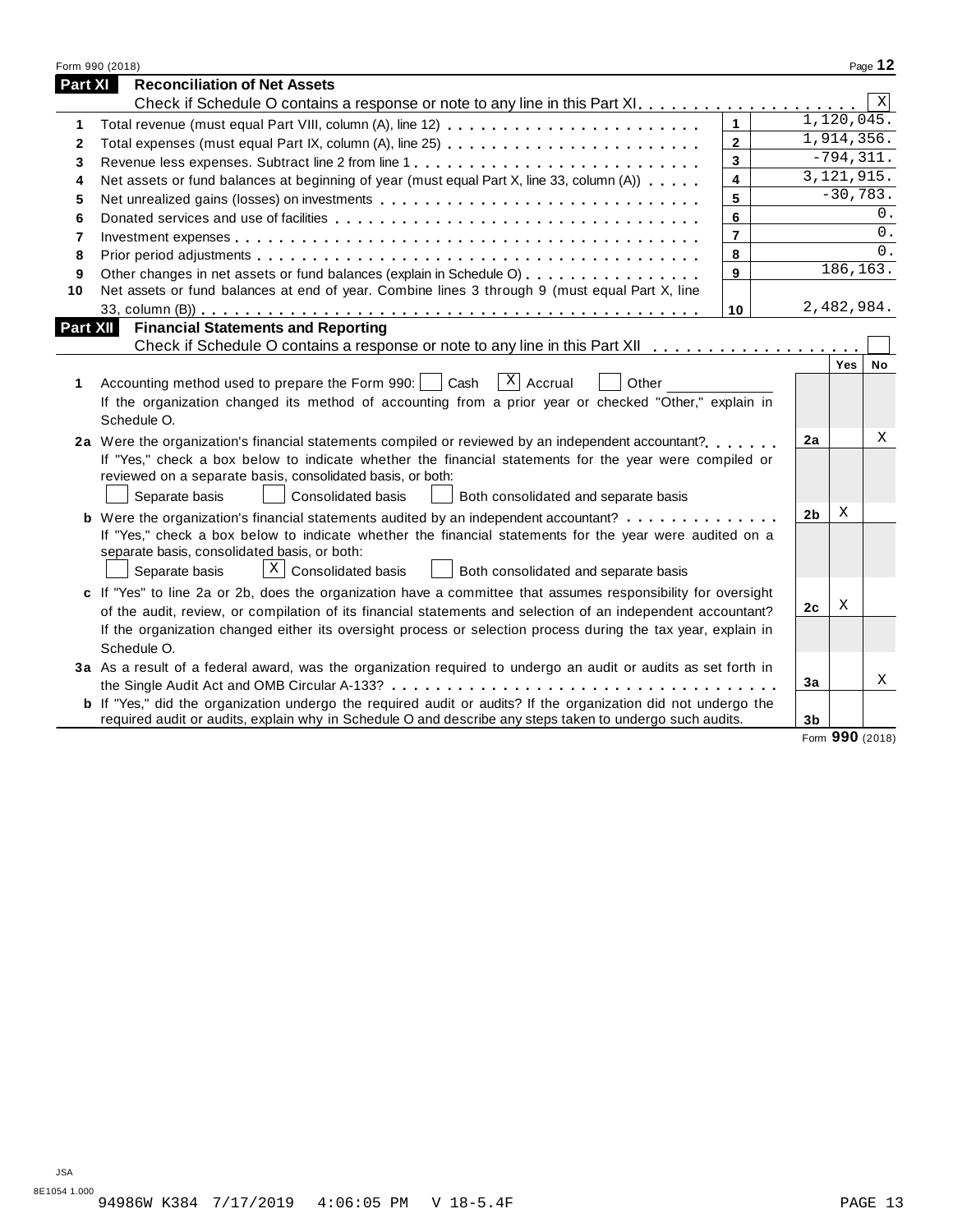|                | Form 990 (2018)                                                                                                                                                                                                                |                |                |                          | Page 12     |
|----------------|--------------------------------------------------------------------------------------------------------------------------------------------------------------------------------------------------------------------------------|----------------|----------------|--------------------------|-------------|
| <b>Part XI</b> | <b>Reconciliation of Net Assets</b>                                                                                                                                                                                            |                |                |                          |             |
|                |                                                                                                                                                                                                                                |                |                |                          | $\mathbf X$ |
| 1              | Total revenue (must equal Part VIII, column (A), line 12)                                                                                                                                                                      | $\mathbf{1}$   |                | 1,120,045.               |             |
| 2              | Total expenses (must equal Part IX, column (A), line 25)                                                                                                                                                                       | $\mathbf{2}$   |                | 1,914,356.               |             |
| 3              | Revenue less expenses. Subtract line 2 from line 1                                                                                                                                                                             | 3              |                | $-794, 311.$             |             |
| 4              | Net assets or fund balances at beginning of year (must equal Part X, line 33, column (A))                                                                                                                                      | 4              |                | $\overline{3,121,915}$ . |             |
| 5              | Net unrealized gains (losses) on investments enterpretation on the unrealized gains (losses) on investments enterpretation on the unrealized gains (losses) on investments enterpretation on the unrealized gains of the unrea | 5              |                | $-30,783.$               |             |
| 6              |                                                                                                                                                                                                                                | 6              |                |                          | 0.          |
| 7              |                                                                                                                                                                                                                                | $\overline{7}$ |                |                          | 0.          |
| 8              |                                                                                                                                                                                                                                | 8              |                |                          | 0.          |
| 9              | Other changes in net assets or fund balances (explain in Schedule O)                                                                                                                                                           | 9              |                | 186,163.                 |             |
| 10             | Net assets or fund balances at end of year. Combine lines 3 through 9 (must equal Part X, line                                                                                                                                 |                |                |                          |             |
|                |                                                                                                                                                                                                                                | 10             |                | 2,482,984.               |             |
| Part XII       | <b>Financial Statements and Reporting</b>                                                                                                                                                                                      |                |                |                          |             |
|                | Check if Schedule O contains a response or note to any line in this Part XII                                                                                                                                                   |                |                |                          |             |
|                |                                                                                                                                                                                                                                |                |                | Yes                      | No          |
| 1              | $\lceil x \rceil$ Accrual<br>Accounting method used to prepare the Form 990:     Cash<br>Other                                                                                                                                 |                |                |                          |             |
|                | If the organization changed its method of accounting from a prior year or checked "Other," explain in                                                                                                                          |                |                |                          |             |
|                | Schedule O.                                                                                                                                                                                                                    |                |                |                          |             |
|                | 2a Were the organization's financial statements compiled or reviewed by an independent accountant?                                                                                                                             |                | 2a             |                          | Χ           |
|                | If "Yes," check a box below to indicate whether the financial statements for the year were compiled or                                                                                                                         |                |                |                          |             |
|                | reviewed on a separate basis, consolidated basis, or both:                                                                                                                                                                     |                |                |                          |             |
|                | <b>Consolidated basis</b><br>Separate basis<br>Both consolidated and separate basis                                                                                                                                            |                |                |                          |             |
|                | <b>b</b> Were the organization's financial statements audited by an independent accountant?                                                                                                                                    |                | 2 <sub>b</sub> | Χ                        |             |
|                | If "Yes," check a box below to indicate whether the financial statements for the year were audited on a                                                                                                                        |                |                |                          |             |
|                | separate basis, consolidated basis, or both:                                                                                                                                                                                   |                |                |                          |             |
|                | $X \mid$ Consolidated basis<br>Both consolidated and separate basis<br>Separate basis                                                                                                                                          |                |                |                          |             |
|                | c If "Yes" to line 2a or 2b, does the organization have a committee that assumes responsibility for oversight                                                                                                                  |                |                |                          |             |
|                | of the audit, review, or compilation of its financial statements and selection of an independent accountant?                                                                                                                   |                | 2 <sub>c</sub> | Χ                        |             |
|                | If the organization changed either its oversight process or selection process during the tax year, explain in                                                                                                                  |                |                |                          |             |
|                | Schedule O.                                                                                                                                                                                                                    |                |                |                          |             |
|                | 3a As a result of a federal award, was the organization required to undergo an audit or audits as set forth in                                                                                                                 |                |                |                          |             |
|                |                                                                                                                                                                                                                                |                | 3a             |                          | X           |
|                | <b>b</b> If "Yes," did the organization undergo the required audit or audits? If the organization did not undergo the                                                                                                          |                |                |                          |             |
|                | required audit or audits, explain why in Schedule O and describe any steps taken to undergo such audits.                                                                                                                       |                | 3 <sub>b</sub> |                          |             |
|                |                                                                                                                                                                                                                                |                |                | Form 990 (2018)          |             |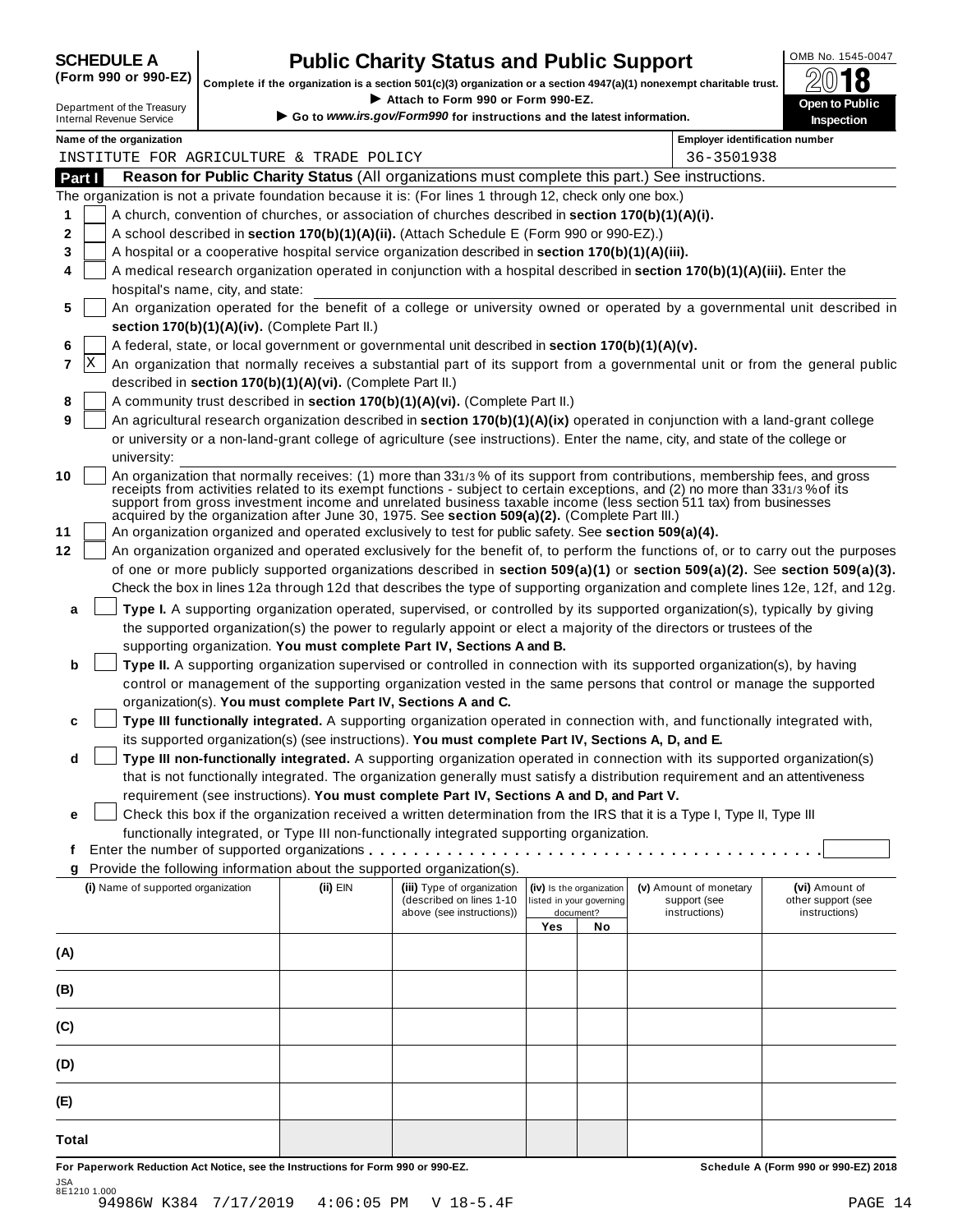| <b>SCHEDULE A</b> |  |  |                                                                                                                                                                                                                                                                                                                    |  |
|-------------------|--|--|--------------------------------------------------------------------------------------------------------------------------------------------------------------------------------------------------------------------------------------------------------------------------------------------------------------------|--|
|                   |  |  | $\sqrt{2}$ $\sqrt{2}$ $\sqrt{2}$ $\sqrt{2}$ $\sqrt{2}$ $\sqrt{2}$ $\sqrt{2}$ $\sqrt{2}$ $\sqrt{2}$ $\sqrt{2}$ $\sqrt{2}$ $\sqrt{2}$ $\sqrt{2}$ $\sqrt{2}$ $\sqrt{2}$ $\sqrt{2}$ $\sqrt{2}$ $\sqrt{2}$ $\sqrt{2}$ $\sqrt{2}$ $\sqrt{2}$ $\sqrt{2}$ $\sqrt{2}$ $\sqrt{2}$ $\sqrt{2}$ $\sqrt{2}$ $\sqrt{2}$ $\sqrt{2$ |  |

# **CHEDULE A Public Charity Status and Public Support**  $\frac{\text{OMB No. 1545-0047}}{\text{OMB}}$

(Form 990 or 990-EZ) complete if the organization is a section 501(c)(3) organization or a section 4947(a)(1) nonexempt charitable trust.  $2018$ 

|                                                                                                           |                                                            | Complete if the organization is a section 501(c)(3) organization or a section 4947(a)(1) nonexempt charitable trust.                                                                                                                                       |     |                          |                                       | 4V<br>10                                                                                                                         |
|-----------------------------------------------------------------------------------------------------------|------------------------------------------------------------|------------------------------------------------------------------------------------------------------------------------------------------------------------------------------------------------------------------------------------------------------------|-----|--------------------------|---------------------------------------|----------------------------------------------------------------------------------------------------------------------------------|
| Department of the Treasury<br><b>Internal Revenue Service</b>                                             |                                                            | Attach to Form 990 or Form 990-EZ.<br>Go to www.irs.gov/Form990 for instructions and the latest information.                                                                                                                                               |     |                          |                                       | Open to Public<br><b>Inspection</b>                                                                                              |
| Name of the organization                                                                                  |                                                            |                                                                                                                                                                                                                                                            |     |                          | <b>Employer identification number</b> |                                                                                                                                  |
| INSTITUTE FOR AGRICULTURE & TRADE POLICY                                                                  |                                                            |                                                                                                                                                                                                                                                            |     |                          | 36-3501938                            |                                                                                                                                  |
| Part I                                                                                                    |                                                            | Reason for Public Charity Status (All organizations must complete this part.) See instructions.                                                                                                                                                            |     |                          |                                       |                                                                                                                                  |
| The organization is not a private foundation because it is: (For lines 1 through 12, check only one box.) |                                                            |                                                                                                                                                                                                                                                            |     |                          |                                       |                                                                                                                                  |
| 1                                                                                                         |                                                            | A church, convention of churches, or association of churches described in section 170(b)(1)(A)(i).                                                                                                                                                         |     |                          |                                       |                                                                                                                                  |
| 2                                                                                                         |                                                            | A school described in section 170(b)(1)(A)(ii). (Attach Schedule E (Form 990 or 990-EZ).)                                                                                                                                                                  |     |                          |                                       |                                                                                                                                  |
| 3                                                                                                         |                                                            | A hospital or a cooperative hospital service organization described in section 170(b)(1)(A)(iii).                                                                                                                                                          |     |                          |                                       |                                                                                                                                  |
| 4                                                                                                         |                                                            | A medical research organization operated in conjunction with a hospital described in section 170(b)(1)(A)(iii). Enter the                                                                                                                                  |     |                          |                                       |                                                                                                                                  |
| hospital's name, city, and state:                                                                         |                                                            |                                                                                                                                                                                                                                                            |     |                          |                                       |                                                                                                                                  |
| 5                                                                                                         | section 170(b)(1)(A)(iv). (Complete Part II.)              |                                                                                                                                                                                                                                                            |     |                          |                                       | An organization operated for the benefit of a college or university owned or operated by a governmental unit described in        |
| 6                                                                                                         |                                                            | A federal, state, or local government or governmental unit described in section 170(b)(1)(A)(v).                                                                                                                                                           |     |                          |                                       |                                                                                                                                  |
| ΙX<br>7                                                                                                   |                                                            |                                                                                                                                                                                                                                                            |     |                          |                                       | An organization that normally receives a substantial part of its support from a governmental unit or from the general public     |
|                                                                                                           | described in section 170(b)(1)(A)(vi). (Complete Part II.) |                                                                                                                                                                                                                                                            |     |                          |                                       |                                                                                                                                  |
| 8                                                                                                         |                                                            | A community trust described in section 170(b)(1)(A)(vi). (Complete Part II.)                                                                                                                                                                               |     |                          |                                       |                                                                                                                                  |
| 9                                                                                                         |                                                            | An agricultural research organization described in section 170(b)(1)(A)(ix) operated in conjunction with a land-grant college                                                                                                                              |     |                          |                                       |                                                                                                                                  |
|                                                                                                           |                                                            | or university or a non-land-grant college of agriculture (see instructions). Enter the name, city, and state of the college or                                                                                                                             |     |                          |                                       |                                                                                                                                  |
| university:                                                                                               |                                                            |                                                                                                                                                                                                                                                            |     |                          |                                       |                                                                                                                                  |
| 10                                                                                                        |                                                            | An organization that normally receives: (1) more than 331/3% of its support from contributions, membership fees, and gross<br>receipts from activities related to its exempt functions - subject to certain exceptions, and (2) no more than 331/3% of its |     |                          |                                       |                                                                                                                                  |
|                                                                                                           |                                                            | support from gross investment income and unrelated business taxable income (less section 511 tax) from businesses                                                                                                                                          |     |                          |                                       |                                                                                                                                  |
| 11                                                                                                        |                                                            | acquired by the organization after June 30, 1975. See section 509(a)(2). (Complete Part III.)<br>An organization organized and operated exclusively to test for public safety. See section 509(a)(4).                                                      |     |                          |                                       |                                                                                                                                  |
| 12                                                                                                        |                                                            |                                                                                                                                                                                                                                                            |     |                          |                                       | An organization organized and operated exclusively for the benefit of, to perform the functions of, or to carry out the purposes |
|                                                                                                           |                                                            |                                                                                                                                                                                                                                                            |     |                          |                                       | of one or more publicly supported organizations described in section 509(a)(1) or section 509(a)(2). See section 509(a)(3).      |
|                                                                                                           |                                                            |                                                                                                                                                                                                                                                            |     |                          |                                       | Check the box in lines 12a through 12d that describes the type of supporting organization and complete lines 12e, 12f, and 12g.  |
| a                                                                                                         |                                                            | Type I. A supporting organization operated, supervised, or controlled by its supported organization(s), typically by giving                                                                                                                                |     |                          |                                       |                                                                                                                                  |
|                                                                                                           |                                                            | the supported organization(s) the power to regularly appoint or elect a majority of the directors or trustees of the                                                                                                                                       |     |                          |                                       |                                                                                                                                  |
|                                                                                                           |                                                            | supporting organization. You must complete Part IV, Sections A and B.                                                                                                                                                                                      |     |                          |                                       |                                                                                                                                  |
| b                                                                                                         |                                                            | Type II. A supporting organization supervised or controlled in connection with its supported organization(s), by having                                                                                                                                    |     |                          |                                       |                                                                                                                                  |
|                                                                                                           |                                                            | control or management of the supporting organization vested in the same persons that control or manage the supported                                                                                                                                       |     |                          |                                       |                                                                                                                                  |
| c                                                                                                         |                                                            | organization(s). You must complete Part IV, Sections A and C.<br>Type III functionally integrated. A supporting organization operated in connection with, and functionally integrated with,                                                                |     |                          |                                       |                                                                                                                                  |
|                                                                                                           |                                                            | its supported organization(s) (see instructions). You must complete Part IV, Sections A, D, and E.                                                                                                                                                         |     |                          |                                       |                                                                                                                                  |
| d                                                                                                         |                                                            | Type III non-functionally integrated. A supporting organization operated in connection with its supported organization(s)                                                                                                                                  |     |                          |                                       |                                                                                                                                  |
|                                                                                                           |                                                            | that is not functionally integrated. The organization generally must satisfy a distribution requirement and an attentiveness                                                                                                                               |     |                          |                                       |                                                                                                                                  |
|                                                                                                           |                                                            | requirement (see instructions). You must complete Part IV, Sections A and D, and Part V.                                                                                                                                                                   |     |                          |                                       |                                                                                                                                  |
| e                                                                                                         |                                                            | Check this box if the organization received a written determination from the IRS that it is a Type I, Type II, Type III                                                                                                                                    |     |                          |                                       |                                                                                                                                  |
|                                                                                                           |                                                            | functionally integrated, or Type III non-functionally integrated supporting organization.                                                                                                                                                                  |     |                          |                                       |                                                                                                                                  |
| f                                                                                                         |                                                            | Enter the number of supported organizations                                                                                                                                                                                                                |     |                          |                                       |                                                                                                                                  |
| g<br>(i) Name of supported organization                                                                   | (ii) EIN                                                   | Provide the following information about the supported organization(s).<br>(iii) Type of organization                                                                                                                                                       |     | (iv) Is the organization | (v) Amount of monetary                | (vi) Amount of                                                                                                                   |
|                                                                                                           |                                                            | (described on lines 1-10                                                                                                                                                                                                                                   |     | listed in your governing | support (see                          | other support (see                                                                                                               |
|                                                                                                           |                                                            | above (see instructions))                                                                                                                                                                                                                                  | Yes | document?<br>No          | instructions)                         | instructions)                                                                                                                    |
|                                                                                                           |                                                            |                                                                                                                                                                                                                                                            |     |                          |                                       |                                                                                                                                  |
| (A)                                                                                                       |                                                            |                                                                                                                                                                                                                                                            |     |                          |                                       |                                                                                                                                  |
| (B)                                                                                                       |                                                            |                                                                                                                                                                                                                                                            |     |                          |                                       |                                                                                                                                  |
|                                                                                                           |                                                            |                                                                                                                                                                                                                                                            |     |                          |                                       |                                                                                                                                  |
| (C)                                                                                                       |                                                            |                                                                                                                                                                                                                                                            |     |                          |                                       |                                                                                                                                  |
| (D)                                                                                                       |                                                            |                                                                                                                                                                                                                                                            |     |                          |                                       |                                                                                                                                  |
| (E)                                                                                                       |                                                            |                                                                                                                                                                                                                                                            |     |                          |                                       |                                                                                                                                  |
| Total                                                                                                     |                                                            |                                                                                                                                                                                                                                                            |     |                          |                                       |                                                                                                                                  |
| For Paperwork Reduction Act Notice, see the Instructions for Form 990 or 990-EZ.                          |                                                            |                                                                                                                                                                                                                                                            |     |                          |                                       | Schedule A (Form 990 or 990-EZ) 2018                                                                                             |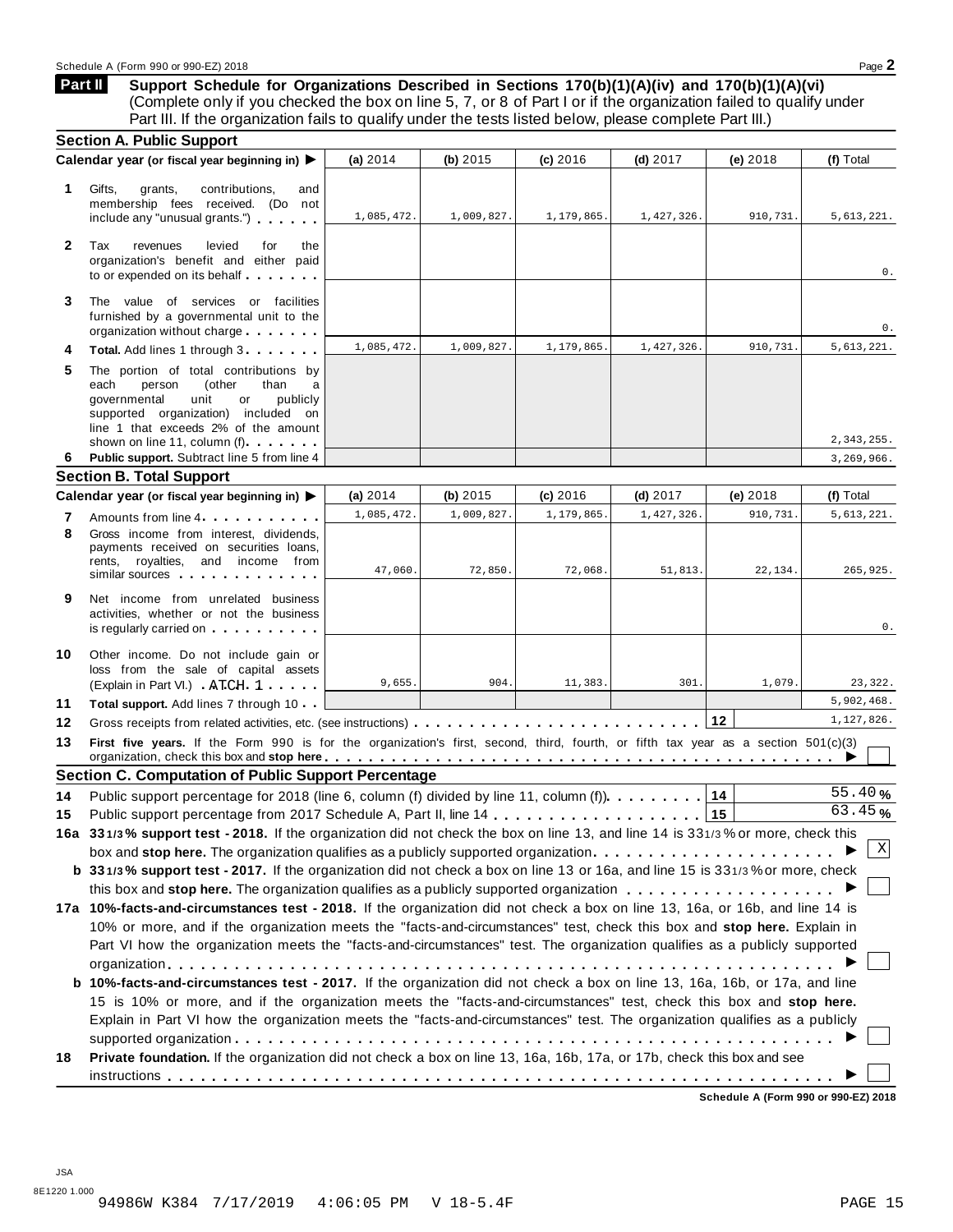**Support Schedule for Organizations Described in Sections 170(b)(1)(A)(iv) and 170(b)(1)(A)(vi)** (Complete only if you checked the box on line 5, 7, or 8 of Part I or if the organization failed to qualify under Part III. If the organization fails to qualify under the tests listed below, please complete Part III.) **Part II**

| Calendar year (or fiscal year beginning in) ▶<br>(a) $2014$<br>(b) $2015$<br>(c) 2016<br>(d) $2017$<br>(e) 2018<br>(f) Total<br>1.<br>Gifts,<br>grants,<br>contributions.<br>and<br>membership fees received. (Do not<br>1,085,472.<br>1,009,827.<br>1,179,865.<br>1,427,326.<br>910,731.<br>include any "unusual grants.")<br>$\mathbf{2}$<br>Tax<br>revenues<br>levied<br>for<br>the<br>organization's benefit and either paid<br>to or expended on its behalf<br>3<br>The value of services or facilities<br>furnished by a governmental unit to the<br>organization without charge<br>1,085,472.<br>1,009,827.<br>1,179,865.<br>1,427,326.<br>910,731.<br>Total. Add lines 1 through 3<br>4<br>5<br>The portion of total contributions by<br>each<br>person<br>(other<br>than<br>a<br>governmental<br>unit<br>publicly<br>or<br>supported organization) included on<br>line 1 that exceeds 2% of the amount<br>shown on line 11, column (f).<br>Public support. Subtract line 5 from line 4<br>6<br><b>Section B. Total Support</b><br>Calendar year (or fiscal year beginning in) ▶<br>(a) $2014$<br>(b) 2015<br>(c) 2016<br>$(d)$ 2017<br>(e) 2018<br>(f) Total<br>1,085,472.<br>1,009,827.<br>1,427,326<br>1,179,865<br>910,731<br>7<br>Amounts from line 4<br>8<br>Gross income from interest, dividends,<br>payments received on securities loans,<br>rents, royalties, and income from<br>47,060.<br>72,850.<br>72,068.<br>51,813.<br>22,134.<br>similar sources experiences<br>9<br>Net income from unrelated business<br>activities, whether or not the business<br>is regularly carried on the control of the state of the state of the state of the state of the state of the state of the state of the state of the state of the state of the state of the state of the state of the state of t<br>Other income. Do not include gain or<br>loss from the sale of capital assets<br>9,655.<br>904.<br>11,383.<br>301.<br>1,079.<br>(Explain in Part VI.) ATCH 1<br><b>Total support.</b> Add lines 7 through 10<br>12<br>First five years. If the Form 990 is for the organization's first, second, third, fourth, or fifth tax year as a section 501(c)(3)<br>organization, check this box and stop here <i>etable of the state of the state for state for state in the state of the</i><br><b>Section C. Computation of Public Support Percentage</b><br>14<br>Public support percentage for 2018 (line 6, column (f) divided by line 11, column (f)<br>15<br>16a 331/3% support test - 2018. If the organization did not check the box on line 13, and line 14 is 331/3% or more, check this<br>Χ<br>box and stop here. The organization qualifies as a publicly supported organization<br>b 331/3% support test - 2017. If the organization did not check a box on line 13 or 16a, and line 15 is 331/3% or more, check<br>17a 10%-facts-and-circumstances test - 2018. If the organization did not check a box on line 13, 16a, or 16b, and line 14 is<br>10% or more, and if the organization meets the "facts-and-circumstances" test, check this box and stop here. Explain in<br>Part VI how the organization meets the "facts-and-circumstances" test. The organization qualifies as a publicly supported<br><b>b 10%-facts-and-circumstances test - 2017.</b> If the organization did not check a box on line 13, 16a, 16b, or 17a, and line<br>15 is 10% or more, and if the organization meets the "facts-and-circumstances" test, check this box and stop here.<br>Explain in Part VI how the organization meets the "facts-and-circumstances" test. The organization qualifies as a publicly<br>Private foundation. If the organization did not check a box on line 13, 16a, 16b, 17a, or 17b, check this box and see |    | <b>Section A. Public Support</b> |  |  |                      |
|----------------------------------------------------------------------------------------------------------------------------------------------------------------------------------------------------------------------------------------------------------------------------------------------------------------------------------------------------------------------------------------------------------------------------------------------------------------------------------------------------------------------------------------------------------------------------------------------------------------------------------------------------------------------------------------------------------------------------------------------------------------------------------------------------------------------------------------------------------------------------------------------------------------------------------------------------------------------------------------------------------------------------------------------------------------------------------------------------------------------------------------------------------------------------------------------------------------------------------------------------------------------------------------------------------------------------------------------------------------------------------------------------------------------------------------------------------------------------------------------------------------------------------------------------------------------------------------------------------------------------------------------------------------------------------------------------------------------------------------------------------------------------------------------------------------------------------------------------------------------------------------------------------------------------------------------------------------------------------------------------------------------------------------------------------------------------------------------------------------------------------------------------------------------------------------------------------------------------------------------------------------------------------------------------------------------------------------------------------------------------------------------------------------------------------------------------------------------------------------------------------------------------------------------------------------------------------------------------------------------------------------------------------------------------------------------------------------------------------------------------------------------------------------------------------------------------------------------------------------------------------------------------------------------------------------------------------------------------------------------------------------------------------------------------------------------------------------------------------------------------------------------------------------------------------------------------------------------------------------------------------------------------------------------------------------------------------------------------------------------------------------------------------------------------------------------------------------------------------------------------------------------------------------------------------------------------------------------------------------------------------------------------------------------------------------------------------------------------------------------------|----|----------------------------------|--|--|----------------------|
|                                                                                                                                                                                                                                                                                                                                                                                                                                                                                                                                                                                                                                                                                                                                                                                                                                                                                                                                                                                                                                                                                                                                                                                                                                                                                                                                                                                                                                                                                                                                                                                                                                                                                                                                                                                                                                                                                                                                                                                                                                                                                                                                                                                                                                                                                                                                                                                                                                                                                                                                                                                                                                                                                                                                                                                                                                                                                                                                                                                                                                                                                                                                                                                                                                                                                                                                                                                                                                                                                                                                                                                                                                                                                                                                                    |    |                                  |  |  |                      |
|                                                                                                                                                                                                                                                                                                                                                                                                                                                                                                                                                                                                                                                                                                                                                                                                                                                                                                                                                                                                                                                                                                                                                                                                                                                                                                                                                                                                                                                                                                                                                                                                                                                                                                                                                                                                                                                                                                                                                                                                                                                                                                                                                                                                                                                                                                                                                                                                                                                                                                                                                                                                                                                                                                                                                                                                                                                                                                                                                                                                                                                                                                                                                                                                                                                                                                                                                                                                                                                                                                                                                                                                                                                                                                                                                    |    |                                  |  |  | 5,613,221.           |
|                                                                                                                                                                                                                                                                                                                                                                                                                                                                                                                                                                                                                                                                                                                                                                                                                                                                                                                                                                                                                                                                                                                                                                                                                                                                                                                                                                                                                                                                                                                                                                                                                                                                                                                                                                                                                                                                                                                                                                                                                                                                                                                                                                                                                                                                                                                                                                                                                                                                                                                                                                                                                                                                                                                                                                                                                                                                                                                                                                                                                                                                                                                                                                                                                                                                                                                                                                                                                                                                                                                                                                                                                                                                                                                                                    |    |                                  |  |  | 0.                   |
|                                                                                                                                                                                                                                                                                                                                                                                                                                                                                                                                                                                                                                                                                                                                                                                                                                                                                                                                                                                                                                                                                                                                                                                                                                                                                                                                                                                                                                                                                                                                                                                                                                                                                                                                                                                                                                                                                                                                                                                                                                                                                                                                                                                                                                                                                                                                                                                                                                                                                                                                                                                                                                                                                                                                                                                                                                                                                                                                                                                                                                                                                                                                                                                                                                                                                                                                                                                                                                                                                                                                                                                                                                                                                                                                                    |    |                                  |  |  | 0.                   |
|                                                                                                                                                                                                                                                                                                                                                                                                                                                                                                                                                                                                                                                                                                                                                                                                                                                                                                                                                                                                                                                                                                                                                                                                                                                                                                                                                                                                                                                                                                                                                                                                                                                                                                                                                                                                                                                                                                                                                                                                                                                                                                                                                                                                                                                                                                                                                                                                                                                                                                                                                                                                                                                                                                                                                                                                                                                                                                                                                                                                                                                                                                                                                                                                                                                                                                                                                                                                                                                                                                                                                                                                                                                                                                                                                    |    |                                  |  |  | 5,613,221.           |
|                                                                                                                                                                                                                                                                                                                                                                                                                                                                                                                                                                                                                                                                                                                                                                                                                                                                                                                                                                                                                                                                                                                                                                                                                                                                                                                                                                                                                                                                                                                                                                                                                                                                                                                                                                                                                                                                                                                                                                                                                                                                                                                                                                                                                                                                                                                                                                                                                                                                                                                                                                                                                                                                                                                                                                                                                                                                                                                                                                                                                                                                                                                                                                                                                                                                                                                                                                                                                                                                                                                                                                                                                                                                                                                                                    |    |                                  |  |  | 2,343,255.           |
|                                                                                                                                                                                                                                                                                                                                                                                                                                                                                                                                                                                                                                                                                                                                                                                                                                                                                                                                                                                                                                                                                                                                                                                                                                                                                                                                                                                                                                                                                                                                                                                                                                                                                                                                                                                                                                                                                                                                                                                                                                                                                                                                                                                                                                                                                                                                                                                                                                                                                                                                                                                                                                                                                                                                                                                                                                                                                                                                                                                                                                                                                                                                                                                                                                                                                                                                                                                                                                                                                                                                                                                                                                                                                                                                                    |    |                                  |  |  | 3,269,966.           |
|                                                                                                                                                                                                                                                                                                                                                                                                                                                                                                                                                                                                                                                                                                                                                                                                                                                                                                                                                                                                                                                                                                                                                                                                                                                                                                                                                                                                                                                                                                                                                                                                                                                                                                                                                                                                                                                                                                                                                                                                                                                                                                                                                                                                                                                                                                                                                                                                                                                                                                                                                                                                                                                                                                                                                                                                                                                                                                                                                                                                                                                                                                                                                                                                                                                                                                                                                                                                                                                                                                                                                                                                                                                                                                                                                    |    |                                  |  |  |                      |
|                                                                                                                                                                                                                                                                                                                                                                                                                                                                                                                                                                                                                                                                                                                                                                                                                                                                                                                                                                                                                                                                                                                                                                                                                                                                                                                                                                                                                                                                                                                                                                                                                                                                                                                                                                                                                                                                                                                                                                                                                                                                                                                                                                                                                                                                                                                                                                                                                                                                                                                                                                                                                                                                                                                                                                                                                                                                                                                                                                                                                                                                                                                                                                                                                                                                                                                                                                                                                                                                                                                                                                                                                                                                                                                                                    |    |                                  |  |  |                      |
|                                                                                                                                                                                                                                                                                                                                                                                                                                                                                                                                                                                                                                                                                                                                                                                                                                                                                                                                                                                                                                                                                                                                                                                                                                                                                                                                                                                                                                                                                                                                                                                                                                                                                                                                                                                                                                                                                                                                                                                                                                                                                                                                                                                                                                                                                                                                                                                                                                                                                                                                                                                                                                                                                                                                                                                                                                                                                                                                                                                                                                                                                                                                                                                                                                                                                                                                                                                                                                                                                                                                                                                                                                                                                                                                                    |    |                                  |  |  | 5,613,221.           |
|                                                                                                                                                                                                                                                                                                                                                                                                                                                                                                                                                                                                                                                                                                                                                                                                                                                                                                                                                                                                                                                                                                                                                                                                                                                                                                                                                                                                                                                                                                                                                                                                                                                                                                                                                                                                                                                                                                                                                                                                                                                                                                                                                                                                                                                                                                                                                                                                                                                                                                                                                                                                                                                                                                                                                                                                                                                                                                                                                                                                                                                                                                                                                                                                                                                                                                                                                                                                                                                                                                                                                                                                                                                                                                                                                    |    |                                  |  |  | 265,925.             |
|                                                                                                                                                                                                                                                                                                                                                                                                                                                                                                                                                                                                                                                                                                                                                                                                                                                                                                                                                                                                                                                                                                                                                                                                                                                                                                                                                                                                                                                                                                                                                                                                                                                                                                                                                                                                                                                                                                                                                                                                                                                                                                                                                                                                                                                                                                                                                                                                                                                                                                                                                                                                                                                                                                                                                                                                                                                                                                                                                                                                                                                                                                                                                                                                                                                                                                                                                                                                                                                                                                                                                                                                                                                                                                                                                    |    |                                  |  |  | 0.                   |
|                                                                                                                                                                                                                                                                                                                                                                                                                                                                                                                                                                                                                                                                                                                                                                                                                                                                                                                                                                                                                                                                                                                                                                                                                                                                                                                                                                                                                                                                                                                                                                                                                                                                                                                                                                                                                                                                                                                                                                                                                                                                                                                                                                                                                                                                                                                                                                                                                                                                                                                                                                                                                                                                                                                                                                                                                                                                                                                                                                                                                                                                                                                                                                                                                                                                                                                                                                                                                                                                                                                                                                                                                                                                                                                                                    | 10 |                                  |  |  | 23,322.              |
|                                                                                                                                                                                                                                                                                                                                                                                                                                                                                                                                                                                                                                                                                                                                                                                                                                                                                                                                                                                                                                                                                                                                                                                                                                                                                                                                                                                                                                                                                                                                                                                                                                                                                                                                                                                                                                                                                                                                                                                                                                                                                                                                                                                                                                                                                                                                                                                                                                                                                                                                                                                                                                                                                                                                                                                                                                                                                                                                                                                                                                                                                                                                                                                                                                                                                                                                                                                                                                                                                                                                                                                                                                                                                                                                                    | 11 |                                  |  |  | 5,902,468.           |
|                                                                                                                                                                                                                                                                                                                                                                                                                                                                                                                                                                                                                                                                                                                                                                                                                                                                                                                                                                                                                                                                                                                                                                                                                                                                                                                                                                                                                                                                                                                                                                                                                                                                                                                                                                                                                                                                                                                                                                                                                                                                                                                                                                                                                                                                                                                                                                                                                                                                                                                                                                                                                                                                                                                                                                                                                                                                                                                                                                                                                                                                                                                                                                                                                                                                                                                                                                                                                                                                                                                                                                                                                                                                                                                                                    | 12 |                                  |  |  | 1,127,826.           |
|                                                                                                                                                                                                                                                                                                                                                                                                                                                                                                                                                                                                                                                                                                                                                                                                                                                                                                                                                                                                                                                                                                                                                                                                                                                                                                                                                                                                                                                                                                                                                                                                                                                                                                                                                                                                                                                                                                                                                                                                                                                                                                                                                                                                                                                                                                                                                                                                                                                                                                                                                                                                                                                                                                                                                                                                                                                                                                                                                                                                                                                                                                                                                                                                                                                                                                                                                                                                                                                                                                                                                                                                                                                                                                                                                    | 13 |                                  |  |  |                      |
|                                                                                                                                                                                                                                                                                                                                                                                                                                                                                                                                                                                                                                                                                                                                                                                                                                                                                                                                                                                                                                                                                                                                                                                                                                                                                                                                                                                                                                                                                                                                                                                                                                                                                                                                                                                                                                                                                                                                                                                                                                                                                                                                                                                                                                                                                                                                                                                                                                                                                                                                                                                                                                                                                                                                                                                                                                                                                                                                                                                                                                                                                                                                                                                                                                                                                                                                                                                                                                                                                                                                                                                                                                                                                                                                                    |    |                                  |  |  |                      |
|                                                                                                                                                                                                                                                                                                                                                                                                                                                                                                                                                                                                                                                                                                                                                                                                                                                                                                                                                                                                                                                                                                                                                                                                                                                                                                                                                                                                                                                                                                                                                                                                                                                                                                                                                                                                                                                                                                                                                                                                                                                                                                                                                                                                                                                                                                                                                                                                                                                                                                                                                                                                                                                                                                                                                                                                                                                                                                                                                                                                                                                                                                                                                                                                                                                                                                                                                                                                                                                                                                                                                                                                                                                                                                                                                    | 14 |                                  |  |  | $\overline{55.40}$ % |
|                                                                                                                                                                                                                                                                                                                                                                                                                                                                                                                                                                                                                                                                                                                                                                                                                                                                                                                                                                                                                                                                                                                                                                                                                                                                                                                                                                                                                                                                                                                                                                                                                                                                                                                                                                                                                                                                                                                                                                                                                                                                                                                                                                                                                                                                                                                                                                                                                                                                                                                                                                                                                                                                                                                                                                                                                                                                                                                                                                                                                                                                                                                                                                                                                                                                                                                                                                                                                                                                                                                                                                                                                                                                                                                                                    | 15 |                                  |  |  | 63.45%               |
|                                                                                                                                                                                                                                                                                                                                                                                                                                                                                                                                                                                                                                                                                                                                                                                                                                                                                                                                                                                                                                                                                                                                                                                                                                                                                                                                                                                                                                                                                                                                                                                                                                                                                                                                                                                                                                                                                                                                                                                                                                                                                                                                                                                                                                                                                                                                                                                                                                                                                                                                                                                                                                                                                                                                                                                                                                                                                                                                                                                                                                                                                                                                                                                                                                                                                                                                                                                                                                                                                                                                                                                                                                                                                                                                                    |    |                                  |  |  |                      |
|                                                                                                                                                                                                                                                                                                                                                                                                                                                                                                                                                                                                                                                                                                                                                                                                                                                                                                                                                                                                                                                                                                                                                                                                                                                                                                                                                                                                                                                                                                                                                                                                                                                                                                                                                                                                                                                                                                                                                                                                                                                                                                                                                                                                                                                                                                                                                                                                                                                                                                                                                                                                                                                                                                                                                                                                                                                                                                                                                                                                                                                                                                                                                                                                                                                                                                                                                                                                                                                                                                                                                                                                                                                                                                                                                    |    |                                  |  |  |                      |
|                                                                                                                                                                                                                                                                                                                                                                                                                                                                                                                                                                                                                                                                                                                                                                                                                                                                                                                                                                                                                                                                                                                                                                                                                                                                                                                                                                                                                                                                                                                                                                                                                                                                                                                                                                                                                                                                                                                                                                                                                                                                                                                                                                                                                                                                                                                                                                                                                                                                                                                                                                                                                                                                                                                                                                                                                                                                                                                                                                                                                                                                                                                                                                                                                                                                                                                                                                                                                                                                                                                                                                                                                                                                                                                                                    |    |                                  |  |  |                      |
|                                                                                                                                                                                                                                                                                                                                                                                                                                                                                                                                                                                                                                                                                                                                                                                                                                                                                                                                                                                                                                                                                                                                                                                                                                                                                                                                                                                                                                                                                                                                                                                                                                                                                                                                                                                                                                                                                                                                                                                                                                                                                                                                                                                                                                                                                                                                                                                                                                                                                                                                                                                                                                                                                                                                                                                                                                                                                                                                                                                                                                                                                                                                                                                                                                                                                                                                                                                                                                                                                                                                                                                                                                                                                                                                                    |    |                                  |  |  |                      |
|                                                                                                                                                                                                                                                                                                                                                                                                                                                                                                                                                                                                                                                                                                                                                                                                                                                                                                                                                                                                                                                                                                                                                                                                                                                                                                                                                                                                                                                                                                                                                                                                                                                                                                                                                                                                                                                                                                                                                                                                                                                                                                                                                                                                                                                                                                                                                                                                                                                                                                                                                                                                                                                                                                                                                                                                                                                                                                                                                                                                                                                                                                                                                                                                                                                                                                                                                                                                                                                                                                                                                                                                                                                                                                                                                    |    |                                  |  |  |                      |
|                                                                                                                                                                                                                                                                                                                                                                                                                                                                                                                                                                                                                                                                                                                                                                                                                                                                                                                                                                                                                                                                                                                                                                                                                                                                                                                                                                                                                                                                                                                                                                                                                                                                                                                                                                                                                                                                                                                                                                                                                                                                                                                                                                                                                                                                                                                                                                                                                                                                                                                                                                                                                                                                                                                                                                                                                                                                                                                                                                                                                                                                                                                                                                                                                                                                                                                                                                                                                                                                                                                                                                                                                                                                                                                                                    |    |                                  |  |  |                      |
|                                                                                                                                                                                                                                                                                                                                                                                                                                                                                                                                                                                                                                                                                                                                                                                                                                                                                                                                                                                                                                                                                                                                                                                                                                                                                                                                                                                                                                                                                                                                                                                                                                                                                                                                                                                                                                                                                                                                                                                                                                                                                                                                                                                                                                                                                                                                                                                                                                                                                                                                                                                                                                                                                                                                                                                                                                                                                                                                                                                                                                                                                                                                                                                                                                                                                                                                                                                                                                                                                                                                                                                                                                                                                                                                                    |    |                                  |  |  |                      |
|                                                                                                                                                                                                                                                                                                                                                                                                                                                                                                                                                                                                                                                                                                                                                                                                                                                                                                                                                                                                                                                                                                                                                                                                                                                                                                                                                                                                                                                                                                                                                                                                                                                                                                                                                                                                                                                                                                                                                                                                                                                                                                                                                                                                                                                                                                                                                                                                                                                                                                                                                                                                                                                                                                                                                                                                                                                                                                                                                                                                                                                                                                                                                                                                                                                                                                                                                                                                                                                                                                                                                                                                                                                                                                                                                    |    |                                  |  |  |                      |
|                                                                                                                                                                                                                                                                                                                                                                                                                                                                                                                                                                                                                                                                                                                                                                                                                                                                                                                                                                                                                                                                                                                                                                                                                                                                                                                                                                                                                                                                                                                                                                                                                                                                                                                                                                                                                                                                                                                                                                                                                                                                                                                                                                                                                                                                                                                                                                                                                                                                                                                                                                                                                                                                                                                                                                                                                                                                                                                                                                                                                                                                                                                                                                                                                                                                                                                                                                                                                                                                                                                                                                                                                                                                                                                                                    |    |                                  |  |  |                      |
|                                                                                                                                                                                                                                                                                                                                                                                                                                                                                                                                                                                                                                                                                                                                                                                                                                                                                                                                                                                                                                                                                                                                                                                                                                                                                                                                                                                                                                                                                                                                                                                                                                                                                                                                                                                                                                                                                                                                                                                                                                                                                                                                                                                                                                                                                                                                                                                                                                                                                                                                                                                                                                                                                                                                                                                                                                                                                                                                                                                                                                                                                                                                                                                                                                                                                                                                                                                                                                                                                                                                                                                                                                                                                                                                                    |    |                                  |  |  |                      |
|                                                                                                                                                                                                                                                                                                                                                                                                                                                                                                                                                                                                                                                                                                                                                                                                                                                                                                                                                                                                                                                                                                                                                                                                                                                                                                                                                                                                                                                                                                                                                                                                                                                                                                                                                                                                                                                                                                                                                                                                                                                                                                                                                                                                                                                                                                                                                                                                                                                                                                                                                                                                                                                                                                                                                                                                                                                                                                                                                                                                                                                                                                                                                                                                                                                                                                                                                                                                                                                                                                                                                                                                                                                                                                                                                    |    |                                  |  |  |                      |
|                                                                                                                                                                                                                                                                                                                                                                                                                                                                                                                                                                                                                                                                                                                                                                                                                                                                                                                                                                                                                                                                                                                                                                                                                                                                                                                                                                                                                                                                                                                                                                                                                                                                                                                                                                                                                                                                                                                                                                                                                                                                                                                                                                                                                                                                                                                                                                                                                                                                                                                                                                                                                                                                                                                                                                                                                                                                                                                                                                                                                                                                                                                                                                                                                                                                                                                                                                                                                                                                                                                                                                                                                                                                                                                                                    |    |                                  |  |  |                      |
|                                                                                                                                                                                                                                                                                                                                                                                                                                                                                                                                                                                                                                                                                                                                                                                                                                                                                                                                                                                                                                                                                                                                                                                                                                                                                                                                                                                                                                                                                                                                                                                                                                                                                                                                                                                                                                                                                                                                                                                                                                                                                                                                                                                                                                                                                                                                                                                                                                                                                                                                                                                                                                                                                                                                                                                                                                                                                                                                                                                                                                                                                                                                                                                                                                                                                                                                                                                                                                                                                                                                                                                                                                                                                                                                                    | 18 |                                  |  |  |                      |
|                                                                                                                                                                                                                                                                                                                                                                                                                                                                                                                                                                                                                                                                                                                                                                                                                                                                                                                                                                                                                                                                                                                                                                                                                                                                                                                                                                                                                                                                                                                                                                                                                                                                                                                                                                                                                                                                                                                                                                                                                                                                                                                                                                                                                                                                                                                                                                                                                                                                                                                                                                                                                                                                                                                                                                                                                                                                                                                                                                                                                                                                                                                                                                                                                                                                                                                                                                                                                                                                                                                                                                                                                                                                                                                                                    |    |                                  |  |  |                      |

**Schedule A (Form 990 or 990-EZ) 2018**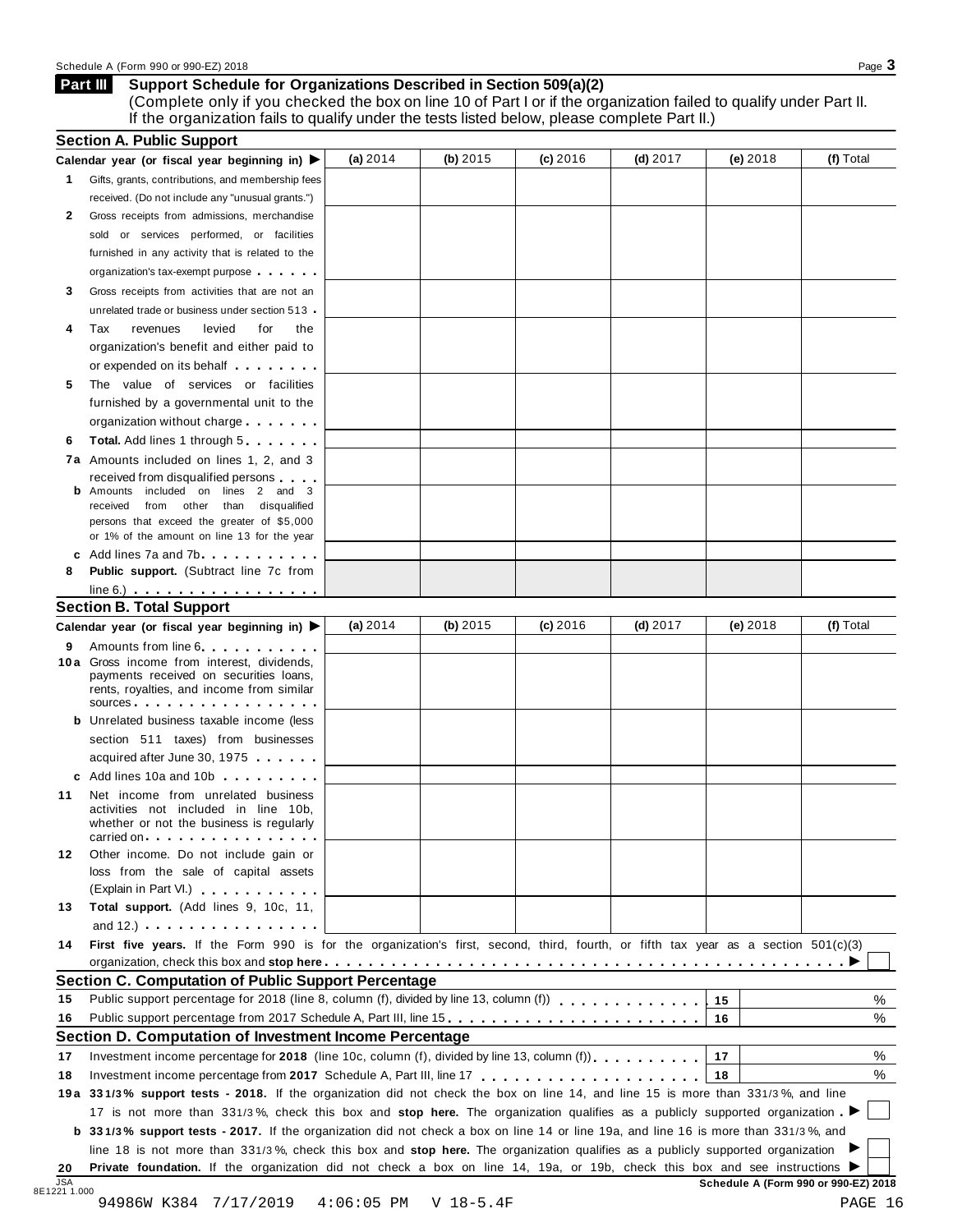### Schedule A (Form 990 or 990-EZ) 2018 Page 3

### **Support Schedule for Organizations Described in Section 509(a)(2) Part III**

(Complete only if you checked the box on line 10 of Part I or if the organization failed to qualify under Part II. If the organization fails to qualify under the tests listed below, please complete Part II.)

|                            | Calendar year (or fiscal year beginning in) $\blacktriangleright$                                                                                                                                                                                                     | (a) 2014   | (b) $2015$ | (c) 2016   | $(d)$ 2017 | $(e)$ 2018 | (f) Total        |
|----------------------------|-----------------------------------------------------------------------------------------------------------------------------------------------------------------------------------------------------------------------------------------------------------------------|------------|------------|------------|------------|------------|------------------|
|                            | 1 Gifts, grants, contributions, and membership fees                                                                                                                                                                                                                   |            |            |            |            |            |                  |
|                            | received. (Do not include any "unusual grants.")                                                                                                                                                                                                                      |            |            |            |            |            |                  |
| 2                          | Gross receipts from admissions, merchandise                                                                                                                                                                                                                           |            |            |            |            |            |                  |
|                            | sold or services performed, or facilities                                                                                                                                                                                                                             |            |            |            |            |            |                  |
|                            | furnished in any activity that is related to the                                                                                                                                                                                                                      |            |            |            |            |            |                  |
|                            | organization's tax-exempt purpose                                                                                                                                                                                                                                     |            |            |            |            |            |                  |
| 3                          | Gross receipts from activities that are not an                                                                                                                                                                                                                        |            |            |            |            |            |                  |
|                            | unrelated trade or business under section 513 -                                                                                                                                                                                                                       |            |            |            |            |            |                  |
| 4                          | Tax<br>revenues<br>levied<br>for<br>the                                                                                                                                                                                                                               |            |            |            |            |            |                  |
|                            | organization's benefit and either paid to                                                                                                                                                                                                                             |            |            |            |            |            |                  |
|                            | or expended on its behalf <b>contained</b> by the set of the set of the set of the set of the set of the set of the set of the set of the set of the set of the set of the set of the set of the set of the set of the set of the s                                   |            |            |            |            |            |                  |
| 5                          | The value of services or facilities                                                                                                                                                                                                                                   |            |            |            |            |            |                  |
|                            | furnished by a governmental unit to the                                                                                                                                                                                                                               |            |            |            |            |            |                  |
|                            | organization without charge                                                                                                                                                                                                                                           |            |            |            |            |            |                  |
| 6                          | <b>Total.</b> Add lines 1 through 5                                                                                                                                                                                                                                   |            |            |            |            |            |                  |
|                            | 7a Amounts included on lines 1, 2, and 3                                                                                                                                                                                                                              |            |            |            |            |            |                  |
|                            | received from disqualified persons                                                                                                                                                                                                                                    |            |            |            |            |            |                  |
|                            | Amounts included on lines 2 and 3                                                                                                                                                                                                                                     |            |            |            |            |            |                  |
|                            | received from other than disqualified                                                                                                                                                                                                                                 |            |            |            |            |            |                  |
|                            | persons that exceed the greater of \$5,000<br>or 1% of the amount on line 13 for the year                                                                                                                                                                             |            |            |            |            |            |                  |
|                            | c Add lines $7a$ and $7b$                                                                                                                                                                                                                                             |            |            |            |            |            |                  |
| 8                          | <b>Public support.</b> (Subtract line 7c from                                                                                                                                                                                                                         |            |            |            |            |            |                  |
|                            | $line 6.)$ $\ldots$ $\ldots$ $\ldots$ $\ldots$ $\ldots$                                                                                                                                                                                                               |            |            |            |            |            |                  |
|                            | <b>Section B. Total Support</b>                                                                                                                                                                                                                                       |            |            |            |            |            |                  |
|                            | Calendar year (or fiscal year beginning in) ▶                                                                                                                                                                                                                         | (a) $2014$ | (b) 2015   | $(c)$ 2016 | (d) $2017$ | $(e)$ 2018 | (f) Total        |
| 9                          | Amounts from line 6.                                                                                                                                                                                                                                                  |            |            |            |            |            |                  |
|                            | 10a Gross income from interest, dividends,                                                                                                                                                                                                                            |            |            |            |            |            |                  |
|                            | payments received on securities loans,                                                                                                                                                                                                                                |            |            |            |            |            |                  |
|                            | rents, royalties, and income from similar<br>$sources$                                                                                                                                                                                                                |            |            |            |            |            |                  |
|                            | <b>b</b> Unrelated business taxable income (less                                                                                                                                                                                                                      |            |            |            |            |            |                  |
|                            | section 511 taxes) from businesses                                                                                                                                                                                                                                    |            |            |            |            |            |                  |
|                            | acquired after June 30, 1975                                                                                                                                                                                                                                          |            |            |            |            |            |                  |
|                            |                                                                                                                                                                                                                                                                       |            |            |            |            |            |                  |
|                            |                                                                                                                                                                                                                                                                       |            |            |            |            |            |                  |
|                            | c Add lines 10a and 10b                                                                                                                                                                                                                                               |            |            |            |            |            |                  |
|                            | Net income from unrelated business                                                                                                                                                                                                                                    |            |            |            |            |            |                  |
|                            | activities not included in line 10b,<br>whether or not the business is regularly                                                                                                                                                                                      |            |            |            |            |            |                  |
|                            | carried on entering the entering term in the care in the case of the case of the case of the case of the case o                                                                                                                                                       |            |            |            |            |            |                  |
|                            | Other income. Do not include gain or                                                                                                                                                                                                                                  |            |            |            |            |            |                  |
|                            | loss from the sale of capital assets                                                                                                                                                                                                                                  |            |            |            |            |            |                  |
|                            | (Explain in Part VI.) <b>All Accords</b>                                                                                                                                                                                                                              |            |            |            |            |            |                  |
|                            | Total support. (Add lines 9, 10c, 11,                                                                                                                                                                                                                                 |            |            |            |            |            |                  |
| 11<br>12<br>13             | and $12.$ ) $\cdots$ $\cdots$ $\cdots$ $\cdots$ $\cdots$                                                                                                                                                                                                              |            |            |            |            |            |                  |
|                            | First five years. If the Form 990 is for the organization's first, second, third, fourth, or fifth tax year as a section 501(c)(3)                                                                                                                                    |            |            |            |            |            |                  |
|                            |                                                                                                                                                                                                                                                                       |            |            |            |            |            |                  |
|                            | <b>Section C. Computation of Public Support Percentage</b>                                                                                                                                                                                                            |            |            |            |            |            |                  |
|                            | Public support percentage for 2018 (line 8, column (f), divided by line 13, column (f) [1] [1] $\ldots$ [1] $\ldots$ [1] $\ldots$ [1] $\ldots$ [1] $\ldots$ [1] $\ldots$ [1] $\ldots$ [1] $\ldots$ [1] $\ldots$ [1] $\ldots$ [1] $\ldots$ [1] $\ldots$ [1] $\ldots$ [ |            |            |            |            | 15         |                  |
|                            | Public support percentage from 2017 Schedule A, Part III, line 15                                                                                                                                                                                                     |            |            |            |            | 16         |                  |
|                            | Section D. Computation of Investment Income Percentage                                                                                                                                                                                                                |            |            |            |            |            |                  |
|                            | Investment income percentage for 2018 (line 10c, column (f), divided by line 13, column (f)), $\ldots$ , , , , , , ,                                                                                                                                                  |            |            |            |            | 17         |                  |
| 14<br>15<br>16<br>17<br>18 |                                                                                                                                                                                                                                                                       |            |            |            |            | 18         |                  |
|                            | 19a 331/3% support tests - 2018. If the organization did not check the box on line 14, and line 15 is more than 331/3%, and line                                                                                                                                      |            |            |            |            |            |                  |
|                            | 17 is not more than 331/3%, check this box and stop here. The organization qualifies as a publicly supported organization                                                                                                                                             |            |            |            |            |            |                  |
|                            | <b>b</b> 331/3% support tests - 2017. If the organization did not check a box on line 14 or line 19a, and line 16 is more than 331/3%, and                                                                                                                            |            |            |            |            |            |                  |
|                            | line 18 is not more than 331/3%, check this box and stop here. The organization qualifies as a publicly supported organization                                                                                                                                        |            |            |            |            |            | %<br>%<br>%<br>% |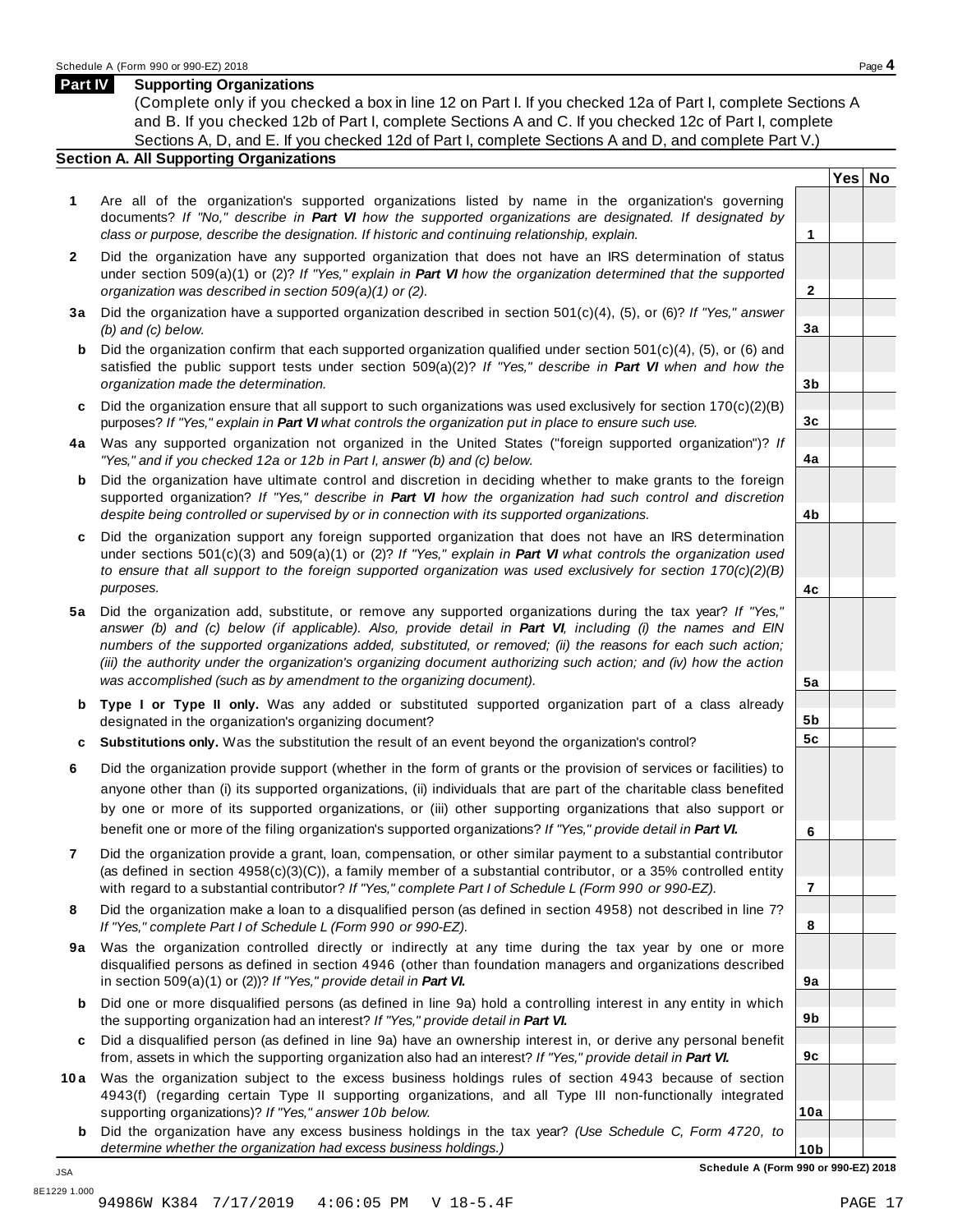**Yes No**

**2**

**3a**

**3b**

**3c**

**4a**

**4b**

**4c**

**5a**

**5b 5c**

**6**

**7**

**8**

**9a**

**9b**

**9c**

**10a**

### **Part IV Supporting Organizations**

(Complete only if you checked a box in line 12 on Part I. If you checked 12a of Part I, complete Sections A and B. If you checked 12b of Part I, complete Sections A and C. If you checked 12c of Part I, complete Sections A, D, and E. If you checked 12d of Part I, complete Sections A and D, and complete Part V.)

### **Section A. All Supporting Organizations**

- **1** Are all of the organization's supported organizations listed by name in the organization's governing documents? *If "No," describe in Part VI how the supported organizations are designated. If designated by class or purpose, describe the designation. If historic and continuing relationship, explain.* **1**
- **2** Did the organization have any supported organization that does not have an IRS determination of status under section 509(a)(1) or (2)? *If"Yes," explain in Part VI how the organization determined that the supported organization was described in section 509(a)(1) or (2).*
- **3 a** Did the organization have a supported organization described in section 501(c)(4), (5), or (6)? *If "Yes," answer (b) and (c) below.*
- **b** Did the organization confirm that each supported organization qualified under section 501(c)(4), (5), or (6) and | satisfied the public support tests under section 509(a)(2)? *If "Yes," describe in Part VI when and how the organization made the determination.*
- **c** Did the organization ensure that all support to such organizations was used exclusively for section 170(c)(2)(B) purposes? *If"Yes," explain in Part VI what controls the organization put in place to ensure such use.*
- **4 a** Was any supported organization not organized in the United States ("foreign supported organization")? *If "Yes," and if you checked 12a or 12b in Part I, answer (b) and (c) below.*
- **b** Did the organization have ultimate control and discretion in deciding whether to make grants to the foreign | supported organization? *If "Yes," describe in Part VI how the organization had such control and discretion despite being controlled or supervised by or in connection with its supported organizations.*
- **c** Did the organization support any foreign supported organization that does not have an IRS determination under sections 501(c)(3) and 509(a)(1) or (2)? *If "Yes," explain in Part VI what controls the organization used to ensure that all support to the foreign supported organization was used exclusively for section 170(c)(2)(B) purposes.*
- **5 a** Did the organization add, substitute, or remove any supported organizations during the tax year? *If "Yes,"* answer (b) and (c) below (if applicable). Also, provide detail in Part VI, including (i) the names and EIN *numbers of the supported organizations added, substituted, or removed; (ii) the reasons for each such action;* (iii) the authority under the organization's organizing document authorizing such action; and (iv) how the action *was accomplished (such as by amendment to the organizing document).*
- **b Type I or Type II only.** Was any added or substituted supported organization part of a class already designated in the organization's organizing document?
- **c Substitutions only.** Was the substitution the result of an event beyond the organization's control?
- **6** Did the organization provide support (whether in the form of grants or the provision of services or facilities) to anyone other than (i) its supported organizations, (ii) individuals that are part of the charitable class benefited by one or more of its supported organizations, or (iii) other supporting organizations that also support or benefit one or more of the filing organization's supported organizations? *If"Yes," provide detail in Part VI.*
- **7** Did the organization provide a grant, loan, compensation, or other similar payment to a substantial contributor (as defined in section 4958(c)(3)(C)), a family member of a substantial contributor, or a 35% controlled entity with regard to a substantial contributor? *If"Yes," complete Part I of Schedule L (Form 990 or 990-EZ).*
- **8** Did the organization make a loan to a disqualified person (as defined in section 4958) not described in line 7? *If "Yes," complete Part I of Schedule L (Form 990 or 990-EZ).*
- **9a** Was the organization controlled directly or indirectly at any time during the tax year by one or more | disqualified persons as defined in section 4946 (other than foundation managers and organizations described in section 509(a)(1) or (2))? *If"Yes," provide detail in Part VI.*
- **b** Did one or more disqualified persons (as defined in line 9a) hold a controlling interest in any entity in which | the supporting organization had an interest? *If"Yes," provide detail in Part VI.*
- **c** Did a disqualified person (as defined in line 9a) have an ownership interest in, or derive any personal benefit from, assets in which the supporting organization also had an interest? *If"Yes," provide detail in Part VI.*
- **10a** Was the organization subject to the excess business holdings rules of section 4943 because of section | 4943(f) (regarding certain Type II supporting organizations, and all Type III non-functionally integrated supporting organizations)? *If"Yes," answer 10b below.*
	- **b** Did the organization have any excess business holdings in the tax year? *(Use Schedule C, Form 4720, to determine whether the organization had excess business holdings.)*

**10b Schedule A (Form 990 or 990-EZ) 2018**

JSA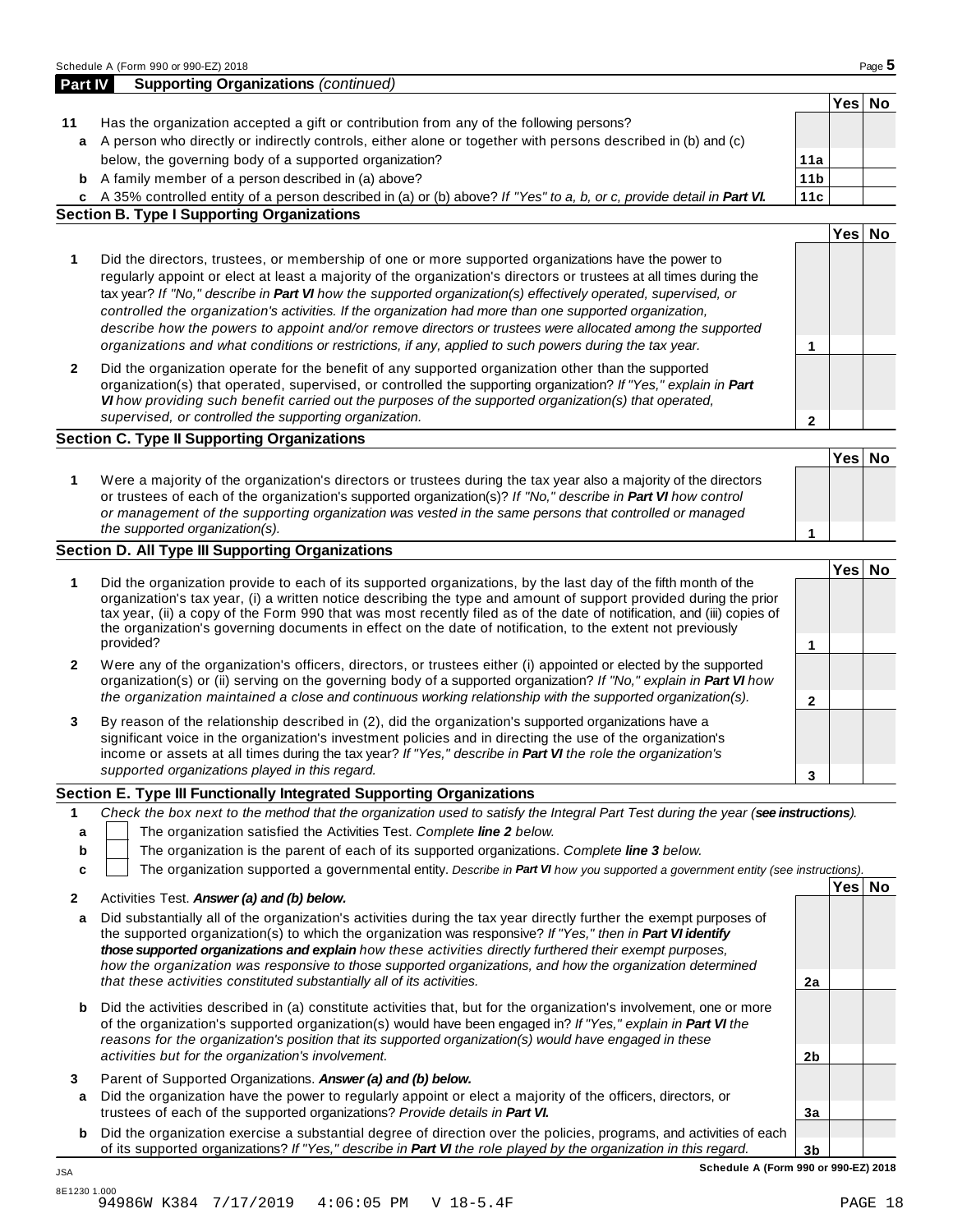|             | a A person who directly or indirectly controls, either alone or together with persons described in (b) and (c)                                                                                                                                                                                                                                                                                                                                                                                                                                                                                                                                                               |                      |        |  |
|-------------|------------------------------------------------------------------------------------------------------------------------------------------------------------------------------------------------------------------------------------------------------------------------------------------------------------------------------------------------------------------------------------------------------------------------------------------------------------------------------------------------------------------------------------------------------------------------------------------------------------------------------------------------------------------------------|----------------------|--------|--|
|             | below, the governing body of a supported organization?                                                                                                                                                                                                                                                                                                                                                                                                                                                                                                                                                                                                                       | 11a                  |        |  |
|             | <b>b</b> A family member of a person described in (a) above?                                                                                                                                                                                                                                                                                                                                                                                                                                                                                                                                                                                                                 | 11 <sub>b</sub>      |        |  |
|             | c A 35% controlled entity of a person described in (a) or (b) above? If "Yes" to a, b, or c, provide detail in Part VI.                                                                                                                                                                                                                                                                                                                                                                                                                                                                                                                                                      | 11c                  |        |  |
|             | <b>Section B. Type I Supporting Organizations</b>                                                                                                                                                                                                                                                                                                                                                                                                                                                                                                                                                                                                                            |                      |        |  |
|             |                                                                                                                                                                                                                                                                                                                                                                                                                                                                                                                                                                                                                                                                              |                      | Yes No |  |
| 1           | Did the directors, trustees, or membership of one or more supported organizations have the power to<br>regularly appoint or elect at least a majority of the organization's directors or trustees at all times during the<br>tax year? If "No," describe in Part VI how the supported organization(s) effectively operated, supervised, or<br>controlled the organization's activities. If the organization had more than one supported organization,<br>describe how the powers to appoint and/or remove directors or trustees were allocated among the supported<br>organizations and what conditions or restrictions, if any, applied to such powers during the tax year. | 1                    |        |  |
| 2           | Did the organization operate for the benefit of any supported organization other than the supported<br>organization(s) that operated, supervised, or controlled the supporting organization? If "Yes," explain in Part<br>VI how providing such benefit carried out the purposes of the supported organization(s) that operated,<br>supervised, or controlled the supporting organization.                                                                                                                                                                                                                                                                                   | $\mathbf{2}$         |        |  |
|             | <b>Section C. Type II Supporting Organizations</b>                                                                                                                                                                                                                                                                                                                                                                                                                                                                                                                                                                                                                           |                      |        |  |
|             |                                                                                                                                                                                                                                                                                                                                                                                                                                                                                                                                                                                                                                                                              |                      | Yes No |  |
| 1           | Were a majority of the organization's directors or trustees during the tax year also a majority of the directors<br>or trustees of each of the organization's supported organization(s)? If "No," describe in Part VI how control<br>or management of the supporting organization was vested in the same persons that controlled or managed<br>the supported organization(s).                                                                                                                                                                                                                                                                                                | 1                    |        |  |
|             | <b>Section D. All Type III Supporting Organizations</b>                                                                                                                                                                                                                                                                                                                                                                                                                                                                                                                                                                                                                      |                      |        |  |
| 1           | Did the organization provide to each of its supported organizations, by the last day of the fifth month of the<br>organization's tax year, (i) a written notice describing the type and amount of support provided during the prior                                                                                                                                                                                                                                                                                                                                                                                                                                          |                      | Yes No |  |
|             | tax year, (ii) a copy of the Form 990 that was most recently filed as of the date of notification, and (iii) copies of<br>the organization's governing documents in effect on the date of notification, to the extent not previously<br>provided?                                                                                                                                                                                                                                                                                                                                                                                                                            | 1                    |        |  |
| 2           | Were any of the organization's officers, directors, or trustees either (i) appointed or elected by the supported<br>organization(s) or (ii) serving on the governing body of a supported organization? If "No," explain in Part VI how<br>the organization maintained a close and continuous working relationship with the supported organization(s).                                                                                                                                                                                                                                                                                                                        | $\mathbf{2}$         |        |  |
| 3           | By reason of the relationship described in (2), did the organization's supported organizations have a<br>significant voice in the organization's investment policies and in directing the use of the organization's<br>income or assets at all times during the tax year? If "Yes," describe in Part VI the role the organization's<br>supported organizations played in this regard.                                                                                                                                                                                                                                                                                        | 3                    |        |  |
|             | Section E. Type III Functionally Integrated Supporting Organizations                                                                                                                                                                                                                                                                                                                                                                                                                                                                                                                                                                                                         |                      |        |  |
| 1<br>b<br>c | Check the box next to the method that the organization used to satisfy the Integral Part Test during the year (see instructions).<br>The organization satisfied the Activities Test. Complete line 2 below.<br>The organization is the parent of each of its supported organizations. Complete line 3 below.<br>The organization supported a governmental entity. Describe in Part VI how you supported a government entity (see instructions).                                                                                                                                                                                                                              |                      | Yes No |  |
| 2<br>a      | Activities Test. Answer (a) and (b) below.<br>Did substantially all of the organization's activities during the tax year directly further the exempt purposes of                                                                                                                                                                                                                                                                                                                                                                                                                                                                                                             |                      |        |  |
|             | the supported organization(s) to which the organization was responsive? If "Yes," then in Part VI identify<br>those supported organizations and explain how these activities directly furthered their exempt purposes,<br>how the organization was responsive to those supported organizations, and how the organization determined<br>that these activities constituted substantially all of its activities.                                                                                                                                                                                                                                                                | 2a                   |        |  |
| b           | Did the activities described in (a) constitute activities that, but for the organization's involvement, one or more<br>of the organization's supported organization(s) would have been engaged in? If "Yes," explain in Part VI the<br>reasons for the organization's position that its supported organization(s) would have engaged in these                                                                                                                                                                                                                                                                                                                                |                      |        |  |
| 3<br>a      | activities but for the organization's involvement.<br>Parent of Supported Organizations. Answer (a) and (b) below.<br>Did the organization have the power to regularly appoint or elect a majority of the officers, directors, or                                                                                                                                                                                                                                                                                                                                                                                                                                            | 2b                   |        |  |
| b           | trustees of each of the supported organizations? Provide details in Part VI.<br>Did the organization exercise a substantial degree of direction over the policies, programs, and activities of each<br>of its supported organizations? If "Yes," describe in Part VI the role played by the organization in this regard.                                                                                                                                                                                                                                                                                                                                                     | 3a<br>3 <sub>b</sub> |        |  |

**Part IV Supporting Organizations** *(continued)*

**11** Has the organization accepted a gift or contribution from any of the following persons?

**Yes No**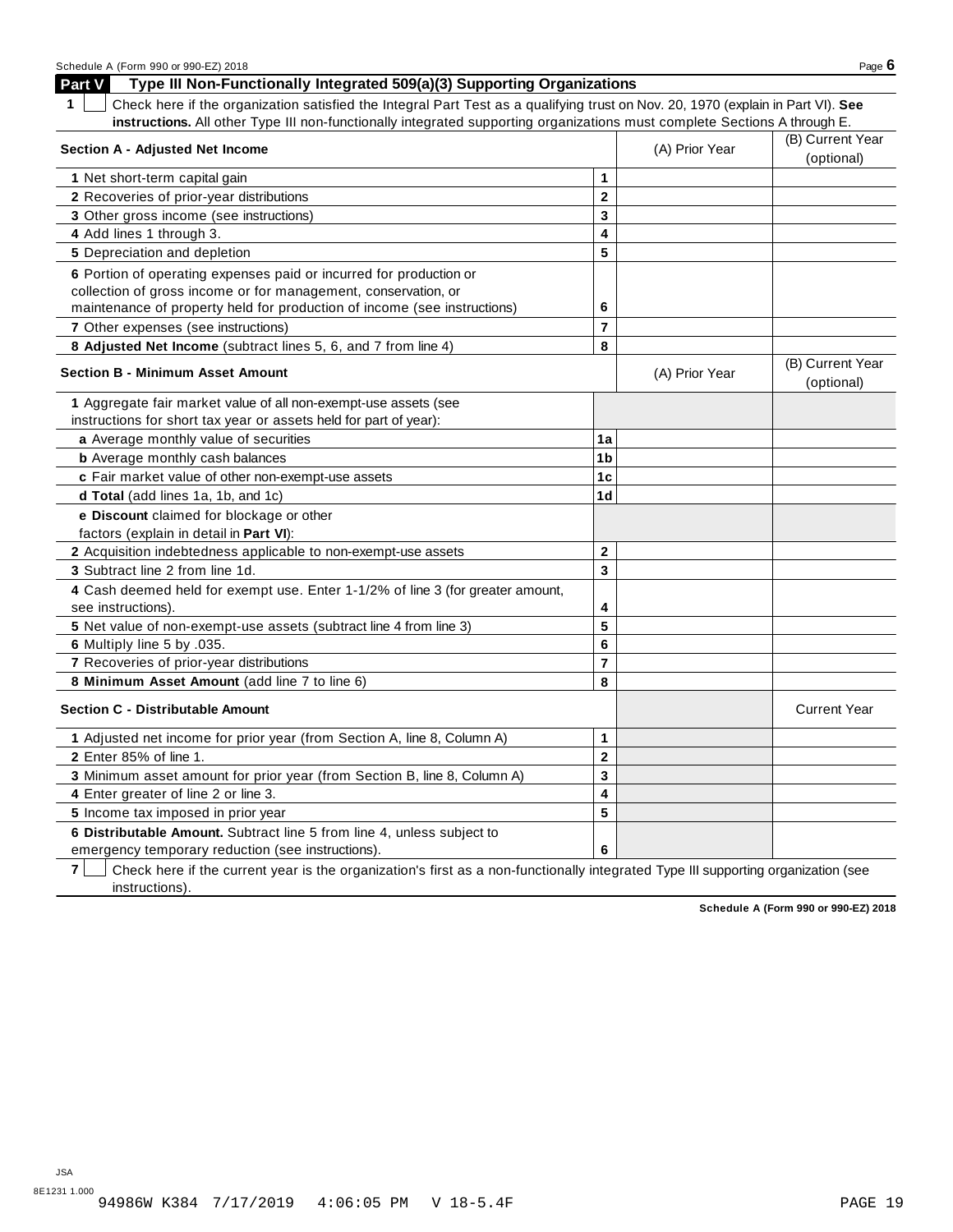| Schedule A (Form 990 or 990-EZ) 2018                                                                                                  |                         |                | Page $6$                       |
|---------------------------------------------------------------------------------------------------------------------------------------|-------------------------|----------------|--------------------------------|
| Part V<br>Type III Non-Functionally Integrated 509(a)(3) Supporting Organizations                                                     |                         |                |                                |
| Check here if the organization satisfied the Integral Part Test as a qualifying trust on Nov. 20, 1970 (explain in Part VI). See<br>1 |                         |                |                                |
| instructions. All other Type III non-functionally integrated supporting organizations must complete Sections A through E.             |                         |                |                                |
| <b>Section A - Adjusted Net Income</b>                                                                                                |                         | (A) Prior Year | (B) Current Year               |
|                                                                                                                                       |                         |                | (optional)                     |
| 1 Net short-term capital gain                                                                                                         | 1                       |                |                                |
| 2 Recoveries of prior-year distributions                                                                                              | $\overline{\mathbf{2}}$ |                |                                |
| 3 Other gross income (see instructions)                                                                                               | 3                       |                |                                |
| 4 Add lines 1 through 3.                                                                                                              | 4                       |                |                                |
| 5 Depreciation and depletion                                                                                                          | 5                       |                |                                |
| 6 Portion of operating expenses paid or incurred for production or                                                                    |                         |                |                                |
| collection of gross income or for management, conservation, or                                                                        |                         |                |                                |
| maintenance of property held for production of income (see instructions)                                                              | 6                       |                |                                |
| 7 Other expenses (see instructions)                                                                                                   | $\overline{7}$          |                |                                |
| 8 Adjusted Net Income (subtract lines 5, 6, and 7 from line 4)                                                                        | 8                       |                |                                |
| <b>Section B - Minimum Asset Amount</b>                                                                                               |                         | (A) Prior Year | (B) Current Year<br>(optional) |
| 1 Aggregate fair market value of all non-exempt-use assets (see                                                                       |                         |                |                                |
| instructions for short tax year or assets held for part of year):                                                                     |                         |                |                                |
| a Average monthly value of securities                                                                                                 | 1a                      |                |                                |
| <b>b</b> Average monthly cash balances                                                                                                | 1b                      |                |                                |
| c Fair market value of other non-exempt-use assets                                                                                    | 1 <sub>c</sub>          |                |                                |
| d Total (add lines 1a, 1b, and 1c)                                                                                                    | 1 <sub>d</sub>          |                |                                |
| e Discount claimed for blockage or other                                                                                              |                         |                |                                |
| factors (explain in detail in Part VI):                                                                                               |                         |                |                                |
| 2 Acquisition indebtedness applicable to non-exempt-use assets                                                                        | $\mathbf{2}$            |                |                                |
| 3 Subtract line 2 from line 1d.                                                                                                       | 3                       |                |                                |
| 4 Cash deemed held for exempt use. Enter 1-1/2% of line 3 (for greater amount,<br>see instructions).                                  | 4                       |                |                                |
| 5 Net value of non-exempt-use assets (subtract line 4 from line 3)                                                                    | 5                       |                |                                |
| 6 Multiply line 5 by .035.                                                                                                            | 6                       |                |                                |
| 7 Recoveries of prior-year distributions                                                                                              | $\overline{7}$          |                |                                |
| 8 Minimum Asset Amount (add line 7 to line 6)                                                                                         | 8                       |                |                                |
| <b>Section C - Distributable Amount</b>                                                                                               |                         |                | <b>Current Year</b>            |
| 1 Adjusted net income for prior year (from Section A, line 8, Column A)                                                               | 1                       |                |                                |
| 2 Enter 85% of line 1.                                                                                                                | $\mathbf 2$             |                |                                |
| 3 Minimum asset amount for prior year (from Section B, line 8, Column A)                                                              | 3                       |                |                                |
| 4 Enter greater of line 2 or line 3.                                                                                                  | 4                       |                |                                |
| 5 Income tax imposed in prior year                                                                                                    | 5                       |                |                                |
| 6 Distributable Amount. Subtract line 5 from line 4, unless subject to                                                                |                         |                |                                |
| emergency temporary reduction (see instructions).                                                                                     | 6                       |                |                                |

**7** Check here if the current year is the organization's first as a non-functionally integrated Type III supporting organization (see instructions).

**Schedule A (Form 990 or 990-EZ) 2018**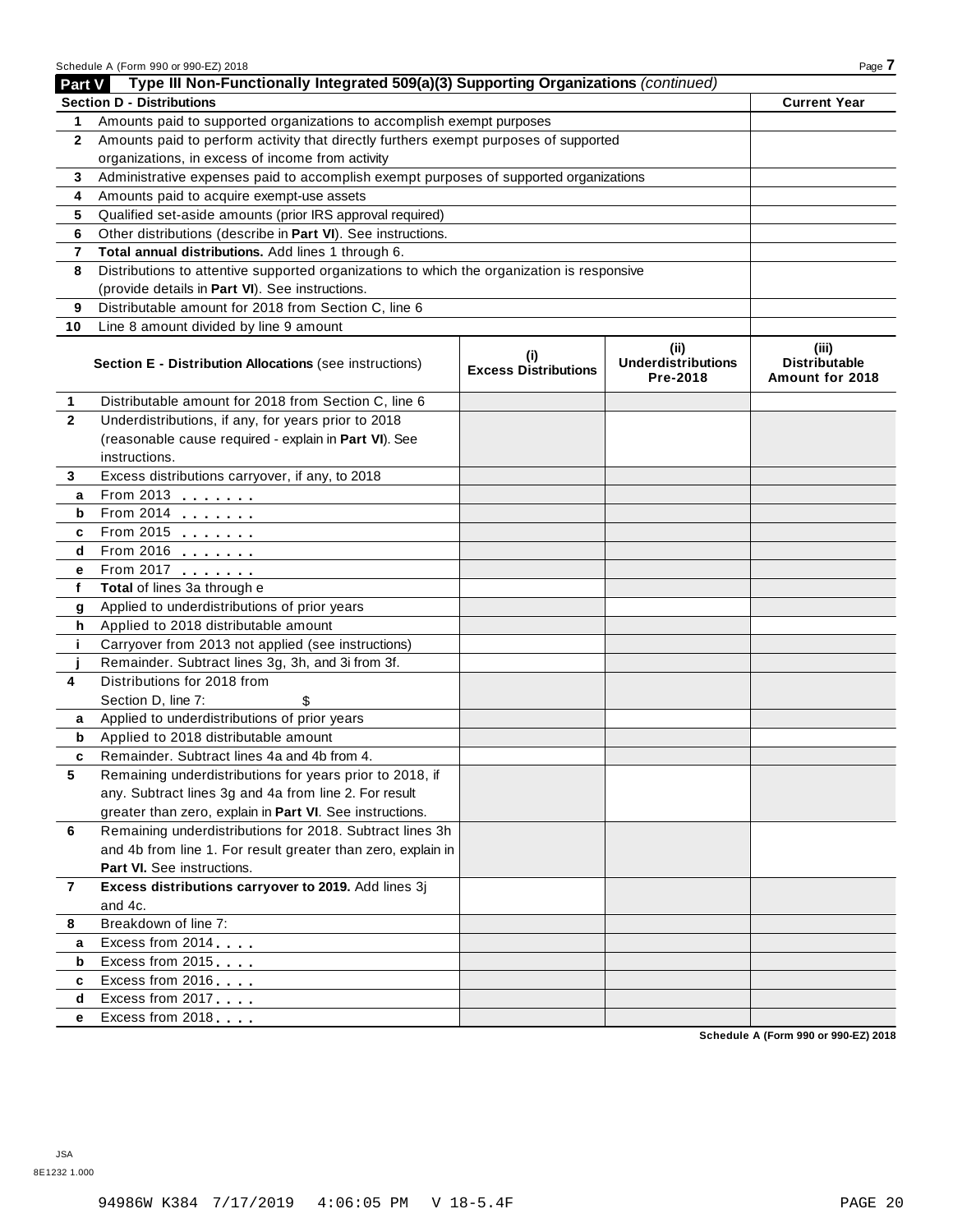|                | Schedule A (Form 990 or 990-EZ) 2018                                                       |                                    |                                               | Page 7                                           |  |  |  |  |
|----------------|--------------------------------------------------------------------------------------------|------------------------------------|-----------------------------------------------|--------------------------------------------------|--|--|--|--|
| Part V         | Type III Non-Functionally Integrated 509(a)(3) Supporting Organizations (continued)        |                                    |                                               |                                                  |  |  |  |  |
|                | <b>Section D - Distributions</b>                                                           |                                    |                                               | <b>Current Year</b>                              |  |  |  |  |
| 1              | Amounts paid to supported organizations to accomplish exempt purposes                      |                                    |                                               |                                                  |  |  |  |  |
| $\mathbf{2}$   | Amounts paid to perform activity that directly furthers exempt purposes of supported       |                                    |                                               |                                                  |  |  |  |  |
|                | organizations, in excess of income from activity                                           |                                    |                                               |                                                  |  |  |  |  |
| 3              | Administrative expenses paid to accomplish exempt purposes of supported organizations      |                                    |                                               |                                                  |  |  |  |  |
| 4              | Amounts paid to acquire exempt-use assets                                                  |                                    |                                               |                                                  |  |  |  |  |
| 5              | Qualified set-aside amounts (prior IRS approval required)                                  |                                    |                                               |                                                  |  |  |  |  |
| 6              | Other distributions (describe in Part VI). See instructions.                               |                                    |                                               |                                                  |  |  |  |  |
| 7              | Total annual distributions. Add lines 1 through 6.                                         |                                    |                                               |                                                  |  |  |  |  |
| 8              | Distributions to attentive supported organizations to which the organization is responsive |                                    |                                               |                                                  |  |  |  |  |
|                | (provide details in Part VI). See instructions.                                            |                                    |                                               |                                                  |  |  |  |  |
| 9              | Distributable amount for 2018 from Section C, line 6                                       |                                    |                                               |                                                  |  |  |  |  |
| 10             | Line 8 amount divided by line 9 amount                                                     |                                    |                                               |                                                  |  |  |  |  |
|                | Section E - Distribution Allocations (see instructions)                                    | (i)<br><b>Excess Distributions</b> | (ii)<br><b>Underdistributions</b><br>Pre-2018 | (iii)<br><b>Distributable</b><br>Amount for 2018 |  |  |  |  |
| 1              | Distributable amount for 2018 from Section C, line 6                                       |                                    |                                               |                                                  |  |  |  |  |
| $\mathbf{2}$   | Underdistributions, if any, for years prior to 2018                                        |                                    |                                               |                                                  |  |  |  |  |
|                | (reasonable cause required - explain in Part VI). See                                      |                                    |                                               |                                                  |  |  |  |  |
|                | instructions.                                                                              |                                    |                                               |                                                  |  |  |  |  |
| 3              | Excess distributions carryover, if any, to 2018                                            |                                    |                                               |                                                  |  |  |  |  |
| a              |                                                                                            |                                    |                                               |                                                  |  |  |  |  |
| b              |                                                                                            |                                    |                                               |                                                  |  |  |  |  |
| c              | From 2015                                                                                  |                                    |                                               |                                                  |  |  |  |  |
| d              | $From 2016$                                                                                |                                    |                                               |                                                  |  |  |  |  |
| е              | From 2017                                                                                  |                                    |                                               |                                                  |  |  |  |  |
| f              | Total of lines 3a through e                                                                |                                    |                                               |                                                  |  |  |  |  |
| g              | Applied to underdistributions of prior years                                               |                                    |                                               |                                                  |  |  |  |  |
| h              | Applied to 2018 distributable amount                                                       |                                    |                                               |                                                  |  |  |  |  |
| j.             | Carryover from 2013 not applied (see instructions)                                         |                                    |                                               |                                                  |  |  |  |  |
|                | Remainder. Subtract lines 3g, 3h, and 3i from 3f.                                          |                                    |                                               |                                                  |  |  |  |  |
| 4              | Distributions for 2018 from                                                                |                                    |                                               |                                                  |  |  |  |  |
|                | Section D, line 7:<br>\$                                                                   |                                    |                                               |                                                  |  |  |  |  |
| а              | Applied to underdistributions of prior years                                               |                                    |                                               |                                                  |  |  |  |  |
| b              | Applied to 2018 distributable amount                                                       |                                    |                                               |                                                  |  |  |  |  |
|                | Remainder. Subtract lines 4a and 4b from 4.                                                |                                    |                                               |                                                  |  |  |  |  |
| 5              | Remaining underdistributions for years prior to 2018, if                                   |                                    |                                               |                                                  |  |  |  |  |
|                | any. Subtract lines 3g and 4a from line 2. For result                                      |                                    |                                               |                                                  |  |  |  |  |
|                | greater than zero, explain in Part VI. See instructions.                                   |                                    |                                               |                                                  |  |  |  |  |
| 6              | Remaining underdistributions for 2018. Subtract lines 3h                                   |                                    |                                               |                                                  |  |  |  |  |
|                | and 4b from line 1. For result greater than zero, explain in                               |                                    |                                               |                                                  |  |  |  |  |
|                | Part VI. See instructions.                                                                 |                                    |                                               |                                                  |  |  |  |  |
| $\overline{7}$ | Excess distributions carryover to 2019. Add lines 3j                                       |                                    |                                               |                                                  |  |  |  |  |
|                | and 4c.                                                                                    |                                    |                                               |                                                  |  |  |  |  |
| 8              | Breakdown of line 7:                                                                       |                                    |                                               |                                                  |  |  |  |  |
| a              | Excess from 2014                                                                           |                                    |                                               |                                                  |  |  |  |  |
| b              | Excess from 2015                                                                           |                                    |                                               |                                                  |  |  |  |  |
| c              | Excess from 2016                                                                           |                                    |                                               |                                                  |  |  |  |  |
| d              | Excess from 2017                                                                           |                                    |                                               |                                                  |  |  |  |  |
| е              | Excess from 2018                                                                           |                                    |                                               |                                                  |  |  |  |  |

**Schedule A (Form 990 or 990-EZ) 2018**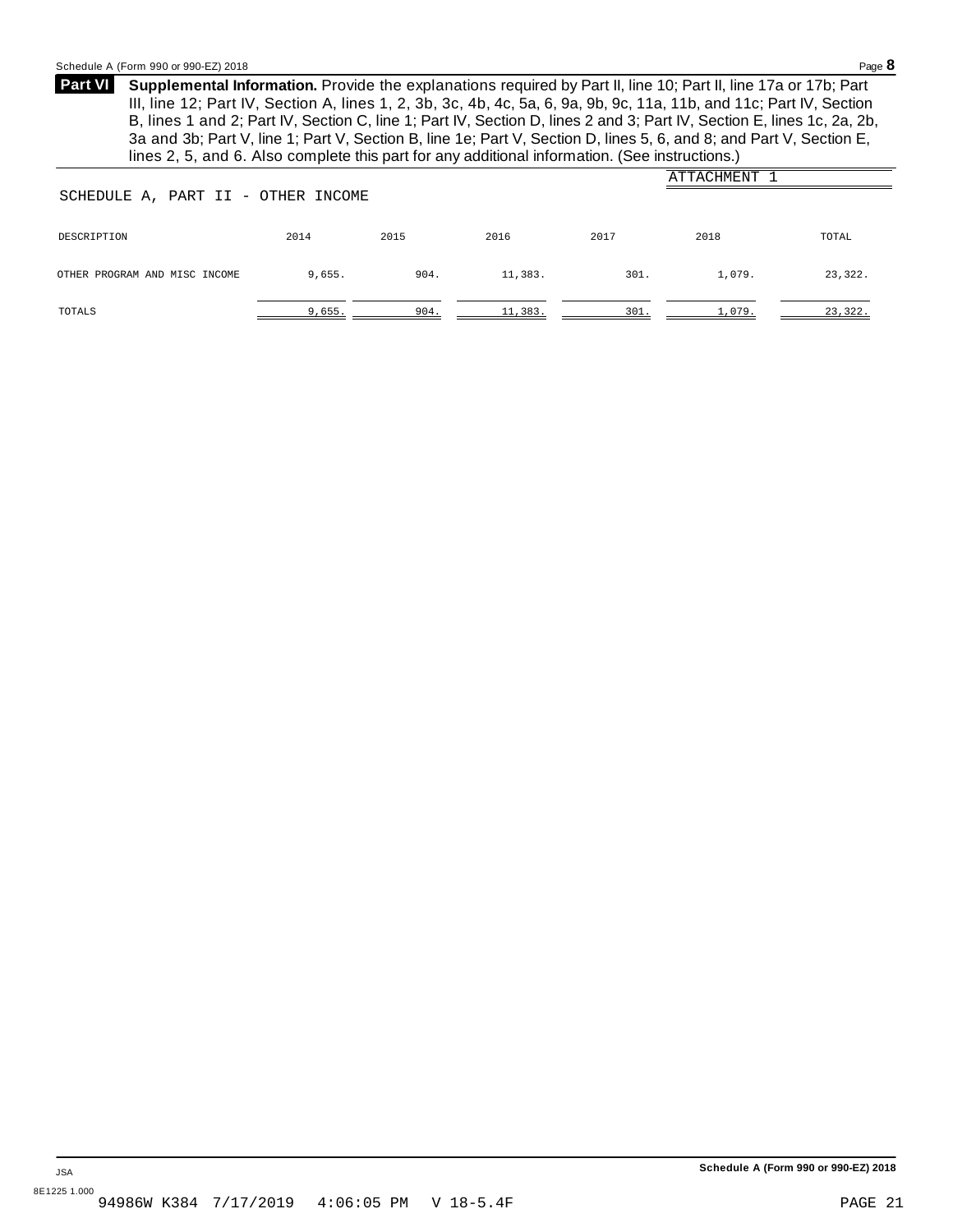<span id="page-19-0"></span>**Supplemental Information.** Provide the explanations required by Part II, line 10; Part II, line 17a or 17b; Part **Part VI** III, line 12; Part IV, Section A, lines 1, 2, 3b, 3c, 4b, 4c, 5a, 6, 9a, 9b, 9c, 11a, 11b, and 11c; Part IV, Section B, lines 1 and 2; Part IV, Section C, line 1; Part IV, Section D, lines 2 and 3; Part IV, Section E, lines 1c, 2a, 2b, 3a and 3b; Part V, line 1; Part V, Section B, line 1e; Part V, Section D, lines 5, 6, and 8; and Part V, Section E, lines 2, 5, and 6. Also complete this part for any additional information. (See instructions.)

|                                    |        |      |         |      | ATTACHMENT |         |
|------------------------------------|--------|------|---------|------|------------|---------|
| SCHEDULE A, PART II - OTHER INCOME |        |      |         |      |            |         |
|                                    |        |      |         |      |            |         |
| DESCRIPTION                        | 2014   | 2015 | 2016    | 2017 | 2018       | TOTAL   |
|                                    |        |      |         |      |            |         |
| OTHER PROGRAM AND MISC INCOME      | 9,655. | 904. | 11,383. | 301. | 1,079.     | 23,322. |
|                                    |        |      |         |      |            |         |
| TOTALS                             | 9,655. | 904. | 11,383. | 301. | 1,079.     | 23,322. |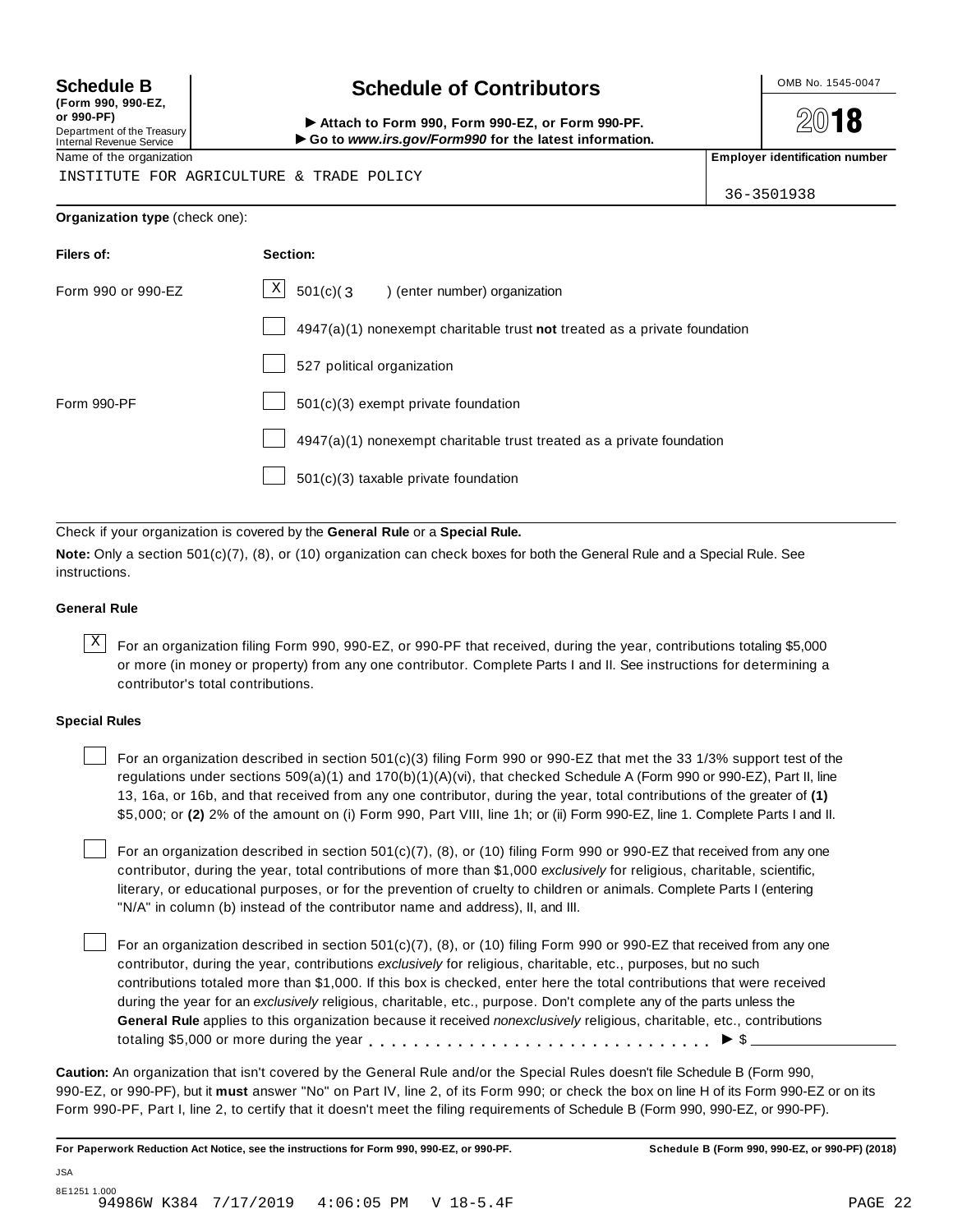**(Form 990, 990-EZ, or 990-PF)** Department of the Treasury<br>Internal Revenue Service

# **Schedule B chedule of Contributors**

(Porm 990, Form 990, Form 990-EZ, or Form 990-PF.<br>Department of the Treasury → Attach to Form 990, Form 990-EZ, or Form 990-PF.<br>Internal Revenue Service → → Go to www.irs.gov/Form990 for the latest information.<br>Name of th

**2018** 

INSTITUTE FOR AGRICULTURE & TRADE POLICY

36-3501938

### **Organization type** (check one):

| Section:                                                                  |
|---------------------------------------------------------------------------|
| $\lfloor \frac{X}{2} \rfloor$ 501(c)(3) (enter number) organization       |
| 4947(a)(1) nonexempt charitable trust not treated as a private foundation |
| 527 political organization                                                |
| 501(c)(3) exempt private foundation                                       |
| 4947(a)(1) nonexempt charitable trust treated as a private foundation     |
| 501(c)(3) taxable private foundation                                      |
|                                                                           |

Check if your organization is covered by the **General Rule** or a **Special Rule.**

**Note:** Only a section 501(c)(7), (8), or (10) organization can check boxes for both the General Rule and a Special Rule. See instructions.

### **General Rule**

 $\overline{X}$  For an organization filing Form 990, 990-EZ, or 990-PF that received, during the year, contributions totaling \$5,000 or more (in money or property) from any one contributor. Complete Parts I and II. See instructions for determining a contributor's total contributions.

### **Special Rules**

For an organization described in section 501(c)(3) filing Form 990 or 990-EZ that met the 33 1/3% support test of the regulations under sections 509(a)(1) and 170(b)(1)(A)(vi), that checked Schedule A (Form 990 or 990-EZ), Part II, line 13, 16a, or 16b, and that received from any one contributor, during the year, total contributions of the greater of **(1)** \$5,000; or **(2)** 2% of the amount on (i) Form 990, Part VIII, line 1h; or (ii) Form 990-EZ, line 1. Complete Parts I and II.

For an organization described in section 501(c)(7), (8), or (10) filing Form 990 or 990-EZ that received from any one contributor, during the year, total contributions of more than \$1,000 *exclusively* for religious, charitable, scientific, literary, or educational purposes, or for the prevention of cruelty to children or animals. Complete Parts I (entering "N/A" in column (b) instead of the contributor name and address), II, and III.

For an organization described in section  $501(c)(7)$ , (8), or (10) filing Form 990 or 990-EZ that received from any one contributor, during the year, contributions *exclusively* for religious, charitable, etc., purposes, but no such contributions totaled more than \$1,000. If this box is checked, enter here the total contributions that were received during the year for an *exclusively* religious, charitable, etc., purpose. Don't complete any of the parts unless the **General Rule** applies to this organization because it received *nonexclusively* religious, charitable, etc., contributions totaling \$5,000 or more during the year  $\ldots \ldots \ldots \ldots \ldots \ldots \ldots \ldots \ldots \vdots$ 

**Caution:** An organization that isn't covered by the General Rule and/or the Special Rules doesn't file Schedule B (Form 990, 990-EZ, or 990-PF), but it **must** answer "No" on Part IV, line 2, of its Form 990; or check the box on line H of its Form 990-EZ or on its Form 990-PF, Part I, line 2, to certify that it doesn't meet the filing requirements of Schedule B (Form 990, 990-EZ, or 990-PF).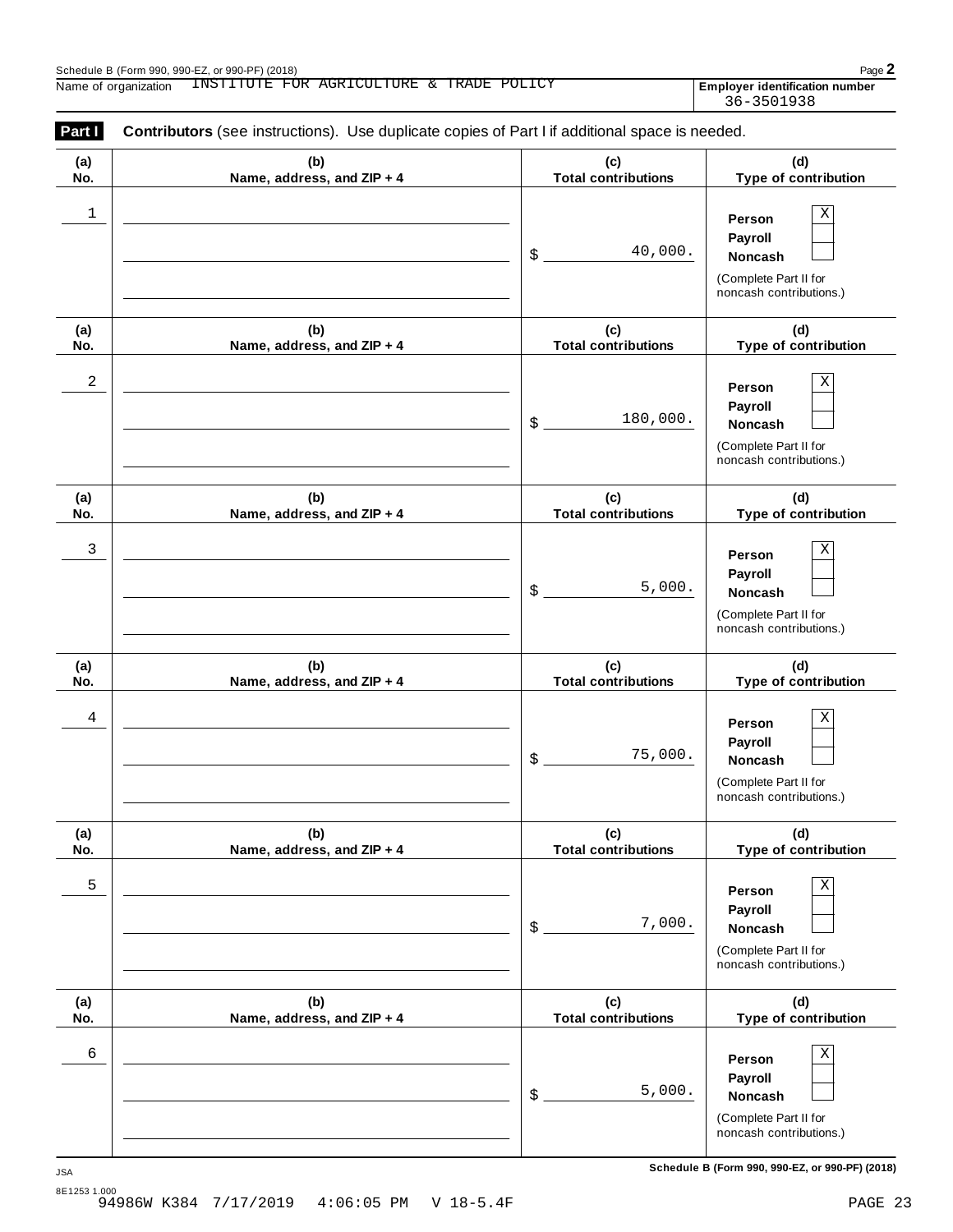| (a) | (b)                        | (c)                        | (d)                                                                                   |
|-----|----------------------------|----------------------------|---------------------------------------------------------------------------------------|
| No. | Name, address, and ZIP + 4 | <b>Total contributions</b> | Type of contribution                                                                  |
| 1   |                            | 40,000.<br>\$              | Χ<br>Person<br>Payroll<br>Noncash<br>(Complete Part II for<br>noncash contributions.) |
| (a) | (b)                        | (c)                        | (d)                                                                                   |
| No. | Name, address, and ZIP + 4 | <b>Total contributions</b> | Type of contribution                                                                  |
| 2   |                            | 180,000.<br>\$             | Χ<br>Person<br>Payroll<br>Noncash<br>(Complete Part II for<br>noncash contributions.) |
| (a) | (b)                        | (c)                        | (d)                                                                                   |
| No. | Name, address, and ZIP + 4 | <b>Total contributions</b> | Type of contribution                                                                  |
| 3   |                            | 5,000.<br>\$               | Χ<br>Person<br>Payroll<br>Noncash<br>(Complete Part II for<br>noncash contributions.) |
| (a) | (b)                        | (c)                        | (d)                                                                                   |
| No. | Name, address, and ZIP + 4 | <b>Total contributions</b> | Type of contribution                                                                  |
| 4   |                            | 75,000.<br>\$              | Χ<br>Person<br>Payroll<br>Noncash<br>(Complete Part II for<br>noncash contributions.) |
| (a) | (b)                        | (c)                        | (d)                                                                                   |
| No. | Name, address, and ZIP + 4 | <b>Total contributions</b> | <b>Type of contribution</b>                                                           |
| 5   |                            | 7,000.<br>\$               | Χ<br>Person<br>Payroll<br>Noncash<br>(Complete Part II for<br>noncash contributions.) |
| (a) | (b)                        | (c)                        | (d)                                                                                   |
| No. | Name, address, and ZIP + 4 | <b>Total contributions</b> | Type of contribution                                                                  |
| 6   |                            | 5,000.<br>\$               | Χ<br>Person<br>Payroll<br>Noncash<br>(Complete Part II for<br>noncash contributions.) |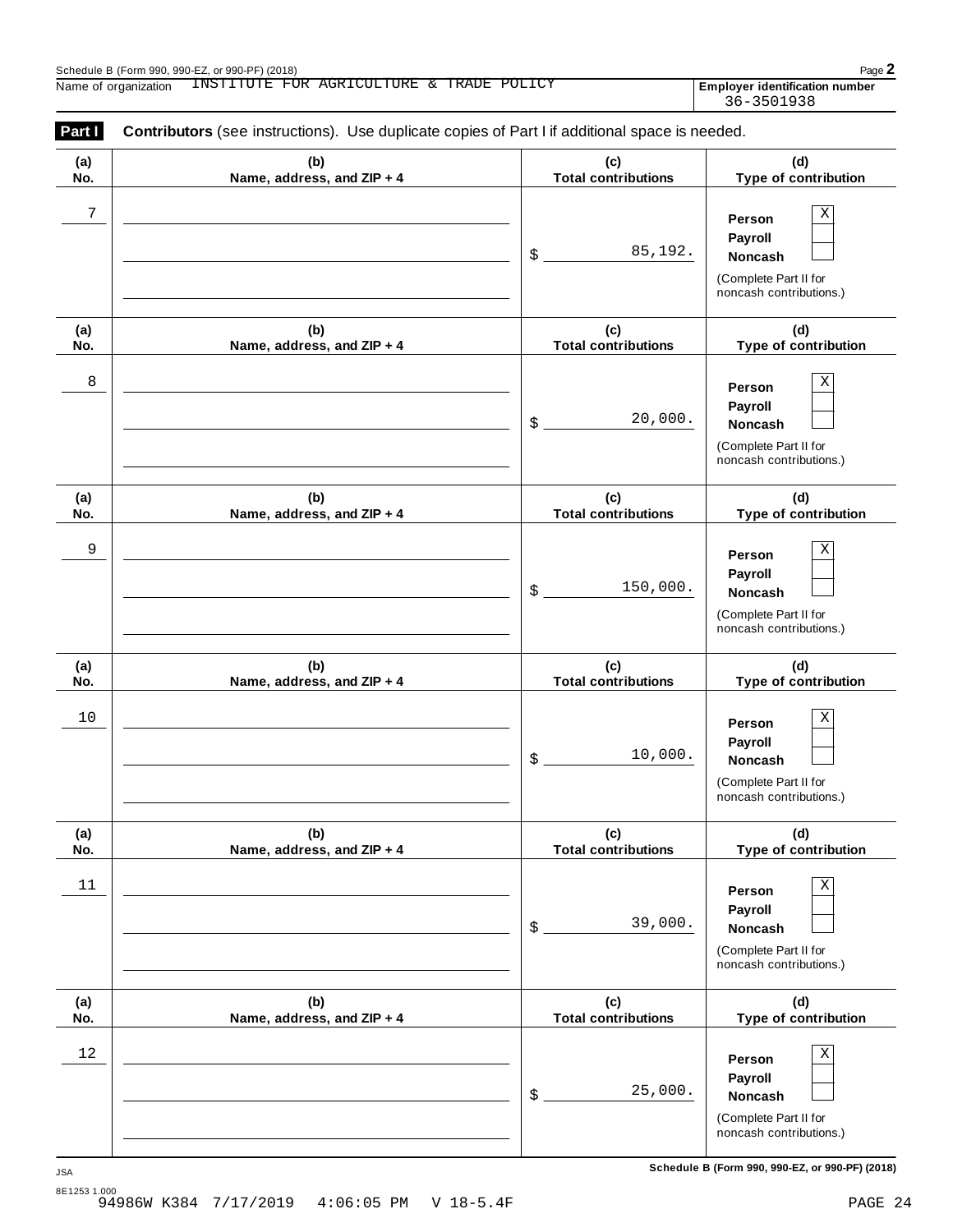| Part I     | Contributors (see instructions). Use duplicate copies of Part I if additional space is needed. |                                   |                                                                                       |
|------------|------------------------------------------------------------------------------------------------|-----------------------------------|---------------------------------------------------------------------------------------|
| (a)<br>No. | (b)<br>Name, address, and ZIP + 4                                                              | (c)<br><b>Total contributions</b> | (d)<br>Type of contribution                                                           |
| $\sqrt{ }$ |                                                                                                | 85,192.<br>\$                     | X<br>Person<br>Payroll<br>Noncash<br>(Complete Part II for<br>noncash contributions.) |
| (a)<br>No. | (b)<br>Name, address, and ZIP + 4                                                              | (c)<br><b>Total contributions</b> | (d)<br>Type of contribution                                                           |
| 8          |                                                                                                | 20,000.<br>\$                     | X<br>Person<br>Payroll<br>Noncash<br>(Complete Part II for<br>noncash contributions.) |
| (a)<br>No. | (b)<br>Name, address, and ZIP + 4                                                              | (c)<br><b>Total contributions</b> | (d)<br>Type of contribution                                                           |
| 9          |                                                                                                | 150,000.<br>\$                    | Χ<br>Person<br>Payroll<br>Noncash<br>(Complete Part II for<br>noncash contributions.) |
| (a)<br>No. | (b)<br>Name, address, and ZIP + 4                                                              | (c)<br><b>Total contributions</b> | (d)<br>Type of contribution                                                           |
| 10         |                                                                                                | 10,000.<br>\$                     | Χ<br>Person<br>Payroll<br>Noncash<br>(Complete Part II for<br>noncash contributions.) |
| (a)<br>No. | (b)<br>Name, address, and ZIP + 4                                                              | (c)<br><b>Total contributions</b> | (d)<br>Type of contribution                                                           |
| $11$       |                                                                                                | 39,000.<br>\$                     | X<br>Person<br>Payroll<br>Noncash<br>(Complete Part II for<br>noncash contributions.) |
| (a)<br>No. | (b)<br>Name, address, and ZIP + 4                                                              | (c)<br><b>Total contributions</b> | (d)<br>Type of contribution                                                           |
| $12$       |                                                                                                | 25,000.<br>\$                     | X<br>Person<br>Payroll<br>Noncash<br>(Complete Part II for<br>noncash contributions.) |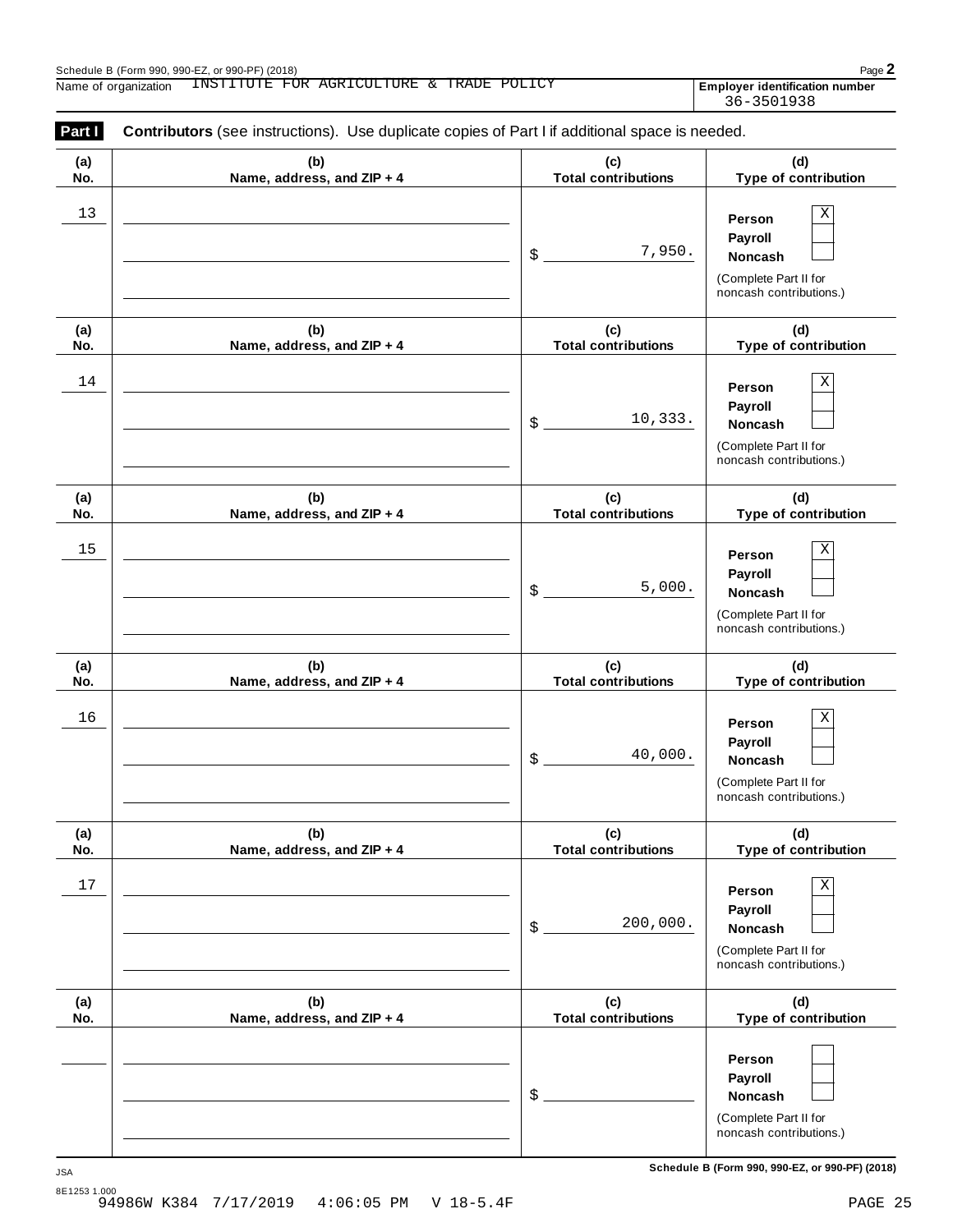Employer identification number<br>36-3501938

| Part I     | Contributors (see instructions). Use duplicate copies of Part I if additional space is needed. |                                   |                                                                                              |
|------------|------------------------------------------------------------------------------------------------|-----------------------------------|----------------------------------------------------------------------------------------------|
| (a)<br>No. | (b)<br>Name, address, and ZIP + 4                                                              | (c)<br><b>Total contributions</b> | (d)<br>Type of contribution                                                                  |
| 13         |                                                                                                | 7,950.<br>\$                      | Χ<br>Person<br>Payroll<br>Noncash<br>(Complete Part II for<br>noncash contributions.)        |
| (a)<br>No. | (b)<br>Name, address, and ZIP + 4                                                              | (c)<br><b>Total contributions</b> | (d)<br>Type of contribution                                                                  |
| 14         |                                                                                                | 10,333.<br>\$                     | Χ<br>Person<br>Payroll<br>Noncash<br>(Complete Part II for<br>noncash contributions.)        |
| (a)<br>No. | (b)<br>Name, address, and ZIP + 4                                                              | (c)<br><b>Total contributions</b> | (d)<br>Type of contribution                                                                  |
| 15         |                                                                                                | 5,000.<br>\$                      | Χ<br>Person<br>Payroll<br>Noncash<br>(Complete Part II for<br>noncash contributions.)        |
| (a)<br>No. | (b)<br>Name, address, and ZIP + 4                                                              | (c)<br><b>Total contributions</b> | (d)<br>Type of contribution                                                                  |
| 16         |                                                                                                | 40,000.<br>\$                     | Χ<br>Person<br>Payroll<br>Noncash<br>(Complete Part II for<br>noncash contributions.)        |
| (a)<br>No. | (b)<br>Name, address, and ZIP + 4                                                              | (c)<br><b>Total contributions</b> | (d)<br>Type of contribution                                                                  |
| 17         |                                                                                                | 200,000.<br>\$                    | Χ<br>Person<br>Payroll<br><b>Noncash</b><br>(Complete Part II for<br>noncash contributions.) |
| (a)<br>No. | (b)<br>Name, address, and ZIP + 4                                                              | (c)<br><b>Total contributions</b> | (d)<br>Type of contribution                                                                  |
|            |                                                                                                | \$                                | Person<br>Payroll<br>Noncash<br>(Complete Part II for<br>noncash contributions.)             |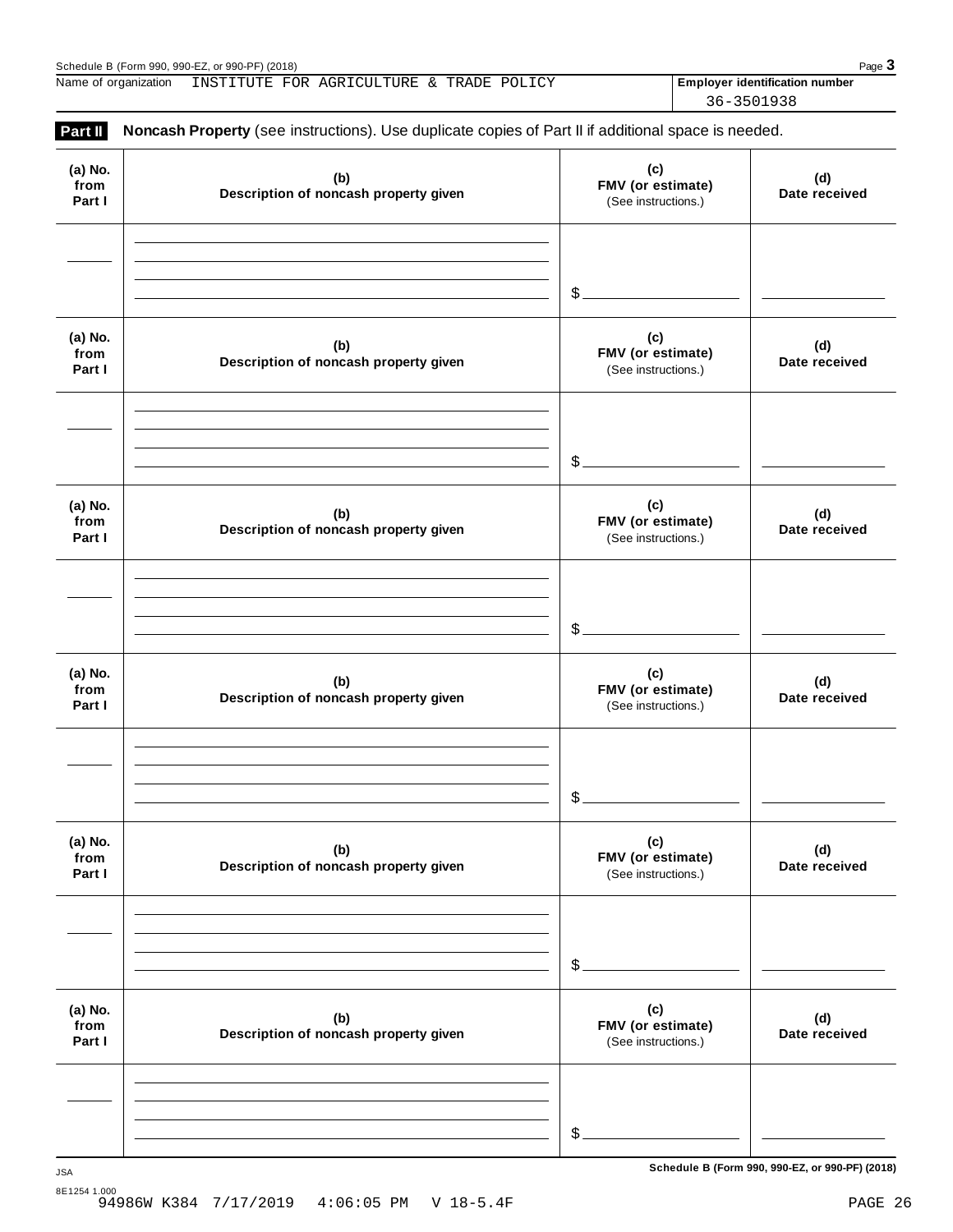Schedule B (Form 990, 990-EZ, or 990-PF) (2018)<br>Name of organization INSTITUTE FOR AGRICULTURE & TRADE POLICY **Proper interval and Page 3** Name of organization INSTITUTE FOR AGRICULTURE & TRADE POLICY **Final Propic identification number** 

36-3501938

| Part II                   | Noncash Property (see instructions). Use duplicate copies of Part II if additional space is needed. |                                                 |                      |
|---------------------------|-----------------------------------------------------------------------------------------------------|-------------------------------------------------|----------------------|
| (a) No.<br>from<br>Part I | (b)<br>Description of noncash property given                                                        | (c)<br>FMV (or estimate)<br>(See instructions.) | (d)<br>Date received |
|                           |                                                                                                     | $\mathcal{S}_{-}$                               |                      |
| (a) No.<br>from<br>Part I | (b)<br>Description of noncash property given                                                        | (c)<br>FMV (or estimate)<br>(See instructions.) | (d)<br>Date received |
|                           |                                                                                                     | $s_{-}$                                         |                      |
| (a) No.<br>from<br>Part I | (b)<br>Description of noncash property given                                                        | (c)<br>FMV (or estimate)<br>(See instructions.) | (d)<br>Date received |
|                           |                                                                                                     | $\frac{1}{2}$                                   |                      |
| (a) No.<br>from<br>Part I | (b)<br>Description of noncash property given                                                        | (c)<br>FMV (or estimate)<br>(See instructions.) | (d)<br>Date received |
|                           |                                                                                                     | $\mathcal{S}$ .                                 |                      |
| (a) No.<br>from<br>Part I | (b)<br>Description of noncash property given                                                        | (c)<br>FMV (or estimate)<br>(See instructions.) | (d)<br>Date received |
|                           |                                                                                                     | $$^{\circ}$                                     |                      |
| (a) No.<br>from<br>Part I | (b)<br>Description of noncash property given                                                        | (c)<br>FMV (or estimate)<br>(See instructions.) | (d)<br>Date received |
|                           |                                                                                                     | \$                                              |                      |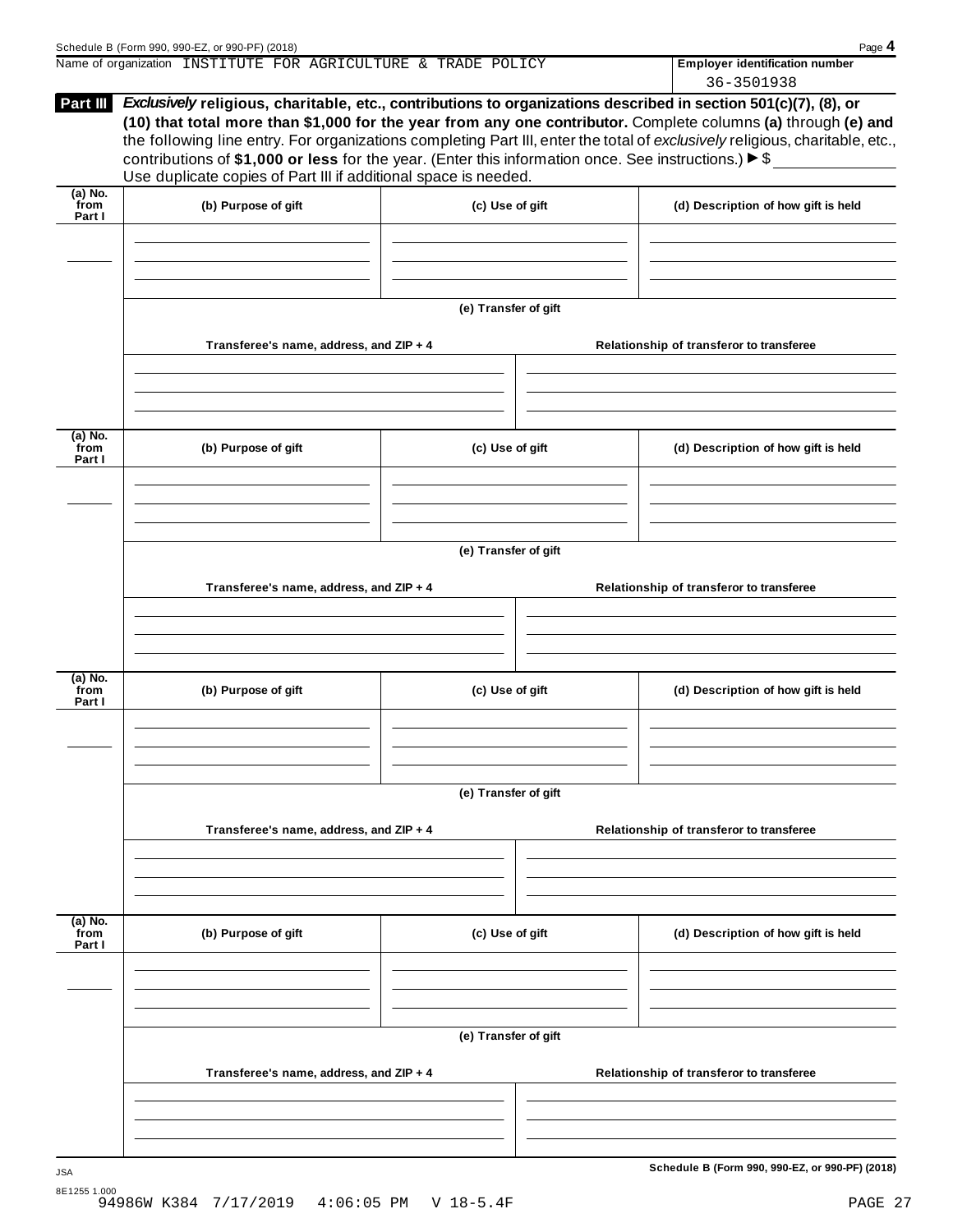|                 | Name of organization INSTITUTE FOR AGRICULTURE & TRADE POLICY                                                                                                                                                                                                                                                                                                                                                                           |  | <b>Employer identification number</b> |
|-----------------|-----------------------------------------------------------------------------------------------------------------------------------------------------------------------------------------------------------------------------------------------------------------------------------------------------------------------------------------------------------------------------------------------------------------------------------------|--|---------------------------------------|
|                 |                                                                                                                                                                                                                                                                                                                                                                                                                                         |  | 36-3501938                            |
| <b>Part III</b> | <i>Exclusively</i> religious, charitable, etc., contributions to organizations described in section 501(c)(7), (8), or                                                                                                                                                                                                                                                                                                                  |  |                                       |
|                 | (10) that total more than \$1,000 for the year from any one contributor. Complete columns (a) through (e) and<br>the following line entry. For organizations completing Part III, enter the total of exclusively religious, charitable, etc.,<br>contributions of \$1,000 or less for the year. (Enter this information once. See instructions.) $\triangleright$ \$<br>Use duplicate copies of Part III if additional space is needed. |  |                                       |

|                             |                                         | (e) Transfer of gift |  |                                          |  |
|-----------------------------|-----------------------------------------|----------------------|--|------------------------------------------|--|
|                             | Transferee's name, address, and ZIP + 4 |                      |  | Relationship of transferor to transferee |  |
|                             |                                         |                      |  |                                          |  |
|                             |                                         |                      |  |                                          |  |
| $(a)$ No.<br>from<br>Part I | (b) Purpose of gift                     | (c) Use of gift      |  | (d) Description of how gift is held      |  |
|                             |                                         |                      |  |                                          |  |
|                             |                                         | (e) Transfer of gift |  |                                          |  |
|                             | Transferee's name, address, and ZIP + 4 |                      |  | Relationship of transferor to transferee |  |
|                             |                                         |                      |  |                                          |  |
|                             |                                         |                      |  |                                          |  |
| $(a)$ No.<br>from<br>Part I | (b) Purpose of gift                     | (c) Use of gift      |  | (d) Description of how gift is held      |  |
|                             |                                         |                      |  |                                          |  |
|                             |                                         |                      |  |                                          |  |
|                             |                                         | (e) Transfer of gift |  |                                          |  |
|                             | Transferee's name, address, and ZIP + 4 |                      |  | Relationship of transferor to transferee |  |
|                             |                                         |                      |  |                                          |  |
|                             |                                         |                      |  |                                          |  |
| $(a)$ No.<br>from<br>Part I | (b) Purpose of gift                     | (c) Use of gift      |  | (d) Description of how gift is held      |  |
|                             |                                         |                      |  |                                          |  |
|                             |                                         |                      |  |                                          |  |

**(e) Transfer of gift**

**Transferee's name, address, and ZIP + 4 Relationship of transferor to transferee**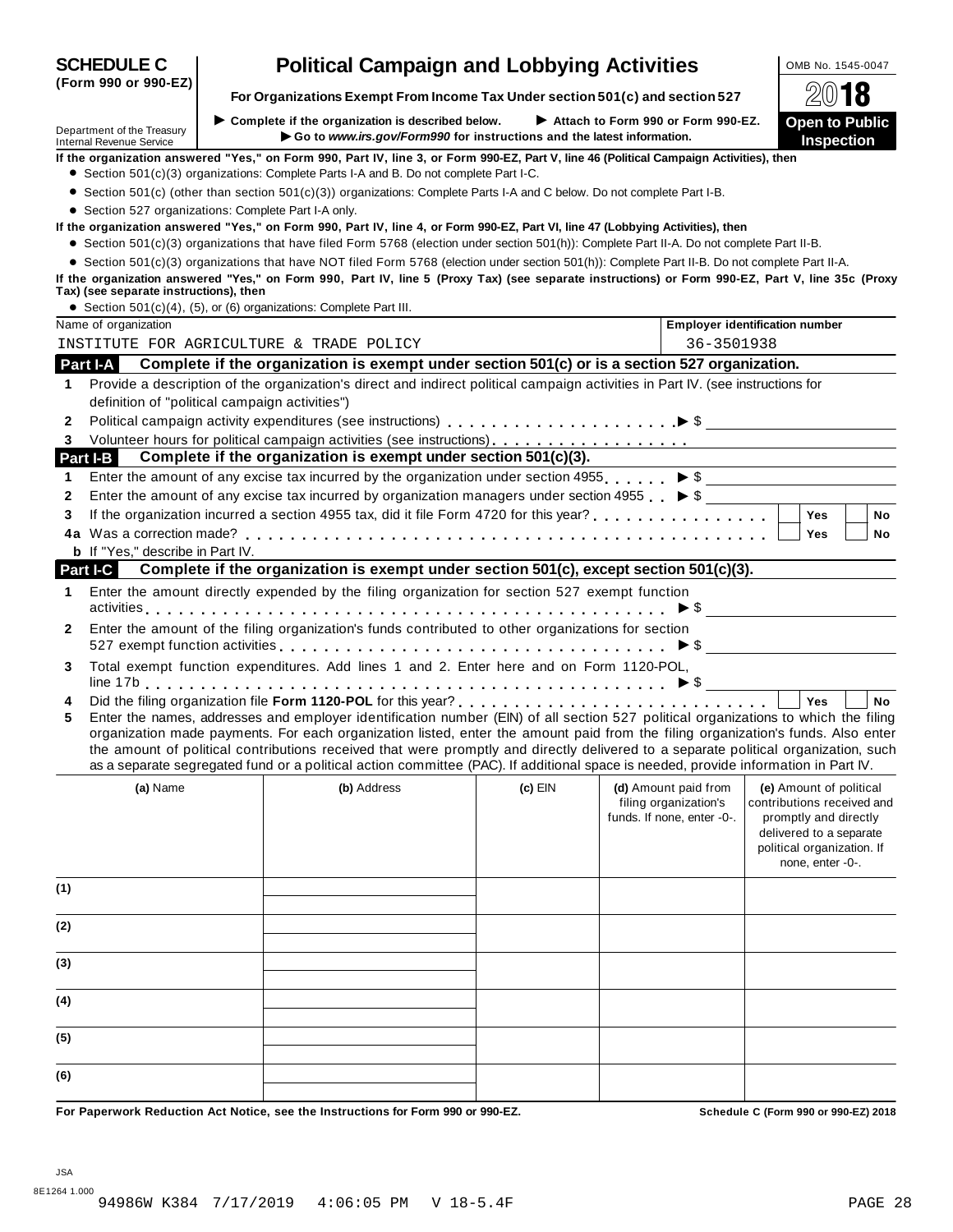| Department of the Treasury<br><b>Internal Revenue Service</b> | $\triangleright$ Complete if the organization is described below.                                                                                                                                                                                                                                                                                                                                                                                                                                                                                    |                                                                        | Attach to Form 990 or Form 990-EZ.                                          |                                                                                                                                                             |
|---------------------------------------------------------------|------------------------------------------------------------------------------------------------------------------------------------------------------------------------------------------------------------------------------------------------------------------------------------------------------------------------------------------------------------------------------------------------------------------------------------------------------------------------------------------------------------------------------------------------------|------------------------------------------------------------------------|-----------------------------------------------------------------------------|-------------------------------------------------------------------------------------------------------------------------------------------------------------|
|                                                               |                                                                                                                                                                                                                                                                                                                                                                                                                                                                                                                                                      |                                                                        |                                                                             | <b>Open to Public</b>                                                                                                                                       |
|                                                               |                                                                                                                                                                                                                                                                                                                                                                                                                                                                                                                                                      | Go to www.irs.gov/Form990 for instructions and the latest information. |                                                                             | Inspection                                                                                                                                                  |
|                                                               | If the organization answered "Yes," on Form 990, Part IV, line 3, or Form 990-EZ, Part V, line 46 (Political Campaign Activities), then<br>• Section 501(c)(3) organizations: Complete Parts I-A and B. Do not complete Part I-C.                                                                                                                                                                                                                                                                                                                    |                                                                        |                                                                             |                                                                                                                                                             |
|                                                               | • Section 501(c) (other than section 501(c)(3)) organizations: Complete Parts I-A and C below. Do not complete Part I-B.                                                                                                                                                                                                                                                                                                                                                                                                                             |                                                                        |                                                                             |                                                                                                                                                             |
|                                                               | • Section 527 organizations: Complete Part I-A only.                                                                                                                                                                                                                                                                                                                                                                                                                                                                                                 |                                                                        |                                                                             |                                                                                                                                                             |
|                                                               | If the organization answered "Yes," on Form 990, Part IV, line 4, or Form 990-EZ, Part VI, line 47 (Lobbying Activities), then                                                                                                                                                                                                                                                                                                                                                                                                                       |                                                                        |                                                                             |                                                                                                                                                             |
|                                                               | • Section 501(c)(3) organizations that have filed Form 5768 (election under section 501(h)): Complete Part II-A. Do not complete Part II-B.                                                                                                                                                                                                                                                                                                                                                                                                          |                                                                        |                                                                             |                                                                                                                                                             |
| Tax) (see separate instructions), then                        | • Section 501(c)(3) organizations that have NOT filed Form 5768 (election under section 501(h)): Complete Part II-B. Do not complete Part II-A.<br>If the organization answered "Yes," on Form 990, Part IV, line 5 (Proxy Tax) (see separate instructions) or Form 990-EZ, Part V, line 35c (Proxy                                                                                                                                                                                                                                                  |                                                                        |                                                                             |                                                                                                                                                             |
|                                                               | • Section 501(c)(4), (5), or (6) organizations: Complete Part III.                                                                                                                                                                                                                                                                                                                                                                                                                                                                                   |                                                                        |                                                                             |                                                                                                                                                             |
| Name of organization                                          |                                                                                                                                                                                                                                                                                                                                                                                                                                                                                                                                                      |                                                                        |                                                                             | <b>Employer identification number</b>                                                                                                                       |
|                                                               | INSTITUTE FOR AGRICULTURE & TRADE POLICY                                                                                                                                                                                                                                                                                                                                                                                                                                                                                                             |                                                                        | 36-3501938                                                                  |                                                                                                                                                             |
| <b>Part I-A</b>                                               | Complete if the organization is exempt under section 501(c) or is a section 527 organization.                                                                                                                                                                                                                                                                                                                                                                                                                                                        |                                                                        |                                                                             |                                                                                                                                                             |
| 1                                                             | Provide a description of the organization's direct and indirect political campaign activities in Part IV. (see instructions for                                                                                                                                                                                                                                                                                                                                                                                                                      |                                                                        |                                                                             |                                                                                                                                                             |
|                                                               | definition of "political campaign activities")                                                                                                                                                                                                                                                                                                                                                                                                                                                                                                       |                                                                        |                                                                             |                                                                                                                                                             |
| 2                                                             |                                                                                                                                                                                                                                                                                                                                                                                                                                                                                                                                                      |                                                                        |                                                                             |                                                                                                                                                             |
| 3                                                             |                                                                                                                                                                                                                                                                                                                                                                                                                                                                                                                                                      |                                                                        |                                                                             |                                                                                                                                                             |
| Part I-B                                                      | Complete if the organization is exempt under section 501(c)(3).                                                                                                                                                                                                                                                                                                                                                                                                                                                                                      |                                                                        |                                                                             |                                                                                                                                                             |
| 1                                                             | Enter the amount of any excise tax incurred by the organization under section 4955. $\triangleright$ \$                                                                                                                                                                                                                                                                                                                                                                                                                                              |                                                                        |                                                                             |                                                                                                                                                             |
| 2                                                             | Enter the amount of any excise tax incurred by organization managers under section 4955 $\bullet$ \$                                                                                                                                                                                                                                                                                                                                                                                                                                                 |                                                                        |                                                                             |                                                                                                                                                             |
| 3                                                             | If the organization incurred a section 4955 tax, did it file Form 4720 for this year?                                                                                                                                                                                                                                                                                                                                                                                                                                                                |                                                                        |                                                                             | Yes<br><b>No</b>                                                                                                                                            |
|                                                               |                                                                                                                                                                                                                                                                                                                                                                                                                                                                                                                                                      |                                                                        |                                                                             | Yes<br>No                                                                                                                                                   |
| <b>b</b> If "Yes," describe in Part IV.                       |                                                                                                                                                                                                                                                                                                                                                                                                                                                                                                                                                      |                                                                        |                                                                             |                                                                                                                                                             |
| Part I-C                                                      | Complete if the organization is exempt under section 501(c), except section 501(c)(3).                                                                                                                                                                                                                                                                                                                                                                                                                                                               |                                                                        |                                                                             |                                                                                                                                                             |
| 1                                                             | Enter the amount directly expended by the filing organization for section 527 exempt function                                                                                                                                                                                                                                                                                                                                                                                                                                                        |                                                                        |                                                                             |                                                                                                                                                             |
| $\mathbf{2}$                                                  | Enter the amount of the filing organization's funds contributed to other organizations for section<br>527 exempt function activities $\ldots \ldots \ldots \ldots \ldots \ldots \ldots \ldots \ldots \ldots \ldots$ $\blacktriangleright$ \$                                                                                                                                                                                                                                                                                                         |                                                                        |                                                                             |                                                                                                                                                             |
| 3                                                             | Total exempt function expenditures. Add lines 1 and 2. Enter here and on Form 1120-POL,                                                                                                                                                                                                                                                                                                                                                                                                                                                              |                                                                        |                                                                             |                                                                                                                                                             |
| 4                                                             |                                                                                                                                                                                                                                                                                                                                                                                                                                                                                                                                                      |                                                                        |                                                                             | Yes<br><b>No</b>                                                                                                                                            |
| 5                                                             | Enter the names, addresses and employer identification number (EIN) of all section 527 political organizations to which the filing<br>organization made payments. For each organization listed, enter the amount paid from the filing organization's funds. Also enter<br>the amount of political contributions received that were promptly and directly delivered to a separate political organization, such<br>as a separate segregated fund or a political action committee (PAC). If additional space is needed, provide information in Part IV. |                                                                        |                                                                             |                                                                                                                                                             |
| (a) Name                                                      | (b) Address                                                                                                                                                                                                                                                                                                                                                                                                                                                                                                                                          | $(c)$ EIN                                                              | (d) Amount paid from<br>filing organization's<br>funds. If none, enter -0-. | (e) Amount of political<br>contributions received and<br>promptly and directly<br>delivered to a separate<br>political organization. If<br>none, enter -0-. |
| (1)                                                           |                                                                                                                                                                                                                                                                                                                                                                                                                                                                                                                                                      |                                                                        |                                                                             |                                                                                                                                                             |
| (2)                                                           |                                                                                                                                                                                                                                                                                                                                                                                                                                                                                                                                                      |                                                                        |                                                                             |                                                                                                                                                             |
| (3)                                                           |                                                                                                                                                                                                                                                                                                                                                                                                                                                                                                                                                      |                                                                        |                                                                             |                                                                                                                                                             |
| (4)                                                           |                                                                                                                                                                                                                                                                                                                                                                                                                                                                                                                                                      |                                                                        |                                                                             |                                                                                                                                                             |
| (5)                                                           |                                                                                                                                                                                                                                                                                                                                                                                                                                                                                                                                                      |                                                                        |                                                                             |                                                                                                                                                             |
|                                                               |                                                                                                                                                                                                                                                                                                                                                                                                                                                                                                                                                      |                                                                        |                                                                             |                                                                                                                                                             |

JSA

| <b>Political Campaign and Lobbying Activities</b> | OMB No. 1545-0047 |
|---------------------------------------------------|-------------------|
|                                                   |                   |

**(Form 990 or 990-EZ)**

8E1264 1.000 94986W K384 7/17/2019 4:06:05 PM V 18-5.4F PAGE 28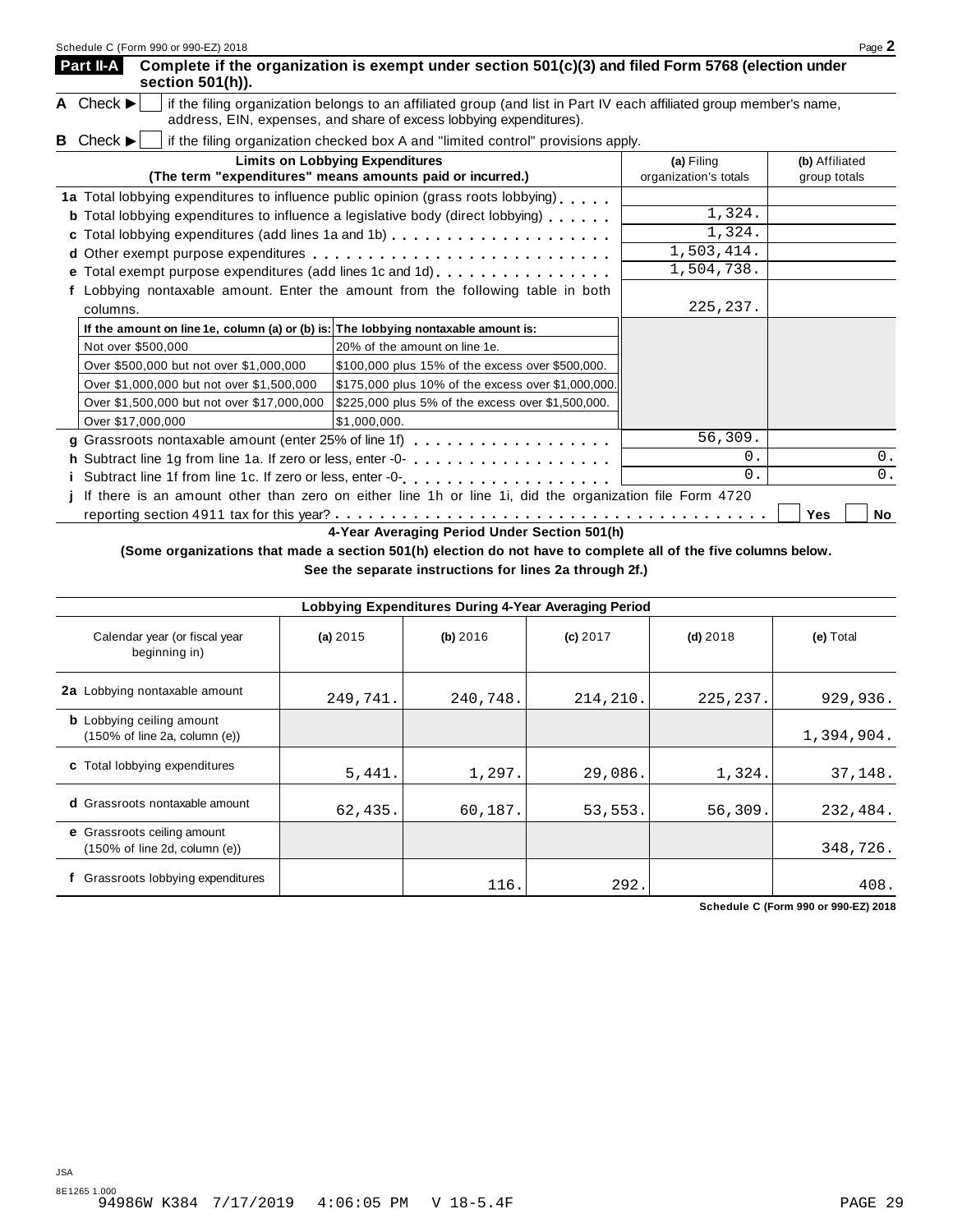| Part II-A<br>section 501(h)).                                                                                                                                                                                               | Complete if the organization is exempt under section 501(c)(3) and filed Form 5768 (election under      |                                     |                                |  |  |
|-----------------------------------------------------------------------------------------------------------------------------------------------------------------------------------------------------------------------------|---------------------------------------------------------------------------------------------------------|-------------------------------------|--------------------------------|--|--|
| A Check $\blacktriangleright$<br>if the filing organization belongs to an affiliated group (and list in Part IV each affiliated group member's name,<br>address, EIN, expenses, and share of excess lobbying expenditures). |                                                                                                         |                                     |                                |  |  |
| Check $\blacktriangleright$<br>в                                                                                                                                                                                            | if the filing organization checked box A and "limited control" provisions apply.                        |                                     |                                |  |  |
|                                                                                                                                                                                                                             | <b>Limits on Lobbying Expenditures</b><br>(The term "expenditures" means amounts paid or incurred.)     | (a) Filing<br>organization's totals | (b) Affiliated<br>group totals |  |  |
|                                                                                                                                                                                                                             | 1a Total lobbying expenditures to influence public opinion (grass roots lobbying)                       |                                     |                                |  |  |
|                                                                                                                                                                                                                             | <b>b</b> Total lobbying expenditures to influence a legislative body (direct lobbying)                  | 1,324.                              |                                |  |  |
|                                                                                                                                                                                                                             | c Total lobbying expenditures (add lines 1a and 1b)                                                     | 1,324.                              |                                |  |  |
|                                                                                                                                                                                                                             |                                                                                                         | 1,503,414.                          |                                |  |  |
|                                                                                                                                                                                                                             | <b>e</b> Total exempt purpose expenditures (add lines 1c and 1d) $\ldots$ ,,,,,,,,,,,,,,,               | 1,504,738.                          |                                |  |  |
| columns.                                                                                                                                                                                                                    | Lobbying nontaxable amount. Enter the amount from the following table in both                           | 225, 237.                           |                                |  |  |
| If the amount on line 1e, column (a) or (b) is: The lobbying nontaxable amount is:                                                                                                                                          |                                                                                                         |                                     |                                |  |  |
| Not over \$500,000                                                                                                                                                                                                          | 20% of the amount on line 1e.                                                                           |                                     |                                |  |  |
| Over \$500,000 but not over \$1,000,000                                                                                                                                                                                     | \$100,000 plus 15% of the excess over \$500,000.                                                        |                                     |                                |  |  |
| Over \$1,000,000 but not over \$1,500,000                                                                                                                                                                                   | \$175,000 plus 10% of the excess over \$1,000,000.                                                      |                                     |                                |  |  |
| Over \$1,500,000 but not over \$17,000,000                                                                                                                                                                                  | \$225,000 plus 5% of the excess over \$1,500,000.                                                       |                                     |                                |  |  |
| Over \$17,000,000                                                                                                                                                                                                           | \$1,000,000.                                                                                            |                                     |                                |  |  |
|                                                                                                                                                                                                                             |                                                                                                         | 56,309.                             |                                |  |  |
|                                                                                                                                                                                                                             |                                                                                                         | 0.                                  | $0$ .                          |  |  |
|                                                                                                                                                                                                                             | i Subtract line 1f from line 1c. If zero or less, enter -0-                                             | 0.                                  | 0.                             |  |  |
|                                                                                                                                                                                                                             | If there is an amount other than zero on either line 1h or line 1i, did the organization file Form 4720 |                                     |                                |  |  |

reporting section <sup>4911</sup> tax for this year? m m m m m m m m m m m m m m m m m m m m m m m m m m m m m m m m m m m m m m m **Yes No**

**4-Year Averaging Period Under Section 501(h)**

(Some organizations that made a section 501(h) election do not have to complete all of the five columns below.

**See the separate instructions for lines 2a through 2f.)**

| Lobbying Expenditures During 4-Year Averaging Period              |          |          |            |            |            |  |  |
|-------------------------------------------------------------------|----------|----------|------------|------------|------------|--|--|
| Calendar year (or fiscal year<br>beginning in)                    | (a) 2015 | (b) 2016 | $(c)$ 2017 | $(d)$ 2018 | (e) Total  |  |  |
| 2a Lobbying nontaxable amount                                     | 249,741. | 240,748. | 214,210.   | 225, 237.  | 929,936.   |  |  |
| <b>b</b> Lobbying ceiling amount<br>(150% of line 2a, column (e)) |          |          |            |            | 1,394,904. |  |  |
| <b>c</b> Total lobbying expenditures                              | 5,441.   | 1,297.   | 29,086.    | 1,324.     | 37,148.    |  |  |
| <b>d</b> Grassroots nontaxable amount                             | 62,435.  | 60,187.  | 53,553.    | 56,309.    | 232,484.   |  |  |
| e Grassroots ceiling amount<br>(150% of line 2d, column (e))      |          |          |            |            | 348,726.   |  |  |
| Grassroots lobbying expenditures                                  |          | 116.     | 292.       |            | 408.       |  |  |

**Schedule C (Form 990 or 990-EZ) 2018**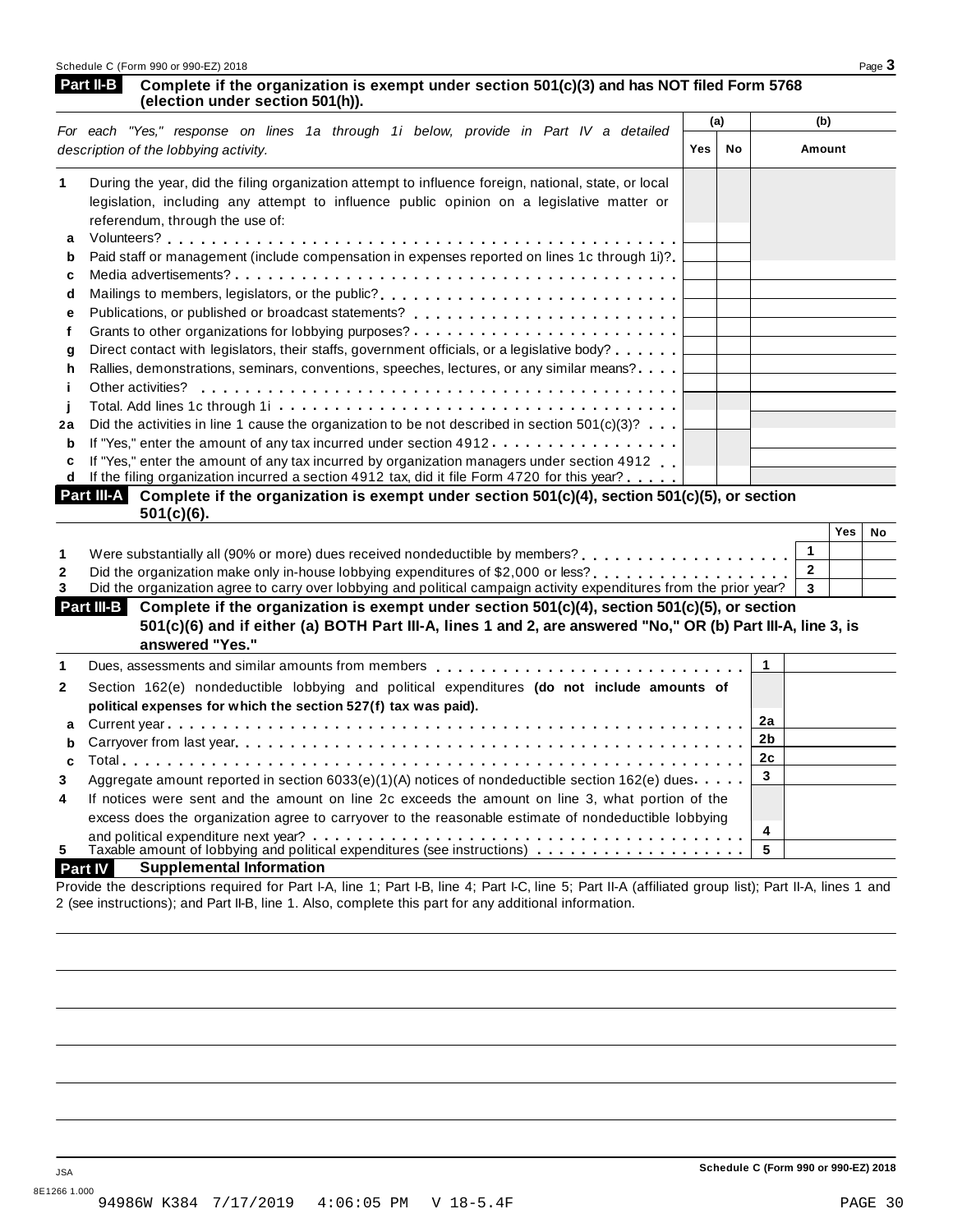| Schedule C (Form 990 or 990-EZ) 2018 | Page $\mathbf{\dot{5}}$ |
|--------------------------------------|-------------------------|
|                                      |                         |

### **Complete if the organization is exempt under section 501(c)(3) and has NOT filed Form 5768 (Part II-B** Complete if the organization is (election under section 501(h)).

|    |                                                                                                                               | (a)        |    | (b)    |
|----|-------------------------------------------------------------------------------------------------------------------------------|------------|----|--------|
|    | For each "Yes," response on lines 1a through 1i below, provide in Part IV a detailed<br>description of the lobbying activity. | <b>Yes</b> | No | Amount |
| 1  | During the year, did the filing organization attempt to influence foreign, national, state, or local                          |            |    |        |
|    | legislation, including any attempt to influence public opinion on a legislative matter or<br>referendum, through the use of:  |            |    |        |
| a  |                                                                                                                               |            |    |        |
| b  | Paid staff or management (include compensation in expenses reported on lines 1c through 1i)?                                  |            |    |        |
| c  |                                                                                                                               |            |    |        |
| d  | Mailings to members, legislators, or the public?                                                                              |            |    |        |
| е  |                                                                                                                               |            |    |        |
|    |                                                                                                                               |            |    |        |
| a  | Direct contact with legislators, their staffs, government officials, or a legislative body?                                   |            |    |        |
| h  | Rallies, demonstrations, seminars, conventions, speeches, lectures, or any similar means?                                     |            |    |        |
|    | Other activities?                                                                                                             |            |    |        |
|    |                                                                                                                               |            |    |        |
| 2a | Did the activities in line 1 cause the organization to be not described in section $501(c)(3)$ ?                              |            |    |        |
| b  | If "Yes," enter the amount of any tax incurred under section $4912$                                                           |            |    |        |
|    | If "Yes," enter the amount of any tax incurred by organization managers under section 4912                                    |            |    |        |
| d  | If the filing organization incurred a section 4912 tax, did it file Form 4720 for this year?                                  |            |    |        |
|    | Part III-A<br>Complete if the organization is exempt under section $501(c)(4)$ , section $501(c)(5)$ , or section             |            |    |        |
|    | $501(c)(6)$ .                                                                                                                 |            |    |        |

| .                                                                                                                     | Yes | No |
|-----------------------------------------------------------------------------------------------------------------------|-----|----|
|                                                                                                                       |     |    |
| Were substantially all (90% or more) dues received nondeductible by members?                                          |     |    |
| Did the organization make only in-house lobbying expenditures of \$2,000 or less?                                     |     |    |
| Did the organization agree to carry over lobbying and political campaign activity expenditures from the prior year? 3 |     |    |

| Complete if the organization is exempt under section $501(c)(4)$ , section $501(c)(5)$ , or section<br>Part III-B<br>501(c)(6) and if either (a) BOTH Part III-A, lines 1 and 2, are answered "No," OR (b) Part III-A, line 3, is<br>answered "Yes." |  |
|------------------------------------------------------------------------------------------------------------------------------------------------------------------------------------------------------------------------------------------------------|--|
| Dues, assessments and similar amounts from members $\ldots$ , $\ldots$ , $\ldots$ , $\ldots$ , $\ldots$ , $\ldots$ , $\ldots$ , $\ldots$                                                                                                             |  |
|                                                                                                                                                                                                                                                      |  |

|                | Dues, assessments and similar amounts from members $\ldots$ , $\ldots$ , $\ldots$ , $\ldots$ , $\ldots$ , $\ldots$ , $\ldots$ , $\vdots$ |   |  |
|----------------|------------------------------------------------------------------------------------------------------------------------------------------|---|--|
| $\mathbf{2}$   | Section 162(e) nondeductible lobbying and political expenditures (do not include amounts of                                              |   |  |
|                | political expenses for which the section 527(f) tax was paid).                                                                           |   |  |
|                |                                                                                                                                          |   |  |
|                |                                                                                                                                          |   |  |
|                |                                                                                                                                          |   |  |
| 3              | Aggregate amount reported in section 6033(e)(1)(A) notices of nondeductible section 162(e) dues                                          |   |  |
| $\overline{4}$ | If notices were sent and the amount on line 2c exceeds the amount on line 3, what portion of the                                         |   |  |
|                | excess does the organization agree to carryover to the reasonable estimate of nondeductible lobbying                                     |   |  |
|                | and political expenditure next year? $\dots \dots \dots \dots \dots \dots \dots \dots \dots \dots \dots \dots \dots \dots \dots$         | 4 |  |
| 5.             | Taxable amount of lobbying and political expenditures (see instructions) $\ldots \ldots \ldots \ldots$                                   |   |  |
|                |                                                                                                                                          |   |  |

### **Part IV Supplemental Information**

Provide the descriptions required for Part I-A, line 1; Part I-B, line 4; Part I-C, line 5; Part II-A (affiliated group list); Part II-A, lines 1 and 2 (see instructions); and Part II-B, line 1. Also, complete this part for any additional information.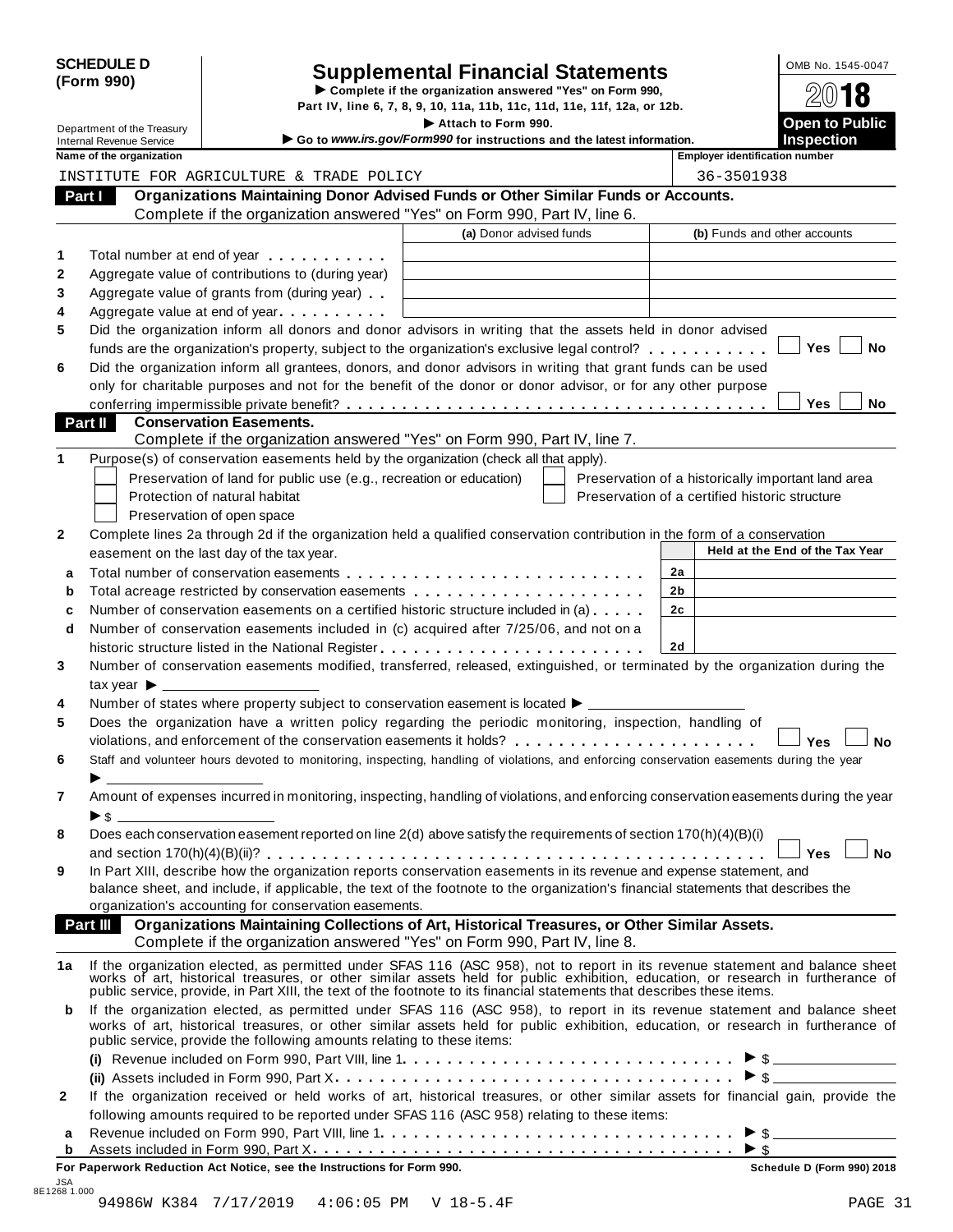| <b>SCHEDULE D</b> |  |
|-------------------|--|
| (Form 990)        |  |

# SCHEDULE D<br>
Supplemental Financial Statements<br>
Form 990)<br>
Part IV, line 6, 7, 8, 9, 10, 11a, 11b, 11c, 11d, 11e, 11f, 12a, or 12b.<br>
Part IV, line 6, 7, 8, 9, 10, 11a, 11b, 11c, 11d, 11e, 11f, 12a, or 12b.

Department of the Treasury **I Attach 1990.** The S. 7, 8, 9, 10, 11a, 11b, 11c, 11d, 11e, 11f, 12a, or 12b.<br> **Department of the Treasury Inches Containery Containery Containery Containery Containery Containery** 

| Department of the Treasury |                                                             |                                                                                                   | Attach to Form 990.<br>Go to www.irs.gov/Form990 for instructions and the latest information.                                                                                                                                                                                                                                                             |                                                    | <b>Open to Public</b><br><b>Inspection</b> |
|----------------------------|-------------------------------------------------------------|---------------------------------------------------------------------------------------------------|-----------------------------------------------------------------------------------------------------------------------------------------------------------------------------------------------------------------------------------------------------------------------------------------------------------------------------------------------------------|----------------------------------------------------|--------------------------------------------|
|                            | <b>Internal Revenue Service</b><br>Name of the organization |                                                                                                   |                                                                                                                                                                                                                                                                                                                                                           | <b>Employer identification number</b>              |                                            |
|                            |                                                             | INSTITUTE FOR AGRICULTURE & TRADE POLICY                                                          |                                                                                                                                                                                                                                                                                                                                                           | 36-3501938                                         |                                            |
|                            | Part I                                                      |                                                                                                   | Organizations Maintaining Donor Advised Funds or Other Similar Funds or Accounts.                                                                                                                                                                                                                                                                         |                                                    |                                            |
|                            |                                                             |                                                                                                   | Complete if the organization answered "Yes" on Form 990, Part IV, line 6.                                                                                                                                                                                                                                                                                 |                                                    |                                            |
|                            |                                                             |                                                                                                   | (a) Donor advised funds                                                                                                                                                                                                                                                                                                                                   |                                                    | (b) Funds and other accounts               |
|                            |                                                             |                                                                                                   |                                                                                                                                                                                                                                                                                                                                                           |                                                    |                                            |
| 1                          |                                                             | Total number at end of year                                                                       |                                                                                                                                                                                                                                                                                                                                                           |                                                    |                                            |
| $\mathbf{2}$<br>3          |                                                             | Aggregate value of contributions to (during year)<br>Aggregate value of grants from (during year) |                                                                                                                                                                                                                                                                                                                                                           |                                                    |                                            |
| 4                          |                                                             | Aggregate value at end of year                                                                    |                                                                                                                                                                                                                                                                                                                                                           |                                                    |                                            |
| 5                          |                                                             |                                                                                                   | Did the organization inform all donors and donor advisors in writing that the assets held in donor advised                                                                                                                                                                                                                                                |                                                    |                                            |
|                            |                                                             |                                                                                                   | funds are the organization's property, subject to the organization's exclusive legal control?                                                                                                                                                                                                                                                             |                                                    | <b>Yes</b><br>No                           |
| 6                          |                                                             |                                                                                                   | Did the organization inform all grantees, donors, and donor advisors in writing that grant funds can be used                                                                                                                                                                                                                                              |                                                    |                                            |
|                            |                                                             |                                                                                                   | only for charitable purposes and not for the benefit of the donor or donor advisor, or for any other purpose                                                                                                                                                                                                                                              |                                                    |                                            |
|                            |                                                             |                                                                                                   |                                                                                                                                                                                                                                                                                                                                                           |                                                    | <b>Yes</b><br><b>No</b>                    |
|                            | <b>Part II</b>                                              | <b>Conservation Easements.</b>                                                                    |                                                                                                                                                                                                                                                                                                                                                           |                                                    |                                            |
|                            |                                                             |                                                                                                   | Complete if the organization answered "Yes" on Form 990, Part IV, line 7.                                                                                                                                                                                                                                                                                 |                                                    |                                            |
| 1                          |                                                             |                                                                                                   | Purpose(s) of conservation easements held by the organization (check all that apply).                                                                                                                                                                                                                                                                     |                                                    |                                            |
|                            |                                                             | Preservation of land for public use (e.g., recreation or education)                               |                                                                                                                                                                                                                                                                                                                                                           | Preservation of a historically important land area |                                            |
|                            |                                                             | Protection of natural habitat                                                                     |                                                                                                                                                                                                                                                                                                                                                           | Preservation of a certified historic structure     |                                            |
|                            |                                                             | Preservation of open space                                                                        |                                                                                                                                                                                                                                                                                                                                                           |                                                    |                                            |
| $\mathbf{2}$               |                                                             |                                                                                                   | Complete lines 2a through 2d if the organization held a qualified conservation contribution in the form of a conservation                                                                                                                                                                                                                                 |                                                    |                                            |
|                            |                                                             | easement on the last day of the tax year.                                                         |                                                                                                                                                                                                                                                                                                                                                           |                                                    | Held at the End of the Tax Year            |
| a                          |                                                             |                                                                                                   |                                                                                                                                                                                                                                                                                                                                                           | 2a                                                 |                                            |
| b                          |                                                             |                                                                                                   | Total acreage restricted by conservation easements                                                                                                                                                                                                                                                                                                        | 2 <sub>b</sub>                                     |                                            |
| c                          |                                                             |                                                                                                   | Number of conservation easements on a certified historic structure included in (a)                                                                                                                                                                                                                                                                        | 2c                                                 |                                            |
| d                          |                                                             |                                                                                                   | Number of conservation easements included in (c) acquired after 7/25/06, and not on a                                                                                                                                                                                                                                                                     |                                                    |                                            |
|                            |                                                             |                                                                                                   |                                                                                                                                                                                                                                                                                                                                                           | 2d                                                 |                                            |
| 3                          |                                                             |                                                                                                   | Number of conservation easements modified, transferred, released, extinguished, or terminated by the organization during the                                                                                                                                                                                                                              |                                                    |                                            |
|                            | tax year $\blacktriangleright$                              |                                                                                                   |                                                                                                                                                                                                                                                                                                                                                           |                                                    |                                            |
| 4                          |                                                             |                                                                                                   | Number of states where property subject to conservation easement is located $\blacktriangleright$ _____                                                                                                                                                                                                                                                   |                                                    |                                            |
| 5                          |                                                             |                                                                                                   | Does the organization have a written policy regarding the periodic monitoring, inspection, handling of                                                                                                                                                                                                                                                    |                                                    |                                            |
|                            |                                                             |                                                                                                   | violations, and enforcement of the conservation easements it holds? $\ldots$ , , , , ,                                                                                                                                                                                                                                                                    |                                                    | Yes<br>No                                  |
| 6                          |                                                             |                                                                                                   | Staff and volunteer hours devoted to monitoring, inspecting, handling of violations, and enforcing conservation easements during the year                                                                                                                                                                                                                 |                                                    |                                            |
| 7                          | $\triangleright$ \$                                         |                                                                                                   | Amount of expenses incurred in monitoring, inspecting, handling of violations, and enforcing conservation easements during the year                                                                                                                                                                                                                       |                                                    |                                            |
| 8                          |                                                             |                                                                                                   | Does each conservation easement reported on line 2(d) above satisfy the requirements of section 170(h)(4)(B)(i)                                                                                                                                                                                                                                           |                                                    |                                            |
|                            |                                                             |                                                                                                   |                                                                                                                                                                                                                                                                                                                                                           |                                                    | Yes<br><b>No</b>                           |
| 9                          |                                                             |                                                                                                   | In Part XIII, describe how the organization reports conservation easements in its revenue and expense statement, and                                                                                                                                                                                                                                      |                                                    |                                            |
|                            |                                                             |                                                                                                   | balance sheet, and include, if applicable, the text of the footnote to the organization's financial statements that describes the                                                                                                                                                                                                                         |                                                    |                                            |
|                            |                                                             | organization's accounting for conservation easements.                                             |                                                                                                                                                                                                                                                                                                                                                           |                                                    |                                            |
|                            | Part III                                                    |                                                                                                   | Organizations Maintaining Collections of Art, Historical Treasures, or Other Similar Assets.<br>Complete if the organization answered "Yes" on Form 990, Part IV, line 8.                                                                                                                                                                                 |                                                    |                                            |
| 1a                         |                                                             |                                                                                                   | If the organization elected, as permitted under SFAS 116 (ASC 958), not to report in its revenue statement and balance sheet works of art, historical treasures, or other similar assets held for public exhibition, education<br>public service, provide, in Part XIII, the text of the footnote to its financial statements that describes these items. |                                                    |                                            |
| b                          |                                                             | public service, provide the following amounts relating to these items:                            | If the organization elected, as permitted under SFAS 116 (ASC 958), to report in its revenue statement and balance sheet<br>works of art, historical treasures, or other similar assets held for public exhibition, education, or research in furtherance of                                                                                              |                                                    |                                            |
|                            |                                                             |                                                                                                   |                                                                                                                                                                                                                                                                                                                                                           |                                                    |                                            |
|                            |                                                             |                                                                                                   |                                                                                                                                                                                                                                                                                                                                                           |                                                    |                                            |
| $\mathbf{2}$               |                                                             |                                                                                                   | If the organization received or held works of art, historical treasures, or other similar assets for financial gain, provide the                                                                                                                                                                                                                          |                                                    |                                            |
|                            |                                                             |                                                                                                   | following amounts required to be reported under SFAS 116 (ASC 958) relating to these items:                                                                                                                                                                                                                                                               |                                                    |                                            |
| а                          |                                                             |                                                                                                   |                                                                                                                                                                                                                                                                                                                                                           |                                                    |                                            |
| b                          |                                                             |                                                                                                   |                                                                                                                                                                                                                                                                                                                                                           |                                                    |                                            |

**For Paperwork Reduction Act Notice, see the Instructions for Form 990. Schedule D (Form 990) 2018**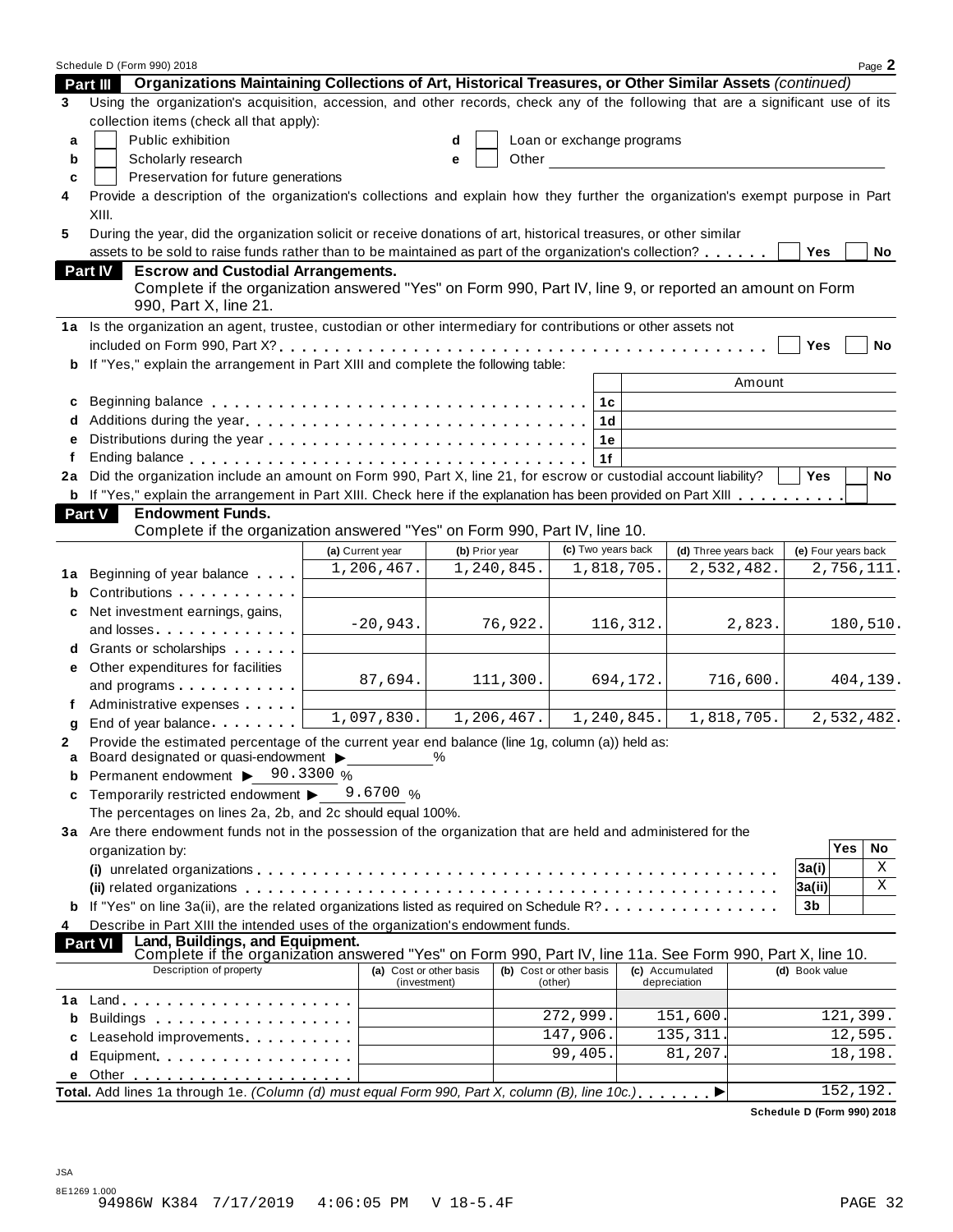|        | Schedule D (Form 990) 2018                                                                                                                                      |                         |   |                |                           |            |                      |                     |           | Page 2     |
|--------|-----------------------------------------------------------------------------------------------------------------------------------------------------------------|-------------------------|---|----------------|---------------------------|------------|----------------------|---------------------|-----------|------------|
|        | Organizations Maintaining Collections of Art, Historical Treasures, or Other Similar Assets (continued)<br><b>Part III</b>                                      |                         |   |                |                           |            |                      |                     |           |            |
| 3      | Using the organization's acquisition, accession, and other records, check any of the following that are a significant use of its                                |                         |   |                |                           |            |                      |                     |           |            |
|        | collection items (check all that apply):                                                                                                                        |                         |   |                |                           |            |                      |                     |           |            |
| a      | Public exhibition                                                                                                                                               |                         | d |                | Loan or exchange programs |            |                      |                     |           |            |
| b      | Scholarly research                                                                                                                                              |                         | e | Other          |                           |            |                      |                     |           |            |
| c      | Preservation for future generations                                                                                                                             |                         |   |                |                           |            |                      |                     |           |            |
| 4      | Provide a description of the organization's collections and explain how they further the organization's exempt purpose in Part                                  |                         |   |                |                           |            |                      |                     |           |            |
|        | XIII.                                                                                                                                                           |                         |   |                |                           |            |                      |                     |           |            |
| 5      | During the year, did the organization solicit or receive donations of art, historical treasures, or other similar                                               |                         |   |                |                           |            |                      |                     |           |            |
|        | assets to be sold to raise funds rather than to be maintained as part of the organization's collection?                                                         |                         |   |                |                           |            |                      | Yes                 |           | No         |
|        | <b>Escrow and Custodial Arrangements.</b><br><b>Part IV</b>                                                                                                     |                         |   |                |                           |            |                      |                     |           |            |
|        | Complete if the organization answered "Yes" on Form 990, Part IV, line 9, or reported an amount on Form                                                         |                         |   |                |                           |            |                      |                     |           |            |
|        | 990, Part X, line 21.                                                                                                                                           |                         |   |                |                           |            |                      |                     |           |            |
|        | 1a Is the organization an agent, trustee, custodian or other intermediary for contributions or other assets not                                                 |                         |   |                |                           |            |                      |                     |           |            |
|        |                                                                                                                                                                 |                         |   |                |                           |            |                      | Yes                 |           | No         |
| b      | If "Yes," explain the arrangement in Part XIII and complete the following table:                                                                                |                         |   |                |                           |            |                      |                     |           |            |
|        |                                                                                                                                                                 |                         |   |                |                           |            | Amount               |                     |           |            |
| c      |                                                                                                                                                                 |                         |   |                | 1c                        |            |                      |                     |           |            |
|        |                                                                                                                                                                 |                         |   |                | 1d                        |            |                      |                     |           |            |
| e      |                                                                                                                                                                 |                         |   |                | 1e                        |            |                      |                     |           |            |
| f      |                                                                                                                                                                 |                         |   |                | 1f                        |            |                      |                     |           |            |
| 2a     | Did the organization include an amount on Form 990, Part X, line 21, for escrow or custodial account liability?                                                 |                         |   |                |                           |            |                      | <b>Yes</b>          |           | <b>No</b>  |
|        | b If "Yes," explain the arrangement in Part XIII. Check here if the explanation has been provided on Part XIII                                                  |                         |   |                |                           |            |                      |                     |           |            |
|        | <b>Endowment Funds.</b><br><b>Part V</b>                                                                                                                        |                         |   |                |                           |            |                      |                     |           |            |
|        | Complete if the organization answered "Yes" on Form 990, Part IV, line 10.                                                                                      |                         |   |                |                           |            |                      |                     |           |            |
|        |                                                                                                                                                                 | (a) Current year        |   | (b) Prior year | (c) Two years back        |            | (d) Three years back | (e) Four years back |           |            |
|        |                                                                                                                                                                 | 1,206,467.              |   | 1,240,845.     |                           | 1,818,705. | 2,532,482.           |                     |           | 2,756,111. |
| 1a     | Beginning of year balance                                                                                                                                       |                         |   |                |                           |            |                      |                     |           |            |
| b      |                                                                                                                                                                 |                         |   |                |                           |            |                      |                     |           |            |
|        | Net investment earnings, gains,                                                                                                                                 | $-20,943.$              |   | 76,922.        |                           | 116,312.   | 2,823.               |                     |           | 180,510.   |
|        | and losses                                                                                                                                                      |                         |   |                |                           |            |                      |                     |           |            |
|        | Grants or scholarships <b>State of State State</b>                                                                                                              |                         |   |                |                           |            |                      |                     |           |            |
|        | Other expenditures for facilities                                                                                                                               | 87,694.                 |   | 111,300.       |                           | 694,172.   | 716,600.             |                     |           | 404,139.   |
|        | and programs                                                                                                                                                    |                         |   |                |                           |            |                      |                     |           |            |
| f      | Administrative expenses                                                                                                                                         | 1,097,830.              |   | 1,206,467.     |                           | 1,240,845. | 1,818,705.           |                     |           | 2,532,482. |
| g      | End of year balance expansion of year balance                                                                                                                   |                         |   |                |                           |            |                      |                     |           |            |
| 2<br>a | Provide the estimated percentage of the current year end balance (line 1g, column (a)) held as:<br>Board designated or quasi-endowment >                        |                         | % |                |                           |            |                      |                     |           |            |
| b      | Permanent endowment ▶ 90.3300 %                                                                                                                                 |                         |   |                |                           |            |                      |                     |           |            |
| c      | Temporarily restricted endowment ▶                                                                                                                              | 9.6700 $\%$             |   |                |                           |            |                      |                     |           |            |
|        | The percentages on lines 2a, 2b, and 2c should equal 100%.                                                                                                      |                         |   |                |                           |            |                      |                     |           |            |
|        | 3a Are there endowment funds not in the possession of the organization that are held and administered for the                                                   |                         |   |                |                           |            |                      |                     |           |            |
|        | organization by:                                                                                                                                                |                         |   |                |                           |            |                      |                     | Yes       | No         |
|        |                                                                                                                                                                 |                         |   |                |                           |            |                      | 3a(i)               |           | Χ          |
|        |                                                                                                                                                                 |                         |   |                |                           |            |                      | 3a(ii)              |           | Χ          |
|        | If "Yes" on line 3a(ii), are the related organizations listed as required on Schedule R?                                                                        |                         |   |                |                           |            |                      | 3b                  |           |            |
|        |                                                                                                                                                                 |                         |   |                |                           |            |                      |                     |           |            |
| 4      | Describe in Part XIII the intended uses of the organization's endowment funds.                                                                                  |                         |   |                |                           |            |                      |                     |           |            |
|        | Land, Buildings, and Equipment.<br>Complete if the organization answered "Yes" on Form 990, Part IV, line 11a. See Form 990, Part X, line 10.<br><b>Part VI</b> |                         |   |                |                           |            |                      |                     |           |            |
|        | Description of property                                                                                                                                         | (a) Cost or other basis |   |                | (b) Cost or other basis   |            | (c) Accumulated      | (d) Book value      |           |            |
|        |                                                                                                                                                                 | (investment)            |   |                | (other)                   |            | depreciation         |                     |           |            |
| 1a     | $Land.$                                                                                                                                                         |                         |   |                | 272,999.                  |            | 151,600.             |                     | 121,399.  |            |
| b      |                                                                                                                                                                 |                         |   |                | 147,906.                  |            | 135, 311.            |                     | 12,595.   |            |
| c      | Leasehold improvements [19]                                                                                                                                     |                         |   |                | $\frac{1}{99,405}$ .      |            | 81,207.              |                     | 18,198.   |            |
| d      | Equipment                                                                                                                                                       |                         |   |                |                           |            |                      |                     |           |            |
| е      | Total. Add lines 1a through 1e. (Column (d) must equal Form 990, Part X, column (B), line 10c.)                                                                 |                         |   |                |                           |            |                      |                     | 152, 192. |            |
|        |                                                                                                                                                                 |                         |   |                |                           |            |                      |                     |           |            |

**Schedule D (Form 990) 2018**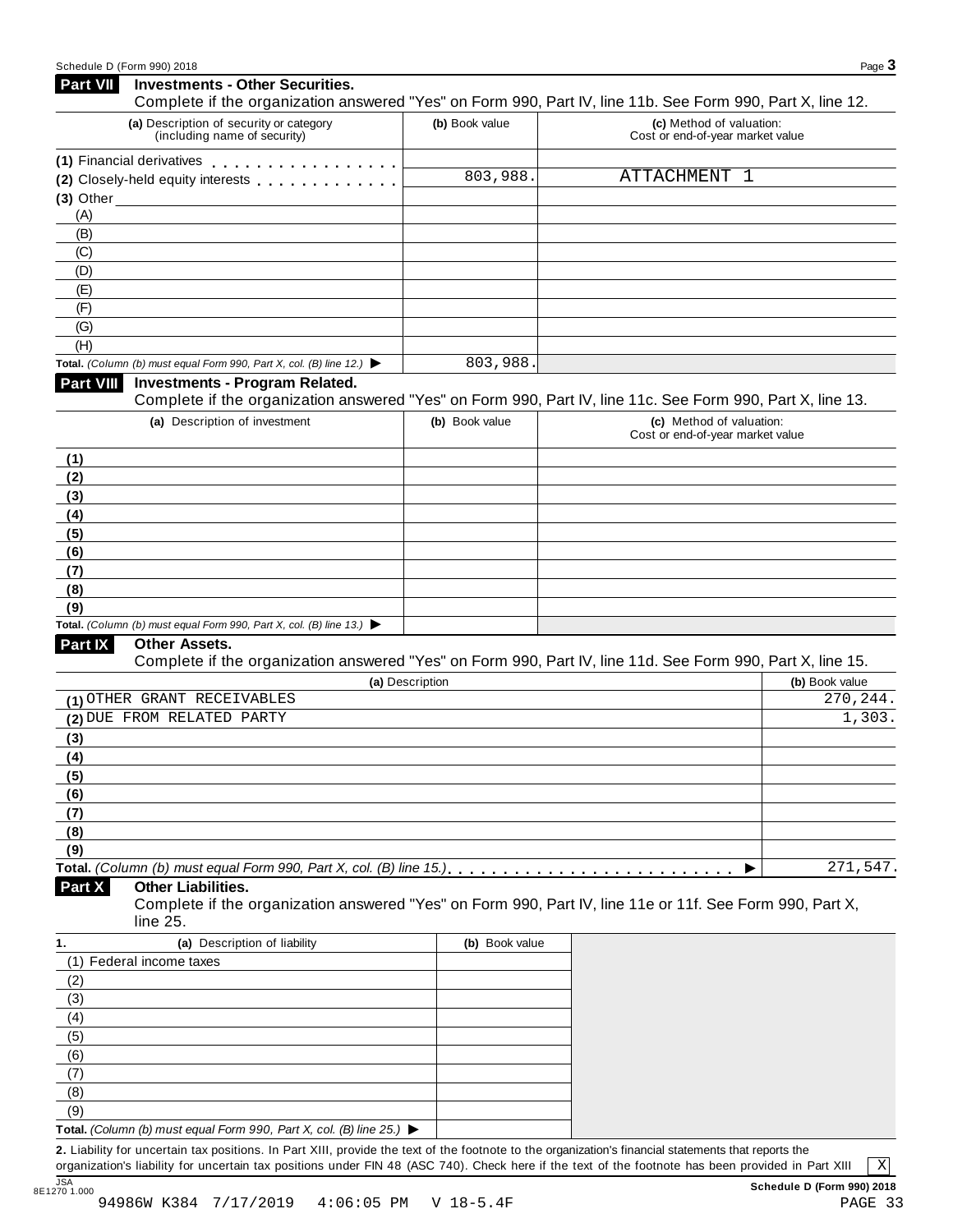| <b>Part VII</b>  | <b>Investments - Other Securities.</b>                                                                                                              |                 |                                                              |                |
|------------------|-----------------------------------------------------------------------------------------------------------------------------------------------------|-----------------|--------------------------------------------------------------|----------------|
|                  | Complete if the organization answered "Yes" on Form 990, Part IV, line 11b. See Form 990, Part X, line 12.                                          |                 |                                                              |                |
|                  | (a) Description of security or category<br>(including name of security)                                                                             | (b) Book value  | (c) Method of valuation:<br>Cost or end-of-year market value |                |
|                  | (1) Financial derivatives                                                                                                                           |                 |                                                              |                |
|                  | (2) Closely-held equity interests                                                                                                                   | 803,988.        | ATTACHMENT 1                                                 |                |
|                  | $(3)$ Other $\overline{\phantom{a}}$                                                                                                                |                 |                                                              |                |
| (A)              |                                                                                                                                                     |                 |                                                              |                |
| (B)              |                                                                                                                                                     |                 |                                                              |                |
| (C)              |                                                                                                                                                     |                 |                                                              |                |
| (D)              |                                                                                                                                                     |                 |                                                              |                |
| (E)              |                                                                                                                                                     |                 |                                                              |                |
| (F)              |                                                                                                                                                     |                 |                                                              |                |
| (G)              |                                                                                                                                                     |                 |                                                              |                |
| (H)              |                                                                                                                                                     |                 |                                                              |                |
|                  | Total. (Column (b) must equal Form 990, Part X, col. (B) line 12.) $\blacktriangleright$                                                            | 803,988.        |                                                              |                |
| <b>Part VIII</b> | <b>Investments - Program Related.</b><br>Complete if the organization answered "Yes" on Form 990, Part IV, line 11c. See Form 990, Part X, line 13. |                 |                                                              |                |
|                  | (a) Description of investment                                                                                                                       | (b) Book value  | (c) Method of valuation:<br>Cost or end-of-year market value |                |
| (1)              |                                                                                                                                                     |                 |                                                              |                |
| (2)              |                                                                                                                                                     |                 |                                                              |                |
| (3)              |                                                                                                                                                     |                 |                                                              |                |
| (4)              |                                                                                                                                                     |                 |                                                              |                |
| (5)              |                                                                                                                                                     |                 |                                                              |                |
| (6)              |                                                                                                                                                     |                 |                                                              |                |
| (7)              |                                                                                                                                                     |                 |                                                              |                |
| (8)              |                                                                                                                                                     |                 |                                                              |                |
| (9)              |                                                                                                                                                     |                 |                                                              |                |
|                  | Total. (Column (b) must equal Form 990, Part X, col. (B) line 13.) $\blacktriangleright$                                                            |                 |                                                              |                |
| Part IX          | <b>Other Assets.</b>                                                                                                                                |                 |                                                              |                |
|                  | Complete if the organization answered "Yes" on Form 990, Part IV, line 11d. See Form 990, Part X, line 15.                                          |                 |                                                              |                |
|                  |                                                                                                                                                     | (a) Description |                                                              | (b) Book value |
|                  | (1) OTHER GRANT RECEIVABLES                                                                                                                         |                 |                                                              | 270,244.       |
|                  | (2) DUE FROM RELATED PARTY                                                                                                                          |                 |                                                              | 1,303.         |
| (3)              |                                                                                                                                                     |                 |                                                              |                |
| (4)              |                                                                                                                                                     |                 |                                                              |                |
| (5)              |                                                                                                                                                     |                 |                                                              |                |
| (6)              |                                                                                                                                                     |                 |                                                              |                |
| (7)              |                                                                                                                                                     |                 |                                                              |                |
| (8)              |                                                                                                                                                     |                 |                                                              |                |
| (9)              |                                                                                                                                                     |                 |                                                              |                |
|                  |                                                                                                                                                     |                 |                                                              | 271,547.       |
| Part X           | <b>Other Liabilities.</b><br>Complete if the organization answered "Yes" on Form 990, Part IV, line 11e or 11f. See Form 990, Part X,<br>line 25.   |                 |                                                              |                |
| 1.               | (a) Description of liability                                                                                                                        | (b) Book value  |                                                              |                |
|                  | (1) Federal income taxes                                                                                                                            |                 |                                                              |                |
| (2)              |                                                                                                                                                     |                 |                                                              |                |
| (3)              |                                                                                                                                                     |                 |                                                              |                |
| (4)              |                                                                                                                                                     |                 |                                                              |                |
| (5)              |                                                                                                                                                     |                 |                                                              |                |
| (6)              |                                                                                                                                                     |                 |                                                              |                |
| (7)              |                                                                                                                                                     |                 |                                                              |                |
| (8)              |                                                                                                                                                     |                 |                                                              |                |
|                  |                                                                                                                                                     |                 |                                                              |                |
| (9)              |                                                                                                                                                     |                 |                                                              |                |

**Total.** *(Column (b) must equal Form 990, Part X, col. (B) line 25.)* I **2.** Liability for uncertain tax positions. In Part XIII, provide the text of the footnote to the organization's financial statements that reports the

organization's liability for uncertain tax positions under FIN 48 (ASC 740). Check here ifthe text of the footnote has been provided in Part XIII 8E1270 1.000

X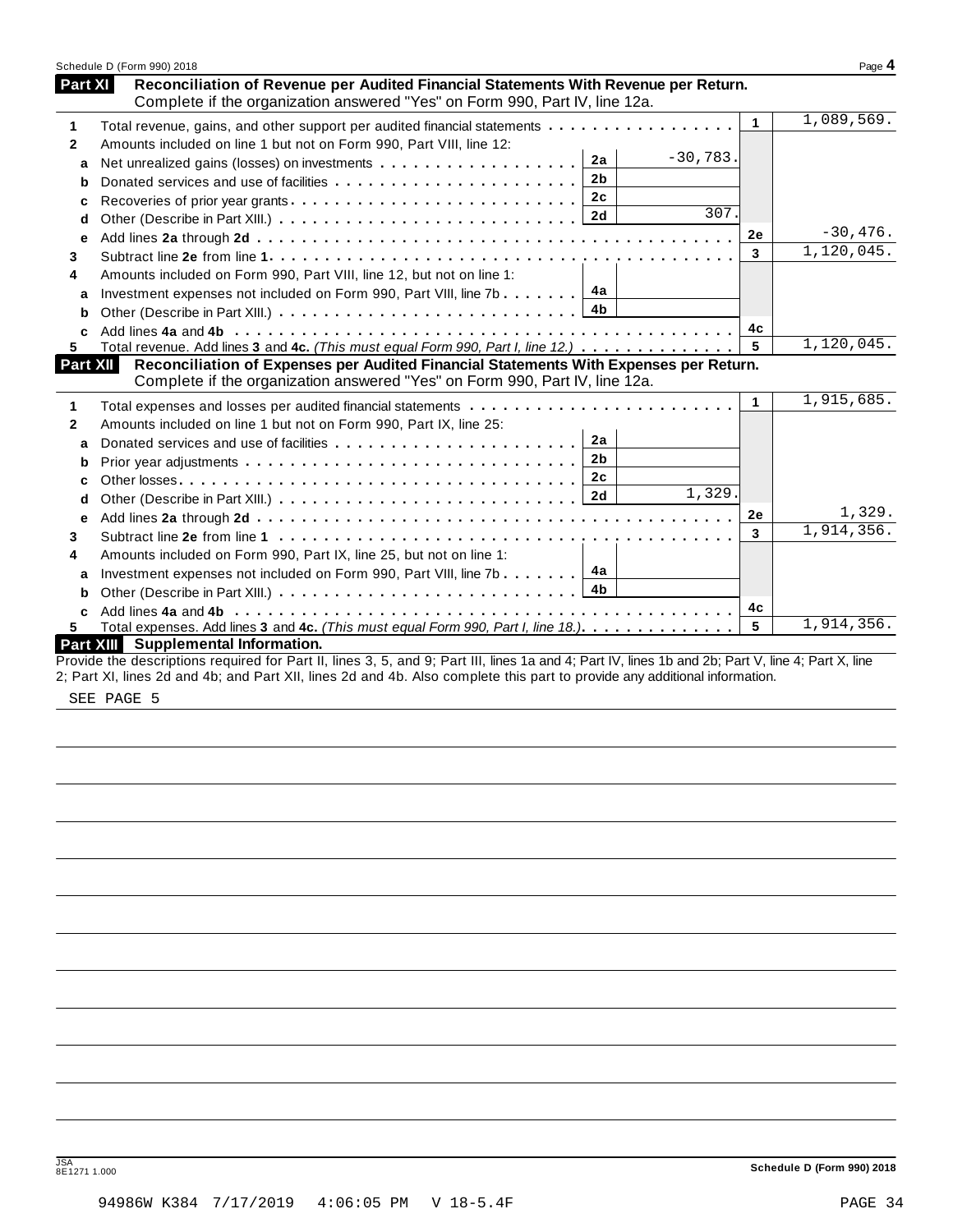|              | Schedule D (Form 990) 2018                                                                                                                                         |              | Page 4     |
|--------------|--------------------------------------------------------------------------------------------------------------------------------------------------------------------|--------------|------------|
| Part XI      | Reconciliation of Revenue per Audited Financial Statements With Revenue per Return.<br>Complete if the organization answered "Yes" on Form 990, Part IV, line 12a. |              |            |
| 1            | Total revenue, gains, and other support per audited financial statements                                                                                           | $\mathbf{1}$ | 1,089,569. |
| $\mathbf{2}$ | Amounts included on line 1 but not on Form 990, Part VIII, line 12:                                                                                                |              |            |
| a            | $-30,783.$<br>2a                                                                                                                                                   |              |            |
| b            | 2 <sub>b</sub>                                                                                                                                                     |              |            |
| c            | 2c                                                                                                                                                                 |              |            |
| d            | 307.<br>2d                                                                                                                                                         |              |            |
| e            |                                                                                                                                                                    | 2e           | $-30,476.$ |
| 3            |                                                                                                                                                                    | 3            | 1,120,045. |
| 4            | Amounts included on Form 990, Part VIII, line 12, but not on line 1:                                                                                               |              |            |
| a            | 4a<br>Investment expenses not included on Form 990, Part VIII, line 7b                                                                                             |              |            |
| b            | 4b                                                                                                                                                                 |              |            |
| c            |                                                                                                                                                                    | 4c           |            |
| 5            | Total revenue. Add lines 3 and 4c. (This must equal Form 990, Part I, line 12.) $\dots \dots \dots \dots$                                                          | 5            | 1,120,045. |
| Part XII     | Reconciliation of Expenses per Audited Financial Statements With Expenses per Return.                                                                              |              |            |
|              | Complete if the organization answered "Yes" on Form 990, Part IV, line 12a.                                                                                        |              |            |
| 1            |                                                                                                                                                                    | $\mathbf{1}$ | 1,915,685. |
| 2            | Amounts included on line 1 but not on Form 990, Part IX, line 25:                                                                                                  |              |            |
| a            | 2a                                                                                                                                                                 |              |            |
| b            | 2 <sub>b</sub>                                                                                                                                                     |              |            |
| C            | 2c                                                                                                                                                                 |              |            |
| d            | $\overline{1}$ , 329.                                                                                                                                              |              |            |
| е            |                                                                                                                                                                    | 2e           | 1,329.     |
| 3            |                                                                                                                                                                    | 3            | 1,914,356. |
| 4            | Amounts included on Form 990, Part IX, line 25, but not on line 1:                                                                                                 |              |            |
| a            | 4a<br>Investment expenses not included on Form 990, Part VIII, line 7b                                                                                             |              |            |
| b            | 4b                                                                                                                                                                 |              |            |
| C.           |                                                                                                                                                                    | 4с           |            |
| 5.           | Total expenses. Add lines 3 and 4c. (This must equal Form 990, Part I, line 18.)                                                                                   | 5            | 1,914,356. |
|              | Part XIII Supplemental Information.                                                                                                                                |              |            |
|              | Provide the descriptions required for Part II, lines 3, 5, and 9; Part III, lines 1a and 4; Part IV, lines 1b and 2b; Part V, line 4; Part X, line                 |              |            |
|              | 2; Part XI, lines 2d and 4b; and Part XII, lines 2d and 4b. Also complete this part to provide any additional information.                                         |              |            |

SEE PAGE 5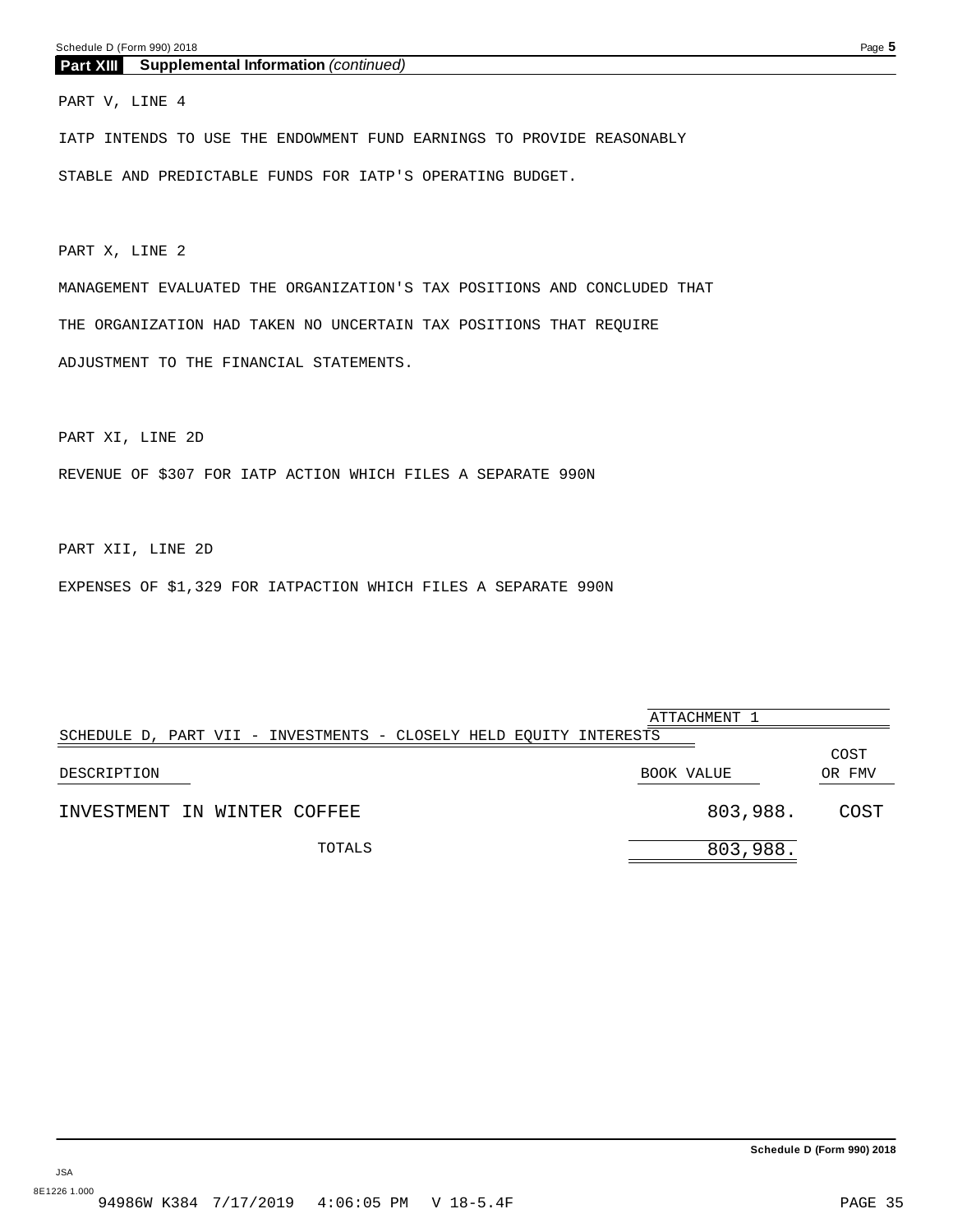### <span id="page-33-0"></span>**Part XIII Supplemental Information** *(continued)*

PART V, LINE 4

IATP INTENDS TO USE THE ENDOWMENT FUND EARNINGS TO PROVIDE REASONABLY STABLE AND PREDICTABLE FUNDS FOR IATP'S OPERATING BUDGET.

PART X, LINE 2

MANAGEMENT EVALUATED THE ORGANIZATION'S TAX POSITIONS AND CONCLUDED THAT THE ORGANIZATION HAD TAKEN NO UNCERTAIN TAX POSITIONS THAT REQUIRE ADJUSTMENT TO THE FINANCIAL STATEMENTS.

PART XI, LINE 2D

REVENUE OF \$307 FOR IATP ACTION WHICH FILES A SEPARATE 990N

PART XII, LINE 2D

JSA

EXPENSES OF \$1,329 FOR IATPACTION WHICH FILES A SEPARATE 990N

|                                                                    | ATTACHMENT 1 |          |                |
|--------------------------------------------------------------------|--------------|----------|----------------|
| SCHEDULE D, PART VII - INVESTMENTS - CLOSELY HELD EQUITY INTERESTS |              |          |                |
| DESCRIPTION                                                        | BOOK VALUE   |          | COST<br>OR FMV |
| INVESTMENT IN WINTER COFFEE                                        |              | 803,988. | COST           |
| TOTALS                                                             |              | 803,988. |                |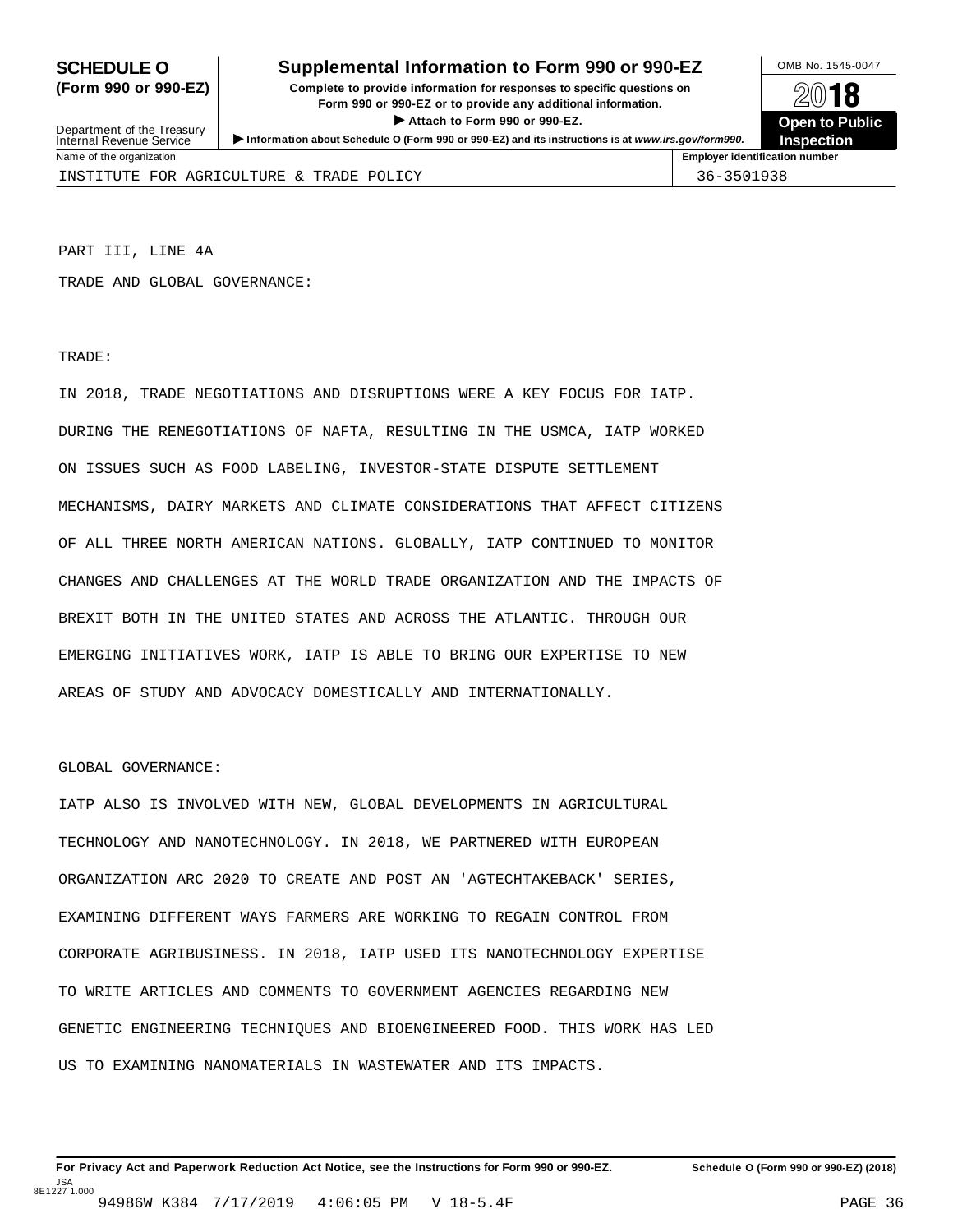### **SCHEDULE O** Supplemental Information to Form 990 or 990-EZ DMB No. 1545-0047

**(Form 990 or 990-EZ) Complete to provide information for responses to specific questions on** plete to provide information for responses to specific questions on  $\mathbb{Z}^{0}$  **18 EV I O**<br>
■ Attach to Form 990 or 990-EZ. Depen to Public<br>
■ Public Corporation of the Security of the Security of the Security of the Security of the Security of the Security of the Security of the Security of the Securi Department of the Treasury <br>Depen to Public<br>Name of the organization<br>Name of the organization<br>Name of the organization<br>Name of the organization<br>Inspection



Department of the Treasury<br>Internal Revenue Service

INSTITUTE FOR AGRICULTURE & TRADE POLICY **1998** 36-3501938

PART III, LINE 4A

TRADE AND GLOBAL GOVERNANCE:

TRADE:

IN 2018, TRADE NEGOTIATIONS AND DISRUPTIONS WERE A KEY FOCUS FOR IATP. DURING THE RENEGOTIATIONS OF NAFTA, RESULTING IN THE USMCA, IATP WORKED ON ISSUES SUCH AS FOOD LABELING, INVESTOR-STATE DISPUTE SETTLEMENT MECHANISMS, DAIRY MARKETS AND CLIMATE CONSIDERATIONS THAT AFFECT CITIZENS OF ALL THREE NORTH AMERICAN NATIONS. GLOBALLY, IATP CONTINUED TO MONITOR CHANGES AND CHALLENGES AT THE WORLD TRADE ORGANIZATION AND THE IMPACTS OF BREXIT BOTH IN THE UNITED STATES AND ACROSS THE ATLANTIC. THROUGH OUR EMERGING INITIATIVES WORK, IATP IS ABLE TO BRING OUR EXPERTISE TO NEW AREAS OF STUDY AND ADVOCACY DOMESTICALLY AND INTERNATIONALLY.

### GLOBAL GOVERNANCE:

IATP ALSO IS INVOLVED WITH NEW, GLOBAL DEVELOPMENTS IN AGRICULTURAL TECHNOLOGY AND NANOTECHNOLOGY. IN 2018, WE PARTNERED WITH EUROPEAN ORGANIZATION ARC 2020 TO CREATE AND POST AN 'AGTECHTAKEBACK' SERIES, EXAMINING DIFFERENT WAYS FARMERS ARE WORKING TO REGAIN CONTROL FROM CORPORATE AGRIBUSINESS. IN 2018, IATP USED ITS NANOTECHNOLOGY EXPERTISE TO WRITE ARTICLES AND COMMENTS TO GOVERNMENT AGENCIES REGARDING NEW GENETIC ENGINEERING TECHNIQUES AND BIOENGINEERED FOOD. THIS WORK HAS LED US TO EXAMINING NANOMATERIALS IN WASTEWATER AND ITS IMPACTS.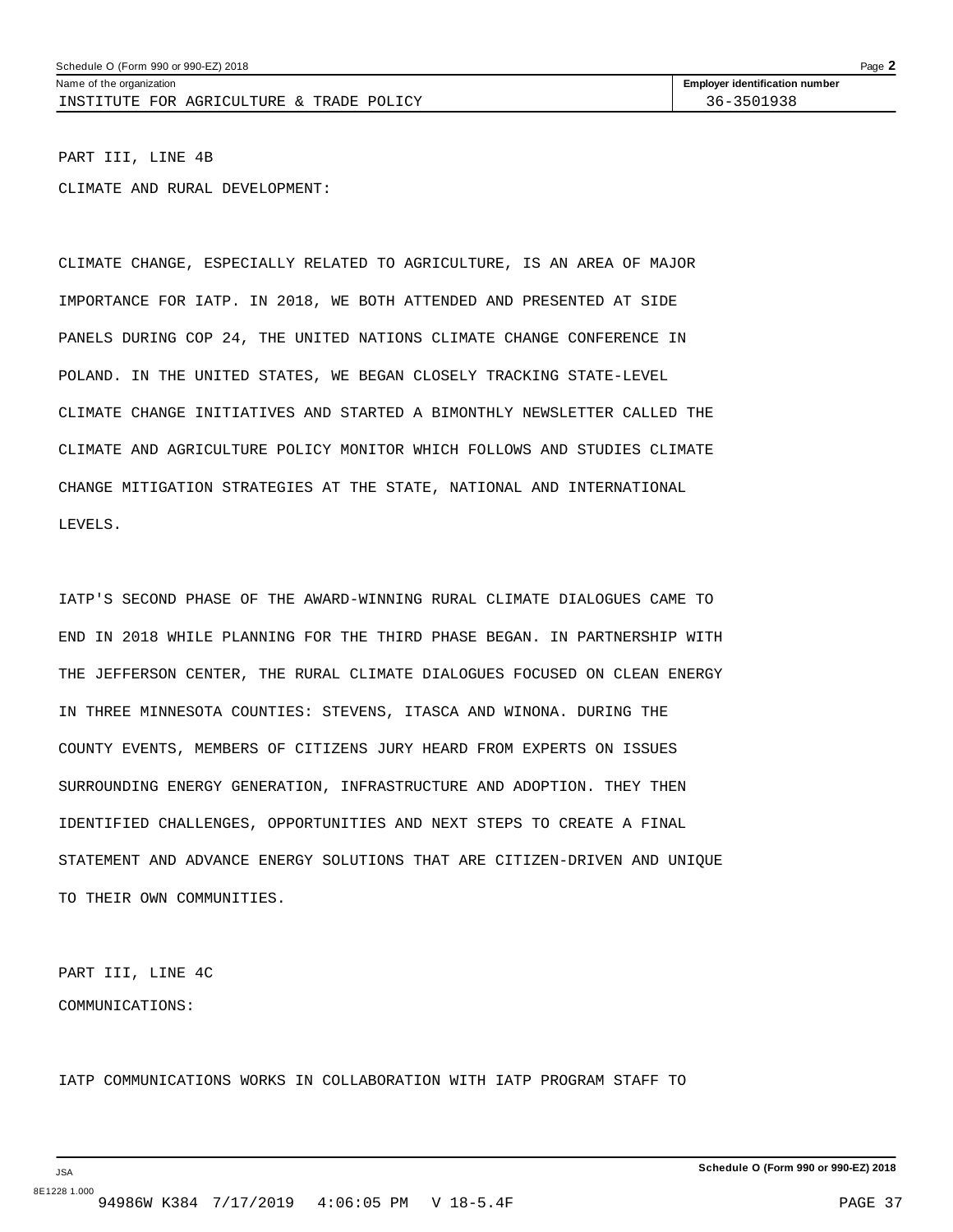Schedule O (Form 990 or 990-EZ) 2018 Page 2

INSTITUTE FOR AGRICULTURE & TRADE POLICY  $\vert$  36-3501938

Name of the organization **intervalse of the organization number Employer identification number** 

PART III, LINE 4B

CLIMATE AND RURAL DEVELOPMENT:

CLIMATE CHANGE, ESPECIALLY RELATED TO AGRICULTURE, IS AN AREA OF MAJOR IMPORTANCE FOR IATP. IN 2018, WE BOTH ATTENDED AND PRESENTED AT SIDE PANELS DURING COP 24, THE UNITED NATIONS CLIMATE CHANGE CONFERENCE IN POLAND. IN THE UNITED STATES, WE BEGAN CLOSELY TRACKING STATE-LEVEL CLIMATE CHANGE INITIATIVES AND STARTED A BIMONTHLY NEWSLETTER CALLED THE CLIMATE AND AGRICULTURE POLICY MONITOR WHICH FOLLOWS AND STUDIES CLIMATE CHANGE MITIGATION STRATEGIES AT THE STATE, NATIONAL AND INTERNATIONAL LEVELS.

IATP'S SECOND PHASE OF THE AWARD-WINNING RURAL CLIMATE DIALOGUES CAME TO END IN 2018 WHILE PLANNING FOR THE THIRD PHASE BEGAN. IN PARTNERSHIP WITH THE JEFFERSON CENTER, THE RURAL CLIMATE DIALOGUES FOCUSED ON CLEAN ENERGY IN THREE MINNESOTA COUNTIES: STEVENS, ITASCA AND WINONA. DURING THE COUNTY EVENTS, MEMBERS OF CITIZENS JURY HEARD FROM EXPERTS ON ISSUES SURROUNDING ENERGY GENERATION, INFRASTRUCTURE AND ADOPTION. THEY THEN IDENTIFIED CHALLENGES, OPPORTUNITIES AND NEXT STEPS TO CREATE A FINAL STATEMENT AND ADVANCE ENERGY SOLUTIONS THAT ARE CITIZEN-DRIVEN AND UNIQUE TO THEIR OWN COMMUNITIES.

PART III, LINE 4C COMMUNICATIONS:

IATP COMMUNICATIONS WORKS IN COLLABORATION WITH IATP PROGRAM STAFF TO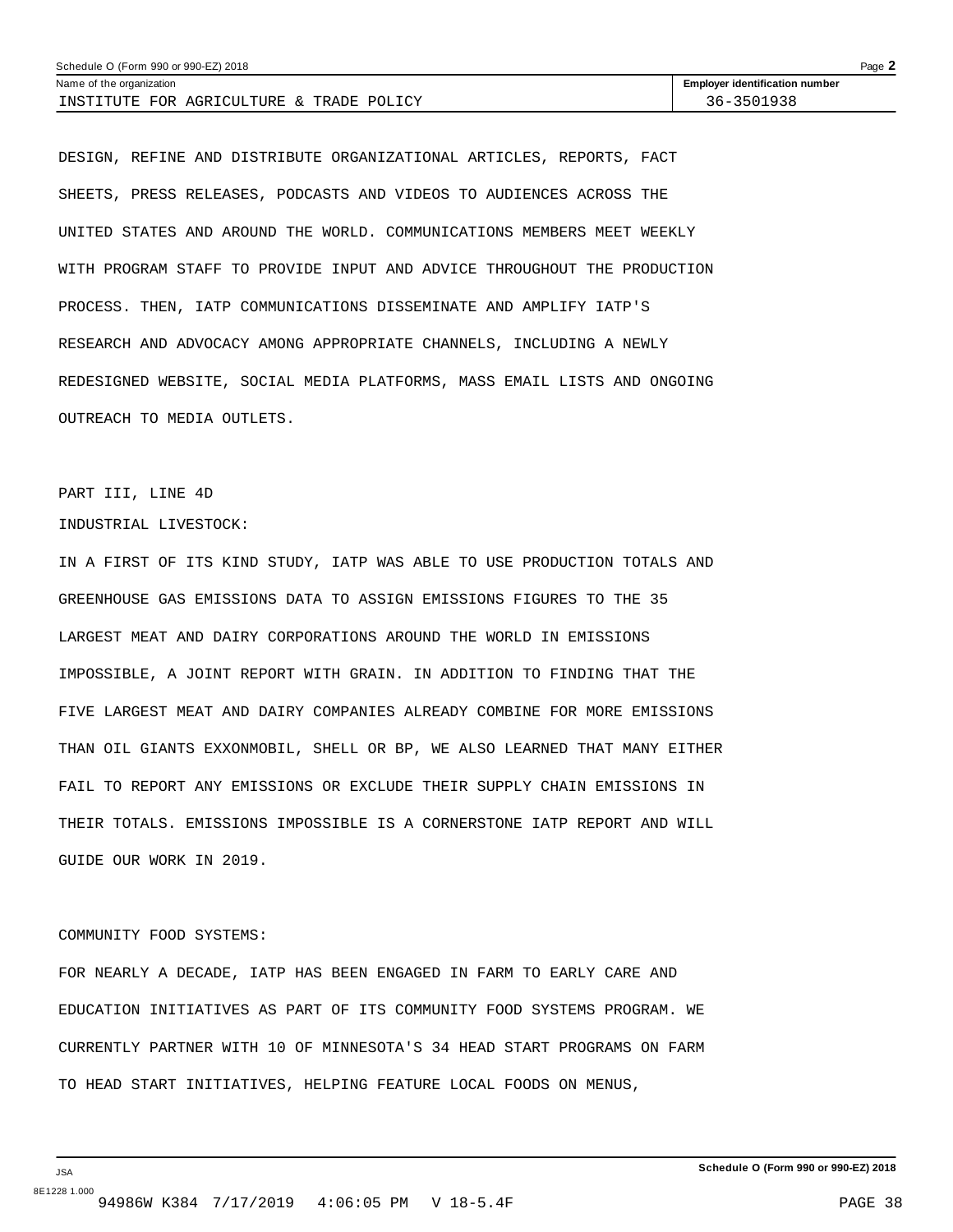| Schedule O (Form 990 or 990-EZ) 2018     | Page $\blacktriangle$                 |
|------------------------------------------|---------------------------------------|
| Name of the organization                 | <b>Employer identification number</b> |
| INSTITUTE FOR AGRICULTURE & TRADE POLICY | 36-3501938                            |

DESIGN, REFINE AND DISTRIBUTE ORGANIZATIONAL ARTICLES, REPORTS, FACT SHEETS, PRESS RELEASES, PODCASTS AND VIDEOS TO AUDIENCES ACROSS THE UNITED STATES AND AROUND THE WORLD. COMMUNICATIONS MEMBERS MEET WEEKLY WITH PROGRAM STAFF TO PROVIDE INPUT AND ADVICE THROUGHOUT THE PRODUCTION PROCESS. THEN, IATP COMMUNICATIONS DISSEMINATE AND AMPLIFY IATP'S RESEARCH AND ADVOCACY AMONG APPROPRIATE CHANNELS, INCLUDING A NEWLY REDESIGNED WEBSITE, SOCIAL MEDIA PLATFORMS, MASS EMAIL LISTS AND ONGOING OUTREACH TO MEDIA OUTLETS.

### PART III, LINE 4D

### INDUSTRIAL LIVESTOCK:

IN A FIRST OF ITS KIND STUDY, IATP WAS ABLE TO USE PRODUCTION TOTALS AND GREENHOUSE GAS EMISSIONS DATA TO ASSIGN EMISSIONS FIGURES TO THE 35 LARGEST MEAT AND DAIRY CORPORATIONS AROUND THE WORLD IN EMISSIONS IMPOSSIBLE, A JOINT REPORT WITH GRAIN. IN ADDITION TO FINDING THAT THE FIVE LARGEST MEAT AND DAIRY COMPANIES ALREADY COMBINE FOR MORE EMISSIONS THAN OIL GIANTS EXXONMOBIL, SHELL OR BP, WE ALSO LEARNED THAT MANY EITHER FAIL TO REPORT ANY EMISSIONS OR EXCLUDE THEIR SUPPLY CHAIN EMISSIONS IN THEIR TOTALS. EMISSIONS IMPOSSIBLE IS A CORNERSTONE IATP REPORT AND WILL GUIDE OUR WORK IN 2019.

### COMMUNITY FOOD SYSTEMS:

FOR NEARLY A DECADE, IATP HAS BEEN ENGAGED IN FARM TO EARLY CARE AND EDUCATION INITIATIVES AS PART OF ITS COMMUNITY FOOD SYSTEMS PROGRAM. WE CURRENTLY PARTNER WITH 10 OF MINNESOTA'S 34 HEAD START PROGRAMS ON FARM TO HEAD START INITIATIVES, HELPING FEATURE LOCAL FOODS ON MENUS,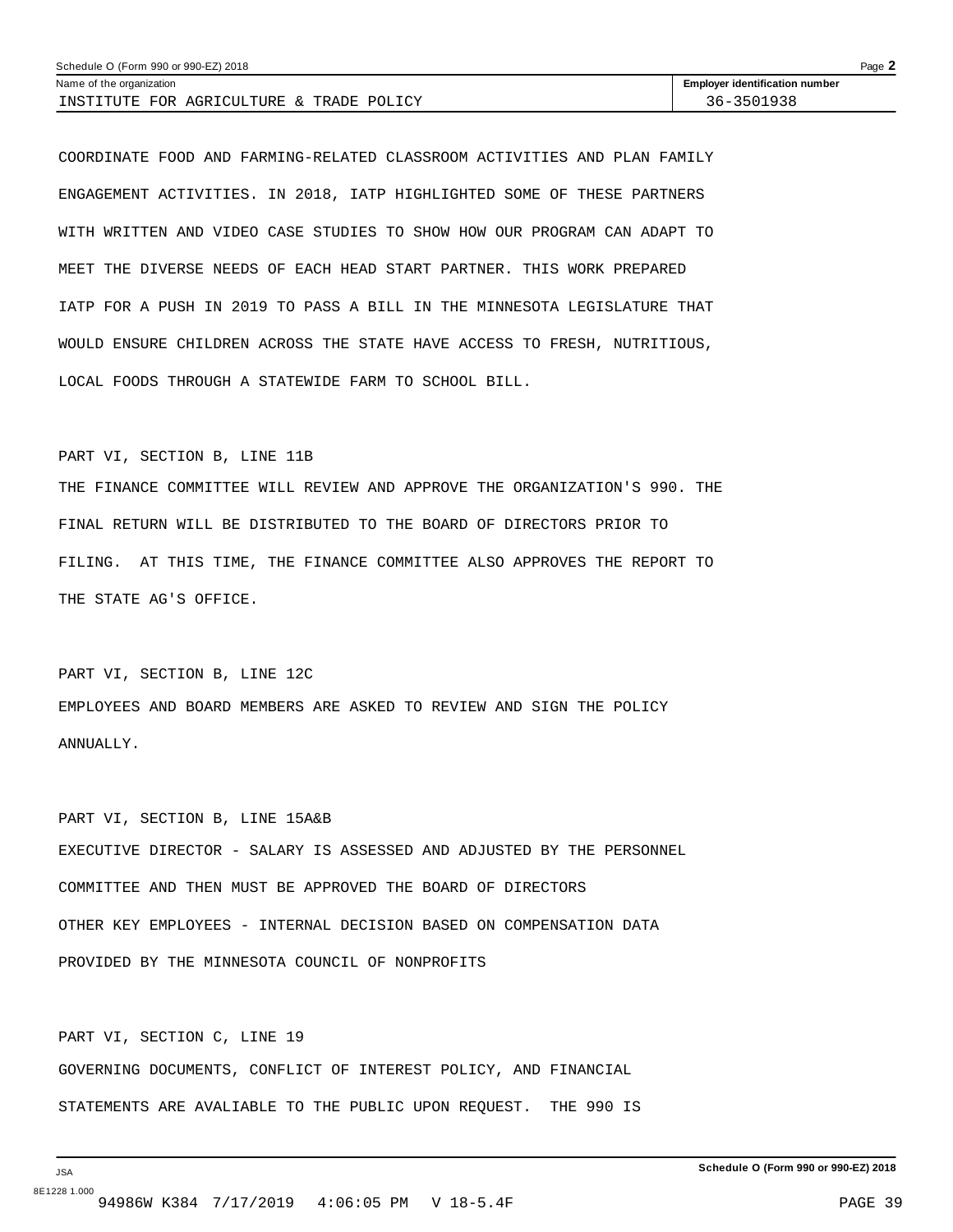| Schedule O (Form 990 or 990-EZ) 2018     | Page $\angle$                         |
|------------------------------------------|---------------------------------------|
| Name of the organization                 | <b>Employer identification number</b> |
| INSTITUTE FOR AGRICULTURE & TRADE POLICY | 36-3501938                            |

COORDINATE FOOD AND FARMING-RELATED CLASSROOM ACTIVITIES AND PLAN FAMILY ENGAGEMENT ACTIVITIES. IN 2018, IATP HIGHLIGHTED SOME OF THESE PARTNERS WITH WRITTEN AND VIDEO CASE STUDIES TO SHOW HOW OUR PROGRAM CAN ADAPT TO MEET THE DIVERSE NEEDS OF EACH HEAD START PARTNER. THIS WORK PREPARED IATP FOR A PUSH IN 2019 TO PASS A BILL IN THE MINNESOTA LEGISLATURE THAT WOULD ENSURE CHILDREN ACROSS THE STATE HAVE ACCESS TO FRESH, NUTRITIOUS, LOCAL FOODS THROUGH A STATEWIDE FARM TO SCHOOL BILL.

### PART VI, SECTION B, LINE 11B

THE FINANCE COMMITTEE WILL REVIEW AND APPROVE THE ORGANIZATION'S 990. THE FINAL RETURN WILL BE DISTRIBUTED TO THE BOARD OF DIRECTORS PRIOR TO FILING. AT THIS TIME, THE FINANCE COMMITTEE ALSO APPROVES THE REPORT TO THE STATE AG'S OFFICE.

PART VI, SECTION B, LINE 12C EMPLOYEES AND BOARD MEMBERS ARE ASKED TO REVIEW AND SIGN THE POLICY ANNUALLY.

PART VI, SECTION B, LINE 15A&B EXECUTIVE DIRECTOR - SALARY IS ASSESSED AND ADJUSTED BY THE PERSONNEL COMMITTEE AND THEN MUST BE APPROVED THE BOARD OF DIRECTORS OTHER KEY EMPLOYEES - INTERNAL DECISION BASED ON COMPENSATION DATA PROVIDED BY THE MINNESOTA COUNCIL OF NONPROFITS

PART VI, SECTION C, LINE 19 GOVERNING DOCUMENTS, CONFLICT OF INTEREST POLICY, AND FINANCIAL STATEMENTS ARE AVALIABLE TO THE PUBLIC UPON REQUEST. THE 990 IS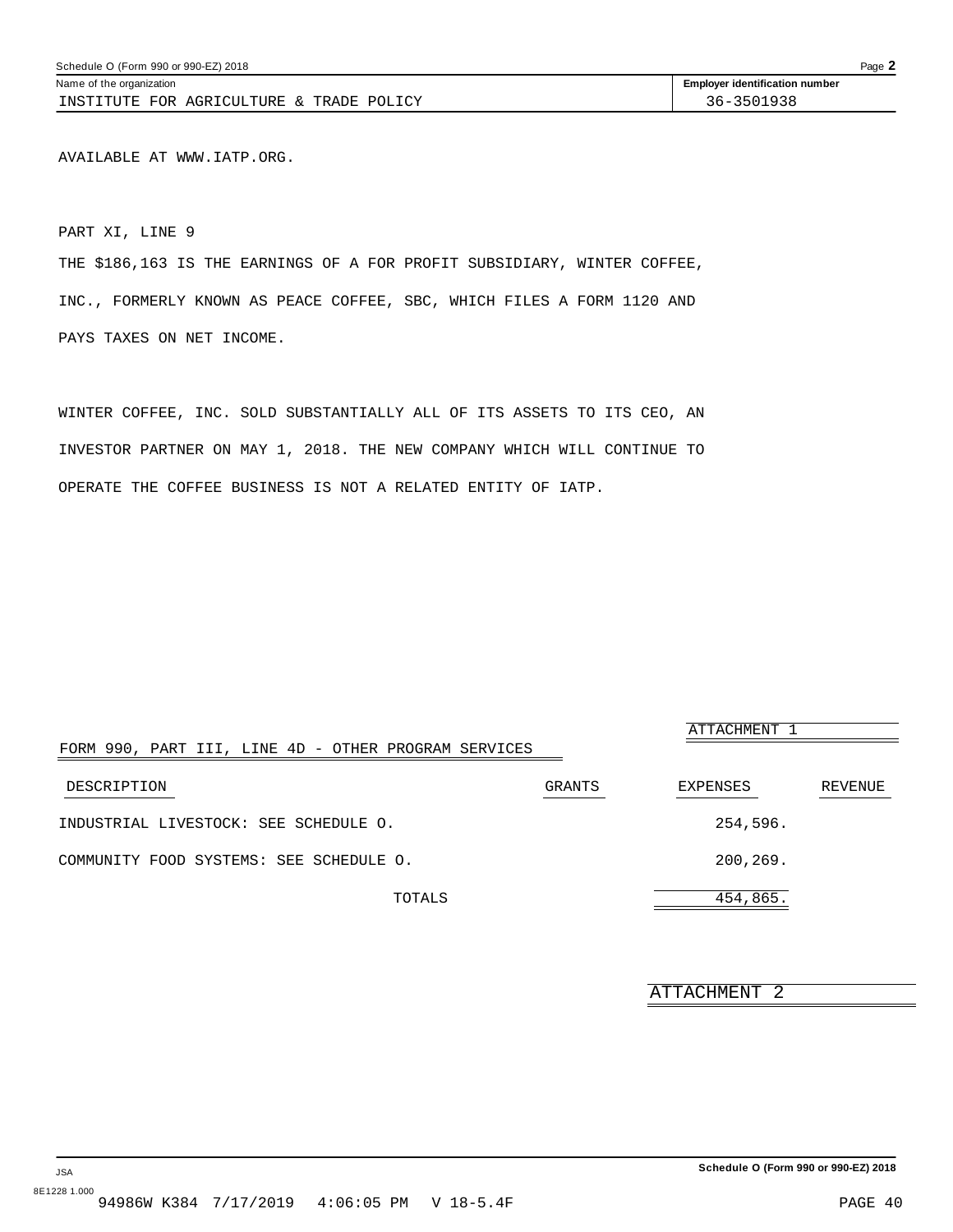<span id="page-38-0"></span>AVAILABLE AT WWW.IATP.ORG.

PART XI, LINE 9

THE \$186,163 IS THE EARNINGS OF A FOR PROFIT SUBSIDIARY, WINTER COFFEE, INC., FORMERLY KNOWN AS PEACE COFFEE, SBC, WHICH FILES A FORM 1120 AND PAYS TAXES ON NET INCOME.

WINTER COFFEE, INC. SOLD SUBSTANTIALLY ALL OF ITS ASSETS TO ITS CEO, AN INVESTOR PARTNER ON MAY 1, 2018. THE NEW COMPANY WHICH WILL CONTINUE TO OPERATE THE COFFEE BUSINESS IS NOT A RELATED ENTITY OF IATP.

| FORM 990, PART III, LINE 4D - OTHER PROGRAM SERVICES |        | ATTACHMENT 1 |         |
|------------------------------------------------------|--------|--------------|---------|
| DESCRIPTION                                          | GRANTS | EXPENSES     | REVENUE |
| INDUSTRIAL LIVESTOCK: SEE SCHEDULE O.                |        | 254,596.     |         |
| COMMUNITY FOOD SYSTEMS: SEE SCHEDULE O.              |        | 200,269.     |         |
| TOTALS                                               |        | 454,865.     |         |

ATTACHMENT 2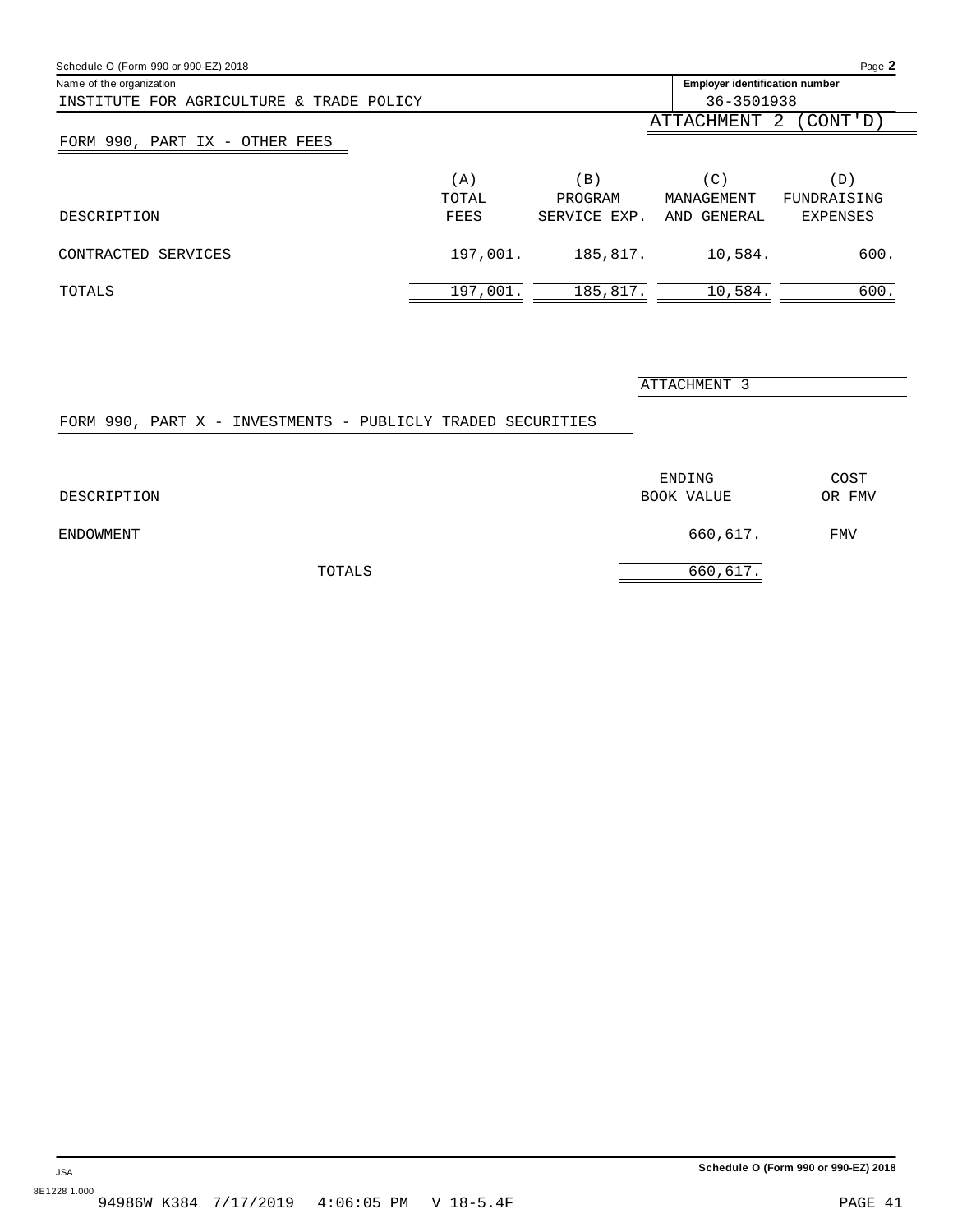<span id="page-39-0"></span>

| Schedule O (Form 990 or 990-EZ) 2018     |          |              |                                       | Page 2         |
|------------------------------------------|----------|--------------|---------------------------------------|----------------|
| Name of the organization                 |          |              | <b>Employer identification number</b> |                |
| INSTITUTE FOR AGRICULTURE & TRADE POLICY |          |              | 36-3501938                            |                |
|                                          |          |              | ATTACHMENT                            | (CONT'D)<br>-2 |
| FORM 990, PART IX - OTHER FEES           |          |              |                                       |                |
|                                          | (A)      | ΈB,          | $(\mathsf{C}\,)$                      | (D)            |
|                                          | TOTAL    | PROGRAM      | MANAGEMENT                            | FUNDRAISING    |
| DESCRIPTION                              | FEES     | SERVICE EXP. | AND GENERAL                           | EXPENSES       |
| CONTRACTED SERVICES                      | 197,001. | 185,817.     | 10,584.                               | 600.           |
| TOTALS                                   | 197,001. | 185,817.     | 10,584.                               | 600.           |

ATTACHMENT 3

## FORM 990, PART X - INVESTMENTS - PUBLICLY TRADED SECURITIES

| DESCRIPTION |        | ENDING<br>BOOK VALUE | COST<br>OR FMV |
|-------------|--------|----------------------|----------------|
| ENDOWMENT   |        | 660,617.             | FMV            |
|             | TOTALS | 660,617.             |                |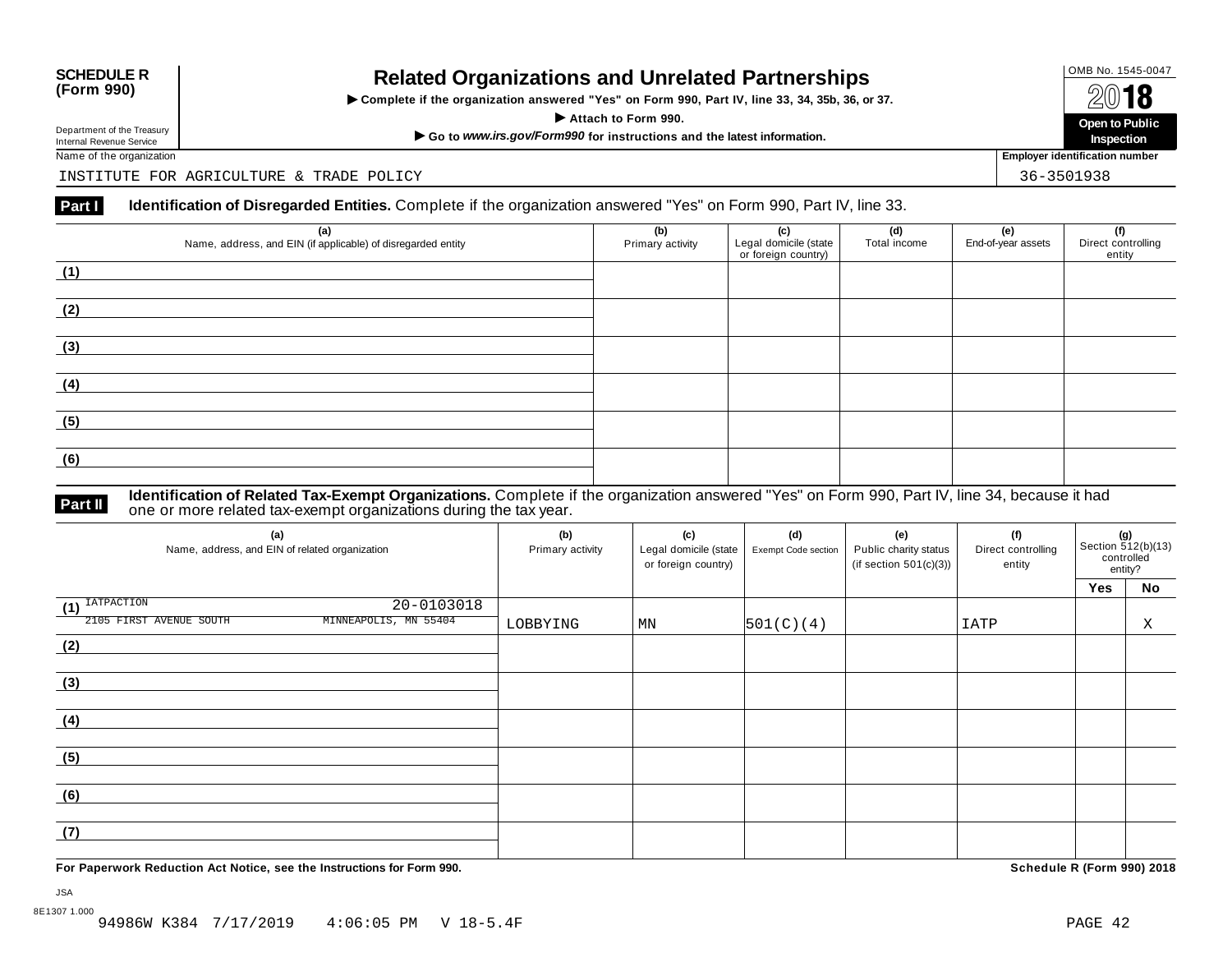# OMB No. 1545-0047 **SCHEDULE R (Form 990) Related Organizations and Unrelated Partnerships**

 $\triangleright$  Complete if the organization answered "Yes" on Form 990, Part IV, line 33, 34, 35b, 36, or 37.  $\overline{A}$  **I O**<br>
Attach to Form 990.<br>  $\overline{A}$  Attach to Form 990.

Department of the Treasury<br>
Internal Revenue Service<br>
Name of the organization<br>
Name of the organization<br>
Name of the organization<br> **Name of the organization** 

**Inspection**

Department of the Treasury<br>Internal Revenue Service

INSTITUTE FOR AGRICULTURE & TRADE POLICY 36-3501938

### **Part I Identification of Disregarded Entities.** Complete if the organization answered "Yes" on Form 990, Part IV, line 33.

| (a)<br>Name, address, and EIN (if applicable) of disregarded entity | (b)<br>Primary activity | (c)<br>Legal domicile (state<br>or foreign country) | (d)<br>Total income | (e)<br>End-of-year assets | (f)<br>Direct controlling<br>entity |
|---------------------------------------------------------------------|-------------------------|-----------------------------------------------------|---------------------|---------------------------|-------------------------------------|
| (1)                                                                 |                         |                                                     |                     |                           |                                     |
| (2)                                                                 |                         |                                                     |                     |                           |                                     |
| (3)                                                                 |                         |                                                     |                     |                           |                                     |
| (4)                                                                 |                         |                                                     |                     |                           |                                     |
| (5)                                                                 |                         |                                                     |                     |                           |                                     |
| (6)                                                                 |                         |                                                     |                     |                           |                                     |

**Identification of Related Tax-Exempt Organizations.** Complete if the organization answered "Yes" on Form 990, Part IV, line 34, because it had **Part II** one or more related tax-exempt organizations during the tax year.

| (a)<br>Name, address, and EIN of related organization | (b)<br>Primary activity | (c)<br>Legal domicile (state<br>or foreign country) | (d)<br>Exempt Code section | (e)<br>Public charity status<br>(if section $501(c)(3)$ ) | (f)<br>Direct controlling<br>entity | (g)<br>Section $\frac{3}{12(b)(13)}$<br>controlled<br>entity? |    |
|-------------------------------------------------------|-------------------------|-----------------------------------------------------|----------------------------|-----------------------------------------------------------|-------------------------------------|---------------------------------------------------------------|----|
|                                                       |                         |                                                     |                            |                                                           |                                     | Yes                                                           | No |
| $\overline{1}$ <sup>IATPACTION</sup><br>20-0103018    |                         |                                                     |                            |                                                           |                                     |                                                               |    |
| 2105 FIRST AVENUE SOUTH<br>MINNEAPOLIS, MN 55404      | LOBBYING                | MN                                                  | 501(C)(4)                  |                                                           | IATP                                |                                                               | Χ  |
| (2)                                                   |                         |                                                     |                            |                                                           |                                     |                                                               |    |
|                                                       |                         |                                                     |                            |                                                           |                                     |                                                               |    |
| (3)                                                   |                         |                                                     |                            |                                                           |                                     |                                                               |    |
|                                                       |                         |                                                     |                            |                                                           |                                     |                                                               |    |
| (4)                                                   |                         |                                                     |                            |                                                           |                                     |                                                               |    |
|                                                       |                         |                                                     |                            |                                                           |                                     |                                                               |    |
| (5)                                                   |                         |                                                     |                            |                                                           |                                     |                                                               |    |
|                                                       |                         |                                                     |                            |                                                           |                                     |                                                               |    |
| (6)                                                   |                         |                                                     |                            |                                                           |                                     |                                                               |    |
|                                                       |                         |                                                     |                            |                                                           |                                     |                                                               |    |
| (7)                                                   |                         |                                                     |                            |                                                           |                                     |                                                               |    |
|                                                       |                         |                                                     |                            |                                                           |                                     |                                                               |    |

**For Paperwork Reduction Act Notice, see the Instructions for Form 990. Schedule R (Form 990) 2018**

JSA 8E1307 1.000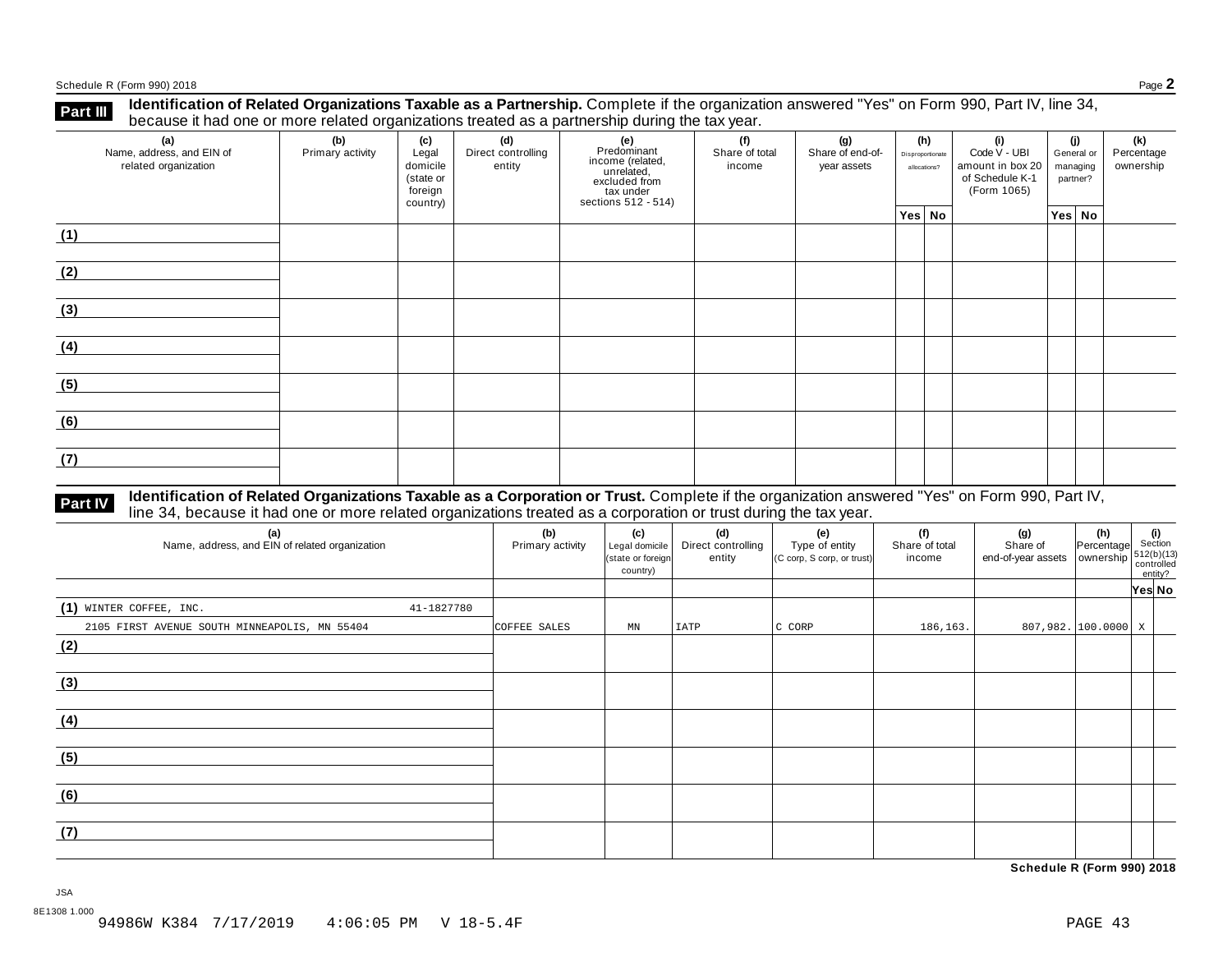Schedule <sup>R</sup> (Form 990) <sup>2018</sup> Page **2**

**Part III** Identification of Related Organizations Taxable as a Partnership. Complete if the organization answered "Yes" on Form 990, Part IV, line 34,<br>because it had one or more related organizations treated as a partners

| (a)<br>Name, address, and EIN of<br>related organization | (b)<br>Primary activity | (c)<br>Legal<br>domicile<br>(state or<br>foreign<br>country) | (d)<br>Direct controlling<br>entity | (e)<br>Predominant<br>income (related,<br>unrelated,<br>excluded from<br>tax under<br>sections 512 - 514) | (f)<br>(h)<br>(g)<br>(i)<br>Share of total<br>Share of end-of-<br>Disproportionate<br>income<br>year assets<br>allocations? |  | Code V - UBI<br>amount in box 20<br>of Schedule K-1<br>(Form 1065) | (j)<br>General or<br>managing<br>partner? |  | (k)<br>Percentage<br>ownership |        |  |
|----------------------------------------------------------|-------------------------|--------------------------------------------------------------|-------------------------------------|-----------------------------------------------------------------------------------------------------------|-----------------------------------------------------------------------------------------------------------------------------|--|--------------------------------------------------------------------|-------------------------------------------|--|--------------------------------|--------|--|
|                                                          |                         |                                                              |                                     |                                                                                                           |                                                                                                                             |  | Yes No                                                             |                                           |  |                                | Yes No |  |
| (1)                                                      |                         |                                                              |                                     |                                                                                                           |                                                                                                                             |  |                                                                    |                                           |  |                                |        |  |
| (2)                                                      |                         |                                                              |                                     |                                                                                                           |                                                                                                                             |  |                                                                    |                                           |  |                                |        |  |
| (3)                                                      |                         |                                                              |                                     |                                                                                                           |                                                                                                                             |  |                                                                    |                                           |  |                                |        |  |
| (4)                                                      |                         |                                                              |                                     |                                                                                                           |                                                                                                                             |  |                                                                    |                                           |  |                                |        |  |
| (5)                                                      |                         |                                                              |                                     |                                                                                                           |                                                                                                                             |  |                                                                    |                                           |  |                                |        |  |
| (6)                                                      |                         |                                                              |                                     |                                                                                                           |                                                                                                                             |  |                                                                    |                                           |  |                                |        |  |
| (7)                                                      |                         |                                                              |                                     |                                                                                                           |                                                                                                                             |  |                                                                    |                                           |  |                                |        |  |

# **Part IV** Identification of Related Organizations Taxable as a Corporation or Trust. Complete if the organization answered "Yes" on Form 990, Part IV,<br>line 34, because it had one or more related organizations treated as a

| (a)<br>Name, address, and EIN of related organization | (b)<br>Primary activity | (c)<br>Legal domicile<br>(state or foreign<br>country) | (d)<br>Direct controlling<br>entity | (e)<br>Type of entity<br>(C corp, S corp, or trust) | (f)<br>Share of total<br>income | (g)<br>Share of<br>end-of-year assets ownership 512(b)(13) | (h)<br>Percentage     | (i)<br>Section<br>entity? |  |
|-------------------------------------------------------|-------------------------|--------------------------------------------------------|-------------------------------------|-----------------------------------------------------|---------------------------------|------------------------------------------------------------|-----------------------|---------------------------|--|
|                                                       |                         |                                                        |                                     |                                                     |                                 |                                                            |                       | Yes No                    |  |
| (1) WINTER COFFEE, INC.<br>41-1827780                 |                         |                                                        |                                     |                                                     |                                 |                                                            |                       |                           |  |
| 2105 FIRST AVENUE SOUTH MINNEAPOLIS, MN 55404         | COFFEE SALES            | MN                                                     | IATP                                | C CORP                                              | 186,163.                        |                                                            | 807,982. 100.0000   X |                           |  |
| (2)                                                   |                         |                                                        |                                     |                                                     |                                 |                                                            |                       |                           |  |
|                                                       |                         |                                                        |                                     |                                                     |                                 |                                                            |                       |                           |  |
| (3)                                                   |                         |                                                        |                                     |                                                     |                                 |                                                            |                       |                           |  |
|                                                       |                         |                                                        |                                     |                                                     |                                 |                                                            |                       |                           |  |
| (4)                                                   |                         |                                                        |                                     |                                                     |                                 |                                                            |                       |                           |  |
|                                                       |                         |                                                        |                                     |                                                     |                                 |                                                            |                       |                           |  |
| (5)                                                   |                         |                                                        |                                     |                                                     |                                 |                                                            |                       |                           |  |
|                                                       |                         |                                                        |                                     |                                                     |                                 |                                                            |                       |                           |  |
| (6)                                                   |                         |                                                        |                                     |                                                     |                                 |                                                            |                       |                           |  |
|                                                       |                         |                                                        |                                     |                                                     |                                 |                                                            |                       |                           |  |
| (7)                                                   |                         |                                                        |                                     |                                                     |                                 |                                                            |                       |                           |  |
|                                                       |                         |                                                        |                                     |                                                     |                                 |                                                            |                       |                           |  |

**Schedule R (Form 990) 2018**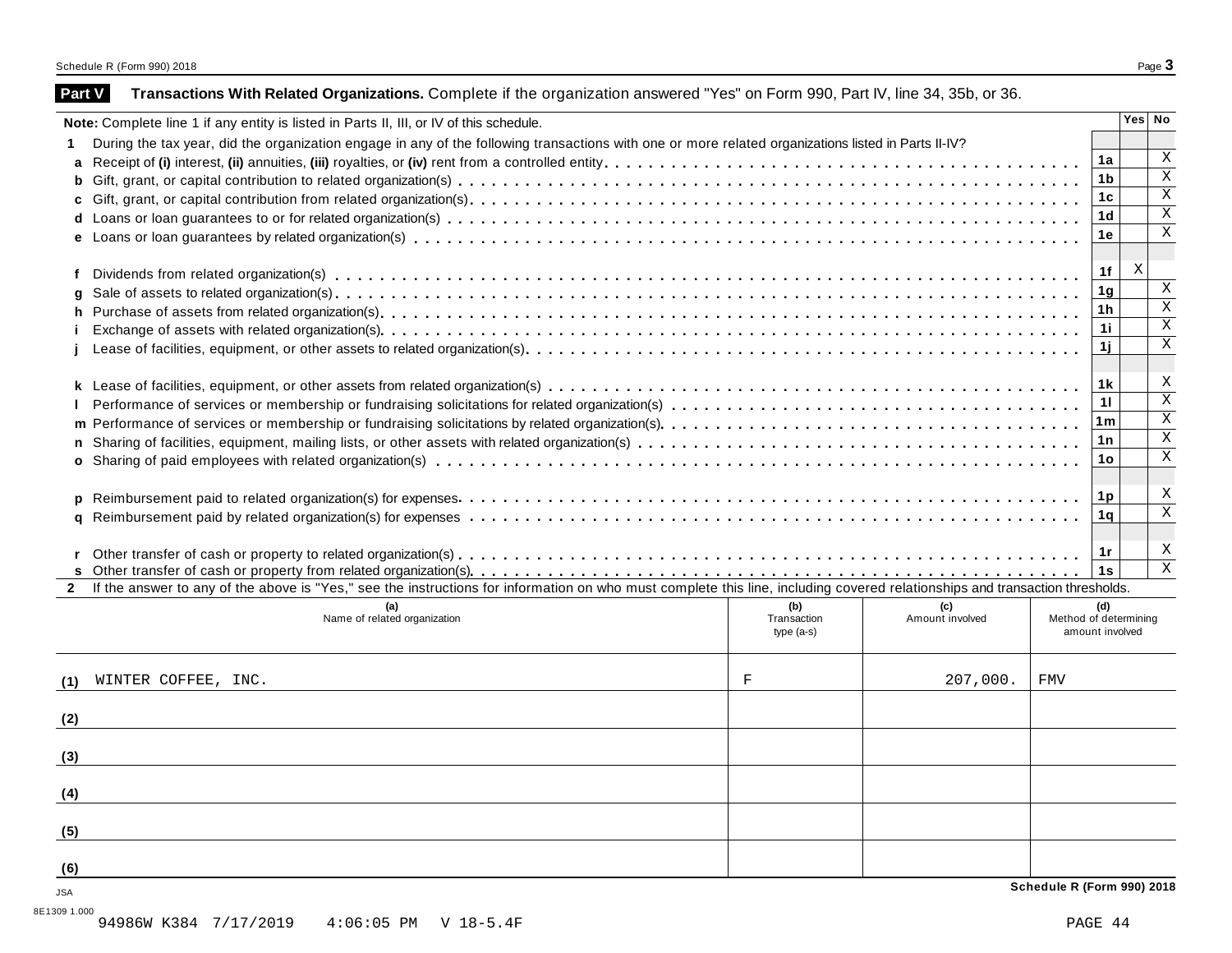|                                                        | Note: Complete line 1 if any entity is listed in Parts II, III, or IV of this schedule.                                                                                             |             |                 |                       |                 | Yes No                     |
|--------------------------------------------------------|-------------------------------------------------------------------------------------------------------------------------------------------------------------------------------------|-------------|-----------------|-----------------------|-----------------|----------------------------|
| 1                                                      | During the tax year, did the organization engage in any of the following transactions with one or more related organizations listed in Parts II-IV?                                 |             |                 |                       |                 |                            |
|                                                        |                                                                                                                                                                                     |             |                 |                       | 1a              | Χ                          |
| b                                                      |                                                                                                                                                                                     |             |                 |                       | 1b              | X                          |
|                                                        |                                                                                                                                                                                     |             |                 |                       | 1 <sub>c</sub>  | $\mathbf x$                |
|                                                        |                                                                                                                                                                                     |             |                 |                       | 1d              | $\,$ X                     |
|                                                        |                                                                                                                                                                                     |             |                 |                       | 1e              | $\mathbf X$                |
|                                                        |                                                                                                                                                                                     |             |                 |                       | 1f              | X                          |
|                                                        |                                                                                                                                                                                     |             |                 |                       | 1 <sub>g</sub>  | $\mathbf X$                |
| h.                                                     |                                                                                                                                                                                     |             |                 |                       | 1 <sub>h</sub>  | $\mathbf X$                |
|                                                        |                                                                                                                                                                                     |             |                 |                       | 1i              | $\rm X$                    |
|                                                        |                                                                                                                                                                                     |             |                 |                       | 1j.             | $\mathbf X$                |
|                                                        |                                                                                                                                                                                     |             |                 |                       | 1k              | X                          |
|                                                        |                                                                                                                                                                                     |             |                 |                       | 11              | $\overline{\mathbf{x}}$    |
|                                                        |                                                                                                                                                                                     |             |                 |                       | 1 <sub>m</sub>  | $\overline{\mathbf{x}}$    |
|                                                        |                                                                                                                                                                                     |             |                 |                       | 1n              | $\mathbf X$                |
|                                                        |                                                                                                                                                                                     |             |                 |                       | 1o              | X                          |
|                                                        |                                                                                                                                                                                     |             |                 |                       |                 |                            |
|                                                        |                                                                                                                                                                                     |             |                 |                       |                 |                            |
|                                                        |                                                                                                                                                                                     |             |                 |                       |                 |                            |
|                                                        |                                                                                                                                                                                     |             |                 |                       | 1p              |                            |
|                                                        |                                                                                                                                                                                     |             |                 |                       | 1q              |                            |
|                                                        |                                                                                                                                                                                     |             |                 |                       |                 |                            |
|                                                        |                                                                                                                                                                                     |             |                 |                       | 1r              |                            |
|                                                        |                                                                                                                                                                                     |             |                 |                       | 1s              | X<br>X<br>X<br>$\mathbf X$ |
|                                                        | If the answer to any of the above is "Yes," see the instructions for information on who must complete this line, including covered relationships and transaction thresholds.<br>(a) | (b)         | (c)             |                       | (d)             |                            |
|                                                        | Name of related organization                                                                                                                                                        | Transaction | Amount involved | Method of determining |                 |                            |
|                                                        |                                                                                                                                                                                     | $type(a-s)$ |                 |                       | amount involved |                            |
|                                                        | WINTER COFFEE, INC.                                                                                                                                                                 | $\mathbf F$ | 207,000.        | <b>FMV</b>            |                 |                            |
|                                                        |                                                                                                                                                                                     |             |                 |                       |                 |                            |
|                                                        |                                                                                                                                                                                     |             |                 |                       |                 |                            |
|                                                        |                                                                                                                                                                                     |             |                 |                       |                 |                            |
|                                                        |                                                                                                                                                                                     |             |                 |                       |                 |                            |
|                                                        |                                                                                                                                                                                     |             |                 |                       |                 |                            |
| $\mathbf{2}$<br>(1)<br>(2)<br>(3)<br>(4)<br>(5)<br>(6) |                                                                                                                                                                                     |             |                 |                       |                 |                            |

**Part V** Transactions With Related Organizations. Complete if the organization answered "Yes" on Form 990, Part IV, line 34, 35b, or 36.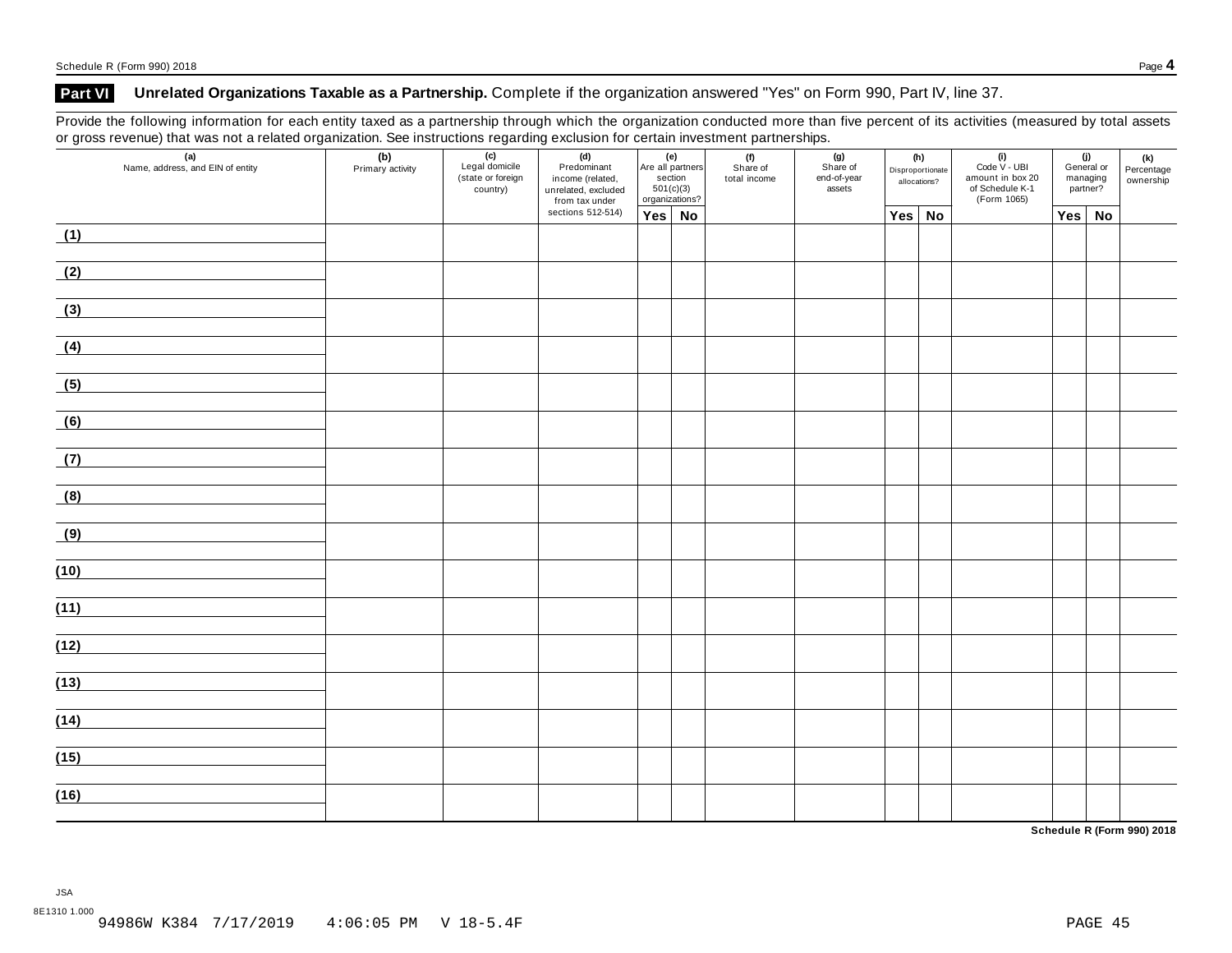### **Part VI Unrelated Organizations Taxable as a Partnership.** Complete if the organization answered "Yes" on Form 990, Part IV, line 37.

Provide the following information for each entity taxed as a partnership through which the organization conducted more than five percent of its activities (measured by total assets or gross revenue) that was not a related organization. See instructions regarding exclusion for certain investment partnerships.

| ັ    | $\mathbf{z}$<br>(a)<br>Name, address, and EIN of entity | ັ<br>(b)<br>Primary activity | ັ<br>$\overline{(c)}$<br>Legal domicile<br>(state or foreign<br>country) | ັ<br>(d)<br>Predominant<br>income (related,<br>unrelated, excluded<br>from tax under | (e)<br>501(c)(3) | Are all partners<br>section<br>organizations? | (f)<br>Share of<br>total income | (g)<br>Share of<br>end-of-year<br>assets | (h)<br>Disproportionate<br>allocations? | $(i)$<br>Code V - UBI<br>amount in box 20<br>of Schedule K-1<br>(Form 1065) |               | (j)<br>General or<br>managing<br>partner? | (k)<br>Percentage<br>ownership |
|------|---------------------------------------------------------|------------------------------|--------------------------------------------------------------------------|--------------------------------------------------------------------------------------|------------------|-----------------------------------------------|---------------------------------|------------------------------------------|-----------------------------------------|-----------------------------------------------------------------------------|---------------|-------------------------------------------|--------------------------------|
|      |                                                         |                              |                                                                          | sections 512-514)                                                                    | Yes No           |                                               |                                 |                                          | Yes No                                  |                                                                             | $Yes \mid No$ |                                           |                                |
| (1)  |                                                         |                              |                                                                          |                                                                                      |                  |                                               |                                 |                                          |                                         |                                                                             |               |                                           |                                |
| (2)  |                                                         |                              |                                                                          |                                                                                      |                  |                                               |                                 |                                          |                                         |                                                                             |               |                                           |                                |
| (3)  |                                                         |                              |                                                                          |                                                                                      |                  |                                               |                                 |                                          |                                         |                                                                             |               |                                           |                                |
| (4)  |                                                         |                              |                                                                          |                                                                                      |                  |                                               |                                 |                                          |                                         |                                                                             |               |                                           |                                |
| (5)  |                                                         |                              |                                                                          |                                                                                      |                  |                                               |                                 |                                          |                                         |                                                                             |               |                                           |                                |
| (6)  |                                                         |                              |                                                                          |                                                                                      |                  |                                               |                                 |                                          |                                         |                                                                             |               |                                           |                                |
| (7)  |                                                         |                              |                                                                          |                                                                                      |                  |                                               |                                 |                                          |                                         |                                                                             |               |                                           |                                |
| (8)  |                                                         |                              |                                                                          |                                                                                      |                  |                                               |                                 |                                          |                                         |                                                                             |               |                                           |                                |
| (9)  |                                                         |                              |                                                                          |                                                                                      |                  |                                               |                                 |                                          |                                         |                                                                             |               |                                           |                                |
| (10) |                                                         |                              |                                                                          |                                                                                      |                  |                                               |                                 |                                          |                                         |                                                                             |               |                                           |                                |
| (11) |                                                         |                              |                                                                          |                                                                                      |                  |                                               |                                 |                                          |                                         |                                                                             |               |                                           |                                |
| (12) |                                                         |                              |                                                                          |                                                                                      |                  |                                               |                                 |                                          |                                         |                                                                             |               |                                           |                                |
| (13) |                                                         |                              |                                                                          |                                                                                      |                  |                                               |                                 |                                          |                                         |                                                                             |               |                                           |                                |
| (14) |                                                         |                              |                                                                          |                                                                                      |                  |                                               |                                 |                                          |                                         |                                                                             |               |                                           |                                |
| (15) |                                                         |                              |                                                                          |                                                                                      |                  |                                               |                                 |                                          |                                         |                                                                             |               |                                           |                                |
| (16) |                                                         |                              |                                                                          |                                                                                      |                  |                                               |                                 |                                          |                                         |                                                                             |               |                                           |                                |

**Schedule R (Form 990) 2018**